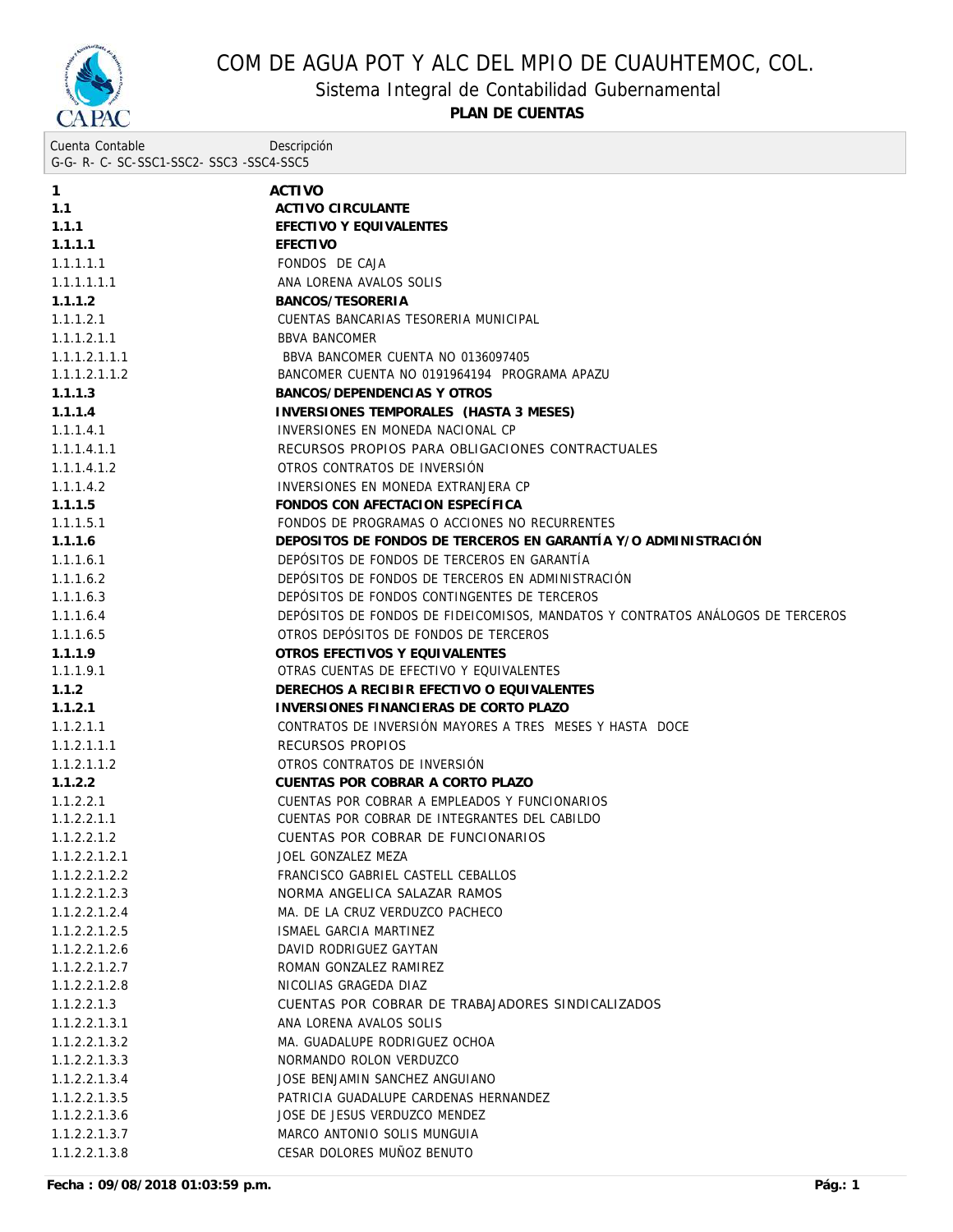

Sistema Integral de Contabilidad Gubernamental

| Cuenta Contable                     | Descripción |
|-------------------------------------|-------------|
| G-G-R-C-SC-SSC1-SSC2-SSC3-SSC4-SSC5 |             |

| 1.1<br>ACTIVO CIRCULANTE<br>1.1.1<br>EFECTIVO Y EQUIVALENTES<br>1.1.1.1<br>EFECTIVO<br>1.1.1.1.1<br>FONDOS DE CAJA<br>1.1.1.1.1.1<br>ANA LORENA AVALOS SOLIS<br>1.1.1.2<br>BANCOS/TESORERIA<br>1.1.1.2.1<br>CUENTAS BANCARIAS TESORERIA MUNICIPAL<br>1.1.1.2.1.1<br><b>BBVA BANCOMER</b><br>1.1.1.2.1.1.1<br>BBVA BANCOMER CUENTA NO 0136097405<br>1.1.1.2.1.1.2<br>BANCOMER CUENTA NO 0191964194 PROGRAMA APAZU<br>1.1.1.3<br>BANCOS/DEPENDENCIAS Y OTROS<br>1.1.1.4<br>INVERSIONES TEMPORALES (HASTA 3 MESES)<br>1.1.1.4.1<br>INVERSIONES EN MONEDA NACIONAL CP<br>1.1.1.4.1.1<br>RECURSOS PROPIOS PARA OBLIGACIONES CONTRACTUALES<br>OTROS CONTRATOS DE INVERSIÓN<br>1.1.1.4.1.2<br>INVERSIONES EN MONEDA EXTRANJERA CP<br>1.1.1.4.2<br>1.1.1.5<br>FONDOS CON AFECTACION ESPECÍFICA<br>1.1.1.5.1<br>FONDOS DE PROGRAMAS O ACCIONES NO RECURRENTES<br>DEPOSITOS DE FONDOS DE TERCEROS EN GARANTÍA Y/O ADMINISTRACIÓN<br>1.1.1.6<br>DEPÓSITOS DE FONDOS DE TERCEROS EN GARANTÍA<br>1.1.1.6.1<br>DEPÓSITOS DE FONDOS DE TERCEROS EN ADMINISTRACIÓN<br>1.1.1.6.2<br>DEPÓSITOS DE FONDOS CONTINGENTES DE TERCEROS<br>1.1.1.6.3<br>DEPÓSITOS DE FONDOS DE FIDEICOMISOS, MANDATOS Y CONTRATOS ANÁLOGOS DE TERCEROS<br>1.1.1.6.4<br>OTROS DEPÓSITOS DE FONDOS DE TERCEROS<br>1.1.1.6.5<br>1.1.1.9<br>OTROS EFECTIVOS Y EQUIVALENTES<br>1.1.1.9.1<br>OTRAS CUENTAS DE EFECTIVO Y EQUIVALENTES<br>1.1.2<br>DERECHOS A RECIBIR EFECTIVO O EQUIVALENTES<br>INVERSIONES FINANCIERAS DE CORTO PLAZO<br>1.1.2.1<br>CONTRATOS DE INVERSIÓN MAYORES A TRES MESES Y HASTA DOCE<br>1.1.2.1.1<br>RECURSOS PROPIOS<br>1.1.2.1.1.1<br>OTROS CONTRATOS DE INVERSIÓN<br>1.1.2.1.1.2<br>1.1.2.2<br>CUENTAS POR COBRAR A CORTO PLAZO<br>CUENTAS POR COBRAR A EMPLEADOS Y FUNCIONARIOS<br>1.1.2.2.1<br>1.1.2.2.1.1<br>CUENTAS POR COBRAR DE INTEGRANTES DEL CABILDO<br>CUENTAS POR COBRAR DE FUNCIONARIOS<br>1.1.2.2.1.2.1<br>JOEL GONZALEZ MEZA<br>FRANCISCO GABRIEL CASTELL CEBALLOS<br>NORMA ANGELICA SALAZAR RAMOS<br>1.1.2.2.1.2.3<br>1.1.2.2.1.2.4<br>MA. DE LA CRUZ VERDUZCO PACHECO<br>1.1.2.2.1.2.5<br>ISMAEL GARCIA MARTINEZ<br>1.1.2.2.1.2.6<br>DAVID RODRIGUEZ GAYTAN<br>1.1.2.2.1.2.7<br>ROMAN GONZALEZ RAMIREZ<br>1.1.2.2.1.2.8<br>NICOLIAS GRAGEDA DIAZ<br>CUENTAS POR COBRAR DE TRABAJADORES SINDICALIZADOS<br>1.1.2.2.1.3<br>ANA LORENA AVALOS SOLIS<br>1.1.2.2.1.3.1<br>MA. GUADALUPE RODRIGUEZ OCHOA<br>1.1.2.2.1.3.2<br>NORMANDO ROLON VERDUZCO<br>1.1.2.2.1.3.3<br>JOSE BENJAMIN SANCHEZ ANGUIANO<br>1.1.2.2.1.3.4<br>PATRICIA GUADALUPE CARDENAS HERNANDEZ<br>1.1.2.2.1.3.5<br>JOSE DE JESUS VERDUZCO MENDEZ<br>1.1.2.2.1.3.6<br>MARCO ANTONIO SOLIS MUNGUIA<br>1.1.2.2.1.3.7<br>CESAR DOLORES MUÑOZ BENUTO<br>1.1.2.2.1.3.8 | 1             | ACTIVO |
|----------------------------------------------------------------------------------------------------------------------------------------------------------------------------------------------------------------------------------------------------------------------------------------------------------------------------------------------------------------------------------------------------------------------------------------------------------------------------------------------------------------------------------------------------------------------------------------------------------------------------------------------------------------------------------------------------------------------------------------------------------------------------------------------------------------------------------------------------------------------------------------------------------------------------------------------------------------------------------------------------------------------------------------------------------------------------------------------------------------------------------------------------------------------------------------------------------------------------------------------------------------------------------------------------------------------------------------------------------------------------------------------------------------------------------------------------------------------------------------------------------------------------------------------------------------------------------------------------------------------------------------------------------------------------------------------------------------------------------------------------------------------------------------------------------------------------------------------------------------------------------------------------------------------------------------------------------------------------------------------------------------------------------------------------------------------------------------------------------------------------------------------------------------------------------------------------------------------------------------------------------------------------------------------------------------------------------------------------------------------------------------------------------------------------------------------------------------------------------------------------------------------------------------------------------------------------------------------------------------------------------------------------------------------------------------------------------------------------|---------------|--------|
|                                                                                                                                                                                                                                                                                                                                                                                                                                                                                                                                                                                                                                                                                                                                                                                                                                                                                                                                                                                                                                                                                                                                                                                                                                                                                                                                                                                                                                                                                                                                                                                                                                                                                                                                                                                                                                                                                                                                                                                                                                                                                                                                                                                                                                                                                                                                                                                                                                                                                                                                                                                                                                                                                                                            |               |        |
|                                                                                                                                                                                                                                                                                                                                                                                                                                                                                                                                                                                                                                                                                                                                                                                                                                                                                                                                                                                                                                                                                                                                                                                                                                                                                                                                                                                                                                                                                                                                                                                                                                                                                                                                                                                                                                                                                                                                                                                                                                                                                                                                                                                                                                                                                                                                                                                                                                                                                                                                                                                                                                                                                                                            |               |        |
|                                                                                                                                                                                                                                                                                                                                                                                                                                                                                                                                                                                                                                                                                                                                                                                                                                                                                                                                                                                                                                                                                                                                                                                                                                                                                                                                                                                                                                                                                                                                                                                                                                                                                                                                                                                                                                                                                                                                                                                                                                                                                                                                                                                                                                                                                                                                                                                                                                                                                                                                                                                                                                                                                                                            |               |        |
|                                                                                                                                                                                                                                                                                                                                                                                                                                                                                                                                                                                                                                                                                                                                                                                                                                                                                                                                                                                                                                                                                                                                                                                                                                                                                                                                                                                                                                                                                                                                                                                                                                                                                                                                                                                                                                                                                                                                                                                                                                                                                                                                                                                                                                                                                                                                                                                                                                                                                                                                                                                                                                                                                                                            |               |        |
|                                                                                                                                                                                                                                                                                                                                                                                                                                                                                                                                                                                                                                                                                                                                                                                                                                                                                                                                                                                                                                                                                                                                                                                                                                                                                                                                                                                                                                                                                                                                                                                                                                                                                                                                                                                                                                                                                                                                                                                                                                                                                                                                                                                                                                                                                                                                                                                                                                                                                                                                                                                                                                                                                                                            |               |        |
|                                                                                                                                                                                                                                                                                                                                                                                                                                                                                                                                                                                                                                                                                                                                                                                                                                                                                                                                                                                                                                                                                                                                                                                                                                                                                                                                                                                                                                                                                                                                                                                                                                                                                                                                                                                                                                                                                                                                                                                                                                                                                                                                                                                                                                                                                                                                                                                                                                                                                                                                                                                                                                                                                                                            |               |        |
|                                                                                                                                                                                                                                                                                                                                                                                                                                                                                                                                                                                                                                                                                                                                                                                                                                                                                                                                                                                                                                                                                                                                                                                                                                                                                                                                                                                                                                                                                                                                                                                                                                                                                                                                                                                                                                                                                                                                                                                                                                                                                                                                                                                                                                                                                                                                                                                                                                                                                                                                                                                                                                                                                                                            |               |        |
|                                                                                                                                                                                                                                                                                                                                                                                                                                                                                                                                                                                                                                                                                                                                                                                                                                                                                                                                                                                                                                                                                                                                                                                                                                                                                                                                                                                                                                                                                                                                                                                                                                                                                                                                                                                                                                                                                                                                                                                                                                                                                                                                                                                                                                                                                                                                                                                                                                                                                                                                                                                                                                                                                                                            |               |        |
|                                                                                                                                                                                                                                                                                                                                                                                                                                                                                                                                                                                                                                                                                                                                                                                                                                                                                                                                                                                                                                                                                                                                                                                                                                                                                                                                                                                                                                                                                                                                                                                                                                                                                                                                                                                                                                                                                                                                                                                                                                                                                                                                                                                                                                                                                                                                                                                                                                                                                                                                                                                                                                                                                                                            |               |        |
|                                                                                                                                                                                                                                                                                                                                                                                                                                                                                                                                                                                                                                                                                                                                                                                                                                                                                                                                                                                                                                                                                                                                                                                                                                                                                                                                                                                                                                                                                                                                                                                                                                                                                                                                                                                                                                                                                                                                                                                                                                                                                                                                                                                                                                                                                                                                                                                                                                                                                                                                                                                                                                                                                                                            |               |        |
|                                                                                                                                                                                                                                                                                                                                                                                                                                                                                                                                                                                                                                                                                                                                                                                                                                                                                                                                                                                                                                                                                                                                                                                                                                                                                                                                                                                                                                                                                                                                                                                                                                                                                                                                                                                                                                                                                                                                                                                                                                                                                                                                                                                                                                                                                                                                                                                                                                                                                                                                                                                                                                                                                                                            |               |        |
|                                                                                                                                                                                                                                                                                                                                                                                                                                                                                                                                                                                                                                                                                                                                                                                                                                                                                                                                                                                                                                                                                                                                                                                                                                                                                                                                                                                                                                                                                                                                                                                                                                                                                                                                                                                                                                                                                                                                                                                                                                                                                                                                                                                                                                                                                                                                                                                                                                                                                                                                                                                                                                                                                                                            |               |        |
|                                                                                                                                                                                                                                                                                                                                                                                                                                                                                                                                                                                                                                                                                                                                                                                                                                                                                                                                                                                                                                                                                                                                                                                                                                                                                                                                                                                                                                                                                                                                                                                                                                                                                                                                                                                                                                                                                                                                                                                                                                                                                                                                                                                                                                                                                                                                                                                                                                                                                                                                                                                                                                                                                                                            |               |        |
|                                                                                                                                                                                                                                                                                                                                                                                                                                                                                                                                                                                                                                                                                                                                                                                                                                                                                                                                                                                                                                                                                                                                                                                                                                                                                                                                                                                                                                                                                                                                                                                                                                                                                                                                                                                                                                                                                                                                                                                                                                                                                                                                                                                                                                                                                                                                                                                                                                                                                                                                                                                                                                                                                                                            |               |        |
|                                                                                                                                                                                                                                                                                                                                                                                                                                                                                                                                                                                                                                                                                                                                                                                                                                                                                                                                                                                                                                                                                                                                                                                                                                                                                                                                                                                                                                                                                                                                                                                                                                                                                                                                                                                                                                                                                                                                                                                                                                                                                                                                                                                                                                                                                                                                                                                                                                                                                                                                                                                                                                                                                                                            |               |        |
|                                                                                                                                                                                                                                                                                                                                                                                                                                                                                                                                                                                                                                                                                                                                                                                                                                                                                                                                                                                                                                                                                                                                                                                                                                                                                                                                                                                                                                                                                                                                                                                                                                                                                                                                                                                                                                                                                                                                                                                                                                                                                                                                                                                                                                                                                                                                                                                                                                                                                                                                                                                                                                                                                                                            |               |        |
|                                                                                                                                                                                                                                                                                                                                                                                                                                                                                                                                                                                                                                                                                                                                                                                                                                                                                                                                                                                                                                                                                                                                                                                                                                                                                                                                                                                                                                                                                                                                                                                                                                                                                                                                                                                                                                                                                                                                                                                                                                                                                                                                                                                                                                                                                                                                                                                                                                                                                                                                                                                                                                                                                                                            |               |        |
|                                                                                                                                                                                                                                                                                                                                                                                                                                                                                                                                                                                                                                                                                                                                                                                                                                                                                                                                                                                                                                                                                                                                                                                                                                                                                                                                                                                                                                                                                                                                                                                                                                                                                                                                                                                                                                                                                                                                                                                                                                                                                                                                                                                                                                                                                                                                                                                                                                                                                                                                                                                                                                                                                                                            |               |        |
|                                                                                                                                                                                                                                                                                                                                                                                                                                                                                                                                                                                                                                                                                                                                                                                                                                                                                                                                                                                                                                                                                                                                                                                                                                                                                                                                                                                                                                                                                                                                                                                                                                                                                                                                                                                                                                                                                                                                                                                                                                                                                                                                                                                                                                                                                                                                                                                                                                                                                                                                                                                                                                                                                                                            |               |        |
|                                                                                                                                                                                                                                                                                                                                                                                                                                                                                                                                                                                                                                                                                                                                                                                                                                                                                                                                                                                                                                                                                                                                                                                                                                                                                                                                                                                                                                                                                                                                                                                                                                                                                                                                                                                                                                                                                                                                                                                                                                                                                                                                                                                                                                                                                                                                                                                                                                                                                                                                                                                                                                                                                                                            |               |        |
|                                                                                                                                                                                                                                                                                                                                                                                                                                                                                                                                                                                                                                                                                                                                                                                                                                                                                                                                                                                                                                                                                                                                                                                                                                                                                                                                                                                                                                                                                                                                                                                                                                                                                                                                                                                                                                                                                                                                                                                                                                                                                                                                                                                                                                                                                                                                                                                                                                                                                                                                                                                                                                                                                                                            |               |        |
|                                                                                                                                                                                                                                                                                                                                                                                                                                                                                                                                                                                                                                                                                                                                                                                                                                                                                                                                                                                                                                                                                                                                                                                                                                                                                                                                                                                                                                                                                                                                                                                                                                                                                                                                                                                                                                                                                                                                                                                                                                                                                                                                                                                                                                                                                                                                                                                                                                                                                                                                                                                                                                                                                                                            |               |        |
|                                                                                                                                                                                                                                                                                                                                                                                                                                                                                                                                                                                                                                                                                                                                                                                                                                                                                                                                                                                                                                                                                                                                                                                                                                                                                                                                                                                                                                                                                                                                                                                                                                                                                                                                                                                                                                                                                                                                                                                                                                                                                                                                                                                                                                                                                                                                                                                                                                                                                                                                                                                                                                                                                                                            |               |        |
|                                                                                                                                                                                                                                                                                                                                                                                                                                                                                                                                                                                                                                                                                                                                                                                                                                                                                                                                                                                                                                                                                                                                                                                                                                                                                                                                                                                                                                                                                                                                                                                                                                                                                                                                                                                                                                                                                                                                                                                                                                                                                                                                                                                                                                                                                                                                                                                                                                                                                                                                                                                                                                                                                                                            |               |        |
|                                                                                                                                                                                                                                                                                                                                                                                                                                                                                                                                                                                                                                                                                                                                                                                                                                                                                                                                                                                                                                                                                                                                                                                                                                                                                                                                                                                                                                                                                                                                                                                                                                                                                                                                                                                                                                                                                                                                                                                                                                                                                                                                                                                                                                                                                                                                                                                                                                                                                                                                                                                                                                                                                                                            |               |        |
|                                                                                                                                                                                                                                                                                                                                                                                                                                                                                                                                                                                                                                                                                                                                                                                                                                                                                                                                                                                                                                                                                                                                                                                                                                                                                                                                                                                                                                                                                                                                                                                                                                                                                                                                                                                                                                                                                                                                                                                                                                                                                                                                                                                                                                                                                                                                                                                                                                                                                                                                                                                                                                                                                                                            |               |        |
|                                                                                                                                                                                                                                                                                                                                                                                                                                                                                                                                                                                                                                                                                                                                                                                                                                                                                                                                                                                                                                                                                                                                                                                                                                                                                                                                                                                                                                                                                                                                                                                                                                                                                                                                                                                                                                                                                                                                                                                                                                                                                                                                                                                                                                                                                                                                                                                                                                                                                                                                                                                                                                                                                                                            |               |        |
|                                                                                                                                                                                                                                                                                                                                                                                                                                                                                                                                                                                                                                                                                                                                                                                                                                                                                                                                                                                                                                                                                                                                                                                                                                                                                                                                                                                                                                                                                                                                                                                                                                                                                                                                                                                                                                                                                                                                                                                                                                                                                                                                                                                                                                                                                                                                                                                                                                                                                                                                                                                                                                                                                                                            |               |        |
|                                                                                                                                                                                                                                                                                                                                                                                                                                                                                                                                                                                                                                                                                                                                                                                                                                                                                                                                                                                                                                                                                                                                                                                                                                                                                                                                                                                                                                                                                                                                                                                                                                                                                                                                                                                                                                                                                                                                                                                                                                                                                                                                                                                                                                                                                                                                                                                                                                                                                                                                                                                                                                                                                                                            |               |        |
|                                                                                                                                                                                                                                                                                                                                                                                                                                                                                                                                                                                                                                                                                                                                                                                                                                                                                                                                                                                                                                                                                                                                                                                                                                                                                                                                                                                                                                                                                                                                                                                                                                                                                                                                                                                                                                                                                                                                                                                                                                                                                                                                                                                                                                                                                                                                                                                                                                                                                                                                                                                                                                                                                                                            |               |        |
|                                                                                                                                                                                                                                                                                                                                                                                                                                                                                                                                                                                                                                                                                                                                                                                                                                                                                                                                                                                                                                                                                                                                                                                                                                                                                                                                                                                                                                                                                                                                                                                                                                                                                                                                                                                                                                                                                                                                                                                                                                                                                                                                                                                                                                                                                                                                                                                                                                                                                                                                                                                                                                                                                                                            |               |        |
|                                                                                                                                                                                                                                                                                                                                                                                                                                                                                                                                                                                                                                                                                                                                                                                                                                                                                                                                                                                                                                                                                                                                                                                                                                                                                                                                                                                                                                                                                                                                                                                                                                                                                                                                                                                                                                                                                                                                                                                                                                                                                                                                                                                                                                                                                                                                                                                                                                                                                                                                                                                                                                                                                                                            |               |        |
|                                                                                                                                                                                                                                                                                                                                                                                                                                                                                                                                                                                                                                                                                                                                                                                                                                                                                                                                                                                                                                                                                                                                                                                                                                                                                                                                                                                                                                                                                                                                                                                                                                                                                                                                                                                                                                                                                                                                                                                                                                                                                                                                                                                                                                                                                                                                                                                                                                                                                                                                                                                                                                                                                                                            |               |        |
|                                                                                                                                                                                                                                                                                                                                                                                                                                                                                                                                                                                                                                                                                                                                                                                                                                                                                                                                                                                                                                                                                                                                                                                                                                                                                                                                                                                                                                                                                                                                                                                                                                                                                                                                                                                                                                                                                                                                                                                                                                                                                                                                                                                                                                                                                                                                                                                                                                                                                                                                                                                                                                                                                                                            |               |        |
|                                                                                                                                                                                                                                                                                                                                                                                                                                                                                                                                                                                                                                                                                                                                                                                                                                                                                                                                                                                                                                                                                                                                                                                                                                                                                                                                                                                                                                                                                                                                                                                                                                                                                                                                                                                                                                                                                                                                                                                                                                                                                                                                                                                                                                                                                                                                                                                                                                                                                                                                                                                                                                                                                                                            | 1.1.2.2.1.2   |        |
|                                                                                                                                                                                                                                                                                                                                                                                                                                                                                                                                                                                                                                                                                                                                                                                                                                                                                                                                                                                                                                                                                                                                                                                                                                                                                                                                                                                                                                                                                                                                                                                                                                                                                                                                                                                                                                                                                                                                                                                                                                                                                                                                                                                                                                                                                                                                                                                                                                                                                                                                                                                                                                                                                                                            |               |        |
|                                                                                                                                                                                                                                                                                                                                                                                                                                                                                                                                                                                                                                                                                                                                                                                                                                                                                                                                                                                                                                                                                                                                                                                                                                                                                                                                                                                                                                                                                                                                                                                                                                                                                                                                                                                                                                                                                                                                                                                                                                                                                                                                                                                                                                                                                                                                                                                                                                                                                                                                                                                                                                                                                                                            | 1.1.2.2.1.2.2 |        |
|                                                                                                                                                                                                                                                                                                                                                                                                                                                                                                                                                                                                                                                                                                                                                                                                                                                                                                                                                                                                                                                                                                                                                                                                                                                                                                                                                                                                                                                                                                                                                                                                                                                                                                                                                                                                                                                                                                                                                                                                                                                                                                                                                                                                                                                                                                                                                                                                                                                                                                                                                                                                                                                                                                                            |               |        |
|                                                                                                                                                                                                                                                                                                                                                                                                                                                                                                                                                                                                                                                                                                                                                                                                                                                                                                                                                                                                                                                                                                                                                                                                                                                                                                                                                                                                                                                                                                                                                                                                                                                                                                                                                                                                                                                                                                                                                                                                                                                                                                                                                                                                                                                                                                                                                                                                                                                                                                                                                                                                                                                                                                                            |               |        |
|                                                                                                                                                                                                                                                                                                                                                                                                                                                                                                                                                                                                                                                                                                                                                                                                                                                                                                                                                                                                                                                                                                                                                                                                                                                                                                                                                                                                                                                                                                                                                                                                                                                                                                                                                                                                                                                                                                                                                                                                                                                                                                                                                                                                                                                                                                                                                                                                                                                                                                                                                                                                                                                                                                                            |               |        |
|                                                                                                                                                                                                                                                                                                                                                                                                                                                                                                                                                                                                                                                                                                                                                                                                                                                                                                                                                                                                                                                                                                                                                                                                                                                                                                                                                                                                                                                                                                                                                                                                                                                                                                                                                                                                                                                                                                                                                                                                                                                                                                                                                                                                                                                                                                                                                                                                                                                                                                                                                                                                                                                                                                                            |               |        |
|                                                                                                                                                                                                                                                                                                                                                                                                                                                                                                                                                                                                                                                                                                                                                                                                                                                                                                                                                                                                                                                                                                                                                                                                                                                                                                                                                                                                                                                                                                                                                                                                                                                                                                                                                                                                                                                                                                                                                                                                                                                                                                                                                                                                                                                                                                                                                                                                                                                                                                                                                                                                                                                                                                                            |               |        |
|                                                                                                                                                                                                                                                                                                                                                                                                                                                                                                                                                                                                                                                                                                                                                                                                                                                                                                                                                                                                                                                                                                                                                                                                                                                                                                                                                                                                                                                                                                                                                                                                                                                                                                                                                                                                                                                                                                                                                                                                                                                                                                                                                                                                                                                                                                                                                                                                                                                                                                                                                                                                                                                                                                                            |               |        |
|                                                                                                                                                                                                                                                                                                                                                                                                                                                                                                                                                                                                                                                                                                                                                                                                                                                                                                                                                                                                                                                                                                                                                                                                                                                                                                                                                                                                                                                                                                                                                                                                                                                                                                                                                                                                                                                                                                                                                                                                                                                                                                                                                                                                                                                                                                                                                                                                                                                                                                                                                                                                                                                                                                                            |               |        |
|                                                                                                                                                                                                                                                                                                                                                                                                                                                                                                                                                                                                                                                                                                                                                                                                                                                                                                                                                                                                                                                                                                                                                                                                                                                                                                                                                                                                                                                                                                                                                                                                                                                                                                                                                                                                                                                                                                                                                                                                                                                                                                                                                                                                                                                                                                                                                                                                                                                                                                                                                                                                                                                                                                                            |               |        |
|                                                                                                                                                                                                                                                                                                                                                                                                                                                                                                                                                                                                                                                                                                                                                                                                                                                                                                                                                                                                                                                                                                                                                                                                                                                                                                                                                                                                                                                                                                                                                                                                                                                                                                                                                                                                                                                                                                                                                                                                                                                                                                                                                                                                                                                                                                                                                                                                                                                                                                                                                                                                                                                                                                                            |               |        |
|                                                                                                                                                                                                                                                                                                                                                                                                                                                                                                                                                                                                                                                                                                                                                                                                                                                                                                                                                                                                                                                                                                                                                                                                                                                                                                                                                                                                                                                                                                                                                                                                                                                                                                                                                                                                                                                                                                                                                                                                                                                                                                                                                                                                                                                                                                                                                                                                                                                                                                                                                                                                                                                                                                                            |               |        |
|                                                                                                                                                                                                                                                                                                                                                                                                                                                                                                                                                                                                                                                                                                                                                                                                                                                                                                                                                                                                                                                                                                                                                                                                                                                                                                                                                                                                                                                                                                                                                                                                                                                                                                                                                                                                                                                                                                                                                                                                                                                                                                                                                                                                                                                                                                                                                                                                                                                                                                                                                                                                                                                                                                                            |               |        |
|                                                                                                                                                                                                                                                                                                                                                                                                                                                                                                                                                                                                                                                                                                                                                                                                                                                                                                                                                                                                                                                                                                                                                                                                                                                                                                                                                                                                                                                                                                                                                                                                                                                                                                                                                                                                                                                                                                                                                                                                                                                                                                                                                                                                                                                                                                                                                                                                                                                                                                                                                                                                                                                                                                                            |               |        |
|                                                                                                                                                                                                                                                                                                                                                                                                                                                                                                                                                                                                                                                                                                                                                                                                                                                                                                                                                                                                                                                                                                                                                                                                                                                                                                                                                                                                                                                                                                                                                                                                                                                                                                                                                                                                                                                                                                                                                                                                                                                                                                                                                                                                                                                                                                                                                                                                                                                                                                                                                                                                                                                                                                                            |               |        |
|                                                                                                                                                                                                                                                                                                                                                                                                                                                                                                                                                                                                                                                                                                                                                                                                                                                                                                                                                                                                                                                                                                                                                                                                                                                                                                                                                                                                                                                                                                                                                                                                                                                                                                                                                                                                                                                                                                                                                                                                                                                                                                                                                                                                                                                                                                                                                                                                                                                                                                                                                                                                                                                                                                                            |               |        |
|                                                                                                                                                                                                                                                                                                                                                                                                                                                                                                                                                                                                                                                                                                                                                                                                                                                                                                                                                                                                                                                                                                                                                                                                                                                                                                                                                                                                                                                                                                                                                                                                                                                                                                                                                                                                                                                                                                                                                                                                                                                                                                                                                                                                                                                                                                                                                                                                                                                                                                                                                                                                                                                                                                                            |               |        |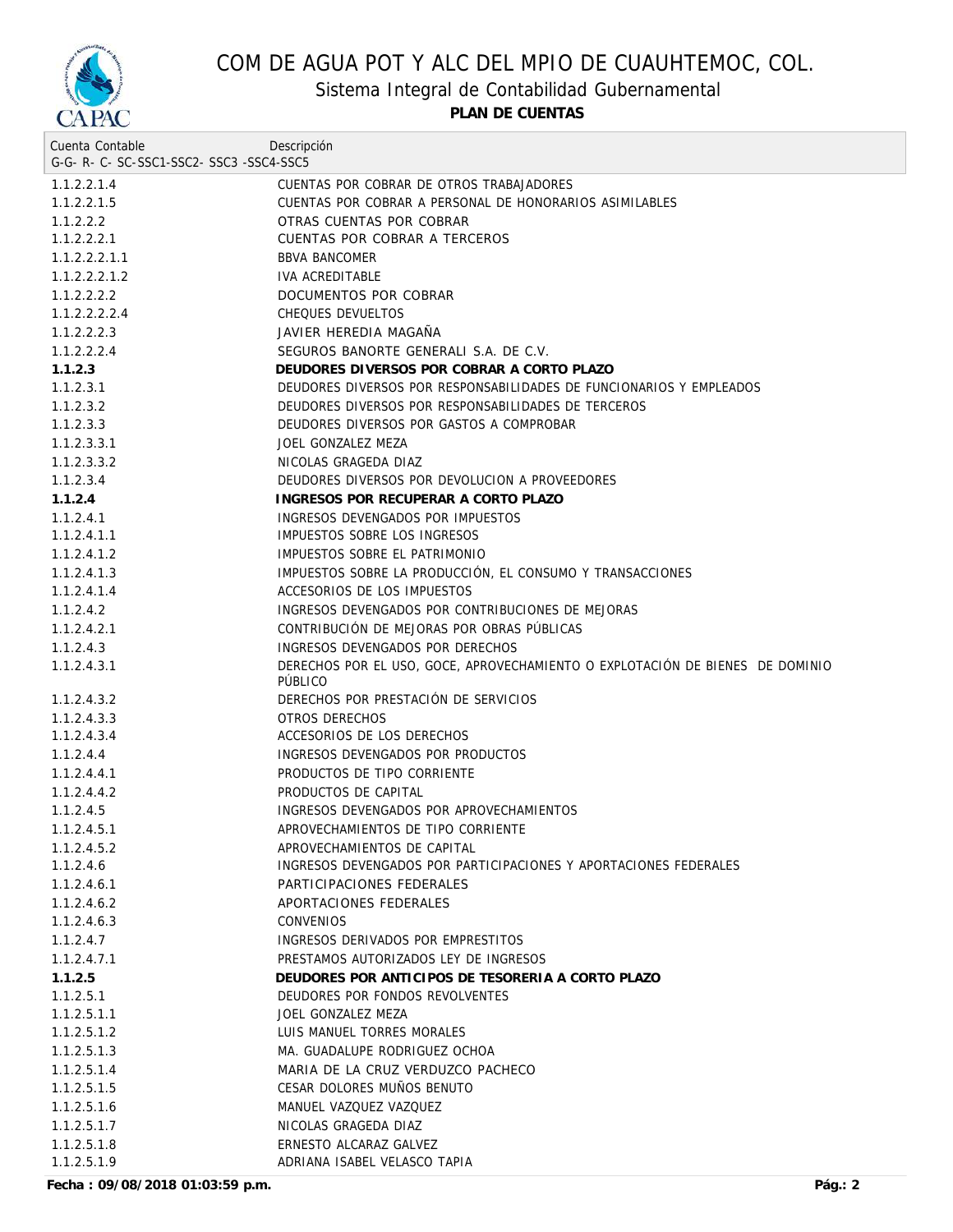

Sistema Integral de Contabilidad Gubernamental

**PLAN DE CUENTAS**

| Cuenta Contable                     | Descripción                                                                              |
|-------------------------------------|------------------------------------------------------------------------------------------|
| G-G-R-C-SC-SSC1-SSC2-SSC3-SSC4-SSC5 |                                                                                          |
| 1.1.2.2.1.4                         | CUENTAS POR COBRAR DE OTROS TRABAJADORES                                                 |
| 1.1.2.2.1.5                         | CUENTAS POR COBRAR A PERSONAL DE HONORARIOS ASIMILABLES                                  |
| 1.1.2.2.2                           | OTRAS CUENTAS POR COBRAR                                                                 |
| 1.1.2.2.2.1                         | CUENTAS POR COBRAR A TERCEROS                                                            |
| 1.1.2.2.2.1.1                       | <b>BBVA BANCOMER</b>                                                                     |
| 1.1.2.2.2.1.2                       | IVA ACREDITABLE                                                                          |
| 1.1.2.2.2.2                         | DOCUMENTOS POR COBRAR                                                                    |
| 1.1.2.2.2.2.4                       | CHEQUES DEVUELTOS                                                                        |
| 1.1.2.2.2.3                         | JAVIER HEREDIA MAGAÑA                                                                    |
| 1.1.2.2.2.4                         | SEGUROS BANORTE GENERALI S.A. DE C.V.                                                    |
| 1.1.2.3                             | DEUDORES DIVERSOS POR COBRAR A CORTO PLAZO                                               |
| 1.1.2.3.1                           | DEUDORES DIVERSOS POR RESPONSABILIDADES DE FUNCIONARIOS Y EMPLEADOS                      |
| 1.1.2.3.2                           | DEUDORES DIVERSOS POR RESPONSABILIDADES DE TERCEROS                                      |
| 1.1.2.3.3                           | DEUDORES DIVERSOS POR GASTOS A COMPROBAR                                                 |
| 1.1.2.3.3.1                         | JOEL GONZALEZ MEZA                                                                       |
| 1.1.2.3.3.2                         | NICOLAS GRAGEDA DIAZ                                                                     |
| 1.1.2.3.4                           | DEUDORES DIVERSOS POR DEVOLUCION A PROVEEDORES                                           |
| 1.1.2.4                             | INGRESOS POR RECUPERAR A CORTO PLAZO                                                     |
| 1.1.2.4.1                           | INGRESOS DEVENGADOS POR IMPUESTOS                                                        |
| 1.1.2.4.1.1                         | IMPUESTOS SOBRE LOS INGRESOS                                                             |
| 1.1.2.4.1.2                         | IMPUESTOS SOBRE EL PATRIMONIO                                                            |
| 1.1.2.4.1.3                         | IMPUESTOS SOBRE LA PRODUCCIÓN, EL CONSUMO Y TRANSACCIONES                                |
| 1.1.2.4.1.4                         | ACCESORIOS DE LOS IMPUESTOS                                                              |
| 1.1.2.4.2                           | INGRESOS DEVENGADOS POR CONTRIBUCIONES DE MEJORAS                                        |
| 1.1.2.4.2.1                         | CONTRIBUCIÓN DE MEJORAS POR OBRAS PÚBLICAS                                               |
| 1.1.2.4.3                           | INGRESOS DEVENGADOS POR DERECHOS                                                         |
| 1.1.2.4.3.1                         | DERECHOS POR EL USO, GOCE, APROVECHAMIENTO O EXPLOTACIÓN DE BIENES DE DOMINIO<br>PÚBLICO |
| 1.1.2.4.3.2                         | DERECHOS POR PRESTACIÓN DE SERVICIOS                                                     |
| 1.1.2.4.3.3                         | OTROS DERECHOS                                                                           |
| 1.1.2.4.3.4                         | ACCESORIOS DE LOS DERECHOS                                                               |
| 1.1.2.4.4                           | INGRESOS DEVENGADOS POR PRODUCTOS                                                        |
| 1.1.2.4.4.1                         | PRODUCTOS DE TIPO CORRIENTE                                                              |
| 1.1.2.4.4.2                         | PRODUCTOS DE CAPITAL                                                                     |
| 1.1.2.4.5                           | INGRESOS DEVENGADOS POR APROVECHAMIENTOS                                                 |
| 1.1.2.4.5.1                         | APROVECHAMIENTOS DE TIPO CORRIENTE                                                       |
| 1.1.2.4.5.2                         | APROVECHAMIENTOS DE CAPITAL                                                              |
| 1.1.2.4.6                           | INGRESOS DEVENGADOS POR PARTICIPACIONES Y APORTACIONES FEDERALES                         |
| 1.1.2.4.6.1                         | PARTICIPACIONES FEDERALES                                                                |
| 1.1.2.4.6.2                         | APORTACIONES FEDERALES                                                                   |
| 1.1.2.4.6.3                         | <b>CONVENIOS</b>                                                                         |
| 1.1.2.4.7                           | INGRESOS DERIVADOS POR EMPRESTITOS                                                       |
| 1.1.2.4.7.1                         | PRESTAMOS AUTORIZADOS LEY DE INGRESOS                                                    |
| 1.1.2.5                             | DEUDORES POR ANTICIPOS DE TESORERIA A CORTO PLAZO                                        |
| 1.1.2.5.1                           | DEUDORES POR FONDOS REVOLVENTES                                                          |
| 1.1.2.5.1.1                         | JOEL GONZALEZ MEZA                                                                       |
| 1.1.2.5.1.2                         | LUIS MANUEL TORRES MORALES                                                               |
| 1.1.2.5.1.3                         | MA. GUADALUPE RODRIGUEZ OCHOA                                                            |
| 1.1.2.5.1.4                         | MARIA DE LA CRUZ VERDUZCO PACHECO                                                        |
| 1.1.2.5.1.5                         | CESAR DOLORES MUÑOS BENUTO                                                               |
| 1.1.2.5.1.6                         | MANUEL VAZQUEZ VAZQUEZ                                                                   |
| 1.1.2.5.1.7                         | NICOLAS GRAGEDA DIAZ                                                                     |
| 1.1.2.5.1.8                         | ERNESTO ALCARAZ GALVEZ                                                                   |
| 1.1.2.5.1.9                         | ADRIANA ISABEL VELASCO TAPIA                                                             |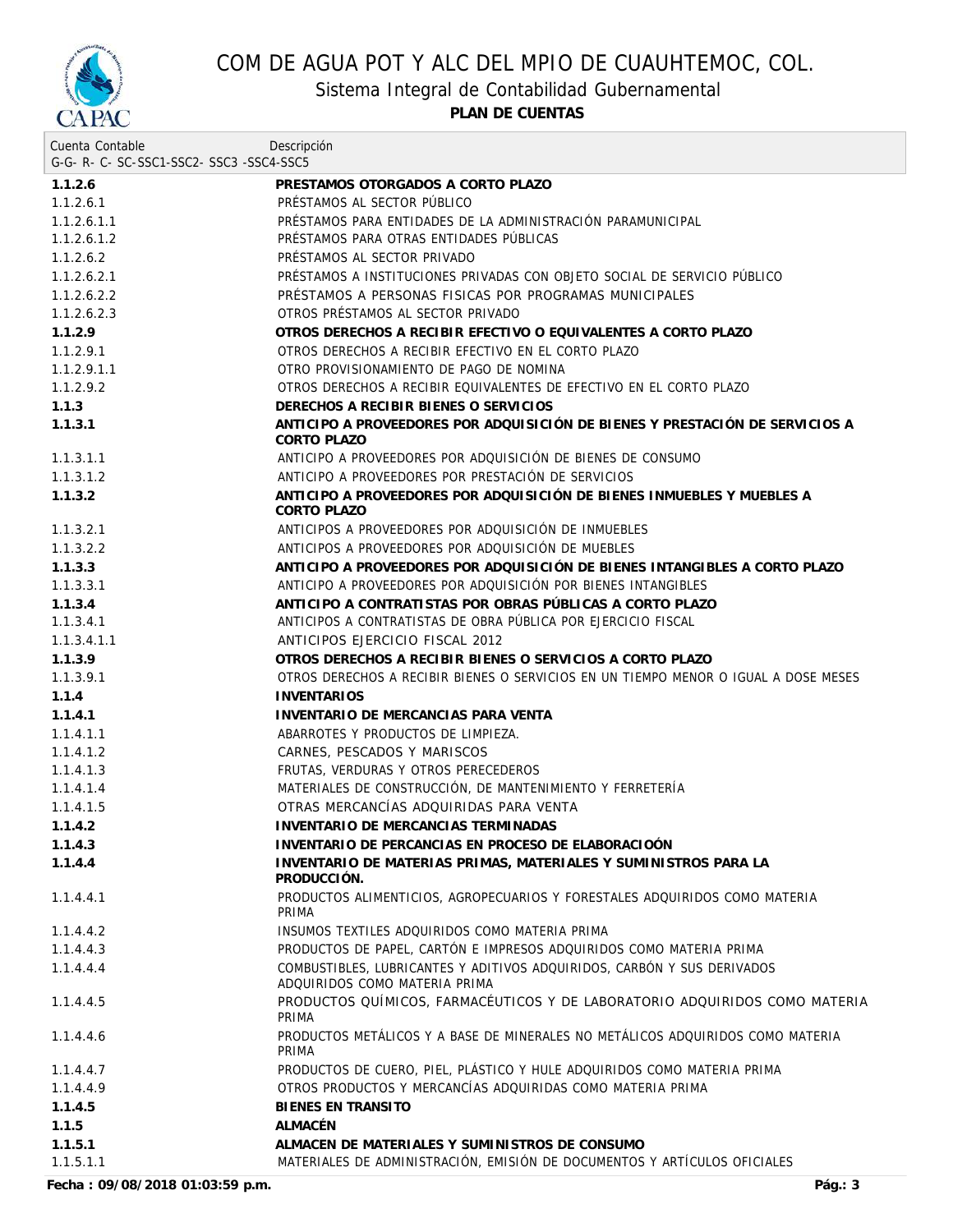

Sistema Integral de Contabilidad Gubernamental

**PLAN DE CUENTAS**

| Cuenta Contable                     | Descripción                                                                                              |
|-------------------------------------|----------------------------------------------------------------------------------------------------------|
| G-G-R-C-SC-SSC1-SSC2-SSC3-SSC4-SSC5 |                                                                                                          |
| 1.1.2.6                             | PRESTAMOS OTORGADOS A CORTO PLAZO                                                                        |
| 1.1.2.6.1                           | PRÉSTAMOS AL SECTOR PÚBLICO                                                                              |
| 1.1.2.6.1.1                         | PRÉSTAMOS PARA ENTIDADES DE LA ADMINISTRACIÓN PARAMUNICIPAL                                              |
| 1.1.2.6.1.2                         | PRÉSTAMOS PARA OTRAS ENTIDADES PÚBLICAS                                                                  |
| 1.1.2.6.2                           | PRÉSTAMOS AL SECTOR PRIVADO                                                                              |
| 1.1.2.6.2.1                         | PRÉSTAMOS A INSTITUCIONES PRIVADAS CON OBJETO SOCIAL DE SERVICIO PÚBLICO                                 |
| 1.1.2.6.2.2                         | PRÉSTAMOS A PERSONAS FISICAS POR PROGRAMAS MUNICIPALES                                                   |
| 1.1.2.6.2.3                         | OTROS PRÉSTAMOS AL SECTOR PRIVADO                                                                        |
| 1.1.2.9                             | OTROS DERECHOS A RECIBIR EFECTIVO O EQUIVALENTES A CORTO PLAZO                                           |
| 1.1.2.9.1                           | OTROS DERECHOS A RECIBIR EFECTIVO EN EL CORTO PLAZO                                                      |
| 1.1.2.9.1.1                         | OTRO PROVISIONAMIENTO DE PAGO DE NOMINA                                                                  |
| 1.1.2.9.2                           | OTROS DERECHOS A RECIBIR EQUIVALENTES DE EFECTIVO EN EL CORTO PLAZO                                      |
| 1.1.3                               | DERECHOS A RECIBIR BIENES O SERVICIOS                                                                    |
| 1.1.3.1                             | ANTICIPO A PROVEEDORES POR ADQUISICIÓN DE BIENES Y PRESTACIÓN DE SERVICIOS A<br>CORTO PLAZO              |
| 1.1.3.1.1                           | ANTICIPO A PROVEEDORES POR ADQUISICIÓN DE BIENES DE CONSUMO                                              |
| 1.1.3.1.2                           | ANTICIPO A PROVEEDORES POR PRESTACIÓN DE SERVICIOS                                                       |
| 1.1.3.2                             | ANTICIPO A PROVEEDORES POR ADQUISICIÓN DE BIENES INMUEBLES Y MUEBLES A<br>CORTO PLAZO                    |
| 1.1.3.2.1                           | ANTICIPOS A PROVEEDORES POR ADQUISICIÓN DE INMUEBLES                                                     |
| 1.1.3.2.2                           | ANTICIPOS A PROVEEDORES POR ADQUISICIÓN DE MUEBLES                                                       |
| 1.1.3.3                             | ANTICIPO A PROVEEDORES POR ADQUISICIÓN DE BIENES INTANGIBLES A CORTO PLAZO                               |
| 1.1.3.3.1                           | ANTICIPO A PROVEEDORES POR ADQUISICIÓN POR BIENES INTANGIBLES                                            |
| 1.1.3.4                             | ANTICIPO A CONTRATISTAS POR OBRAS PÚBLICAS A CORTO PLAZO                                                 |
| 1.1.3.4.1                           | ANTICIPOS A CONTRATISTAS DE OBRA PÚBLICA POR EJERCICIO FISCAL                                            |
| 1.1.3.4.1.1                         | ANTICIPOS EJERCICIO FISCAL 2012                                                                          |
| 1.1.3.9                             | OTROS DERECHOS A RECIBIR BIENES O SERVICIOS A CORTO PLAZO                                                |
| 1.1.3.9.1                           | OTROS DERECHOS A RECIBIR BIENES O SERVICIOS EN UN TIEMPO MENOR O IGUAL A DOSE MESES                      |
| 1.1.4                               | <b>INVENTARIOS</b>                                                                                       |
| 1.1.4.1                             | INVENTARIO DE MERCANCIAS PARA VENTA                                                                      |
| 1.1.4.1.1                           | ABARROTES Y PRODUCTOS DE LIMPIEZA.                                                                       |
| 1.1.4.1.2                           | CARNES, PESCADOS Y MARISCOS                                                                              |
| 1.1.4.1.3                           | FRUTAS, VERDURAS Y OTROS PERECEDEROS                                                                     |
| 1.1.4.1.4                           | MATERIALES DE CONSTRUCCIÓN, DE MANTENIMIENTO Y FERRETERÍA                                                |
| 1.1.4.1.5                           | OTRAS MERCANCÍAS ADOUIRIDAS PARA VENTA                                                                   |
| 1.1.4.2                             | INVENTARIO DE MERCANCIAS TERMINADAS                                                                      |
| 1.1.4.3                             | INVENTARIO DE PERCANCIAS EN PROCESO DE ELABORACIOÓN                                                      |
| 1.1.4.4                             | INVENTARIO DE MATERIAS PRIMAS, MATERIALES Y SUMINISTROS PARA LA<br>PRODUCCIÓN.                           |
| 1.1.4.4.1                           | PRODUCTOS ALIMENTICIOS, AGROPECUARIOS Y FORESTALES ADQUIRIDOS COMO MATERIA<br>PRIMA                      |
| 1.1.4.4.2                           | INSUMOS TEXTILES ADQUIRIDOS COMO MATERIA PRIMA                                                           |
| 1.1.4.4.3                           | PRODUCTOS DE PAPEL, CARTÓN E IMPRESOS ADQUIRIDOS COMO MATERIA PRIMA                                      |
| 1.1.4.4.4                           | COMBUSTIBLES, LUBRICANTES Y ADITIVOS ADQUIRIDOS, CARBÓN Y SUS DERIVADOS<br>ADQUIRIDOS COMO MATERIA PRIMA |
| 1.1.4.4.5                           | PRODUCTOS QUÍMICOS, FARMACÉUTICOS Y DE LABORATORIO ADQUIRIDOS COMO MATERIA<br>PRIMA                      |
| 1.1.4.4.6                           | PRODUCTOS METÁLICOS Y A BASE DE MINERALES NO METÁLICOS ADQUIRIDOS COMO MATERIA<br>PRIMA                  |
| 1.1.4.4.7                           | PRODUCTOS DE CUERO, PIEL, PLÁSTICO Y HULE ADQUIRIDOS COMO MATERIA PRIMA                                  |
| 1.1.4.4.9                           | OTROS PRODUCTOS Y MERCANCÍAS ADQUIRIDAS COMO MATERIA PRIMA                                               |
| 1.1.4.5                             | <b>BIENES EN TRANSITO</b>                                                                                |
| 1.1.5                               | ALMACÉN                                                                                                  |
| 1.1.5.1                             | ALMACEN DE MATERIALES Y SUMINISTROS DE CONSUMO                                                           |
| 1.1.5.1.1                           | MATERIALES DE ADMINISTRACIÓN, EMISIÓN DE DOCUMENTOS Y ARTÍCULOS OFICIALES                                |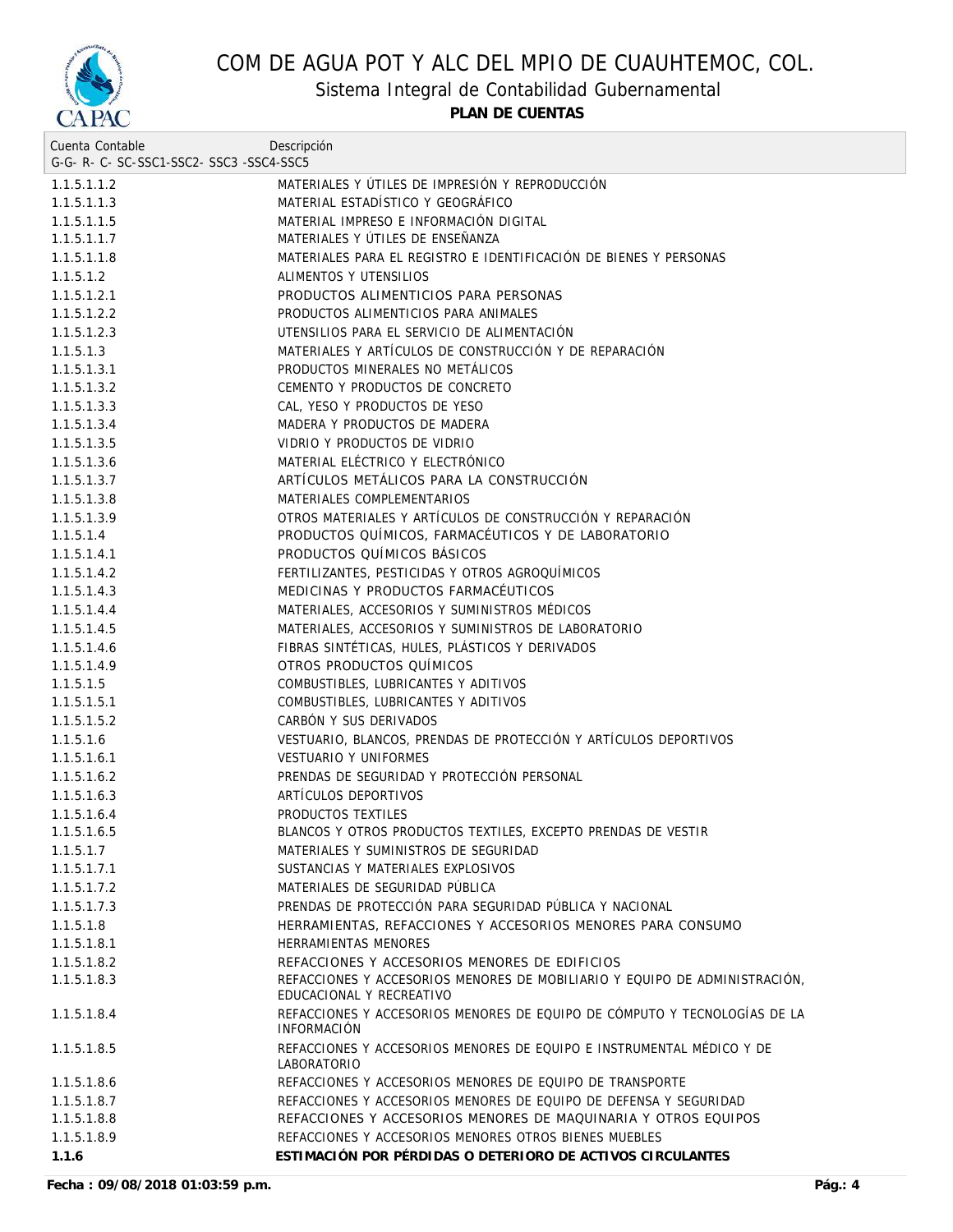

Sistema Integral de Contabilidad Gubernamental

| Cuenta Contable                     | Descripción                                                                                     |
|-------------------------------------|-------------------------------------------------------------------------------------------------|
| G-G-R-C-SC-SSC1-SSC2-SSC3-SSC4-SSC5 |                                                                                                 |
| 1.1.5.1.1.2                         | MATERIALES Y ÚTILES DE IMPRESIÓN Y REPRODUCCIÓN                                                 |
| 1.1.5.1.1.3                         | MATERIAL ESTADÍSTICO Y GEOGRÁFICO                                                               |
| 1.1.5.1.1.5                         | MATERIAL IMPRESO E INFORMACIÓN DIGITAL                                                          |
| 1.1.5.1.1.7                         | MATERIALES Y ÚTILES DE ENSEÑANZA                                                                |
| 1.1.5.1.1.8                         | MATERIALES PARA EL REGISTRO E IDENTIFICACIÓN DE BIENES Y PERSONAS                               |
| 1.1.5.1.2                           | ALIMENTOS Y UTENSILIOS                                                                          |
| 1.1.5.1.2.1                         | PRODUCTOS ALIMENTICIOS PARA PERSONAS                                                            |
| 1.1.5.1.2.2                         | PRODUCTOS ALIMENTICIOS PARA ANIMALES                                                            |
| 1.1.5.1.2.3                         | UTENSILIOS PARA EL SERVICIO DE ALIMENTACIÓN                                                     |
| 1.1.5.1.3                           | MATERIALES Y ARTÍCULOS DE CONSTRUCCIÓN Y DE REPARACIÓN                                          |
| 1.1.5.1.3.1                         | PRODUCTOS MINERALES NO METÁLICOS                                                                |
| 1.1.5.1.3.2                         | CEMENTO Y PRODUCTOS DE CONCRETO                                                                 |
| 1.1.5.1.3.3                         | CAL, YESO Y PRODUCTOS DE YESO                                                                   |
| 1.1.5.1.3.4                         | MADERA Y PRODUCTOS DE MADERA                                                                    |
| 1.1.5.1.3.5                         | VIDRIO Y PRODUCTOS DE VIDRIO                                                                    |
| 1.1.5.1.3.6                         | MATERIAL ELÉCTRICO Y ELECTRÓNICO                                                                |
| 1.1.5.1.3.7                         | ARTÍCULOS METÁLICOS PARA LA CONSTRUCCIÓN                                                        |
| 1.1.5.1.3.8                         | MATERIALES COMPLEMENTARIOS                                                                      |
| 1.1.5.1.3.9                         | OTROS MATERIALES Y ARTÍCULOS DE CONSTRUCCIÓN Y REPARACIÓN                                       |
| 1.1.5.1.4                           | PRODUCTOS QUÍMICOS, FARMACÉUTICOS Y DE LABORATORIO                                              |
| 1.1.5.1.4.1                         | PRODUCTOS QUIMICOS BASICOS                                                                      |
| 1.1.5.1.4.2                         | FERTILIZANTES, PESTICIDAS Y OTROS AGROQUÍMICOS                                                  |
| 1.1.5.1.4.3                         | MEDICINAS Y PRODUCTOS FARMACÉUTICOS                                                             |
| 1.1.5.1.4.4                         | MATERIALES, ACCESORIOS Y SUMINISTROS MÉDICOS                                                    |
| 1.1.5.1.4.5                         | MATERIALES, ACCESORIOS Y SUMINISTROS DE LABORATORIO                                             |
| 1.1.5.1.4.6                         | FIBRAS SINTÉTICAS, HULES, PLÁSTICOS Y DERIVADOS                                                 |
| 1.1.5.1.4.9                         | OTROS PRODUCTOS QUÍMICOS                                                                        |
| 1.1.5.1.5                           | COMBUSTIBLES, LUBRICANTES Y ADITIVOS                                                            |
| 1.1.5.1.5.1                         | COMBUSTIBLES, LUBRICANTES Y ADITIVOS                                                            |
| 1.1.5.1.5.2                         | CARBÓN Y SUS DERIVADOS                                                                          |
| 1.1.5.1.6                           | VESTUARIO, BLANCOS, PRENDAS DE PROTECCIÓN Y ARTÍCULOS DEPORTIVOS                                |
| 1.1.5.1.6.1                         | <b>VESTUARIO Y UNIFORMES</b>                                                                    |
| 1.1.5.1.6.2                         | PRENDAS DE SEGURIDAD Y PROTECCIÓN PERSONAL                                                      |
| 1.1.5.1.6.3                         | ARTÍCULOS DEPORTIVOS                                                                            |
| 1.1.5.1.6.4                         | PRODUCTOS TEXTILES                                                                              |
| 1.1.5.1.6.5                         | BLANCOS Y OTROS PRODUCTOS TEXTILES, EXCEPTO PRENDAS DE VESTIR                                   |
| 1.1.5.1.7                           | MATERIALES Y SUMINISTROS DE SEGURIDAD                                                           |
| 1.1.5.1.7.1                         | SUSTANCIAS Y MATERIALES EXPLOSIVOS                                                              |
| 1.1.5.1.7.2                         | MATERIALES DE SEGURIDAD PÚBLICA                                                                 |
| 1.1.5.1.7.3                         | PRENDAS DE PROTECCIÓN PARA SEGURIDAD PÚBLICA Y NACIONAL                                         |
| 1.1.5.1.8                           | HERRAMIENTAS, REFACCIONES Y ACCESORIOS MENORES PARA CONSUMO                                     |
|                                     | HERRAMIENTAS MENORES                                                                            |
| 1.1.5.1.8.1<br>1.1.5.1.8.2          | REFACCIONES Y ACCESORIOS MENORES DE EDIFICIOS                                                   |
| 1.1.5.1.8.3                         | REFACCIONES Y ACCESORIOS MENORES DE MOBILIARIO Y EQUIPO DE ADMINISTRACIÓN,                      |
|                                     | EDUCACIONAL Y RECREATIVO                                                                        |
| 1.1.5.1.8.4                         | REFACCIONES Y ACCESORIOS MENORES DE EQUIPO DE CÓMPUTO Y TECNOLOGÍAS DE LA<br><b>INFORMACIÓN</b> |
| 1.1.5.1.8.5                         | REFACCIONES Y ACCESORIOS MENORES DE EQUIPO E INSTRUMENTAL MÉDICO Y DE<br>LABORATORIO            |
| 1.1.5.1.8.6                         | REFACCIONES Y ACCESORIOS MENORES DE EQUIPO DE TRANSPORTE                                        |
| 1.1.5.1.8.7                         | REFACCIONES Y ACCESORIOS MENORES DE EQUIPO DE DEFENSA Y SEGURIDAD                               |
| 1.1.5.1.8.8                         | REFACCIONES Y ACCESORIOS MENORES DE MAQUINARIA Y OTROS EQUIPOS                                  |
| 1.1.5.1.8.9                         | REFACCIONES Y ACCESORIOS MENORES OTROS BIENES MUEBLES                                           |
| 1.1.6                               | ESTIMACIÓN POR PÉRDIDAS O DETERIORO DE ACTIVOS CIRCULANTES                                      |
|                                     |                                                                                                 |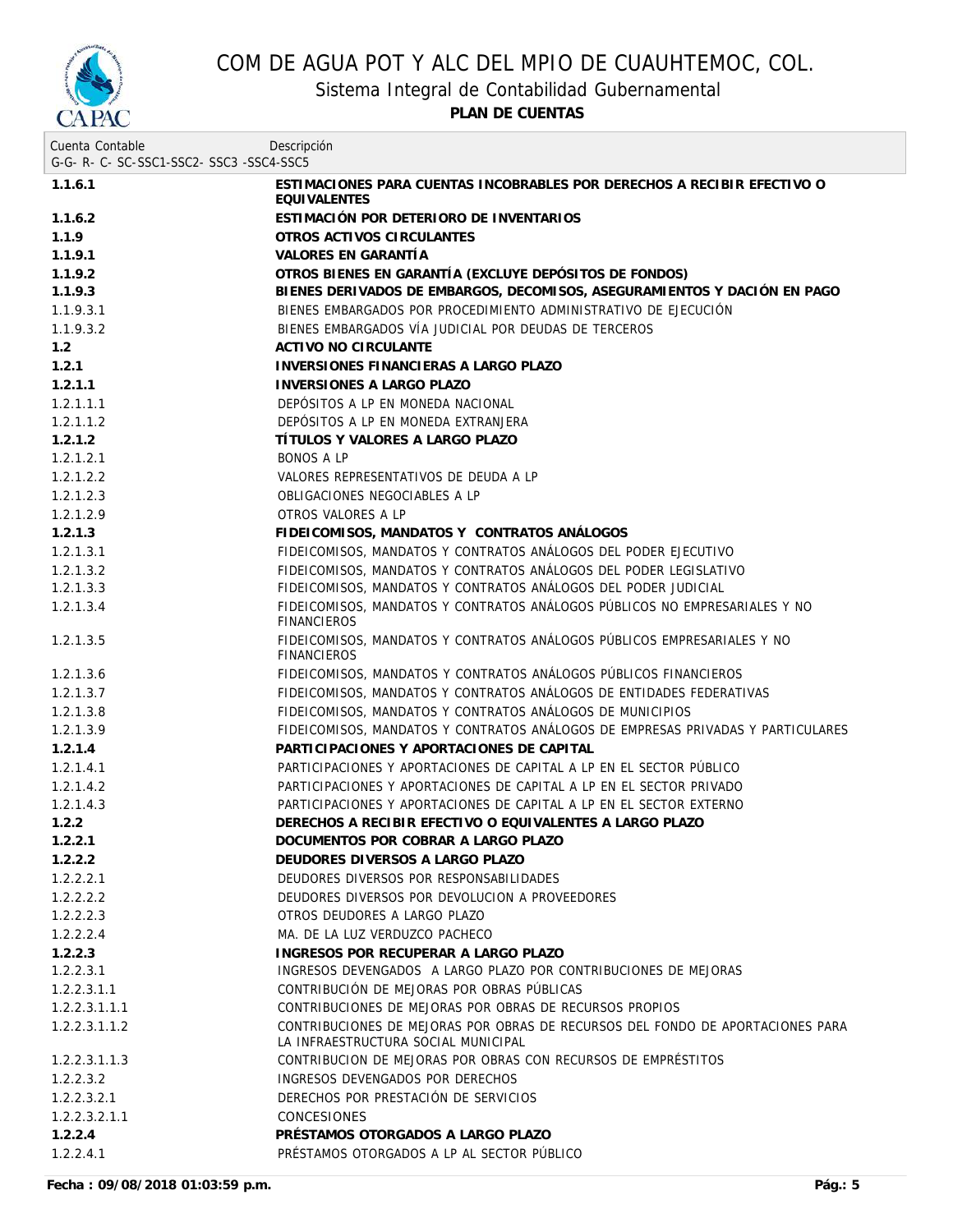

Sistema Integral de Contabilidad Gubernamental

| Cuenta Contable                     | Descripción                                                                                                           |
|-------------------------------------|-----------------------------------------------------------------------------------------------------------------------|
| G-G-R-C-SC-SSC1-SSC2-SSC3-SSC4-SSC5 |                                                                                                                       |
| 1.1.6.1                             | ESTIMACIONES PARA CUENTAS INCOBRABLES POR DERECHOS A RECIBIR EFECTIVO O<br><b>EOUIVALENTES</b>                        |
| 1.1.6.2                             | ESTIMACIÓN POR DETERIORO DE INVENTARIOS                                                                               |
| 1.1.9                               | OTROS ACTIVOS CIRCULANTES                                                                                             |
| 1.1.9.1                             | VALORES EN GARANTÍA                                                                                                   |
| 1.1.9.2                             | OTROS BIENES EN GARANTÍA (EXCLUYE DEPÓSITOS DE FONDOS)                                                                |
| 1.1.9.3                             | BIENES DERIVADOS DE EMBARGOS, DECOMISOS, ASEGURAMIENTOS Y DACIÓN EN PAGO                                              |
| 1.1.9.3.1                           | BIENES EMBARGADOS POR PROCEDIMIENTO ADMINISTRATIVO DE EJECUCIÓN                                                       |
| 1.1.9.3.2                           | BIENES EMBARGADOS VÍA JUDICIAL POR DEUDAS DE TERCEROS                                                                 |
| 1.2                                 | ACTIVO NO CIRCULANTE                                                                                                  |
| 1.2.1                               | INVERSIONES FINANCIERAS A LARGO PLAZO                                                                                 |
| 1.2.1.1                             | <b>INVERSIONES A LARGO PLAZO</b>                                                                                      |
| 1.2.1.1.1                           | DEPÓSITOS A LP EN MONEDA NACIONAL                                                                                     |
| 1.2.1.1.2                           | DEPÓSITOS A LP EN MONEDA EXTRANJERA                                                                                   |
| 1.2.1.2                             | TÍTULOS Y VALORES A LARGO PLAZO                                                                                       |
| 1.2.1.2.1                           | BONOS A LP                                                                                                            |
| 1.2.1.2.2                           | VALORES REPRESENTATIVOS DE DEUDA A LP                                                                                 |
| 1.2.1.2.3                           | OBLIGACIONES NEGOCIABLES A LP                                                                                         |
| 1.2.1.2.9                           | OTROS VALORES A LP                                                                                                    |
| 1.2.1.3                             | FIDEICOMISOS, MANDATOS Y CONTRATOS ANÁLOGOS                                                                           |
| 1.2.1.3.1                           | FIDEICOMISOS, MANDATOS Y CONTRATOS ANÁLOGOS DEL PODER EJECUTIVO                                                       |
| 1.2.1.3.2                           | FIDEICOMISOS, MANDATOS Y CONTRATOS ANÁLOGOS DEL PODER LEGISLATIVO                                                     |
| 1.2.1.3.3                           | FIDEICOMISOS, MANDATOS Y CONTRATOS ANÁLOGOS DEL PODER JUDICIAL                                                        |
| 1.2.1.3.4                           | FIDEICOMISOS, MANDATOS Y CONTRATOS ANÁLOGOS PÚBLICOS NO EMPRESARIALES Y NO<br><b>FINANCIEROS</b>                      |
| 1.2.1.3.5                           | FIDEICOMISOS, MANDATOS Y CONTRATOS ANÁLOGOS PÚBLICOS EMPRESARIALES Y NO<br><b>FINANCIEROS</b>                         |
| 1.2.1.3.6                           | FIDEICOMISOS, MANDATOS Y CONTRATOS ANÁLOGOS PÚBLICOS FINANCIEROS                                                      |
| 1.2.1.3.7                           | FIDEICOMISOS, MANDATOS Y CONTRATOS ANALOGOS DE ENTIDADES FEDERATIVAS                                                  |
| 1.2.1.3.8                           | FIDEICOMISOS, MANDATOS Y CONTRATOS ANALOGOS DE MUNICIPIOS                                                             |
| 1.2.1.3.9                           | FIDEICOMISOS, MANDATOS Y CONTRATOS ANÁLOGOS DE EMPRESAS PRIVADAS Y PARTICULARES                                       |
| 1.2.1.4                             | PARTICIPACIONES Y APORTACIONES DE CAPITAL                                                                             |
| 1.2.1.4.1                           | PARTICIPACIONES Y APORTACIONES DE CAPITAL A LP EN EL SECTOR PUBLICO                                                   |
| 1.2.1.4.2                           | PARTICIPACIONES Y APORTACIONES DE CAPITAL A LP EN EL SECTOR PRIVADO                                                   |
| 1.2.1.4.3                           | PARTICIPACIONES Y APORTACIONES DE CAPITAL A LP EN EL SECTOR EXTERNO                                                   |
| 1.2.2                               | DERECHOS A RECIBIR EFECTIVO O EQUIVALENTES A LARGO PLAZO                                                              |
| 1.2.2.1                             | DOCUMENTOS POR COBRAR A LARGO PLAZO                                                                                   |
| 1.2.2.2                             | DEUDORES DIVERSOS A LARGO PLAZO                                                                                       |
| 1.2.2.2.1                           | DEUDORES DIVERSOS POR RESPONSABILIDADES                                                                               |
| 1.2.2.2.2                           | DEUDORES DIVERSOS POR DEVOLUCION A PROVEEDORES                                                                        |
| 1.2.2.2.3                           | OTROS DEUDORES A LARGO PLAZO                                                                                          |
| 1.2.2.2.4                           | MA. DE LA LUZ VERDUZCO PACHECO                                                                                        |
| 1.2.2.3                             | INGRESOS POR RECUPERAR A LARGO PLAZO                                                                                  |
| 1.2.2.3.1                           | INGRESOS DEVENGADOS A LARGO PLAZO POR CONTRIBUCIONES DE MEJORAS                                                       |
| 1.2.2.3.1.1                         | CONTRIBUCIÓN DE MEJORAS POR OBRAS PÚBLICAS                                                                            |
| 1.2.2.3.1.1.1                       | CONTRIBUCIONES DE MEJORAS POR OBRAS DE RECURSOS PROPIOS                                                               |
| 1.2.2.3.1.1.2                       | CONTRIBUCIONES DE MEJORAS POR OBRAS DE RECURSOS DEL FONDO DE APORTACIONES PARA<br>LA INFRAESTRUCTURA SOCIAL MUNICIPAL |
| 1.2.2.3.1.1.3                       | CONTRIBUCION DE MEJORAS POR OBRAS CON RECURSOS DE EMPRÉSTITOS                                                         |
| 1.2.2.3.2                           | INGRESOS DEVENGADOS POR DERECHOS                                                                                      |
| 1.2.2.3.2.1                         | DERECHOS POR PRESTACIÓN DE SERVICIOS                                                                                  |
| 1.2.2.3.2.1.1                       | <b>CONCESIONES</b>                                                                                                    |
| 1.2.2.4                             | PRÉSTAMOS OTORGADOS A LARGO PLAZO                                                                                     |
| 1.2.2.4.1                           | PRÉSTAMOS OTORGADOS A LP AL SECTOR PÚBLICO                                                                            |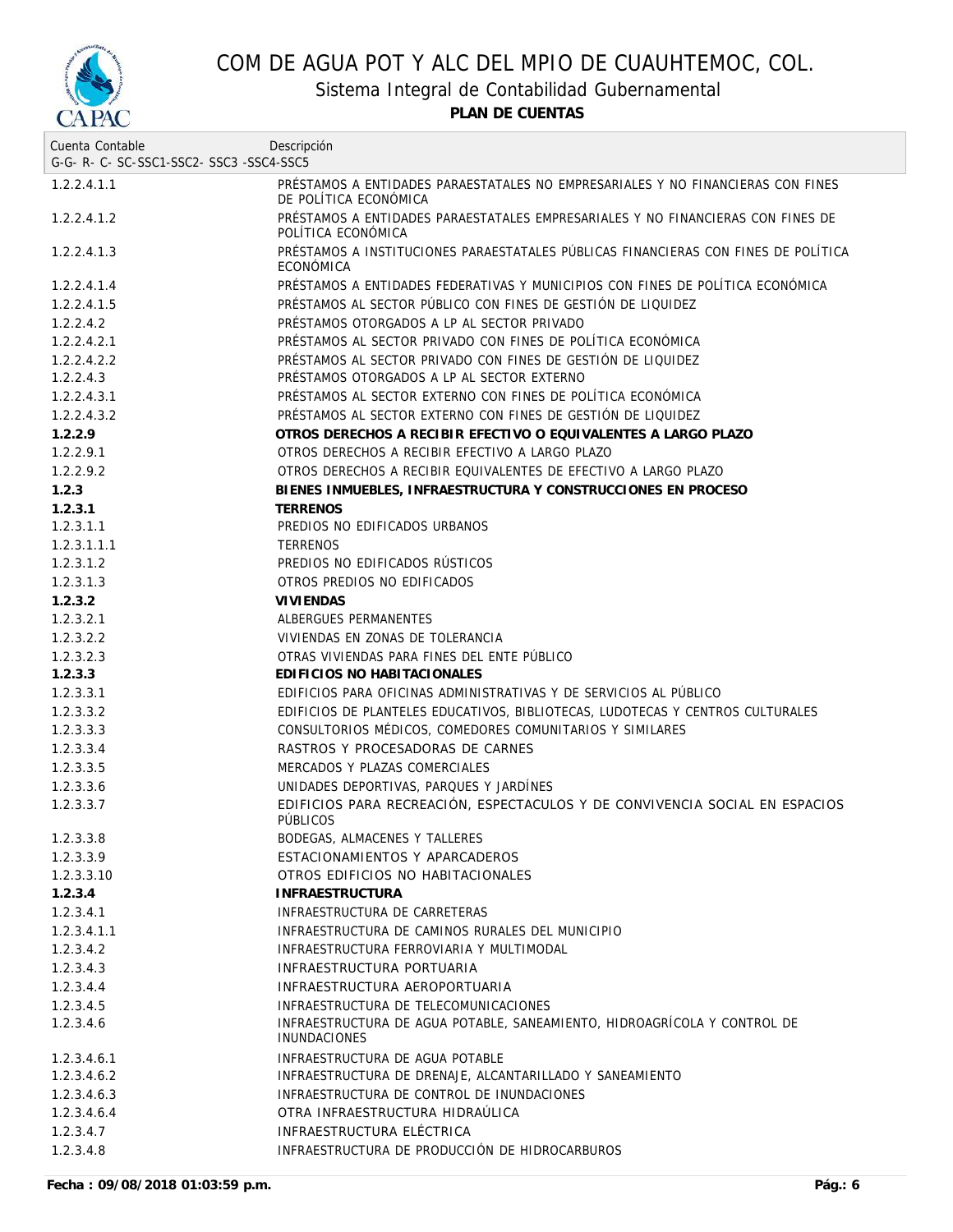

Sistema Integral de Contabilidad Gubernamental

| Cuenta Contable<br>G-G-R-C-SC-SSC1-SSC2-SSC3-SSC4-SSC5 | Descripción                                                                                              |
|--------------------------------------------------------|----------------------------------------------------------------------------------------------------------|
|                                                        |                                                                                                          |
| 1.2.2.4.1.1                                            | PRÉSTAMOS A ENTIDADES PARAESTATALES NO EMPRESARIALES Y NO FINANCIERAS CON FINES<br>DE POLÍTICA ECONÓMICA |
| 1.2.2.4.1.2                                            | PRÉSTAMOS A ENTIDADES PARAESTATALES EMPRESARIALES Y NO FINANCIERAS CON FINES DE<br>POLITICA ECONOMICA    |
| 1.2.2.4.1.3                                            | PRÉSTAMOS A INSTITUCIONES PARAESTATALES PÚBLICAS FINANCIERAS CON FINES DE POLÍTICA<br>ECONOMICA          |
| 1.2.2.4.1.4                                            | PRÉSTAMOS A ENTIDADES FEDERATIVAS Y MUNICIPIOS CON FINES DE POLÍTICA ECONÓMICA                           |
| 1.2.2.4.1.5                                            | PRÉSTAMOS AL SECTOR PÚBLICO CON FINES DE GESTIÓN DE LIQUIDEZ                                             |
| 1.2.2.4.2                                              | PRÉSTAMOS OTORGADOS A LP AL SECTOR PRIVADO                                                               |
| 1.2.2.4.2.1                                            | PRÉSTAMOS AL SECTOR PRIVADO CON FINES DE POLÍTICA ECONÓMICA                                              |
| 1.2.2.4.2.2                                            | PRÉSTAMOS AL SECTOR PRIVADO CON FINES DE GESTIÓN DE LIQUIDEZ                                             |
| 1.2.2.4.3                                              | PRÉSTAMOS OTORGADOS A LP AL SECTOR EXTERNO                                                               |
| 1.2.2.4.3.1                                            | PRÉSTAMOS AL SECTOR EXTERNO CON FINES DE POLÍTICA ECONÓMICA                                              |
| 1.2.2.4.3.2                                            | PRÉSTAMOS AL SECTOR EXTERNO CON FINES DE GESTIÓN DE LIQUIDEZ                                             |
| 1.2.2.9                                                | OTROS DERECHOS A RECIBIR EFECTIVO O EQUIVALENTES A LARGO PLAZO                                           |
| 1.2.2.9.1                                              | OTROS DERECHOS A RECIBIR EFECTIVO A LARGO PLAZO                                                          |
| 1.2.2.9.2                                              | OTROS DERECHOS A RECIBIR EQUIVALENTES DE EFECTIVO A LARGO PLAZO                                          |
| 1.2.3                                                  | BIENES INMUEBLES, INFRAESTRUCTURA Y CONSTRUCCIONES EN PROCESO                                            |
| 1.2.3.1                                                | <b>TERRENOS</b>                                                                                          |
| 1.2.3.1.1                                              | PREDIOS NO EDIFICADOS URBANOS                                                                            |
| 1.2.3.1.1.1                                            | <b>TERRENOS</b>                                                                                          |
| 1.2.3.1.2                                              | PREDIOS NO EDIFICADOS RUSTICOS                                                                           |
| 1.2.3.1.3                                              | OTROS PREDIOS NO EDIFICADOS                                                                              |
| 1.2.3.2                                                | VIVIENDAS                                                                                                |
| 1.2.3.2.1                                              | ALBERGUES PERMANENTES                                                                                    |
| 1.2.3.2.2                                              | VIVIENDAS EN ZONAS DE TOLERANCIA                                                                         |
| 1.2.3.2.3                                              | OTRAS VIVIENDAS PARA FINES DEL ENTE PÚBLICO                                                              |
| 1.2.3.3                                                | EDIFICIOS NO HABITACIONALES                                                                              |
| 1.2.3.3.1                                              | EDIFICIOS PARA OFICINAS ADMINISTRATIVAS Y DE SERVICIOS AL PÚBLICO                                        |
| 1.2.3.3.2                                              | EDIFICIOS DE PLANTELES EDUCATIVOS, BIBLIOTECAS, LUDOTECAS Y CENTROS CULTURALES                           |
| 1.2.3.3.3                                              | CONSULTORIOS MÉDICOS, COMEDORES COMUNITARIOS Y SIMILARES                                                 |
| 1.2.3.3.4                                              | RASTROS Y PROCESADORAS DE CARNES                                                                         |
| 1.2.3.3.5                                              | MERCADOS Y PLAZAS COMERCIALES                                                                            |
| 1.2.3.3.6                                              | UNIDADES DEPORTIVAS, PARQUES Y JARDÍNES                                                                  |
| 1.2.3.3.7                                              | EDIFICIOS PARA RECREACIÓN, ESPECTACULOS Y DE CONVIVENCIA SOCIAL EN ESPACIOS<br><b>PUBLICOS</b>           |
| 1.2.3.3.8                                              | BODEGAS, ALMACENES Y TALLERES                                                                            |
| 1.2.3.3.9                                              | ESTACIONAMIENTOS Y APARCADEROS                                                                           |
| 1.2.3.3.10                                             | OTROS EDIFICIOS NO HABITACIONALES                                                                        |
| 1.2.3.4                                                | <b>INFRAESTRUCTURA</b>                                                                                   |
| 1.2.3.4.1                                              | INFRAESTRUCTURA DE CARRETERAS                                                                            |
| 1.2.3.4.1.1                                            | INFRAESTRUCTURA DE CAMINOS RURALES DEL MUNICIPIO                                                         |
| 1.2.3.4.2                                              | INFRAESTRUCTURA FERROVIARIA Y MULTIMODAL                                                                 |
| 1.2.3.4.3                                              | INFRAESTRUCTURA PORTUARIA                                                                                |
| 1.2.3.4.4                                              | INFRAESTRUCTURA AEROPORTUARIA                                                                            |
| 1.2.3.4.5                                              | INFRAESTRUCTURA DE TELECOMUNICACIONES                                                                    |
| 1.2.3.4.6                                              | INFRAESTRUCTURA DE AGUA POTABLE, SANEAMIENTO, HIDROAGRÍCOLA Y CONTROL DE<br><b>INUNDACIONES</b>          |
| 1.2.3.4.6.1                                            | INFRAESTRUCTURA DE AGUA POTABLE                                                                          |
| 1.2.3.4.6.2                                            | INFRAESTRUCTURA DE DRENAJE, ALCANTARILLADO Y SANEAMIENTO                                                 |
| 1.2.3.4.6.3                                            | INFRAESTRUCTURA DE CONTROL DE INUNDACIONES                                                               |
| 1.2.3.4.6.4                                            | OTRA INFRAESTRUCTURA HIDRAÚLICA                                                                          |
| 1.2.3.4.7                                              | INFRAESTRUCTURA ELÉCTRICA                                                                                |
| 1.2.3.4.8                                              | INFRAESTRUCTURA DE PRODUCCIÓN DE HIDROCARBUROS                                                           |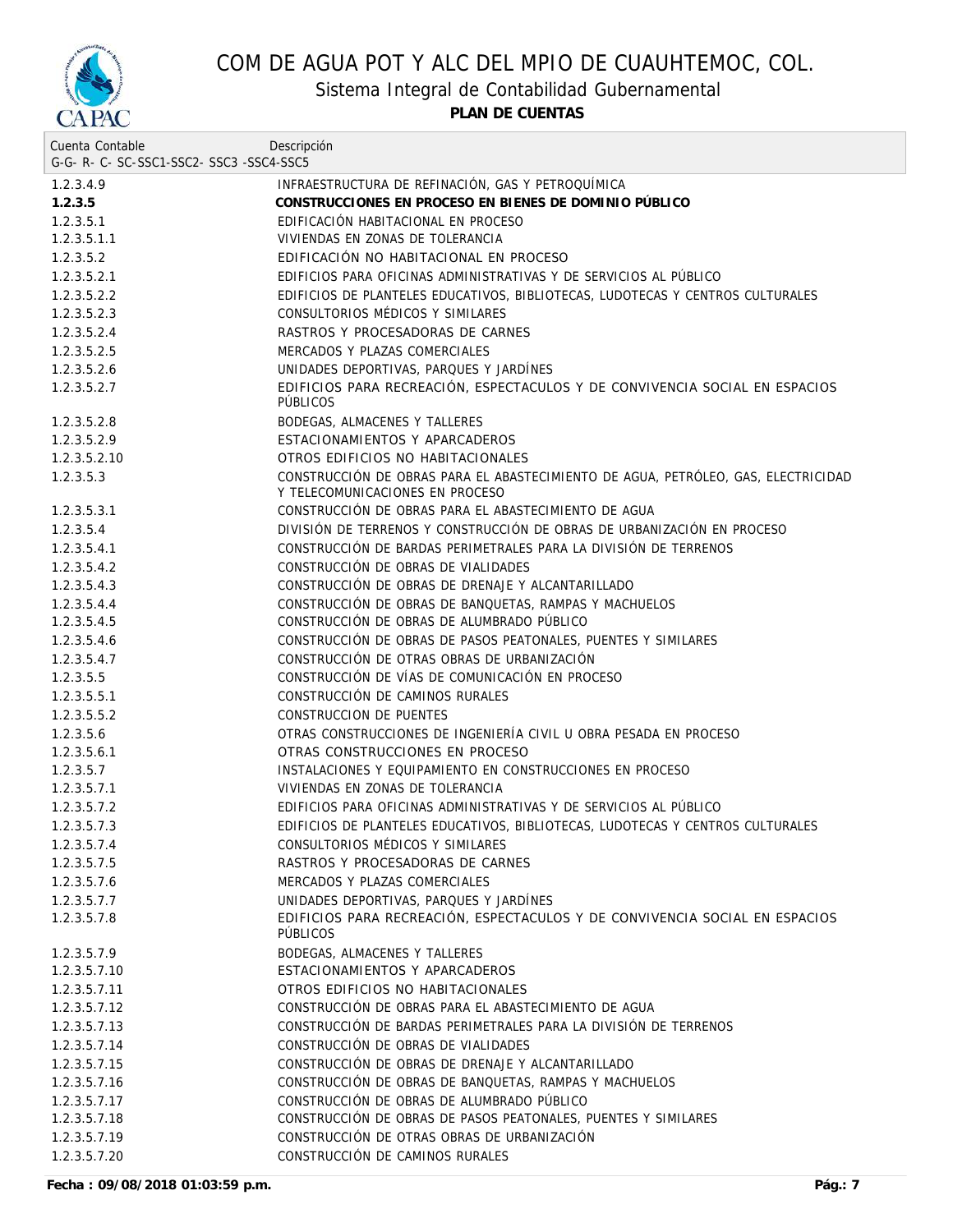

Sistema Integral de Contabilidad Gubernamental

**PLAN DE CUENTAS**

| Cuenta Contable                     | Descripción                                                                                                          |
|-------------------------------------|----------------------------------------------------------------------------------------------------------------------|
| G-G-R-C-SC-SSC1-SSC2-SSC3-SSC4-SSC5 |                                                                                                                      |
| 1.2.3.4.9                           | INFRAESTRUCTURA DE REFINACIÓN, GAS Y PETROQUÍMICA                                                                    |
| 1.2.3.5                             | CONSTRUCCIONES EN PROCESO EN BIENES DE DOMINIO PÚBLICO                                                               |
| 1.2.3.5.1                           | EDIFICACIÓN HABITACIONAL EN PROCESO                                                                                  |
| 1.2.3.5.1.1                         | VIVIENDAS EN ZONAS DE TOLERANCIA                                                                                     |
| 1.2.3.5.2                           | EDIFICACIÓN NO HABITACIONAL EN PROCESO                                                                               |
| 1.2.3.5.2.1                         | EDIFICIOS PARA OFICINAS ADMINISTRATIVAS Y DE SERVICIOS AL PÚBLICO                                                    |
| 1.2.3.5.2.2                         | EDIFICIOS DE PLANTELES EDUCATIVOS, BIBLIOTECAS, LUDOTECAS Y CENTROS CULTURALES                                       |
| 1.2.3.5.2.3                         | CONSULTORIOS MÉDICOS Y SIMILARES                                                                                     |
| 1.2.3.5.2.4                         | RASTROS Y PROCESADORAS DE CARNES                                                                                     |
| 1.2.3.5.2.5                         | MERCADOS Y PLAZAS COMERCIALES                                                                                        |
| 1.2.3.5.2.6                         | UNIDADES DEPORTIVAS, PARQUES Y JARDÍNES                                                                              |
| 1.2.3.5.2.7                         | EDIFICIOS PARA RECREACIÓN, ESPECTACULOS Y DE CONVIVENCIA SOCIAL EN ESPACIOS<br><b>PUBLICOS</b>                       |
| 1.2.3.5.2.8                         | BODEGAS, ALMACENES Y TALLERES                                                                                        |
| 1.2.3.5.2.9                         | ESTACIONAMIENTOS Y APARCADEROS                                                                                       |
| 1.2.3.5.2.10                        | OTROS EDIFICIOS NO HABITACIONALES                                                                                    |
| 1.2.3.5.3                           | CONSTRUCCIÓN DE OBRAS PARA EL ABASTECIMIENTO DE AGUA, PETRÓLEO, GAS, ELECTRICIDAD<br>Y TELECOMUNICACIONES EN PROCESO |
| 1.2.3.5.3.1                         | CONSTRUCCIÓN DE OBRAS PARA EL ABASTECIMIENTO DE AGUA                                                                 |
| 1.2.3.5.4                           | DIVISIÓN DE TERRENOS Y CONSTRUCCIÓN DE OBRAS DE URBANIZACIÓN EN PROCESO                                              |
| 1.2.3.5.4.1                         | CONSTRUCCIÓN DE BARDAS PERIMETRALES PARA LA DIVISIÓN DE TERRENOS                                                     |
| 1.2.3.5.4.2                         | CONSTRUCCIÓN DE OBRAS DE VIALIDADES                                                                                  |
| 1.2.3.5.4.3                         | CONSTRUCCIÓN DE OBRAS DE DRENAJE Y ALCANTARILLADO                                                                    |
| 1.2.3.5.4.4                         | CONSTRUCCIÓN DE OBRAS DE BANQUETAS, RAMPAS Y MACHUELOS                                                               |
| 1.2.3.5.4.5                         | CONSTRUCCIÓN DE OBRAS DE ALUMBRADO PÚBLICO                                                                           |
| 1.2.3.5.4.6                         | CONSTRUCCIÓN DE OBRAS DE PASOS PEATONALES, PUENTES Y SIMILARES                                                       |
| 1.2.3.5.4.7                         | CONSTRUCCIÓN DE OTRAS OBRAS DE URBANIZACIÓN                                                                          |
| 1.2.3.5.5                           | CONSTRUCCIÓN DE VÍAS DE COMUNICACIÓN EN PROCESO                                                                      |
| 1.2.3.5.5.1                         | CONSTRUCCIÓN DE CAMINOS RURALES                                                                                      |
| 1.2.3.5.5.2                         | CONSTRUCCION DE PUENTES                                                                                              |
| 1.2.3.5.6                           | OTRAS CONSTRUCCIONES DE INGENIERÍA CIVIL U OBRA PESADA EN PROCESO                                                    |
| 1.2.3.5.6.1                         | OTRAS CONSTRUCCIONES EN PROCESO                                                                                      |
| 1.2.3.5.7                           | INSTALACIONES Y EQUIPAMIENTO EN CONSTRUCCIONES EN PROCESO                                                            |
| 1.2.3.5.7.1                         | VIVIENDAS EN ZONAS DE TOLERANCIA                                                                                     |
| 1.2.3.5.7.2                         | EDIFICIOS PARA OFICINAS ADMINISTRATIVAS Y DE SERVICIOS AL PÚBLICO                                                    |
| 1.2.3.5.7.3                         | EDIFICIOS DE PLANTELES EDUCATIVOS, BIBLIOTECAS, LUDOTECAS Y CENTROS CULTURALES                                       |
| 1.2.3.5.7.4                         | CONSULTORIOS MÉDICOS Y SIMILARES                                                                                     |
| 1.2.3.5.7.5                         | RASTROS Y PROCESADORAS DE CARNES                                                                                     |
| 1.2.3.5.7.6                         | MERCADOS Y PLAZAS COMERCIALES                                                                                        |
| 1.2.3.5.7.7                         | UNIDADES DEPORTIVAS, PARQUES Y JARDÍNES                                                                              |
| 1.2.3.5.7.8                         | EDIFICIOS PARA RECREACIÓN, ESPECTACULOS Y DE CONVIVENCIA SOCIAL EN ESPACIOS<br><b>PÜBLICOS</b>                       |
| 1.2.3.5.7.9                         | BODEGAS, ALMACENES Y TALLERES                                                                                        |
| 1.2.3.5.7.10                        | ESTACIONAMIENTOS Y APARCADEROS                                                                                       |
| 1.2.3.5.7.11                        | OTROS EDIFICIOS NO HABITACIONALES                                                                                    |
| 1.2.3.5.7.12                        | CONSTRUCCIÓN DE OBRAS PARA EL ABASTECIMIENTO DE AGUA                                                                 |
| 1.2.3.5.7.13                        | CONSTRUCCIÓN DE BARDAS PERIMETRALES PARA LA DIVISIÓN DE TERRENOS                                                     |
| 1.2.3.5.7.14                        | CONSTRUCCIÓN DE OBRAS DE VIALIDADES                                                                                  |
| 1.2.3.5.7.15                        | CONSTRUCCIÓN DE OBRAS DE DRENAJE Y ALCANTARILLADO                                                                    |
| 1.2.3.5.7.16                        | CONSTRUCCIÓN DE OBRAS DE BANQUETAS, RAMPAS Y MACHUELOS                                                               |
| 1.2.3.5.7.17                        | CONSTRUCCIÓN DE OBRAS DE ALUMBRADO PÚBLICO                                                                           |
| 1.2.3.5.7.18                        | CONSTRUCCIÓN DE OBRAS DE PASOS PEATONALES, PUENTES Y SIMILARES                                                       |
| 1.2.3.5.7.19                        | CONSTRUCCIÓN DE OTRAS OBRAS DE URBANIZACIÓN                                                                          |
| 1.2.3.5.7.20                        | CONSTRUCCIÓN DE CAMINOS RURALES                                                                                      |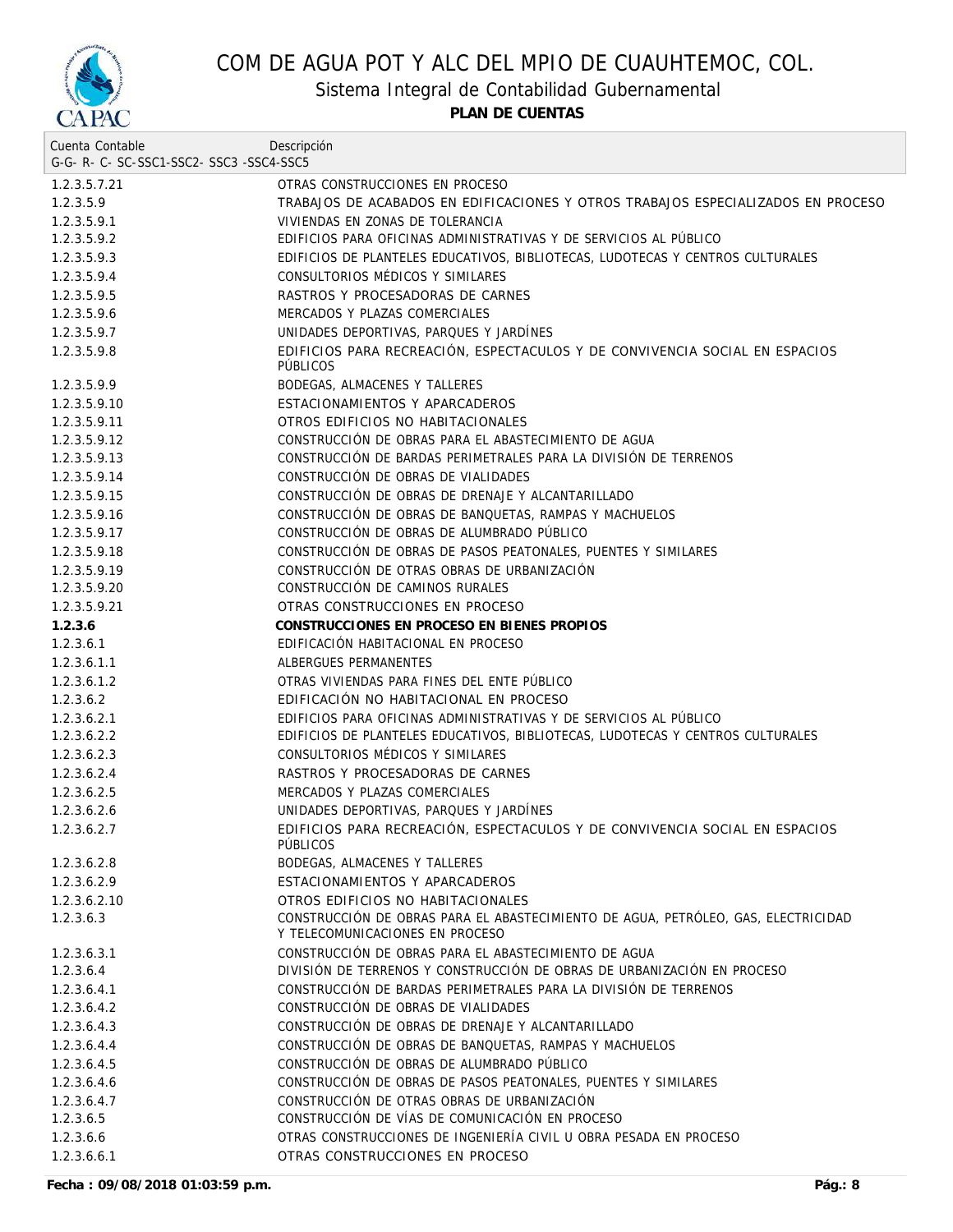

Sistema Integral de Contabilidad Gubernamental

**PLAN DE CUENTAS**

| Cuenta Contable                     | Descripción                                                                                                          |
|-------------------------------------|----------------------------------------------------------------------------------------------------------------------|
| G-G-R-C-SC-SSC1-SSC2-SSC3-SSC4-SSC5 |                                                                                                                      |
| 1.2.3.5.7.21                        | OTRAS CONSTRUCCIONES EN PROCESO                                                                                      |
| 1.2.3.5.9                           | TRABAJOS DE ACABADOS EN EDIFICACIONES Y OTROS TRABAJOS ESPECIALIZADOS EN PROCESO                                     |
| 1.2.3.5.9.1                         | VIVIENDAS EN ZONAS DE TOLERANCIA                                                                                     |
| 1.2.3.5.9.2                         | EDIFICIOS PARA OFICINAS ADMINISTRATIVAS Y DE SERVICIOS AL PÚBLICO                                                    |
| 1.2.3.5.9.3                         | EDIFICIOS DE PLANTELES EDUCATIVOS, BIBLIOTECAS, LUDOTECAS Y CENTROS CULTURALES                                       |
| 1.2.3.5.9.4                         | CONSULTORIOS MÉDICOS Y SIMILARES                                                                                     |
| 1.2.3.5.9.5                         | RASTROS Y PROCESADORAS DE CARNES                                                                                     |
| 1.2.3.5.9.6                         | MERCADOS Y PLAZAS COMERCIALES                                                                                        |
| 1.2.3.5.9.7                         | UNIDADES DEPORTIVAS, PARQUES Y JARDÍNES                                                                              |
| 1.2.3.5.9.8                         | EDIFICIOS PARA RECREACIÓN, ESPECTACULOS Y DE CONVIVENCIA SOCIAL EN ESPACIOS<br><b>PÜBLICOS</b>                       |
| 1.2.3.5.9.9                         | BODEGAS, ALMACENES Y TALLERES                                                                                        |
| 1.2.3.5.9.10                        | ESTACIONAMIENTOS Y APARCADEROS                                                                                       |
| 1.2.3.5.9.11                        | OTROS EDIFICIOS NO HABITACIONALES                                                                                    |
| 1.2.3.5.9.12                        | CONSTRUCCIÓN DE OBRAS PARA EL ABASTECIMIENTO DE AGUA                                                                 |
| 1.2.3.5.9.13                        | CONSTRUCCIÓN DE BARDAS PERIMETRALES PARA LA DIVISIÓN DE TERRENOS                                                     |
| 1.2.3.5.9.14                        | CONSTRUCCIÓN DE OBRAS DE VIALIDADES                                                                                  |
| 1.2.3.5.9.15                        | CONSTRUCCIÓN DE OBRAS DE DRENAJE Y ALCANTARILLADO                                                                    |
| 1.2.3.5.9.16                        | CONSTRUCCIÓN DE OBRAS DE BANQUETAS, RAMPAS Y MACHUELOS                                                               |
| 1.2.3.5.9.17                        | CONSTRUCCIÓN DE OBRAS DE ALUMBRADO PÚBLICO                                                                           |
| 1.2.3.5.9.18                        | CONSTRUCCIÓN DE OBRAS DE PASOS PEATONALES, PUENTES Y SIMILARES                                                       |
| 1.2.3.5.9.19                        | CONSTRUCCIÓN DE OTRAS OBRAS DE URBANIZACIÓN                                                                          |
| 1.2.3.5.9.20                        | CONSTRUCCIÓN DE CAMINOS RURALES                                                                                      |
| 1.2.3.5.9.21                        | OTRAS CONSTRUCCIONES EN PROCESO                                                                                      |
| 1.2.3.6                             | CONSTRUCCIONES EN PROCESO EN BIENES PROPIOS                                                                          |
| 1.2.3.6.1                           | EDIFICACIÓN HABITACIONAL EN PROCESO                                                                                  |
| 1.2.3.6.1.1                         | ALBERGUES PERMANENTES                                                                                                |
| 1.2.3.6.1.2                         | OTRAS VIVIENDAS PARA FINES DEL ENTE PÚBLICO                                                                          |
| 1.2.3.6.2                           | EDIFICACIÓN NO HABITACIONAL EN PROCESO                                                                               |
| 1.2.3.6.2.1                         | EDIFICIOS PARA OFICINAS ADMINISTRATIVAS Y DE SERVICIOS AL PÚBLICO                                                    |
| 1.2.3.6.2.2                         | EDIFICIOS DE PLANTELES EDUCATIVOS, BIBLIOTECAS, LUDOTECAS Y CENTROS CULTURALES                                       |
| 1.2.3.6.2.3                         | CONSULTORIOS MÉDICOS Y SIMILARES                                                                                     |
| 1.2.3.6.2.4                         | RASTROS Y PROCESADORAS DE CARNES                                                                                     |
| 1.2.3.6.2.5                         | MERCADOS Y PLAZAS COMERCIALES                                                                                        |
| 1.2.3.6.2.6                         | UNIDADES DEPORTIVAS, PARQUES Y JARDÍNES                                                                              |
| 1.2.3.6.2.7                         | EDIFICIOS PARA RECREACIÓN, ESPECTACULOS Y DE CONVIVENCIA SOCIAL EN ESPACIOS<br>PÚBLICOS                              |
| 1.2.3.6.2.8                         | BODEGAS, ALMACENES Y TALLERES                                                                                        |
| 1.2.3.6.2.9                         | ESTACIONAMIENTOS Y APARCADEROS                                                                                       |
| 1.2.3.6.2.10                        | OTROS EDIFICIOS NO HABITACIONALES                                                                                    |
| 1.2.3.6.3                           | CONSTRUCCIÓN DE OBRAS PARA EL ABASTECIMIENTO DE AGUA, PETRÓLEO, GAS, ELECTRICIDAD<br>Y TELECOMUNICACIONES EN PROCESO |
| 1.2.3.6.3.1                         | CONSTRUCCIÓN DE OBRAS PARA EL ABASTECIMIENTO DE AGUA                                                                 |
| 1.2.3.6.4                           | DIVISIÓN DE TERRENOS Y CONSTRUCCIÓN DE OBRAS DE URBANIZACIÓN EN PROCESO                                              |
| 1.2.3.6.4.1                         | CONSTRUCCIÓN DE BARDAS PERIMETRALES PARA LA DIVISIÓN DE TERRENOS                                                     |
| 1.2.3.6.4.2                         | CONSTRUCCIÓN DE OBRAS DE VIALIDADES                                                                                  |
| 1.2.3.6.4.3                         | CONSTRUCCIÓN DE OBRAS DE DRENAJE Y ALCANTARILLADO                                                                    |
| 1.2.3.6.4.4                         | CONSTRUCCIÓN DE OBRAS DE BANQUETAS, RAMPAS Y MACHUELOS                                                               |
| 1.2.3.6.4.5                         | CONSTRUCCIÓN DE OBRAS DE ALUMBRADO PÚBLICO                                                                           |
| 1.2.3.6.4.6                         | CONSTRUCCIÓN DE OBRAS DE PASOS PEATONALES, PUENTES Y SIMILARES                                                       |
| 1.2.3.6.4.7                         | CONSTRUCCIÓN DE OTRAS OBRAS DE URBANIZACIÓN                                                                          |
| 1.2.3.6.5                           | CONSTRUCCIÓN DE VÍAS DE COMUNICACIÓN EN PROCESO                                                                      |
| 1.2.3.6.6                           | OTRAS CONSTRUCCIONES DE INGENIERÍA CIVIL U OBRA PESADA EN PROCESO                                                    |
| 1.2.3.6.6.1                         | OTRAS CONSTRUCCIONES EN PROCESO                                                                                      |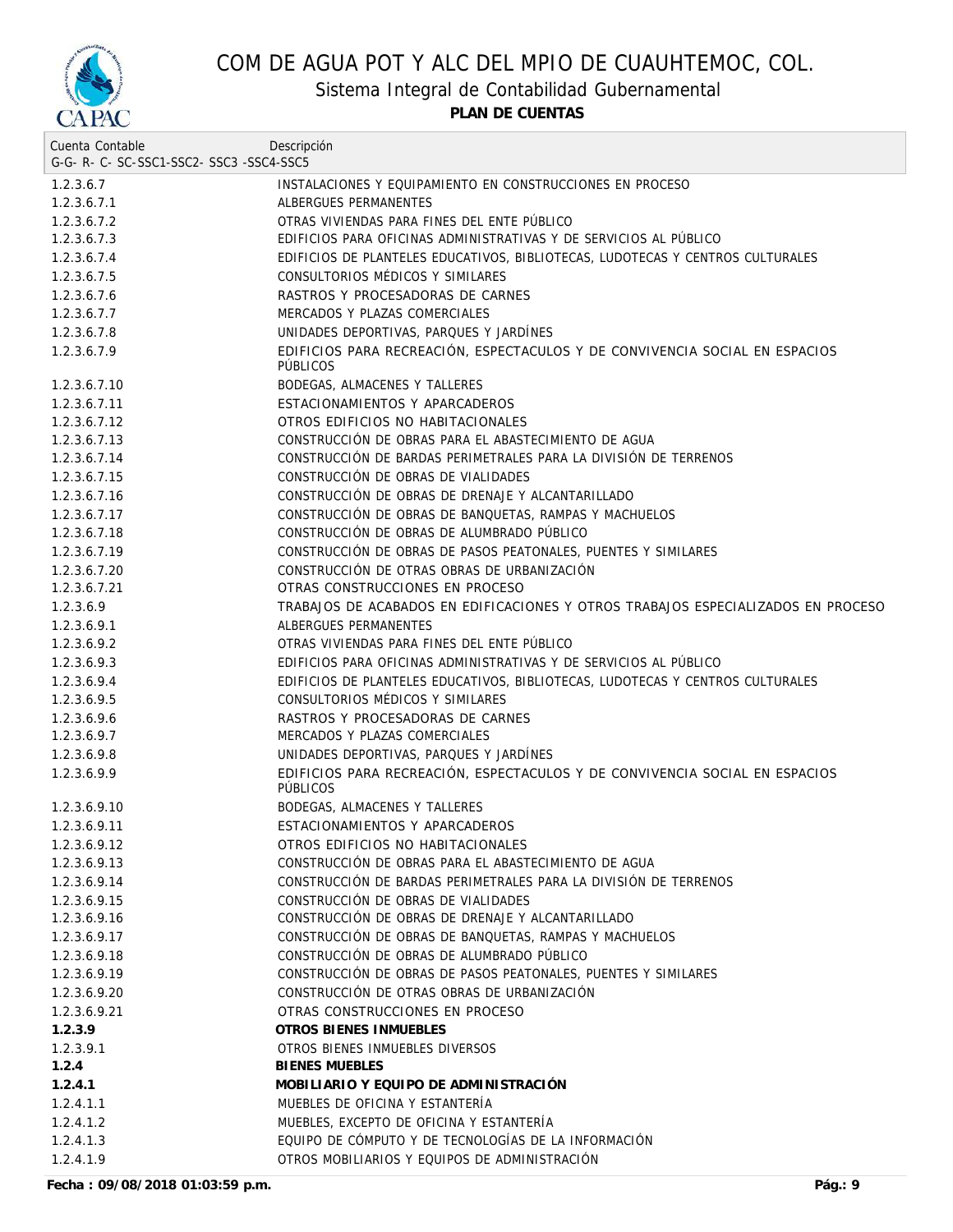

Sistema Integral de Contabilidad Gubernamental

**PLAN DE CUENTAS**

| Cuenta Contable                     | Descripción                                                                                    |
|-------------------------------------|------------------------------------------------------------------------------------------------|
| G-G-R-C-SC-SSC1-SSC2-SSC3-SSC4-SSC5 |                                                                                                |
| 1.2.3.6.7                           | INSTALACIONES Y EQUIPAMIENTO EN CONSTRUCCIONES EN PROCESO                                      |
| 1.2.3.6.7.1                         | ALBERGUES PERMANENTES                                                                          |
| 1.2.3.6.7.2                         | OTRAS VIVIENDAS PARA FINES DEL ENTE PÚBLICO                                                    |
| 1.2.3.6.7.3                         | EDIFICIOS PARA OFICINAS ADMINISTRATIVAS Y DE SERVICIOS AL PÚBLICO                              |
| 1.2.3.6.7.4                         | EDIFICIOS DE PLANTELES EDUCATIVOS, BIBLIOTECAS, LUDOTECAS Y CENTROS CULTURALES                 |
| 1.2.3.6.7.5                         | CONSULTORIOS MÉDICOS Y SIMILARES                                                               |
| 1.2.3.6.7.6                         | RASTROS Y PROCESADORAS DE CARNES                                                               |
| 1.2.3.6.7.7                         | MERCADOS Y PLAZAS COMERCIALES                                                                  |
| 1.2.3.6.7.8                         | UNIDADES DEPORTIVAS, PARQUES Y JARDÍNES                                                        |
| 1.2.3.6.7.9                         | EDIFICIOS PARA RECREACIÓN, ESPECTACULOS Y DE CONVIVENCIA SOCIAL EN ESPACIOS<br><b>PÜBLICOS</b> |
| 1.2.3.6.7.10                        | BODEGAS, ALMACENES Y TALLERES                                                                  |
| 1.2.3.6.7.11                        | ESTACIONAMIENTOS Y APARCADEROS                                                                 |
| 1.2.3.6.7.12                        | OTROS EDIFICIOS NO HABITACIONALES                                                              |
| 1.2.3.6.7.13                        | CONSTRUCCIÓN DE OBRAS PARA EL ABASTECIMIENTO DE AGUA                                           |
| 1.2.3.6.7.14                        | CONSTRUCCIÓN DE BARDAS PERIMETRALES PARA LA DIVISIÓN DE TERRENOS                               |
| 1.2.3.6.7.15                        | CONSTRUCCIÓN DE OBRAS DE VIALIDADES                                                            |
| 1.2.3.6.7.16                        | CONSTRUCCIÓN DE OBRAS DE DRENAJE Y ALCANTARILLADO                                              |
| 1.2.3.6.7.17                        | CONSTRUCCIÓN DE OBRAS DE BANQUETAS, RAMPAS Y MACHUELOS                                         |
| 1.2.3.6.7.18                        | CONSTRUCCIÓN DE OBRAS DE ALUMBRADO PÚBLICO                                                     |
| 1.2.3.6.7.19                        | CONSTRUCCIÓN DE OBRAS DE PASOS PEATONALES, PUENTES Y SIMILARES                                 |
| 1.2.3.6.7.20                        | CONSTRUCCIÓN DE OTRAS OBRAS DE URBANIZACIÓN                                                    |
| 1.2.3.6.7.21                        | OTRAS CONSTRUCCIONES EN PROCESO                                                                |
| 1.2.3.6.9                           | TRABAJOS DE ACABADOS EN EDIFICACIONES Y OTROS TRABAJOS ESPECIALIZADOS EN PROCESO               |
| 1.2.3.6.9.1                         | ALBERGUES PERMANENTES                                                                          |
| 1.2.3.6.9.2                         | OTRAS VIVIENDAS PARA FINES DEL ENTE PÚBLICO                                                    |
| 1.2.3.6.9.3                         | EDIFICIOS PARA OFICINAS ADMINISTRATIVAS Y DE SERVICIOS AL PÚBLICO                              |
| 1.2.3.6.9.4                         | EDIFICIOS DE PLANTELES EDUCATIVOS, BIBLIOTECAS, LUDOTECAS Y CENTROS CULTURALES                 |
| 1.2.3.6.9.5                         | CONSULTORIOS MÉDICOS Y SIMILARES                                                               |
| 1.2.3.6.9.6                         | RASTROS Y PROCESADORAS DE CARNES                                                               |
| 1.2.3.6.9.7                         | MERCADOS Y PLAZAS COMERCIALES                                                                  |
| 1.2.3.6.9.8                         | UNIDADES DEPORTIVAS, PARQUES Y JARDÍNES                                                        |
| 1.2.3.6.9.9                         | EDIFICIOS PARA RECREACIÓN, ESPECTACULOS Y DE CONVIVENCIA SOCIAL EN ESPACIOS<br><b>PÜBLICOS</b> |
| 1.2.3.6.9.10                        | BODEGAS, ALMACENES Y TALLERES                                                                  |
| 1.2.3.6.9.11                        | ESTACIONAMIENTOS Y APARCADEROS                                                                 |
| 1.2.3.6.9.12                        | OTROS EDIFICIOS NO HABITACIONALES                                                              |
| 1.2.3.6.9.13                        | CONSTRUCCIÓN DE OBRAS PARA EL ABASTECIMIENTO DE AGUA                                           |
| 1.2.3.6.9.14                        | CONSTRUCCIÓN DE BARDAS PERIMETRALES PARA LA DIVISIÓN DE TERRENOS                               |
| 1.2.3.6.9.15                        | CONSTRUCCIÓN DE OBRAS DE VIALIDADES                                                            |
| 1.2.3.6.9.16                        | CONSTRUCCIÓN DE OBRAS DE DRENAJE Y ALCANTARILLADO                                              |
| 1.2.3.6.9.17                        | CONSTRUCCIÓN DE OBRAS DE BANQUETAS, RAMPAS Y MACHUELOS                                         |
| 1.2.3.6.9.18                        | CONSTRUCCIÓN DE OBRAS DE ALUMBRADO PÚBLICO                                                     |
| 1.2.3.6.9.19                        | CONSTRUCCIÓN DE OBRAS DE PASOS PEATONALES, PUENTES Y SIMILARES                                 |
| 1.2.3.6.9.20                        | CONSTRUCCIÓN DE OTRAS OBRAS DE URBANIZACIÓN                                                    |
| 1.2.3.6.9.21                        | OTRAS CONSTRUCCIONES EN PROCESO                                                                |
| 1.2.3.9                             | OTROS BIENES INMUEBLES                                                                         |
| 1.2.3.9.1                           | OTROS BIENES INMUEBLES DIVERSOS                                                                |
| 1.2.4                               | <b>BIENES MUEBLES</b>                                                                          |
| 1.2.4.1                             | MOBILIARIO Y EQUIPO DE ADMINISTRACIÓN                                                          |
| 1.2.4.1.1                           | MUEBLES DE OFICINA Y ESTANTERÍA                                                                |
| 1.2.4.1.2                           | MUEBLES, EXCEPTO DE OFICINA Y ESTANTERÍA                                                       |
| 1.2.4.1.3                           | EQUIPO DE CÓMPUTO Y DE TECNOLOGÍAS DE LA INFORMACIÓN                                           |
| 1.2.4.1.9                           | OTROS MOBILIARIOS Y EQUIPOS DE ADMINISTRACIÓN                                                  |
|                                     |                                                                                                |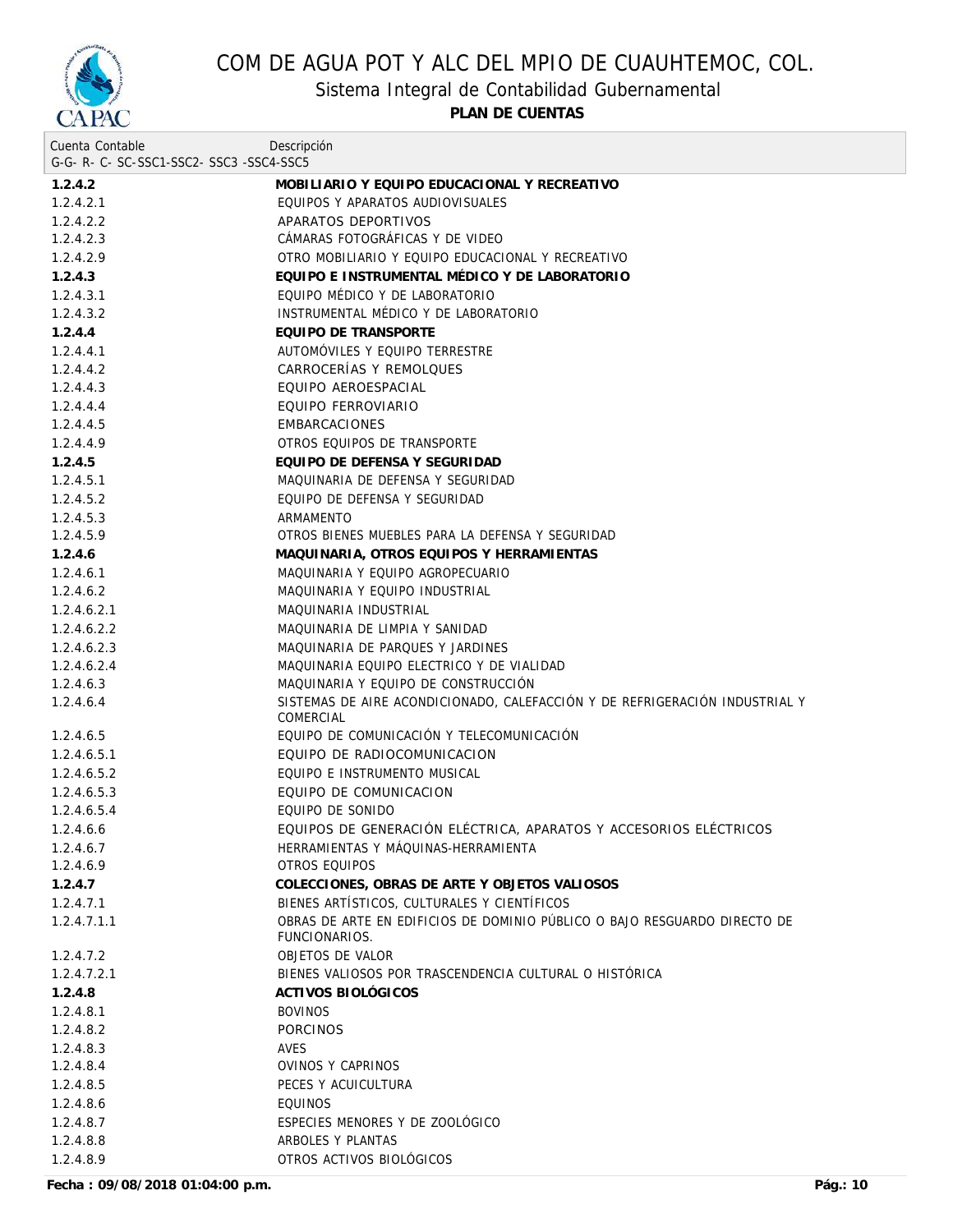

Sistema Integral de Contabilidad Gubernamental

**PLAN DE CUENTAS**

| Cuenta Contable                     | Descripción                                                                                |
|-------------------------------------|--------------------------------------------------------------------------------------------|
| G-G-R-C-SC-SSC1-SSC2-SSC3-SSC4-SSC5 |                                                                                            |
| 1.2.4.2                             | MOBILIARIO Y EQUIPO EDUCACIONAL Y RECREATIVO                                               |
| 1.2.4.2.1                           | EQUIPOS Y APARATOS AUDIOVISUALES                                                           |
| 1.2.4.2.2                           | APARATOS DEPORTIVOS                                                                        |
| 1.2.4.2.3                           | CÁMARAS FOTOGRÁFICAS Y DE VIDEO                                                            |
| 1.2.4.2.9                           | OTRO MOBILIARIO Y EQUIPO EDUCACIONAL Y RECREATIVO                                          |
| 1.2.4.3                             | EQUIPO E INSTRUMENTAL MÉDICO Y DE LABORATORIO                                              |
| 1.2.4.3.1                           | EQUIPO MÉDICO Y DE LABORATORIO                                                             |
| 1.2.4.3.2                           | INSTRUMENTAL MÉDICO Y DE LABORATORIO                                                       |
| 1.2.4.4                             | EQUIPO DE TRANSPORTE                                                                       |
| 1.2.4.4.1                           | AUTOMÓVILES Y EQUIPO TERRESTRE                                                             |
| 1.2.4.4.2                           | CARROCERÍAS Y REMOLQUES                                                                    |
| 1.2.4.4.3                           | EQUIPO AEROESPACIAL                                                                        |
| 1.2.4.4.4                           | EQUIPO FERROVIARIO                                                                         |
| 1.2.4.4.5                           | <b>EMBARCACIONES</b>                                                                       |
| 1.2.4.4.9                           | OTROS EQUIPOS DE TRANSPORTE                                                                |
| 1.2.4.5                             | EQUIPO DE DEFENSA Y SEGURIDAD                                                              |
| 1.2.4.5.1                           | MAQUINARIA DE DEFENSA Y SEGURIDAD                                                          |
| 1.2.4.5.2                           | EQUIPO DE DEFENSA Y SEGURIDAD                                                              |
| 1.2.4.5.3                           | ARMAMENTO                                                                                  |
| 1.2.4.5.9                           | OTROS BIENES MUEBLES PARA LA DEFENSA Y SEGURIDAD                                           |
| 1.2.4.6                             | MAQUINARIA, OTROS EQUIPOS Y HERRAMIENTAS                                                   |
| 1.2.4.6.1                           | MAQUINARIA Y EQUIPO AGROPECUARIO                                                           |
| 1.2.4.6.2                           | MAQUINARIA Y EQUIPO INDUSTRIAL                                                             |
| 1.2.4.6.2.1                         | MAQUINARIA INDUSTRIAL                                                                      |
| 1.2.4.6.2.2                         | MAQUINARIA DE LIMPIA Y SANIDAD                                                             |
| 1.2.4.6.2.3                         | MAQUINARIA DE PARQUES Y JARDINES                                                           |
| 1.2.4.6.2.4                         | MAQUINARIA EQUIPO ELECTRICO Y DE VIALIDAD                                                  |
| 1.2.4.6.3                           | MAQUINARIA Y EQUIPO DE CONSTRUCCIÓN                                                        |
| 1.2.4.6.4                           | SISTEMAS DE AIRE ACONDICIONADO, CALEFACCIÓN Y DE REFRIGERACIÓN INDUSTRIAL Y<br>COMERCIAL   |
| 1.2.4.6.5                           | EQUIPO DE COMUNICACIÓN Y TELECOMUNICACIÓN                                                  |
| 1.2.4.6.5.1                         | EQUIPO DE RADIOCOMUNICACION                                                                |
| 1.2.4.6.5.2                         | EQUIPO E INSTRUMENTO MUSICAL                                                               |
| 1.2.4.6.5.3                         | EQUIPO DE COMUNICACION                                                                     |
| 1.2.4.6.5.4                         | EQUIPO DE SONIDO                                                                           |
| 1.2.4.6.6                           | EQUIPOS DE GENERACIÓN ELÉCTRICA, APARATOS Y ACCESORIOS ELÉCTRICOS                          |
| 1.2.4.6.7                           | HERRAMIENTAS Y MAQUINAS-HERRAMIENTA                                                        |
| 1.2.4.6.9                           | OTROS EQUIPOS                                                                              |
| 1.2.4.7                             | COLECCIONES, OBRAS DE ARTE Y OBJETOS VALIOSOS                                              |
| 1.2.4.7.1                           | BIENES ARTÍSTICOS, CULTURALES Y CIENTÍFICOS                                                |
| 1.2.4.7.1.1                         | OBRAS DE ARTE EN EDIFICIOS DE DOMINIO PÚBLICO O BAJO RESGUARDO DIRECTO DE<br>FUNCIONARIOS. |
| 1.2.4.7.2                           | OBJETOS DE VALOR                                                                           |
| 1.2.4.7.2.1                         | BIENES VALIOSOS POR TRASCENDENCIA CULTURAL O HISTÓRICA                                     |
| 1.2.4.8                             | ACTIVOS BIOLÓGICOS                                                                         |
| 1.2.4.8.1                           | <b>BOVINOS</b>                                                                             |
| 1.2.4.8.2                           | <b>PORCINOS</b>                                                                            |
| 1.2.4.8.3                           | AVES                                                                                       |
| 1.2.4.8.4                           | OVINOS Y CAPRINOS                                                                          |
| 1.2.4.8.5                           | PECES Y ACUICULTURA                                                                        |
| 1.2.4.8.6                           | <b>EQUINOS</b>                                                                             |
| 1.2.4.8.7                           | ESPECIES MENORES Y DE ZOOLÓGICO                                                            |
| 1.2.4.8.8                           | ARBOLES Y PLANTAS                                                                          |
| 1.2.4.8.9                           | OTROS ACTIVOS BIOLÓGICOS                                                                   |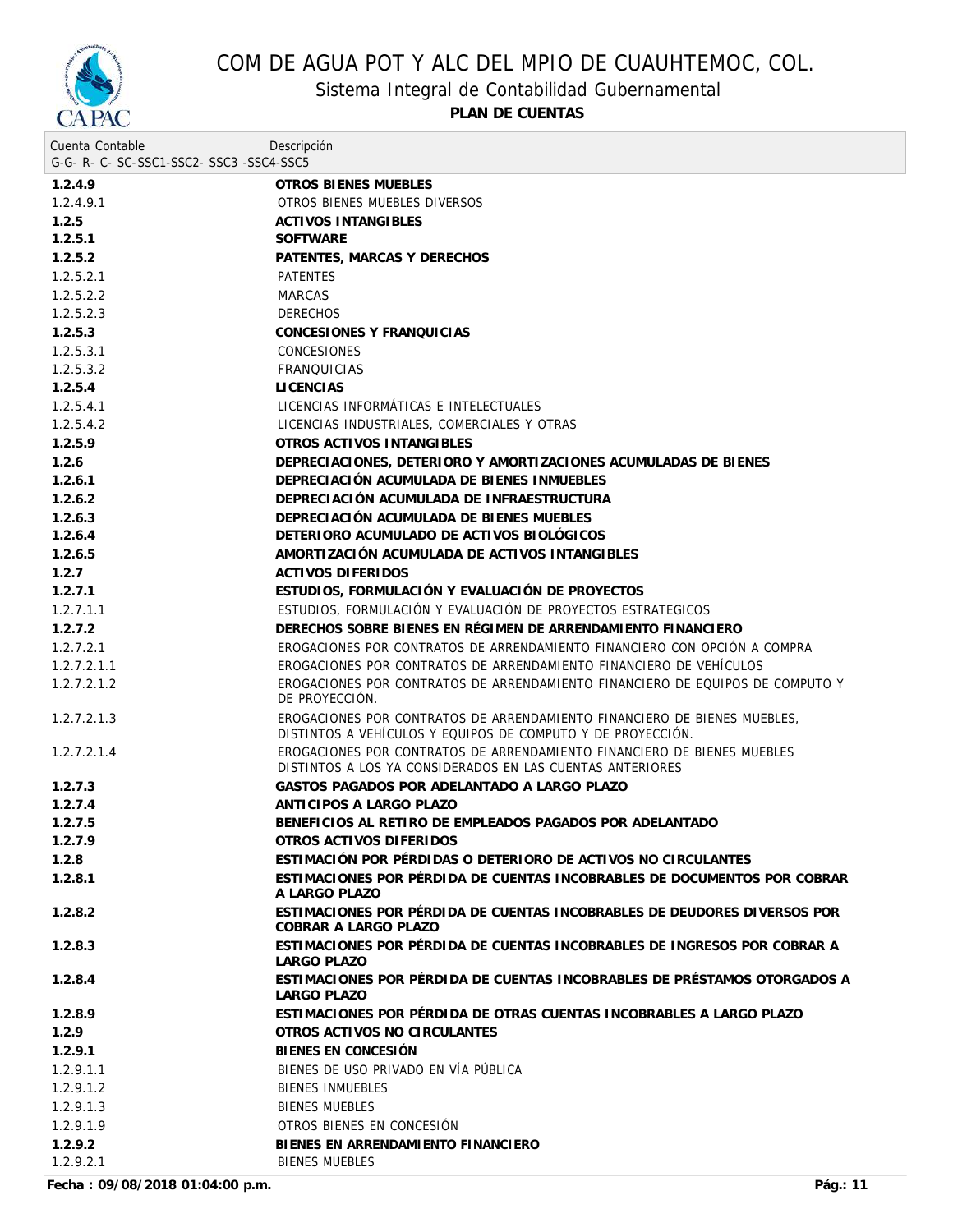

Sistema Integral de Contabilidad Gubernamental

**PLAN DE CUENTAS**

| Cuenta Contable                     | Descripción                                                                                                                             |
|-------------------------------------|-----------------------------------------------------------------------------------------------------------------------------------------|
| G-G-R-C-SC-SSC1-SSC2-SSC3-SSC4-SSC5 |                                                                                                                                         |
| 1.2.4.9                             | OTROS BIENES MUEBLES                                                                                                                    |
| 1.2.4.9.1                           | OTROS BIENES MUEBLES DIVERSOS                                                                                                           |
| 1.2.5                               | <b>ACTIVOS INTANGIBLES</b>                                                                                                              |
| 1.2.5.1                             | <b>SOFTWARE</b>                                                                                                                         |
| 1.2.5.2                             | PATENTES, MARCAS Y DERECHOS                                                                                                             |
| 1.2.5.2.1                           | <b>PATENTES</b>                                                                                                                         |
| 1.2.5.2.2                           | <b>MARCAS</b>                                                                                                                           |
| 1.2.5.2.3                           | <b>DERECHOS</b>                                                                                                                         |
| 1.2.5.3                             | CONCESIONES Y FRANQUICIAS                                                                                                               |
| 1.2.5.3.1                           | <b>CONCESIONES</b>                                                                                                                      |
| 1.2.5.3.2                           | <b>FRANQUICIAS</b>                                                                                                                      |
| 1.2.5.4                             | <b>LICENCIAS</b>                                                                                                                        |
| 1.2.5.4.1                           | LICENCIAS INFORMÁTICAS E INTELECTUALES                                                                                                  |
| 1.2.5.4.2                           | LICENCIAS INDUSTRIALES, COMERCIALES Y OTRAS                                                                                             |
| 1.2.5.9                             | OTROS ACTIVOS INTANGIBLES                                                                                                               |
| 1.2.6                               | DEPRECIACIONES, DETERIORO Y AMORTIZACIONES ACUMULADAS DE BIENES                                                                         |
| 1.2.6.1                             | DEPRECIACIÓN ACUMULADA DE BIENES INMUEBLES                                                                                              |
| 1.2.6.2                             | DEPRECIACIÓN ACUMULADA DE INFRAESTRUCTURA                                                                                               |
| 1.2.6.3                             | DEPRECIACIÓN ACUMULADA DE BIENES MUEBLES                                                                                                |
| 1.2.6.4                             | DETERIORO ACUMULADO DE ACTIVOS BIOLÓGICOS                                                                                               |
| 1.2.6.5                             | AMORTIZACIÓN ACUMULADA DE ACTIVOS INTANGIBLES                                                                                           |
| 1.2.7                               | <b>ACTIVOS DIFERIDOS</b>                                                                                                                |
| 1.2.7.1                             | ESTUDIOS, FORMULACIÓN Y EVALUACIÓN DE PROYECTOS                                                                                         |
| 1.2.7.1.1                           | ESTUDIOS, FORMULACIÓN Y EVALUACIÓN DE PROYECTOS ESTRATEGICOS                                                                            |
| 1.2.7.2                             | DERECHOS SOBRE BIENES EN RÉGIMEN DE ARRENDAMIENTO FINANCIERO                                                                            |
| 1.2.7.2.1                           | EROGACIONES POR CONTRATOS DE ARRENDAMIENTO FINANCIERO CON OPCIÓN A COMPRA                                                               |
| 1.2.7.2.1.1                         | EROGACIONES POR CONTRATOS DE ARRENDAMIENTO FINANCIERO DE VEHÍCULOS                                                                      |
| 1.2.7.2.1.2                         | EROGACIONES POR CONTRATOS DE ARRENDAMIENTO FINANCIERO DE EQUIPOS DE COMPUTO Y<br>DE PROYECCIÓN.                                         |
| 1.2.7.2.1.3                         | EROGACIONES POR CONTRATOS DE ARRENDAMIENTO FINANCIERO DE BIENES MUEBLES,<br>DISTINTOS A VEHÍCULOS Y EQUIPOS DE COMPUTO Y DE PROYECCIÓN. |
| 1.2.7.2.1.4                         | EROGACIONES POR CONTRATOS DE ARRENDAMIENTO FINANCIERO DE BIENES MUEBLES<br>DISTINTOS A LOS YA CONSIDERADOS EN LAS CUENTAS ANTERIORES    |
| 1.2.7.3                             | GASTOS PAGADOS POR ADELANTADO A LARGO PLAZO                                                                                             |
| 1.2.7.4                             | ANTICIPOS A LARGO PLAZO                                                                                                                 |
| 1.2.7.5                             | BENEFICIOS AL RETIRO DE EMPLEADOS PAGADOS POR ADELANTADO                                                                                |
| 1.2.7.9                             | OTROS ACTIVOS DIFERIDOS                                                                                                                 |
| 1.2.8                               | ESTIMACIÓN POR PÉRDIDAS O DETERIORO DE ACTIVOS NO CIRCULANTES                                                                           |
| 1.2.8.1                             | ESTIMACIONES POR PÉRDIDA DE CUENTAS INCOBRABLES DE DOCUMENTOS POR COBRAR<br>A LARGO PLAZO                                               |
| 1.2.8.2                             | ESTIMACIONES POR PÉRDIDA DE CUENTAS INCOBRABLES DE DEUDORES DIVERSOS POR<br>COBRAR A LARGO PLAZO                                        |
| 1.2.8.3                             | ESTIMACIONES POR PÉRDIDA DE CUENTAS INCOBRABLES DE INGRESOS POR COBRAR A<br>LARGO PLAZO                                                 |
| 1.2.8.4                             | ESTIMACIONES POR PÉRDIDA DE CUENTAS INCOBRABLES DE PRÉSTAMOS OTORGADOS A<br>LARGO PLAZO                                                 |
| 1.2.8.9                             | ESTIMACIONES POR PÉRDIDA DE OTRAS CUENTAS INCOBRABLES A LARGO PLAZO                                                                     |
| 1.2.9                               | OTROS ACTIVOS NO CIRCULANTES                                                                                                            |
| 1.2.9.1                             | BIENES EN CONCESIÓN                                                                                                                     |
| 1.2.9.1.1                           | BIENES DE USO PRIVADO EN VÍA PÚBLICA                                                                                                    |
| 1.2.9.1.2                           | <b>BIENES INMUEBLES</b>                                                                                                                 |
| 1.2.9.1.3                           | <b>BIENES MUEBLES</b>                                                                                                                   |
| 1.2.9.1.9                           | OTROS BIENES EN CONCESIÓN                                                                                                               |
| 1.2.9.2                             | BIENES EN ARRENDAMIENTO FINANCIERO                                                                                                      |
| 1.2.9.2.1                           | <b>BIENES MUEBLES</b>                                                                                                                   |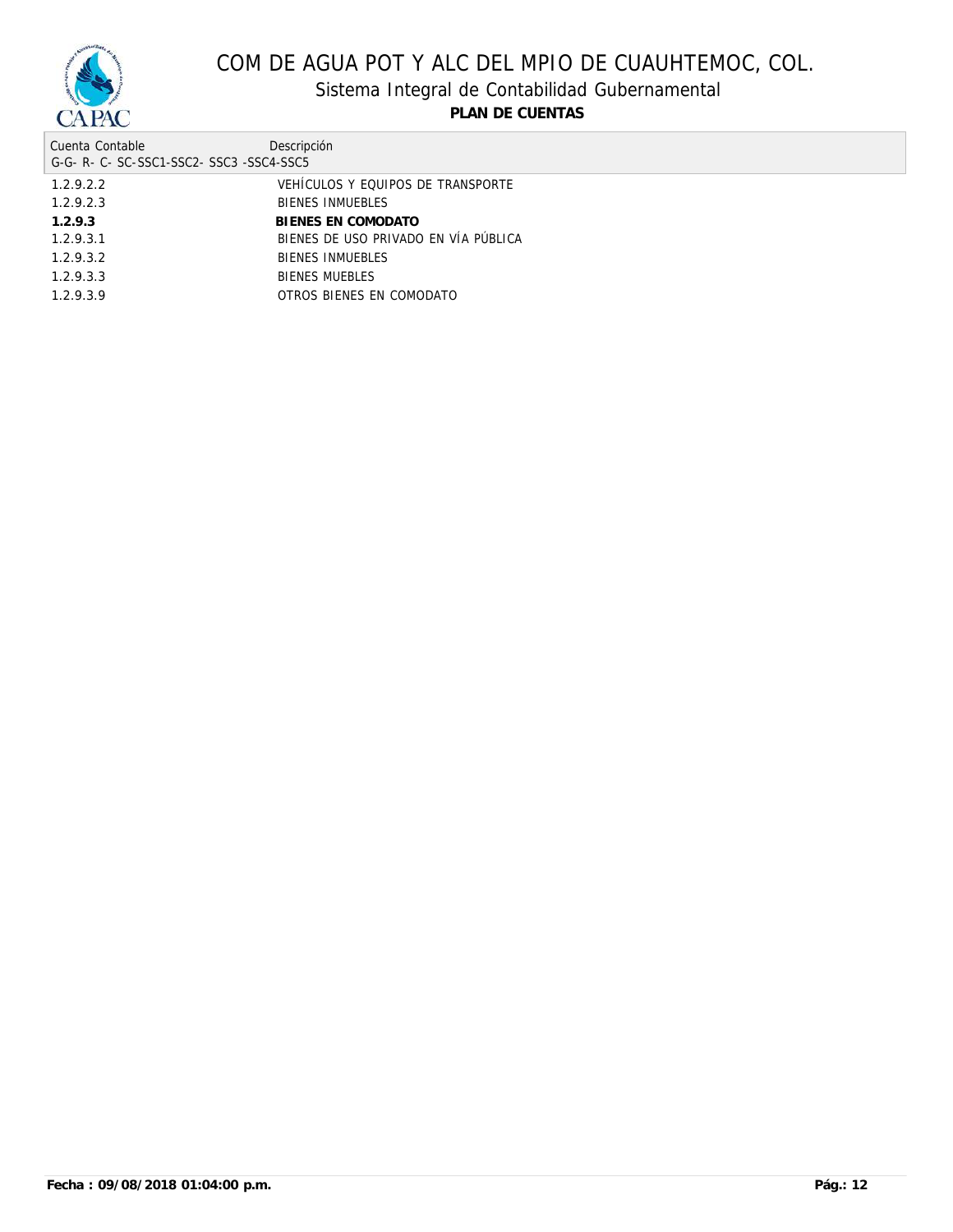

Sistema Integral de Contabilidad Gubernamental

| Cuenta Contable<br>G-G-R-C-SC-SSC1-SSC2-SSC3-SSC4-SSC5 | Descripción                          |
|--------------------------------------------------------|--------------------------------------|
| 1.2.9.2.2                                              | VEHÍCULOS Y EQUIPOS DE TRANSPORTE    |
| 1.2.9.2.3                                              | <b>BIENES INMUEBLES</b>              |
| 1.2.9.3                                                | BIENES EN COMODATO                   |
| 1.2.9.3.1                                              | BIENES DE USO PRIVADO EN VÍA PÚBLICA |
| 1.2.9.3.2                                              | <b>BIENES INMUEBLES</b>              |
| 1.2.9.3.3                                              | <b>BIENES MUEBLES</b>                |
| 1.2.9.3.9                                              | OTROS BIENES EN COMODATO             |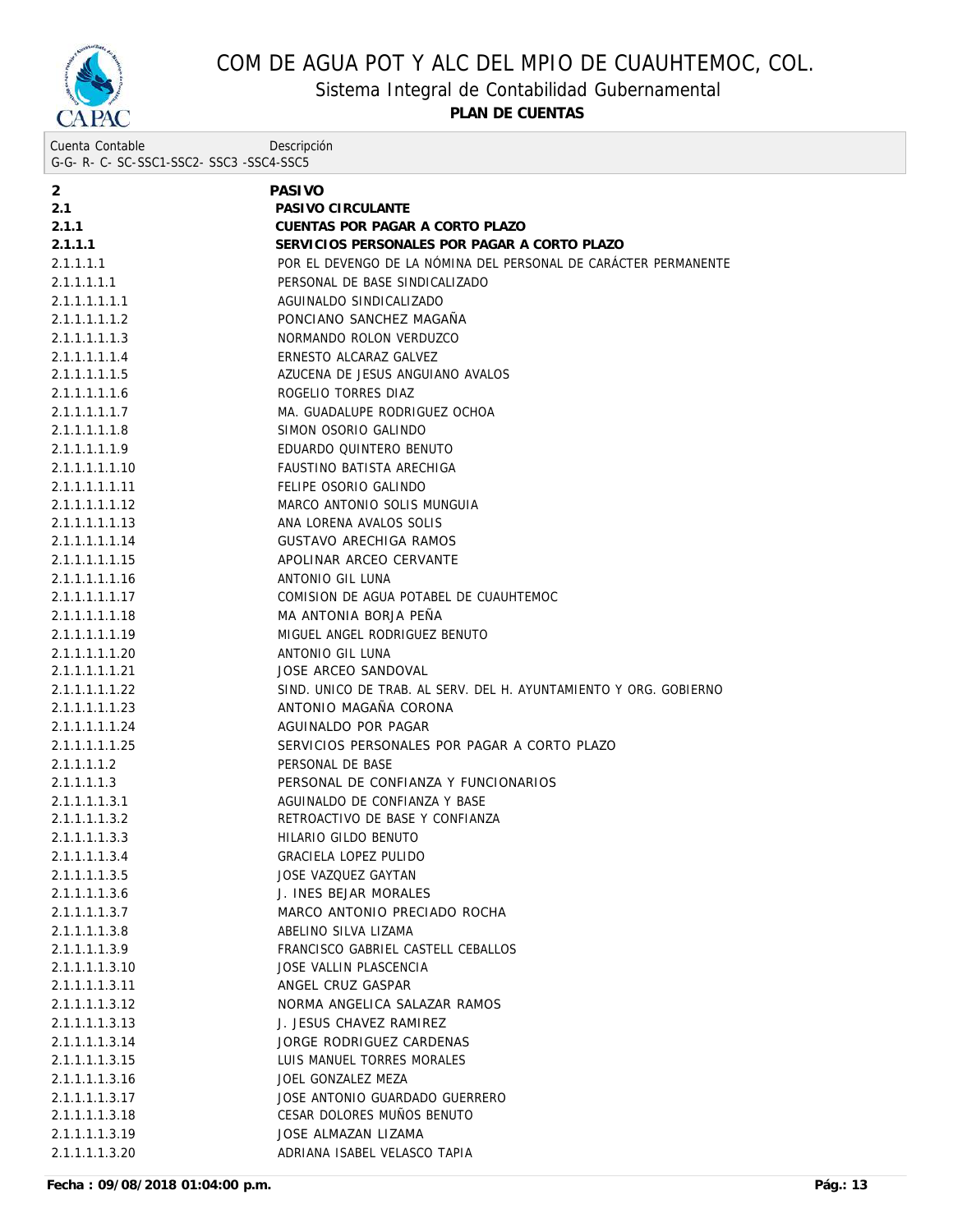

Sistema Integral de Contabilidad Gubernamental

**PLAN DE CUENTAS**

Cuenta Contable G-G- R- C- SC-SSC1-SSC2- SSC3 -SSC4-SSC5 Descripción

| 2              | PASIVO                                                            |
|----------------|-------------------------------------------------------------------|
| 2.1            | PASIVO CIRCULANTE                                                 |
| 2.1.1          | CUENTAS POR PAGAR A CORTO PLAZO                                   |
| 2.1.1.1        | SERVICIOS PERSONALES POR PAGAR A CORTO PLAZO                      |
| 2.1.1.1.1      | POR EL DEVENGO DE LA NÓMINA DEL PERSONAL DE CARÁCTER PERMANENTE   |
| 2.1.1.1.1.1    | PERSONAL DE BASE SINDICALIZADO                                    |
| 2.1.1.1.1.1.1  | AGUINALDO SINDICALIZADO                                           |
| 2.1.1.1.1.1.2  | PONCIANO SANCHEZ MAGAÑA                                           |
| 2.1.1.1.1.1.3  | NORMANDO ROLON VERDUZCO                                           |
| 2.1.1.1.1.1.4  | ERNESTO ALCARAZ GALVEZ                                            |
| 2.1.1.1.1.1.5  | AZUCENA DE JESUS ANGUIANO AVALOS                                  |
| 2.1.1.1.1.1.6  | ROGELIO TORRES DIAZ                                               |
| 2.1.1.1.1.1.7  | MA. GUADALUPE RODRIGUEZ OCHOA                                     |
| 2.1.1.1.1.1.8  | SIMON OSORIO GALINDO                                              |
| 2.1.1.1.1.1.9  | EDUARDO QUINTERO BENUTO                                           |
| 2.1.1.1.1.1.10 | FAUSTINO BATISTA ARECHIGA                                         |
| 2.1.1.1.1.1.11 | FELIPE OSORIO GALINDO                                             |
| 2.1.1.1.1.1.12 | MARCO ANTONIO SOLIS MUNGUIA                                       |
| 2.1.1.1.1.1.13 | ANA LORENA AVALOS SOLIS                                           |
| 2.1.1.1.1.1.14 | GUSTAVO ARECHIGA RAMOS                                            |
| 2.1.1.1.1.1.15 | APOLINAR ARCEO CERVANTE                                           |
| 2.1.1.1.1.1.16 | ANTONIO GIL LUNA                                                  |
| 2.1.1.1.1.1.17 | COMISION DE AGUA POTABEL DE CUAUHTEMOC                            |
| 2.1.1.1.1.1.18 | MA ANTONIA BORJA PEÑA                                             |
| 2.1.1.1.1.1.19 | MIGUEL ANGEL RODRIGUEZ BENUTO                                     |
| 2.1.1.1.1.1.20 | ANTONIO GIL LUNA                                                  |
| 2.1.1.1.1.1.21 | JOSE ARCEO SANDOVAL                                               |
| 2.1.1.1.1.1.22 | SIND. UNICO DE TRAB. AL SERV. DEL H. AYUNTAMIENTO Y ORG. GOBIERNO |
| 2.1.1.1.1.1.23 | ANTONIO MAGAÑA CORONA                                             |
| 2.1.1.1.1.1.24 | AGUINALDO POR PAGAR                                               |
| 2.1.1.1.1.1.25 | SERVICIOS PERSONALES POR PAGAR A CORTO PLAZO                      |
| 2.1.1.1.1.2    | PERSONAL DE BASE                                                  |
| 2.1.1.1.1.3    | PERSONAL DE CONFIANZA Y FUNCIONARIOS                              |
| 2.1.1.1.1.3.1  | AGUINALDO DE CONFIANZA Y BASE                                     |
| 2.1.1.1.1.3.2  | RETROACTIVO DE BASE Y CONFIANZA                                   |
| 2.1.1.1.1.3.3  | HILARIO GILDO BENUTO                                              |
| 2.1.1.1.1.3.4  | <b>GRACIELA LOPEZ PULIDO</b>                                      |
| 2.1.1.1.1.3.5  | JOSE VAZQUEZ GAYTAN                                               |
| 2.1.1.1.1.3.6  | J. INES BEJAR MORALES                                             |
| 2.1.1.1.1.3.7  | MARCO ANTONIO PRECIADO ROCHA                                      |
| 2.1.1.1.1.3.8  | ABELINO SILVA LIZAMA                                              |
| 2.1.1.1.1.3.9  | FRANCISCO GABRIEL CASTELL CEBALLOS                                |
| 2.1.1.1.1.3.10 | JOSE VALLIN PLASCENCIA                                            |
| 2.1.1.1.1.3.11 | ANGEL CRUZ GASPAR                                                 |
| 2.1.1.1.1.3.12 | NORMA ANGELICA SALAZAR RAMOS                                      |
| 2.1.1.1.1.3.13 | J. JESUS CHAVEZ RAMIREZ                                           |
| 2.1.1.1.1.3.14 | JORGE RODRIGUEZ CARDENAS                                          |
| 2.1.1.1.1.3.15 | LUIS MANUEL TORRES MORALES                                        |
| 2.1.1.1.1.3.16 | JOEL GONZALEZ MEZA                                                |
| 2.1.1.1.1.3.17 | JOSE ANTONIO GUARDADO GUERRERO                                    |
| 2.1.1.1.1.3.18 | CESAR DOLORES MUÑOS BENUTO                                        |
| 2.1.1.1.1.3.19 | JOSE ALMAZAN LIZAMA                                               |
| 2.1.1.1.1.3.20 | ADRIANA ISABEL VELASCO TAPIA                                      |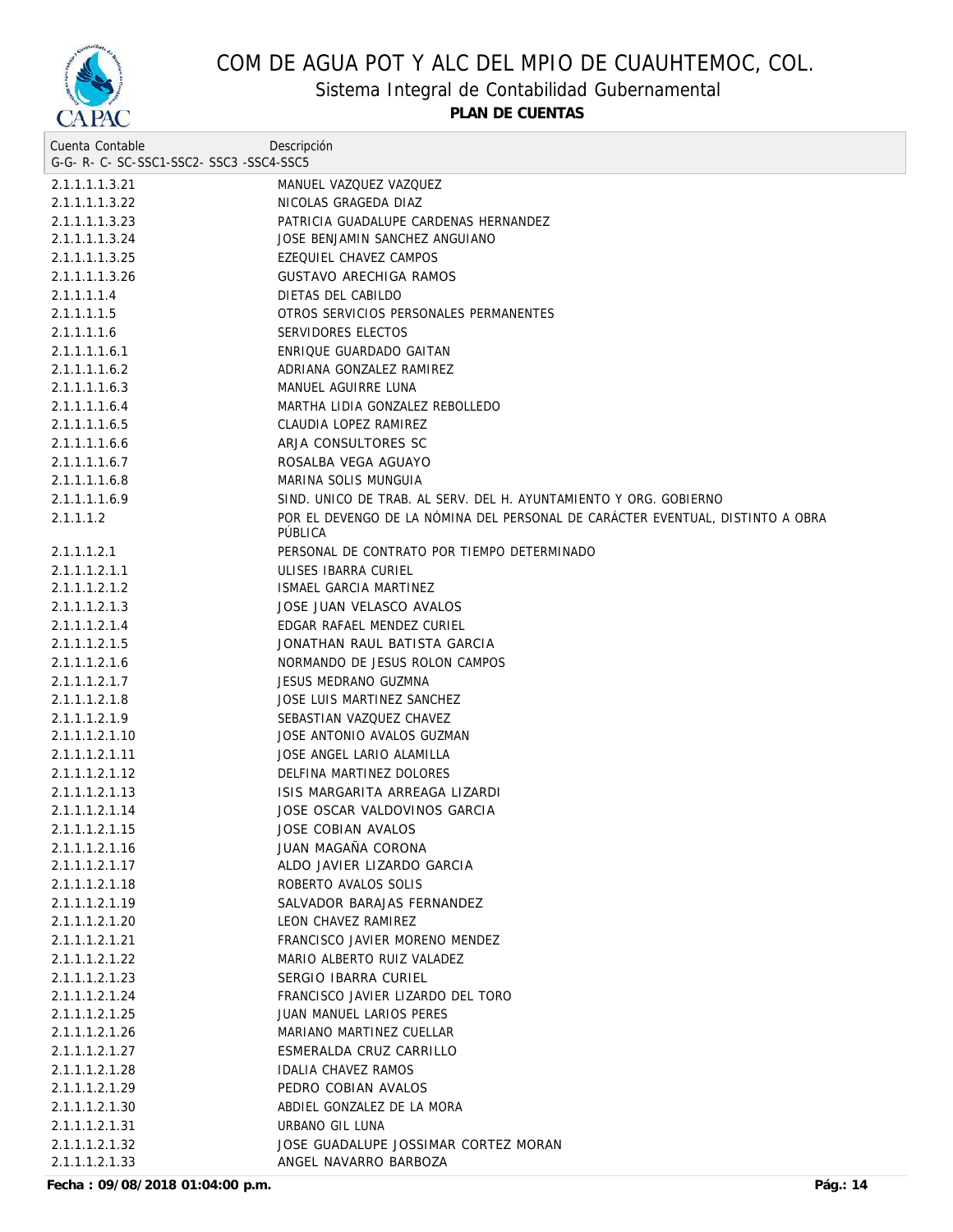

Sistema Integral de Contabilidad Gubernamental

**PLAN DE CUENTAS**

| Cuenta Contable                     | Descripción                                                                    |
|-------------------------------------|--------------------------------------------------------------------------------|
| G-G-R-C-SC-SSC1-SSC2-SSC3-SSC4-SSC5 |                                                                                |
| 2.1.1.1.1.3.21                      | MANUEL VAZQUEZ VAZQUEZ                                                         |
| 2.1.1.1.1.3.22                      | NICOLAS GRAGEDA DIAZ                                                           |
| 2.1.1.1.1.3.23                      | PATRICIA GUADALUPE CARDENAS HERNANDEZ                                          |
| 2.1.1.1.1.3.24                      | JOSE BENJAMIN SANCHEZ ANGUIANO                                                 |
| 2.1.1.1.1.3.25                      | EZEQUIEL CHAVEZ CAMPOS                                                         |
| 2.1.1.1.1.3.26                      | <b>GUSTAVO ARECHIGA RAMOS</b>                                                  |
| 2.1.1.1.1.4                         | DIETAS DEL CABILDO                                                             |
| 2.1.1.1.1.5                         | OTROS SERVICIOS PERSONALES PERMANENTES                                         |
| 2.1.1.1.1.6                         | SERVIDORES ELECTOS                                                             |
| 2.1.1.1.1.6.1                       | ENRIQUE GUARDADO GAITAN                                                        |
| 2.1.1.1.1.6.2                       | ADRIANA GONZALEZ RAMIREZ                                                       |
| 2.1.1.1.1.6.3                       | MANUEL AGUIRRE LUNA                                                            |
| 2.1.1.1.1.6.4                       | MARTHA LIDIA GONZALEZ REBOLLEDO                                                |
| 2.1.1.1.1.6.5                       | CLAUDIA LOPEZ RAMIREZ                                                          |
| 2.1.1.1.1.6.6                       | ARJA CONSULTORES SC                                                            |
| 2.1.1.1.1.6.7                       | ROSALBA VEGA AGUAYO                                                            |
| 2.1.1.1.1.6.8                       | MARINA SOLIS MUNGUIA                                                           |
| 2.1.1.1.1.6.9                       | SIND. UNICO DE TRAB. AL SERV. DEL H. AYUNTAMIENTO Y ORG. GOBIERNO              |
|                                     | POR EL DEVENGO DE LA NÓMINA DEL PERSONAL DE CARÁCTER EVENTUAL, DISTINTO A OBRA |
| 2.1.1.1.2                           | PÚBLICA                                                                        |
| 2.1.1.1.2.1                         | PERSONAL DE CONTRATO POR TIEMPO DETERMINADO                                    |
| 2.1.1.1.2.1.1                       | ULISES IBARRA CURIEL                                                           |
| 2.1.1.1.2.1.2                       | ISMAEL GARCIA MARTINEZ                                                         |
| 2.1.1.1.2.1.3                       | JOSE JUAN VELASCO AVALOS                                                       |
| 2.1.1.1.2.1.4                       | EDGAR RAFAEL MENDEZ CURIEL                                                     |
| 2.1.1.1.2.1.5                       | JONATHAN RAUL BATISTA GARCIA                                                   |
| 2.1.1.1.2.1.6                       | NORMANDO DE JESUS ROLON CAMPOS                                                 |
| 2.1.1.1.2.1.7                       | JESUS MEDRANO GUZMNA                                                           |
| 2.1.1.1.2.1.8                       | JOSE LUIS MARTINEZ SANCHEZ                                                     |
| 2.1.1.1.2.1.9                       | SEBASTIAN VAZQUEZ CHAVEZ                                                       |
| 2.1.1.1.2.1.10                      | JOSE ANTONIO AVALOS GUZMAN                                                     |
| 2.1.1.1.2.1.11                      | JOSE ANGEL LARIO ALAMILLA                                                      |
| 2.1.1.1.2.1.12                      | DELFINA MARTINEZ DOLORES                                                       |
| 2.1.1.1.2.1.13                      | ISIS MARGARITA ARREAGA LIZARDI                                                 |
| 2.1.1.1.2.1.14                      | JOSE OSCAR VALDOVINOS GARCIA                                                   |
| 2.1.1.1.2.1.15                      | JOSE COBIAN AVALOS                                                             |
| 2.1.1.1.2.1.16                      | JUAN MAGAÑA CORONA                                                             |
| 2.1.1.1.2.1.17                      | ALDO JAVIER LIZARDO GARCIA                                                     |
| 2.1.1.1.2.1.18                      | ROBERTO AVALOS SOLIS                                                           |
| 2.1.1.1.2.1.19                      | SALVADOR BARAJAS FERNANDEZ                                                     |
| 2.1.1.1.2.1.20                      | LEON CHAVEZ RAMIREZ                                                            |
| 2.1.1.1.2.1.21                      | FRANCISCO JAVIER MORENO MENDEZ                                                 |
| 2.1.1.1.2.1.22                      | MARIO ALBERTO RUIZ VALADEZ                                                     |
| 2.1.1.1.2.1.23                      | SERGIO IBARRA CURIEL                                                           |
| 2.1.1.1.2.1.24                      | FRANCISCO JAVIER LIZARDO DEL TORO                                              |
| 2.1.1.1.2.1.25                      | <b>JUAN MANUEL LARIOS PERES</b>                                                |
| 2.1.1.1.2.1.26                      | MARIANO MARTINEZ CUELLAR                                                       |
| 2.1.1.1.2.1.27                      | ESMERALDA CRUZ CARRILLO                                                        |
| 2.1.1.1.2.1.28                      | IDALIA CHAVEZ RAMOS                                                            |
| 2.1.1.1.2.1.29                      | PEDRO COBIAN AVALOS                                                            |
| 2.1.1.1.2.1.30                      | ABDIEL GONZALEZ DE LA MORA                                                     |
| 2.1.1.1.2.1.31                      | URBANO GIL LUNA                                                                |
| 2.1.1.1.2.1.32                      | JOSE GUADALUPE JOSSIMAR CORTEZ MORAN                                           |
| 2.1.1.1.2.1.33                      | ANGEL NAVARRO BARBOZA                                                          |
|                                     |                                                                                |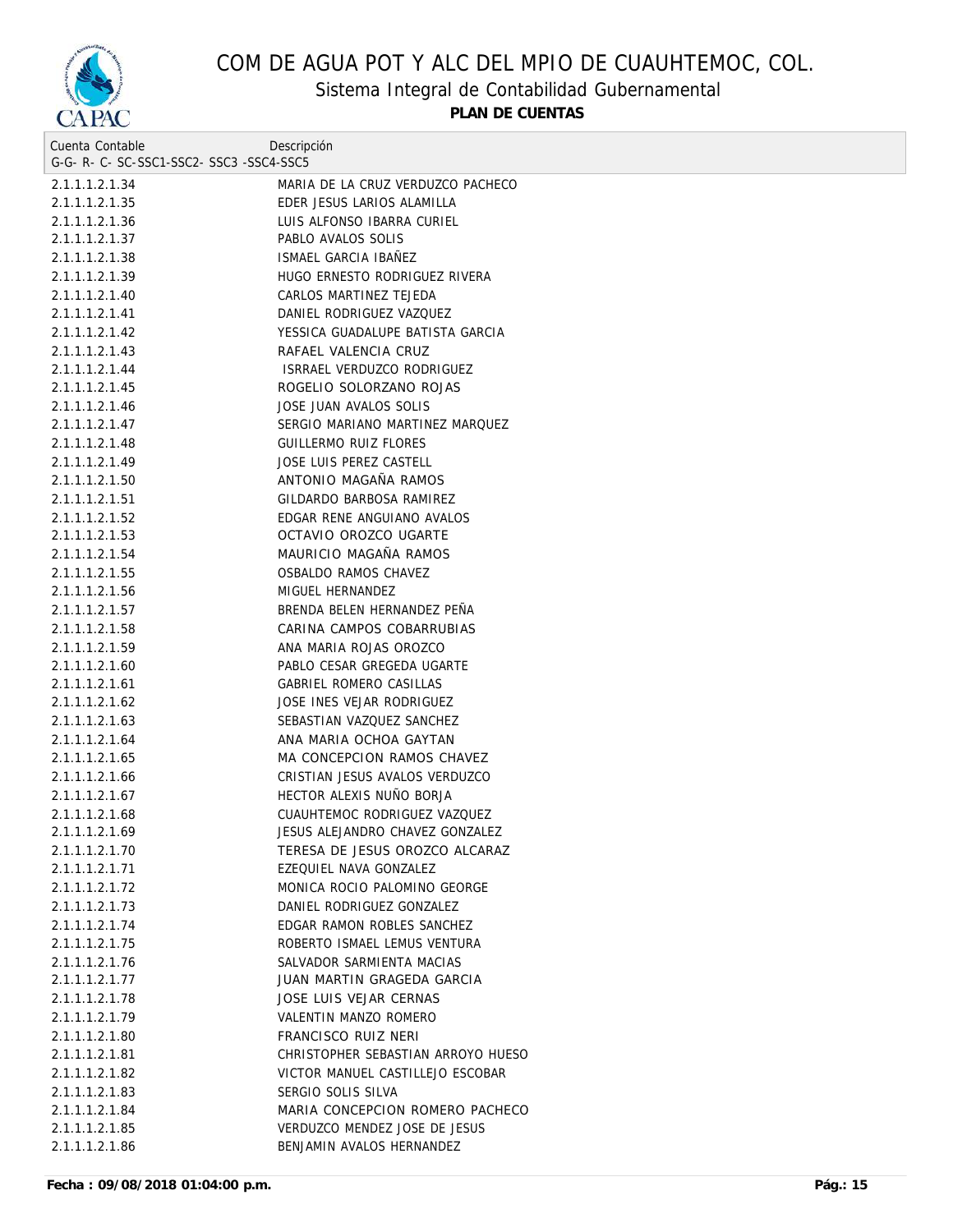

Sistema Integral de Contabilidad Gubernamental

| Cuenta Contable                     | Descripción                        |
|-------------------------------------|------------------------------------|
| G-G-R-C-SC-SSC1-SSC2-SSC3-SSC4-SSC5 |                                    |
| 2.1.1.1.2.1.34                      | MARIA DE LA CRUZ VERDUZCO PACHECO  |
| 2.1.1.1.2.1.35                      | EDER JESUS LARIOS ALAMILLA         |
| 2.1.1.1.2.1.36                      | LUIS ALFONSO IBARRA CURIEL         |
| 2.1.1.1.2.1.37                      | PABLO AVALOS SOLIS                 |
| 2.1.1.1.2.1.38                      | ISMAEL GARCIA IBAÑEZ               |
| 2.1.1.1.2.1.39                      | HUGO ERNESTO RODRIGUEZ RIVERA      |
| 2.1.1.1.2.1.40                      | CARLOS MARTINEZ TEJEDA             |
| 2.1.1.1.2.1.41                      | DANIEL RODRIGUEZ VAZQUEZ           |
| 2.1.1.1.2.1.42                      | YESSICA GUADALUPE BATISTA GARCIA   |
| 2.1.1.1.2.1.43                      | RAFAEL VALENCIA CRUZ               |
| 2.1.1.1.2.1.44                      | ISRRAEL VERDUZCO RODRIGUEZ         |
| 2.1.1.1.2.1.45                      | ROGELIO SOLORZANO ROJAS            |
| 2.1.1.1.2.1.46                      | JOSE JUAN AVALOS SOLIS             |
| 2.1.1.1.2.1.47                      | SERGIO MARIANO MARTINEZ MARQUEZ    |
| 2.1.1.1.2.1.48                      | <b>GUILLERMO RUIZ FLORES</b>       |
| 2.1.1.1.2.1.49                      | JOSE LUIS PEREZ CASTELL            |
| 2.1.1.1.2.1.50                      | ANTONIO MAGAÑA RAMOS               |
| 2.1.1.1.2.1.51                      | GILDARDO BARBOSA RAMIREZ           |
| 2.1.1.1.2.1.52                      | EDGAR RENE ANGUIANO AVALOS         |
| 2.1.1.1.2.1.53                      | OCTAVIO OROZCO UGARTE              |
| 2.1.1.1.2.1.54                      | MAURICIO MAGAÑA RAMOS              |
| 2.1.1.1.2.1.55                      | OSBALDO RAMOS CHAVEZ               |
| 2.1.1.1.2.1.56                      | MIGUEL HERNANDEZ                   |
| 2.1.1.1.2.1.57                      | BRENDA BELEN HERNANDEZ PEÑA        |
| 2.1.1.1.2.1.58                      | CARINA CAMPOS COBARRUBIAS          |
| 2.1.1.1.2.1.59                      | ANA MARIA ROJAS OROZCO             |
| 2.1.1.1.2.1.60                      | PABLO CESAR GREGEDA UGARTE         |
| 2.1.1.1.2.1.61                      | GABRIEL ROMERO CASILLAS            |
| 2.1.1.1.2.1.62                      | JOSE INES VEJAR RODRIGUEZ          |
| 2.1.1.1.2.1.63                      | SEBASTIAN VAZQUEZ SANCHEZ          |
| 2.1.1.1.2.1.64                      | ANA MARIA OCHOA GAYTAN             |
| 2.1.1.1.2.1.65                      | MA CONCEPCION RAMOS CHAVEZ         |
| 2.1.1.1.2.1.66                      | CRISTIAN JESUS AVALOS VERDUZCO     |
| 2.1.1.1.2.1.67                      | HECTOR ALEXIS NUÑO BORJA           |
| 2.1.1.1.2.1.68                      | CUAUHTEMOC RODRIGUEZ VAZQUEZ       |
| 2.1.1.1.2.1.69                      | JESUS ALEJANDRO CHAVEZ GONZALEZ    |
| 2.1.1.1.2.1.70                      | TERESA DE JESUS OROZCO ALCARAZ     |
| 2.1.1.1.2.1.71                      | EZEQUIEL NAVA GONZALEZ             |
| 2.1.1.1.2.1.72                      | MONICA ROCIO PALOMINO GEORGE       |
| 2.1.1.1.2.1.73                      | DANIEL RODRIGUEZ GONZALEZ          |
| 2.1.1.1.2.1.74                      | EDGAR RAMON ROBLES SANCHEZ         |
| 2.1.1.1.2.1.75                      | ROBERTO ISMAEL LEMUS VENTURA       |
| 2.1.1.1.2.1.76                      | SALVADOR SARMIENTA MACIAS          |
| 2.1.1.1.2.1.77                      | JUAN MARTIN GRAGEDA GARCIA         |
| 2.1.1.1.2.1.78                      | JOSE LUIS VEJAR CERNAS             |
| 2.1.1.1.2.1.79                      | VALENTIN MANZO ROMERO              |
| 2.1.1.1.2.1.80                      | FRANCISCO RUIZ NERI                |
| 2.1.1.1.2.1.81                      | CHRISTOPHER SEBASTIAN ARROYO HUESO |
| 2.1.1.1.2.1.82                      | VICTOR MANUEL CASTILLEJO ESCOBAR   |
| 2.1.1.1.2.1.83                      | SERGIO SOLIS SILVA                 |
| 2.1.1.1.2.1.84                      | MARIA CONCEPCION ROMERO PACHECO    |
| 2.1.1.1.2.1.85                      | VERDUZCO MENDEZ JOSE DE JESUS      |
| 2.1.1.1.2.1.86                      | BENJAMIN AVALOS HERNANDEZ          |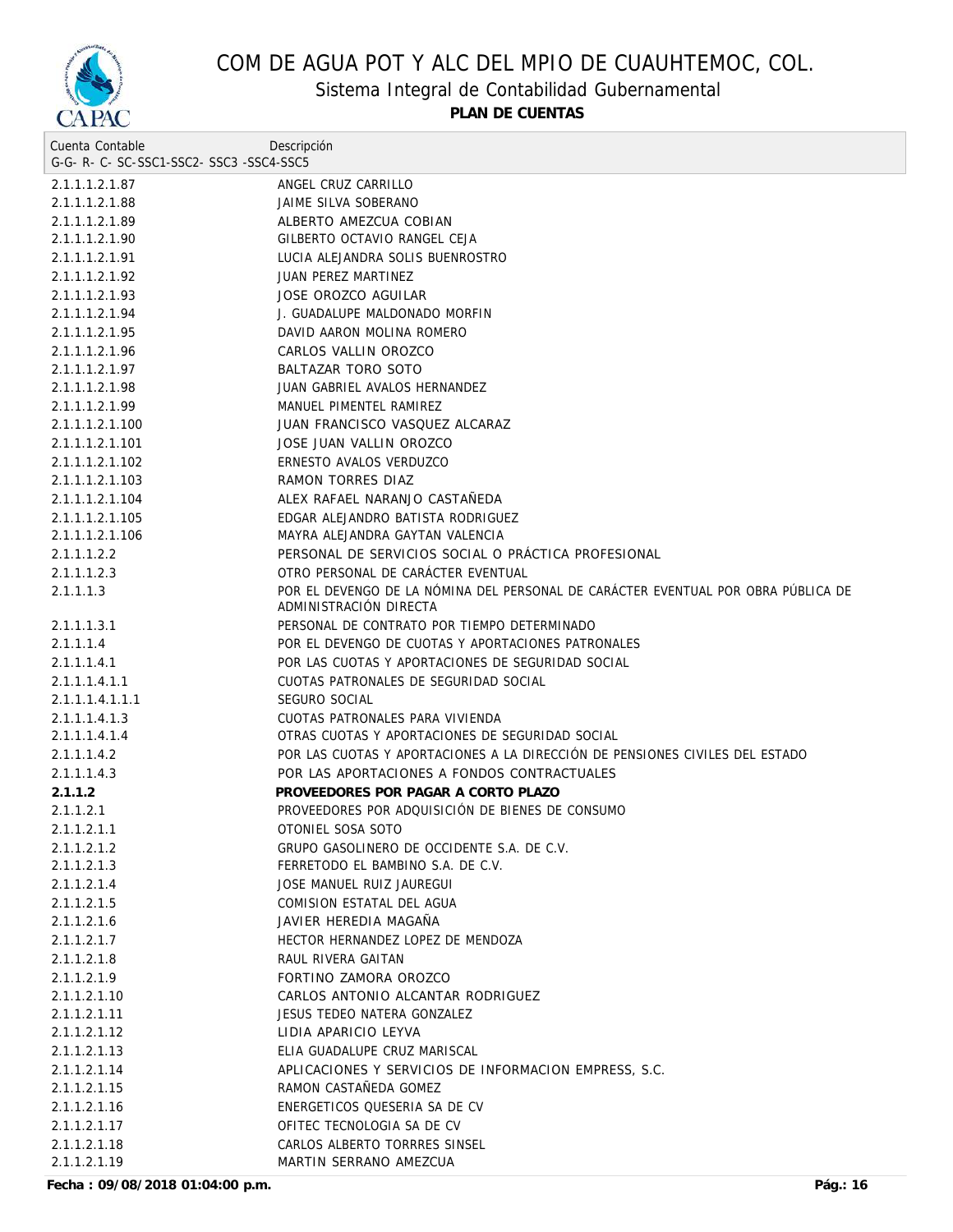

Sistema Integral de Contabilidad Gubernamental

| Cuenta Contable                     | Descripción                                                                                                 |
|-------------------------------------|-------------------------------------------------------------------------------------------------------------|
| G-G-R-C-SC-SSC1-SSC2-SSC3-SSC4-SSC5 |                                                                                                             |
| 2.1.1.1.2.1.87                      | ANGEL CRUZ CARRILLO                                                                                         |
| 2.1.1.1.2.1.88                      | JAIME SILVA SOBERANO                                                                                        |
| 2.1.1.1.2.1.89                      | ALBERTO AMEZCUA COBIAN                                                                                      |
| 2.1.1.1.2.1.90                      | GILBERTO OCTAVIO RANGEL CEJA                                                                                |
| 2.1.1.1.2.1.91                      | LUCIA ALEJANDRA SOLIS BUENROSTRO                                                                            |
| 2.1.1.1.2.1.92                      | JUAN PEREZ MARTINEZ                                                                                         |
| 2.1.1.1.2.1.93                      | JOSE OROZCO AGUILAR                                                                                         |
| 2.1.1.1.2.1.94                      | J. GUADALUPE MALDONADO MORFIN                                                                               |
| 2.1.1.1.2.1.95                      | DAVID AARON MOLINA ROMERO                                                                                   |
| 2.1.1.1.2.1.96                      | CARLOS VALLIN OROZCO                                                                                        |
| 2.1.1.1.2.1.97                      | <b>BALTAZAR TORO SOTO</b>                                                                                   |
| 2.1.1.1.2.1.98                      | JUAN GABRIEL AVALOS HERNANDEZ                                                                               |
| 2.1.1.1.2.1.99                      | MANUEL PIMENTEL RAMIREZ                                                                                     |
| 2.1.1.1.2.1.100                     | JUAN FRANCISCO VASQUEZ ALCARAZ                                                                              |
| 2.1.1.1.2.1.101                     | JOSE JUAN VALLIN OROZCO                                                                                     |
| 2.1.1.1.2.1.102                     | ERNESTO AVALOS VERDUZCO                                                                                     |
| 2.1.1.1.2.1.103                     | RAMON TORRES DIAZ                                                                                           |
| 2.1.1.1.2.1.104                     | ALEX RAFAEL NARANJO CASTAÑEDA                                                                               |
| 2.1.1.1.2.1.105                     | EDGAR ALEJANDRO BATISTA RODRIGUEZ                                                                           |
| 2.1.1.1.2.1.106                     | MAYRA ALEJANDRA GAYTAN VALENCIA                                                                             |
| 2.1.1.1.2.2                         | PERSONAL DE SERVICIOS SOCIAL O PRÁCTICA PROFESIONAL                                                         |
| 2.1.1.1.2.3                         | OTRO PERSONAL DE CARÁCTER EVENTUAL                                                                          |
| 2.1.1.1.3                           | POR EL DEVENGO DE LA NÓMINA DEL PERSONAL DE CARÁCTER EVENTUAL POR OBRA PÚBLICA DE<br>ADMINISTRACIÓN DIRECTA |
| 2.1.1.1.3.1                         | PERSONAL DE CONTRATO POR TIEMPO DETERMINADO                                                                 |
| 2.1.1.1.4                           | POR EL DEVENGO DE CUOTAS Y APORTACIONES PATRONALES                                                          |
| 2.1.1.1.4.1                         | POR LAS CUOTAS Y APORTACIONES DE SEGURIDAD SOCIAL                                                           |
| 2.1.1.1.4.1.1                       | CUOTAS PATRONALES DE SEGURIDAD SOCIAL                                                                       |
| 2.1.1.1.4.1.1.1                     | SEGURO SOCIAL                                                                                               |
| 2.1.1.1.4.1.3                       | CUOTAS PATRONALES PARA VIVIENDA                                                                             |
| 2.1.1.1.4.1.4                       | OTRAS CUOTAS Y APORTACIONES DE SEGURIDAD SOCIAL                                                             |
| 2.1.1.1.4.2                         | POR LAS CUOTAS Y APORTACIONES A LA DIRECCIÓN DE PENSIONES CIVILES DEL ESTADO                                |
| 2.1.1.1.4.3                         | POR LAS APORTACIONES A FONDOS CONTRACTUALES                                                                 |
| 2.1.1.2                             | PROVEEDORES POR PAGAR A CORTO PLAZO                                                                         |
| 2.1.1.2.1                           | PROVEEDORES POR ADQUISICIÓN DE BIENES DE CONSUMO                                                            |
| 2.1.1.2.1.1                         | OTONIEL SOSA SOTO                                                                                           |
| 2.1.1.2.1.2                         | GRUPO GASOLINERO DE OCCIDENTE S.A. DE C.V.                                                                  |
| 2.1.1.2.1.3                         | FERRETODO EL BAMBINO S.A. DE C.V.                                                                           |
| 2.1.1.2.1.4                         | JOSE MANUEL RUIZ JAUREGUI                                                                                   |
| 2.1.1.2.1.5                         | COMISION ESTATAL DEL AGUA                                                                                   |
| 2.1.1.2.1.6                         | JAVIER HEREDIA MAGAÑA                                                                                       |
| 2.1.1.2.1.7                         | HECTOR HERNANDEZ LOPEZ DE MENDOZA                                                                           |
| 2.1.1.2.1.8                         | RAUL RIVERA GAITAN                                                                                          |
| 2.1.1.2.1.9                         | FORTINO ZAMORA OROZCO                                                                                       |
| 2.1.1.2.1.10                        | CARLOS ANTONIO ALCANTAR RODRIGUEZ                                                                           |
| 2.1.1.2.1.11                        | JESUS TEDEO NATERA GONZALEZ                                                                                 |
| 2.1.1.2.1.12                        | LIDIA APARICIO LEYVA                                                                                        |
| 2.1.1.2.1.13                        | ELIA GUADALUPE CRUZ MARISCAL                                                                                |
| 2.1.1.2.1.14                        | APLICACIONES Y SERVICIOS DE INFORMACION EMPRESS, S.C.                                                       |
| 2.1.1.2.1.15                        | RAMON CASTAÑEDA GOMEZ                                                                                       |
| 2.1.1.2.1.16                        | ENERGETICOS QUESERIA SA DE CV                                                                               |
| 2.1.1.2.1.17                        | OFITEC TECNOLOGIA SA DE CV                                                                                  |
| 2.1.1.2.1.18                        | CARLOS ALBERTO TORRRES SINSEL                                                                               |
| 2.1.1.2.1.19                        | MARTIN SERRANO AMEZCUA                                                                                      |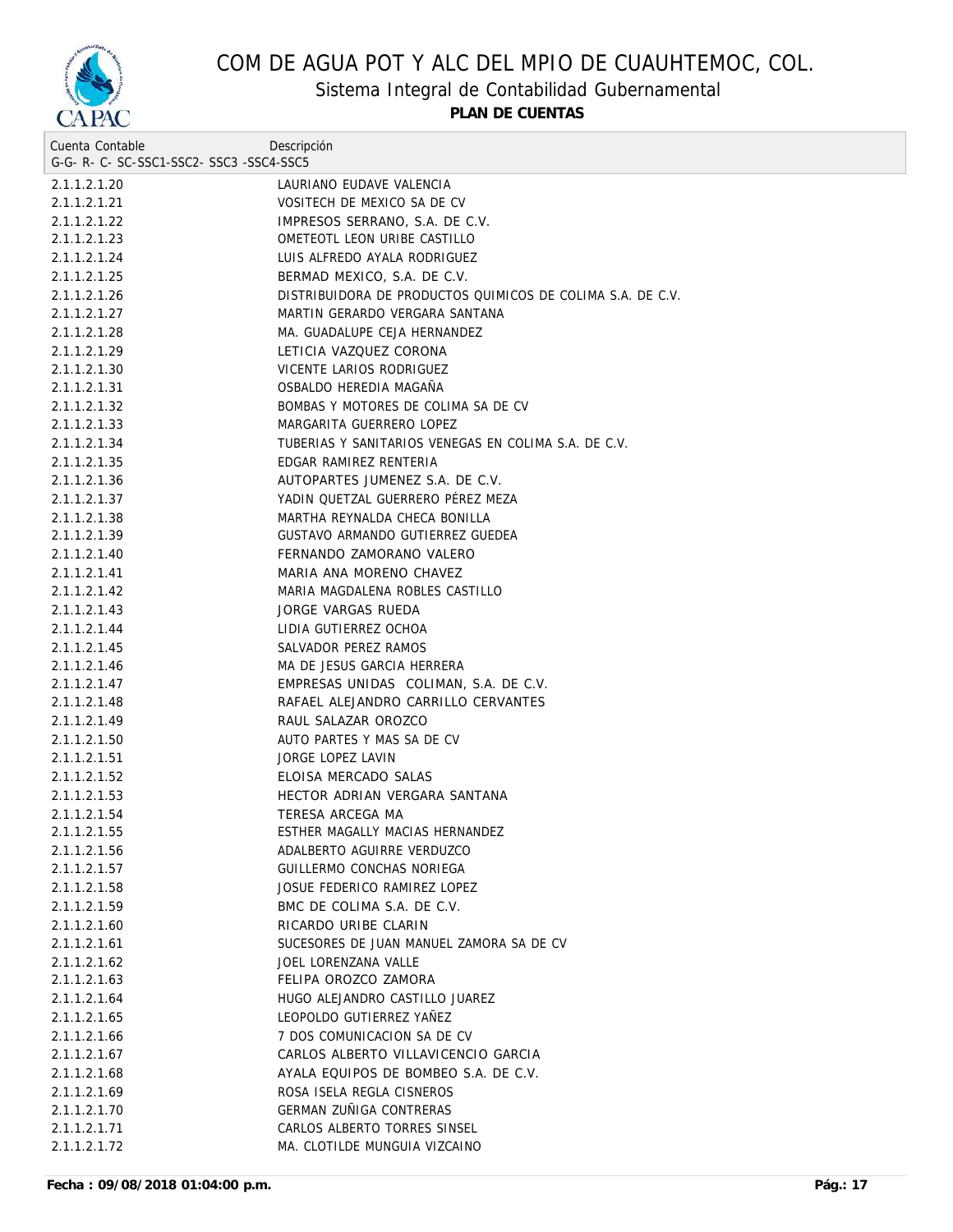

Sistema Integral de Contabilidad Gubernamental

| Cuenta Contable                     | Descripción                                                |  |
|-------------------------------------|------------------------------------------------------------|--|
| G-G-R-C-SC-SSC1-SSC2-SSC3-SSC4-SSC5 |                                                            |  |
| 2.1.1.2.1.20                        | LAURIANO EUDAVE VALENCIA                                   |  |
| 2.1.1.2.1.21                        | VOSITECH DE MEXICO SA DE CV                                |  |
| 2.1.1.2.1.22                        | IMPRESOS SERRANO, S.A. DE C.V.                             |  |
| 2.1.1.2.1.23                        | OMETEOTL LEON URIBE CASTILLO                               |  |
| 2.1.1.2.1.24                        | LUIS ALFREDO AYALA RODRIGUEZ                               |  |
| 2.1.1.2.1.25                        | BERMAD MEXICO, S.A. DE C.V.                                |  |
| 2.1.1.2.1.26                        | DISTRIBUIDORA DE PRODUCTOS QUIMICOS DE COLIMA S.A. DE C.V. |  |
| 2.1.1.2.1.27                        | MARTIN GERARDO VERGARA SANTANA                             |  |
| 2.1.1.2.1.28                        | MA. GUADALUPE CEJA HERNANDEZ                               |  |
| 2.1.1.2.1.29                        | LETICIA VAZQUEZ CORONA                                     |  |
| 2.1.1.2.1.30                        | VICENTE LARIOS RODRIGUEZ                                   |  |
| 2.1.1.2.1.31                        | OSBALDO HEREDIA MAGAÑA                                     |  |
| 2.1.1.2.1.32                        | BOMBAS Y MOTORES DE COLIMA SA DE CV                        |  |
| 2.1.1.2.1.33                        | MARGARITA GUERRERO LOPEZ                                   |  |
| 2.1.1.2.1.34                        | TUBERIAS Y SANITARIOS VENEGAS EN COLIMA S.A. DE C.V.       |  |
| 2.1.1.2.1.35                        | EDGAR RAMIREZ RENTERIA                                     |  |
| 2.1.1.2.1.36                        | AUTOPARTES JUMENEZ S.A. DE C.V.                            |  |
| 2.1.1.2.1.37                        | YADIN QUETZAL GUERRERO PÉREZ MEZA                          |  |
| 2.1.1.2.1.38                        | MARTHA REYNALDA CHECA BONILLA                              |  |
| 2.1.1.2.1.39                        | GUSTAVO ARMANDO GUTIERREZ GUEDEA                           |  |
| 2.1.1.2.1.40                        | FERNANDO ZAMORANO VALERO                                   |  |
| 2.1.1.2.1.41                        | MARIA ANA MORENO CHAVEZ                                    |  |
| 2.1.1.2.1.42                        | MARIA MAGDALENA ROBLES CASTILLO                            |  |
| 2.1.1.2.1.43                        | JORGE VARGAS RUEDA                                         |  |
| 2.1.1.2.1.44                        | LIDIA GUTIERREZ OCHOA                                      |  |
| 2.1.1.2.1.45                        | SALVADOR PEREZ RAMOS                                       |  |
| 2.1.1.2.1.46                        | MA DE JESUS GARCIA HERRERA                                 |  |
| 2.1.1.2.1.47                        | EMPRESAS UNIDAS COLIMAN, S.A. DE C.V.                      |  |
| 2.1.1.2.1.48                        | RAFAEL ALEJANDRO CARRILLO CERVANTES                        |  |
| 2.1.1.2.1.49                        | RAUL SALAZAR OROZCO                                        |  |
| 2.1.1.2.1.50                        | AUTO PARTES Y MAS SA DE CV                                 |  |
| 2.1.1.2.1.51                        | JORGE LOPEZ LAVIN                                          |  |
| 2.1.1.2.1.52                        | ELOISA MERCADO SALAS                                       |  |
| 2.1.1.2.1.53                        | HECTOR ADRIAN VERGARA SANTANA                              |  |
| 2.1.1.2.1.54                        | TERESA ARCEGA MA                                           |  |
| 2.1.1.2.1.55                        | ESTHER MAGALLY MACIAS HERNANDEZ                            |  |
| 2.1.1.2.1.56                        | ADALBERTO AGUIRRE VERDUZCO                                 |  |
| 2.1.1.2.1.57                        | GUILLERMO CONCHAS NORIEGA                                  |  |
| 2.1.1.2.1.58                        | JOSUE FEDERICO RAMIREZ LOPEZ                               |  |
| 2.1.1.2.1.59                        | BMC DE COLIMA S.A. DE C.V.                                 |  |
| 2.1.1.2.1.60                        | RICARDO URIBE CLARIN                                       |  |
| 2.1.1.2.1.61                        | SUCESORES DE JUAN MANUEL ZAMORA SA DE CV                   |  |
| 2.1.1.2.1.62                        | JOEL LORENZANA VALLE                                       |  |
| 2.1.1.2.1.63                        | FELIPA OROZCO ZAMORA                                       |  |
| 2.1.1.2.1.64                        | HUGO ALEJANDRO CASTILLO JUAREZ                             |  |
| 2.1.1.2.1.65                        | LEOPOLDO GUTIERREZ YAÑEZ                                   |  |
| 2.1.1.2.1.66                        | 7 DOS COMUNICACION SA DE CV                                |  |
| 2.1.1.2.1.67                        | CARLOS ALBERTO VILLAVICENCIO GARCIA                        |  |
| 2.1.1.2.1.68                        | AYALA EQUIPOS DE BOMBEO S.A. DE C.V.                       |  |
| 2.1.1.2.1.69                        | ROSA ISELA REGLA CISNEROS                                  |  |
| 2.1.1.2.1.70                        | GERMAN ZUÑIGA CONTRERAS                                    |  |
| 2.1.1.2.1.71                        | CARLOS ALBERTO TORRES SINSEL                               |  |
| 2.1.1.2.1.72                        | MA. CLOTILDE MUNGUIA VIZCAINO                              |  |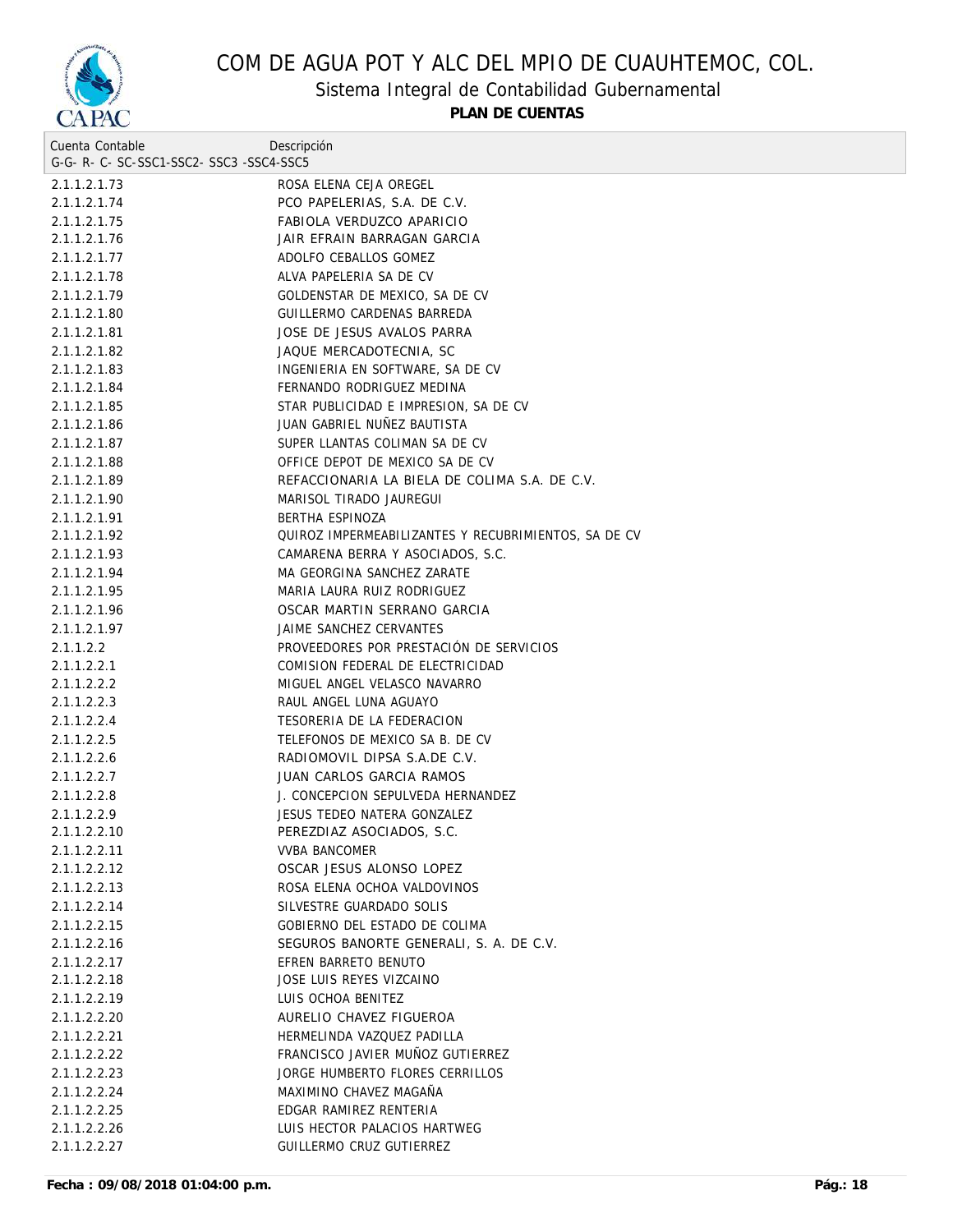

## Sistema Integral de Contabilidad Gubernamental

| Cuenta Contable                     | Descripción                                          |  |
|-------------------------------------|------------------------------------------------------|--|
| G-G-R-C-SC-SSC1-SSC2-SSC3-SSC4-SSC5 |                                                      |  |
| 2.1.1.2.1.73                        | ROSA ELENA CEJA OREGEL                               |  |
| 2.1.1.2.1.74                        | PCO PAPELERIAS, S.A. DE C.V.                         |  |
| 2.1.1.2.1.75                        | FABIOLA VERDUZCO APARICIO                            |  |
| 2.1.1.2.1.76                        | JAIR EFRAIN BARRAGAN GARCIA                          |  |
| 2.1.1.2.1.77                        | ADOLFO CEBALLOS GOMEZ                                |  |
| 2.1.1.2.1.78                        | ALVA PAPELERIA SA DE CV                              |  |
| 2.1.1.2.1.79                        | GOLDENSTAR DE MEXICO, SA DE CV                       |  |
| 2.1.1.2.1.80                        | GUILLERMO CARDENAS BARREDA                           |  |
| 2.1.1.2.1.81                        | JOSE DE JESUS AVALOS PARRA                           |  |
| 2.1.1.2.1.82                        | JAQUE MERCADOTECNIA, SC                              |  |
| 2.1.1.2.1.83                        | INGENIERIA EN SOFTWARE, SA DE CV                     |  |
| 2.1.1.2.1.84                        | FERNANDO RODRIGUEZ MEDINA                            |  |
| 2.1.1.2.1.85                        | STAR PUBLICIDAD E IMPRESION, SA DE CV                |  |
| 2.1.1.2.1.86                        | JUAN GABRIEL NUÑEZ BAUTISTA                          |  |
| 2.1.1.2.1.87                        | SUPER LLANTAS COLIMAN SA DE CV                       |  |
| 2.1.1.2.1.88                        | OFFICE DEPOT DE MEXICO SA DE CV                      |  |
| 2.1.1.2.1.89                        | REFACCIONARIA LA BIELA DE COLIMA S.A. DE C.V.        |  |
| 2.1.1.2.1.90                        | MARISOL TIRADO JAUREGUI                              |  |
| 2.1.1.2.1.91                        | BERTHA ESPINOZA                                      |  |
| 2.1.1.2.1.92                        | QUIROZ IMPERMEABILIZANTES Y RECUBRIMIENTOS, SA DE CV |  |
| 2.1.1.2.1.93                        | CAMARENA BERRA Y ASOCIADOS, S.C.                     |  |
| 2.1.1.2.1.94                        | MA GEORGINA SANCHEZ ZARATE                           |  |
| 2.1.1.2.1.95                        | MARIA LAURA RUIZ RODRIGUEZ                           |  |
| 2.1.1.2.1.96                        | OSCAR MARTIN SERRANO GARCIA                          |  |
| 2.1.1.2.1.97                        | JAIME SANCHEZ CERVANTES                              |  |
| 2.1.1.2.2                           | PROVEEDORES POR PRESTACIÓN DE SERVICIOS              |  |
| 2.1.1.2.2.1                         | COMISION FEDERAL DE ELECTRICIDAD                     |  |
| 2.1.1.2.2.2                         | MIGUEL ANGEL VELASCO NAVARRO                         |  |
| 2.1.1.2.2.3                         | RAUL ANGEL LUNA AGUAYO                               |  |
| 2.1.1.2.2.4                         | TESORERIA DE LA FEDERACION                           |  |
| 2.1.1.2.2.5                         | TELEFONOS DE MEXICO SA B. DE CV                      |  |
| 2.1.1.2.2.6                         | RADIOMOVIL DIPSA S.A.DE C.V.                         |  |
| 2.1.1.2.2.7                         | JUAN CARLOS GARCIA RAMOS                             |  |
| 2.1.1.2.2.8                         | J. CONCEPCION SEPULVEDA HERNANDEZ                    |  |
| 2.1.1.2.2.9                         | JESUS TEDEO NATERA GONZALEZ                          |  |
| 2.1.1.2.2.10                        | PEREZDIAZ ASOCIADOS, S.C.                            |  |
| 2.1.1.2.2.11                        | <b>VVBA BANCOMER</b>                                 |  |
| 2.1.1.2.2.12                        | OSCAR JESUS ALONSO LOPEZ                             |  |
| 2.1.1.2.2.13                        | ROSA ELENA OCHOA VALDOVINOS                          |  |
| 2.1.1.2.2.14                        | SILVESTRE GUARDADO SOLIS                             |  |
| 2.1.1.2.2.15                        | GOBIERNO DEL ESTADO DE COLIMA                        |  |
| 2.1.1.2.2.16                        | SEGUROS BANORTE GENERALI, S. A. DE C.V.              |  |
| 2.1.1.2.2.17                        | EFREN BARRETO BENUTO                                 |  |
| 2.1.1.2.2.18                        | JOSE LUIS REYES VIZCAINO                             |  |
| 2.1.1.2.2.19                        | LUIS OCHOA BENITEZ                                   |  |
| 2.1.1.2.2.20                        | AURELIO CHAVEZ FIGUEROA                              |  |
| 2.1.1.2.2.21                        | HERMELINDA VAZQUEZ PADILLA                           |  |
| 2.1.1.2.2.22                        | FRANCISCO JAVIER MUÑOZ GUTIERREZ                     |  |
| 2.1.1.2.2.23                        | JORGE HUMBERTO FLORES CERRILLOS                      |  |
| 2.1.1.2.2.24                        | MAXIMINO CHAVEZ MAGAÑA                               |  |
| 2.1.1.2.2.25                        | EDGAR RAMIREZ RENTERIA                               |  |
| 2.1.1.2.2.26                        | LUIS HECTOR PALACIOS HARTWEG                         |  |
| 2.1.1.2.2.27                        | GUILLERMO CRUZ GUTIERREZ                             |  |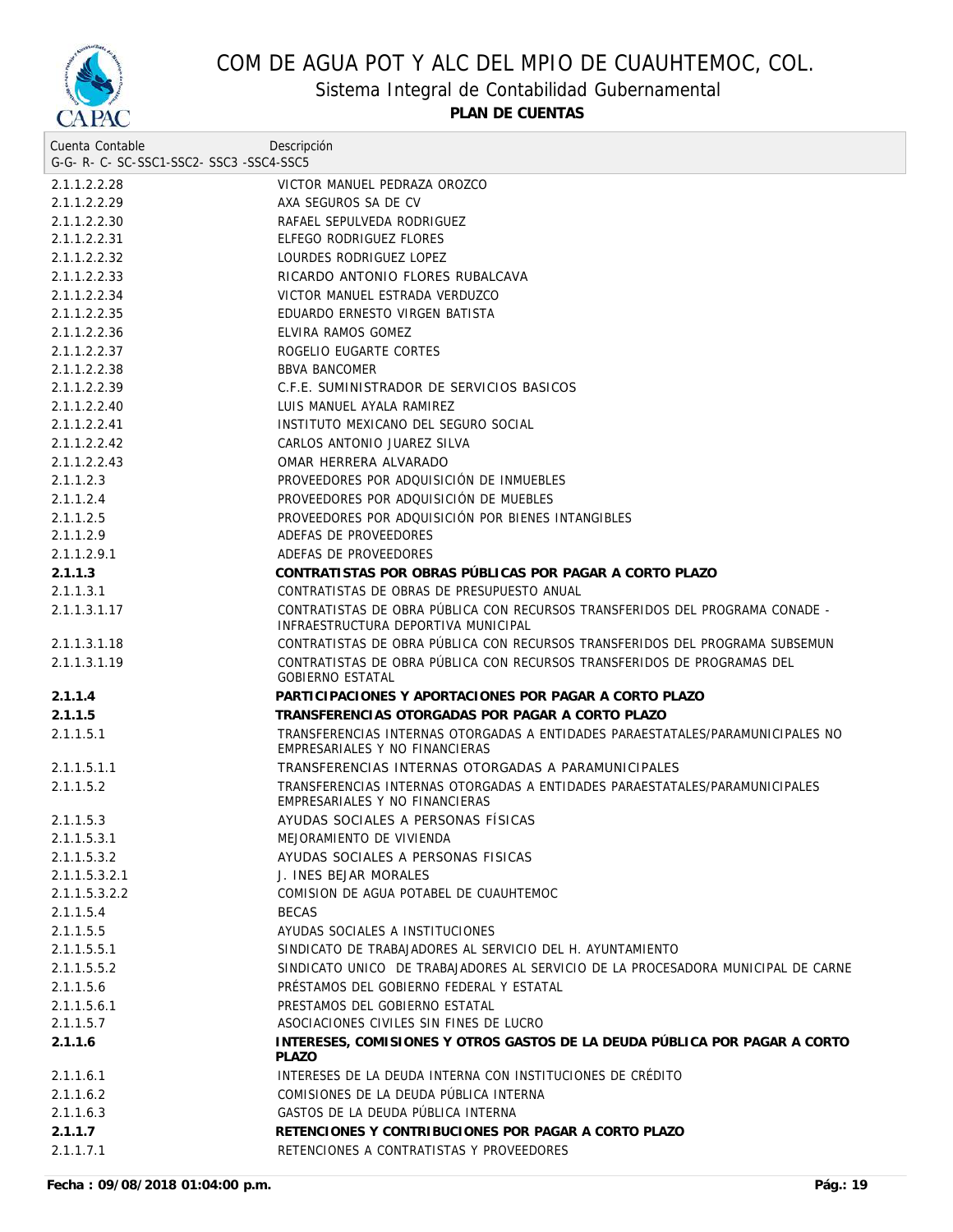

Sistema Integral de Contabilidad Gubernamental

| Cuenta Contable                     | Descripción                                                                                                         |
|-------------------------------------|---------------------------------------------------------------------------------------------------------------------|
| G-G-R-C-SC-SSC1-SSC2-SSC3-SSC4-SSC5 |                                                                                                                     |
| 2.1.1.2.2.28                        | VICTOR MANUEL PEDRAZA OROZCO                                                                                        |
| 2.1.1.2.2.29                        | AXA SEGUROS SA DE CV                                                                                                |
| 2.1.1.2.2.30                        | RAFAEL SEPULVEDA RODRIGUEZ                                                                                          |
| 2.1.1.2.2.31                        | ELFEGO RODRIGUEZ FLORES                                                                                             |
| 2.1.1.2.2.32                        | LOURDES RODRIGUEZ LOPEZ                                                                                             |
| 2.1.1.2.2.33                        | RICARDO ANTONIO FLORES RUBALCAVA                                                                                    |
| 2.1.1.2.2.34                        | VICTOR MANUEL ESTRADA VERDUZCO                                                                                      |
| 2.1.1.2.2.35                        | EDUARDO ERNESTO VIRGEN BATISTA                                                                                      |
| 2.1.1.2.2.36                        | ELVIRA RAMOS GOMEZ                                                                                                  |
| 2.1.1.2.2.37                        | ROGELIO EUGARTE CORTES                                                                                              |
| 2.1.1.2.2.38                        | <b>BBVA BANCOMER</b>                                                                                                |
| 2.1.1.2.2.39                        | C.F.E. SUMINISTRADOR DE SERVICIOS BASICOS                                                                           |
| 2.1.1.2.2.40                        | LUIS MANUEL AYALA RAMIREZ                                                                                           |
| 2.1.1.2.2.41                        | INSTITUTO MEXICANO DEL SEGURO SOCIAL                                                                                |
| 2.1.1.2.2.42                        | CARLOS ANTONIO JUAREZ SILVA                                                                                         |
| 2.1.1.2.2.43                        | OMAR HERRERA ALVARADO                                                                                               |
| 2.1.1.2.3                           | PROVEEDORES POR ADOUISICIÓN DE INMUEBLES                                                                            |
| 2.1.1.2.4                           | PROVEEDORES POR ADQUISICIÓN DE MUEBLES                                                                              |
| 2.1.1.2.5                           | PROVEEDORES POR ADQUISICIÓN POR BIENES INTANGIBLES                                                                  |
| 2.1.1.2.9                           | ADEFAS DE PROVEEDORES                                                                                               |
| 2.1.1.2.9.1                         | ADEFAS DE PROVEEDORES                                                                                               |
| 2.1.1.3                             | CONTRATISTAS POR OBRAS PÚBLICAS POR PAGAR A CORTO PLAZO                                                             |
| 2.1.1.3.1                           | CONTRATISTAS DE OBRAS DE PRESUPUESTO ANUAL                                                                          |
| 2.1.1.3.1.17                        | CONTRATISTAS DE OBRA PÚBLICA CON RECURSOS TRANSFERIDOS DEL PROGRAMA CONADE -<br>INFRAESTRUCTURA DEPORTIVA MUNICIPAL |
| 2.1.1.3.1.18                        | CONTRATISTAS DE OBRA PÚBLICA CON RECURSOS TRANSFERIDOS DEL PROGRAMA SUBSEMUN                                        |
| 2.1.1.3.1.19                        | CONTRATISTAS DE OBRA PÚBLICA CON RECURSOS TRANSFERIDOS DE PROGRAMAS DEL<br><b>GOBIERNO ESTATAL</b>                  |
| 2.1.1.4                             | PARTICIPACIONES Y APORTACIONES POR PAGAR A CORTO PLAZO                                                              |
| 2.1.1.5                             | TRANSFERENCIAS OTORGADAS POR PAGAR A CORTO PLAZO                                                                    |
| 2.1.1.5.1                           | TRANSFERENCIAS INTERNAS OTORGADAS A ENTIDADES PARAESTATALES/PARAMUNICIPALES NO<br>EMPRESARIALES Y NO FINANCIERAS    |
| 2.1.1.5.1.1                         | TRANSFERENCIAS INTERNAS OTORGADAS A PARAMUNICIPALES                                                                 |
| 2.1.1.5.2                           | TRANSFERENCIAS INTERNAS OTORGADAS A ENTIDADES PARAESTATALES/PARAMUNICIPALES<br>EMPRESARIALES Y NO FINANCIERAS       |
| 2.1.1.5.3                           | AYUDAS SOCIALES A PERSONAS FÍSICAS                                                                                  |
| 2.1.1.5.3.1                         | MEJORAMIENTO DE VIVIENDA                                                                                            |
| 2.1.1.5.3.2                         | AYUDAS SOCIALES A PERSONAS FISICAS                                                                                  |
| 2.1.1.5.3.2.1                       | J. INES BEJAR MORALES                                                                                               |
| 2.1.1.5.3.2.2                       | COMISION DE AGUA POTABEL DE CUAUHTEMOC                                                                              |
| 2.1.1.5.4                           | <b>BECAS</b>                                                                                                        |
| 2.1.1.5.5                           | AYUDAS SOCIALES A INSTITUCIONES                                                                                     |
| 2.1.1.5.5.1                         | SINDICATO DE TRABAJADORES AL SERVICIO DEL H. AYUNTAMIENTO                                                           |
| 2.1.1.5.5.2                         | SINDICATO UNICO DE TRABAJADORES AL SERVICIO DE LA PROCESADORA MUNICIPAL DE CARNE                                    |
| 2.1.1.5.6                           | PRÉSTAMOS DEL GOBIERNO FEDERAL Y ESTATAL                                                                            |
| 2.1.1.5.6.1                         | PRESTAMOS DEL GOBIERNO ESTATAL                                                                                      |
| 2.1.1.5.7                           | ASOCIACIONES CIVILES SIN FINES DE LUCRO                                                                             |
| 2.1.1.6                             | INTERESES, COMISIONES Y OTROS GASTOS DE LA DEUDA PÚBLICA POR PAGAR A CORTO<br><b>PLAZO</b>                          |
| 2.1.1.6.1                           | INTERESES DE LA DEUDA INTERNA CON INSTITUCIONES DE CRÉDITO                                                          |
| 2.1.1.6.2                           | COMISIONES DE LA DEUDA PÚBLICA INTERNA                                                                              |
| 2.1.1.6.3                           | GASTOS DE LA DEUDA PÚBLICA INTERNA                                                                                  |
| 2.1.1.7                             | RETENCIONES Y CONTRIBUCIONES POR PAGAR A CORTO PLAZO                                                                |
| 2.1.1.7.1                           | RETENCIONES A CONTRATISTAS Y PROVEEDORES                                                                            |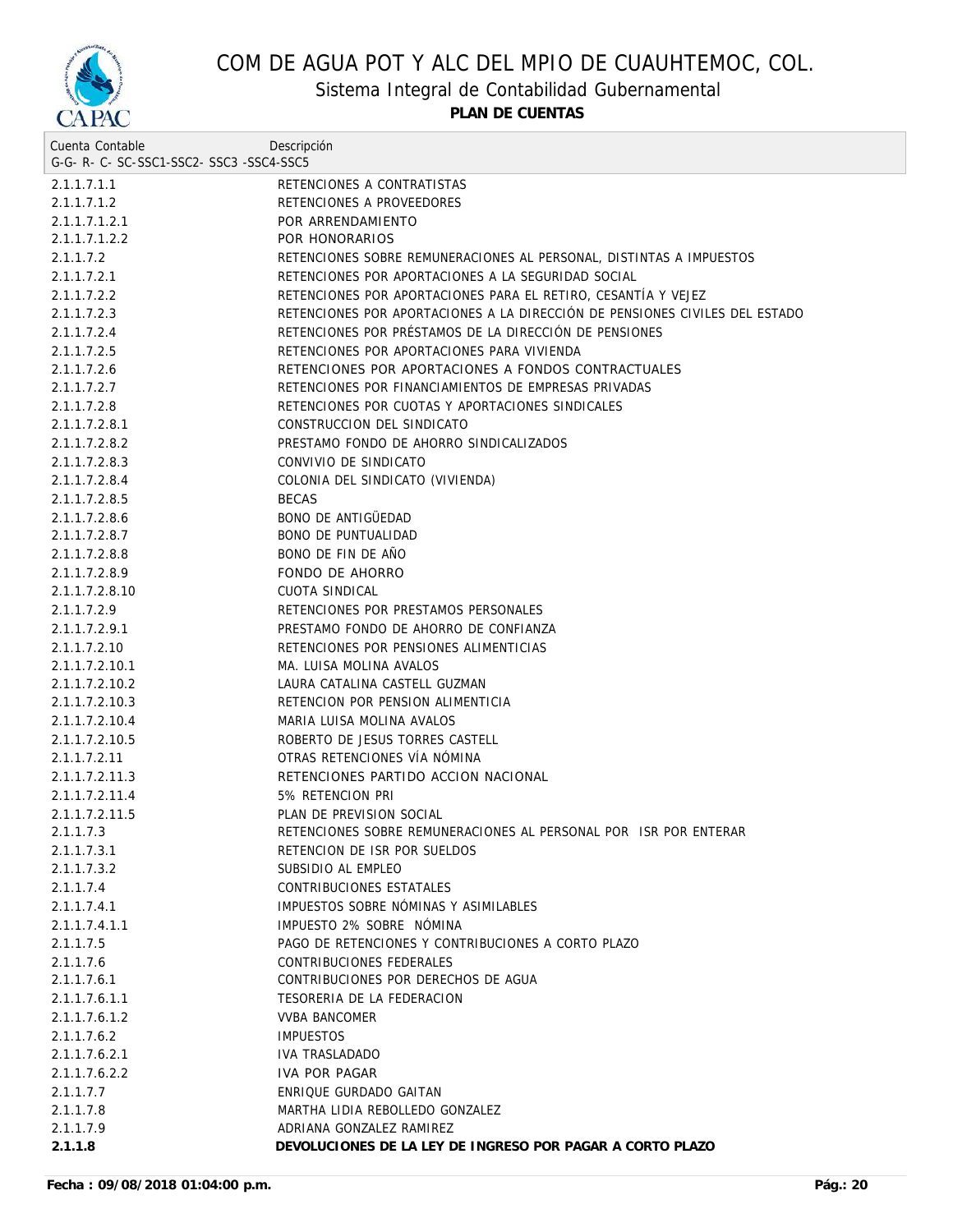

Sistema Integral de Contabilidad Gubernamental

| Cuenta Contable                     | Descripción                                                                 |
|-------------------------------------|-----------------------------------------------------------------------------|
| G-G-R-C-SC-SSC1-SSC2-SSC3-SSC4-SSC5 |                                                                             |
| 2.1.1.7.1.1                         | RETENCIONES A CONTRATISTAS                                                  |
| 2.1.1.7.1.2                         | RETENCIONES A PROVEEDORES                                                   |
| 2.1.1.7.1.2.1                       | POR ARRENDAMIENTO                                                           |
| 2.1.1.7.1.2.2                       | POR HONORARIOS                                                              |
| 2.1.1.7.2                           | RETENCIONES SOBRE REMUNERACIONES AL PERSONAL, DISTINTAS A IMPUESTOS         |
| 2.1.1.7.2.1                         | RETENCIONES POR APORTACIONES A LA SEGURIDAD SOCIAL                          |
| 2.1.1.7.2.2                         | RETENCIONES POR APORTACIONES PARA EL RETIRO, CESANTÍA Y VEJEZ               |
| 2.1.1.7.2.3                         | RETENCIONES POR APORTACIONES A LA DIRECCIÓN DE PENSIONES CIVILES DEL ESTADO |
| 2.1.1.7.2.4                         | RETENCIONES POR PRÉSTAMOS DE LA DIRECCIÓN DE PENSIONES                      |
| 2.1.1.7.2.5                         | RETENCIONES POR APORTACIONES PARA VIVIENDA                                  |
| 2.1.1.7.2.6                         | RETENCIONES POR APORTACIONES A FONDOS CONTRACTUALES                         |
| 2.1.1.7.2.7                         | RETENCIONES POR FINANCIAMIENTOS DE EMPRESAS PRIVADAS                        |
| 2.1.1.7.2.8                         | RETENCIONES POR CUOTAS Y APORTACIONES SINDICALES                            |
| 2.1.1.7.2.8.1                       | CONSTRUCCION DEL SINDICATO                                                  |
| 2.1.1.7.2.8.2                       | PRESTAMO FONDO DE AHORRO SINDICALIZADOS                                     |
| 2.1.1.7.2.8.3                       | CONVIVIO DE SINDICATO                                                       |
| 2.1.1.7.2.8.4                       | COLONIA DEL SINDICATO (VIVIENDA)                                            |
| 2.1.1.7.2.8.5                       | <b>BECAS</b>                                                                |
| 2.1.1.7.2.8.6                       | <b>BONO DE ANTIGÜEDAD</b>                                                   |
| 2.1.1.7.2.8.7                       | <b>BONO DE PUNTUALIDAD</b>                                                  |
| 2.1.1.7.2.8.8                       | BONO DE FIN DE AÑO                                                          |
| 2.1.1.7.2.8.9                       | <b>FONDO DE AHORRO</b>                                                      |
| 2.1.1.7.2.8.10                      | CUOTA SINDICAL                                                              |
| 2.1.1.7.2.9                         | RETENCIONES POR PRESTAMOS PERSONALES                                        |
| 2.1.1.7.2.9.1                       | PRESTAMO FONDO DE AHORRO DE CONFIANZA                                       |
| 2.1.1.7.2.10                        | RETENCIONES POR PENSIONES ALIMENTICIAS                                      |
| 2.1.1.7.2.10.1                      | MA. LUISA MOLINA AVALOS                                                     |
| 2.1.1.7.2.10.2                      | LAURA CATALINA CASTELL GUZMAN                                               |
| 2.1.1.7.2.10.3                      | RETENCION POR PENSION ALIMENTICIA                                           |
| 2.1.1.7.2.10.4                      | MARIA LUISA MOLINA AVALOS                                                   |
| 2.1.1.7.2.10.5                      | ROBERTO DE JESUS TORRES CASTELL                                             |
| 2.1.1.7.2.11                        | OTRAS RETENCIONES VÍA NÓMINA                                                |
| 2.1.1.7.2.11.3                      | RETENCIONES PARTIDO ACCION NACIONAL                                         |
| 2.1.1.7.2.11.4                      | 5% RETENCION PRI                                                            |
| 2.1.1.7.2.11.5                      | PLAN DE PREVISION SOCIAL                                                    |
| 2.1.1.7.3                           | RETENCIONES SOBRE REMUNERACIONES AL PERSONAL POR ISR POR ENTERAR            |
| 2.1.1.7.3.1                         | RETENCION DE ISR POR SUELDOS                                                |
| 2.1.1.7.3.2                         | SUBSIDIO AL EMPLEO                                                          |
| 2.1.1.7.4                           | CONTRIBUCIONES ESTATALES                                                    |
| 2.1.1.7.4.1                         | IMPUESTOS SOBRE NOMINAS Y ASIMILABLES                                       |
| 2.1.1.7.4.1.1                       | IMPUESTO 2% SOBRE NOMINA                                                    |
| 2.1.1.7.5                           | PAGO DE RETENCIONES Y CONTRIBUCIONES A CORTO PLAZO                          |
| 2.1.1.7.6                           | CONTRIBUCIONES FEDERALES                                                    |
| 2.1.1.7.6.1                         | CONTRIBUCIONES POR DERECHOS DE AGUA                                         |
| 2.1.1.7.6.1.1                       | TESORERIA DE LA FEDERACION                                                  |
| 2.1.1.7.6.1.2                       | <b>VVBA BANCOMER</b>                                                        |
| 2.1.1.7.6.2                         | <b>IMPUESTOS</b>                                                            |
| 2.1.1.7.6.2.1                       | <b>IVA TRASLADADO</b>                                                       |
| 2.1.1.7.6.2.2                       | IVA POR PAGAR                                                               |
| 2.1.1.7.7                           | ENRIQUE GURDADO GAITAN                                                      |
| 2.1.1.7.8                           | MARTHA LIDIA REBOLLEDO GONZALEZ                                             |
| 2.1.1.7.9                           | ADRIANA GONZALEZ RAMIREZ                                                    |
| 2.1.1.8                             | DEVOLUCIONES DE LA LEY DE INGRESO POR PAGAR A CORTO PLAZO                   |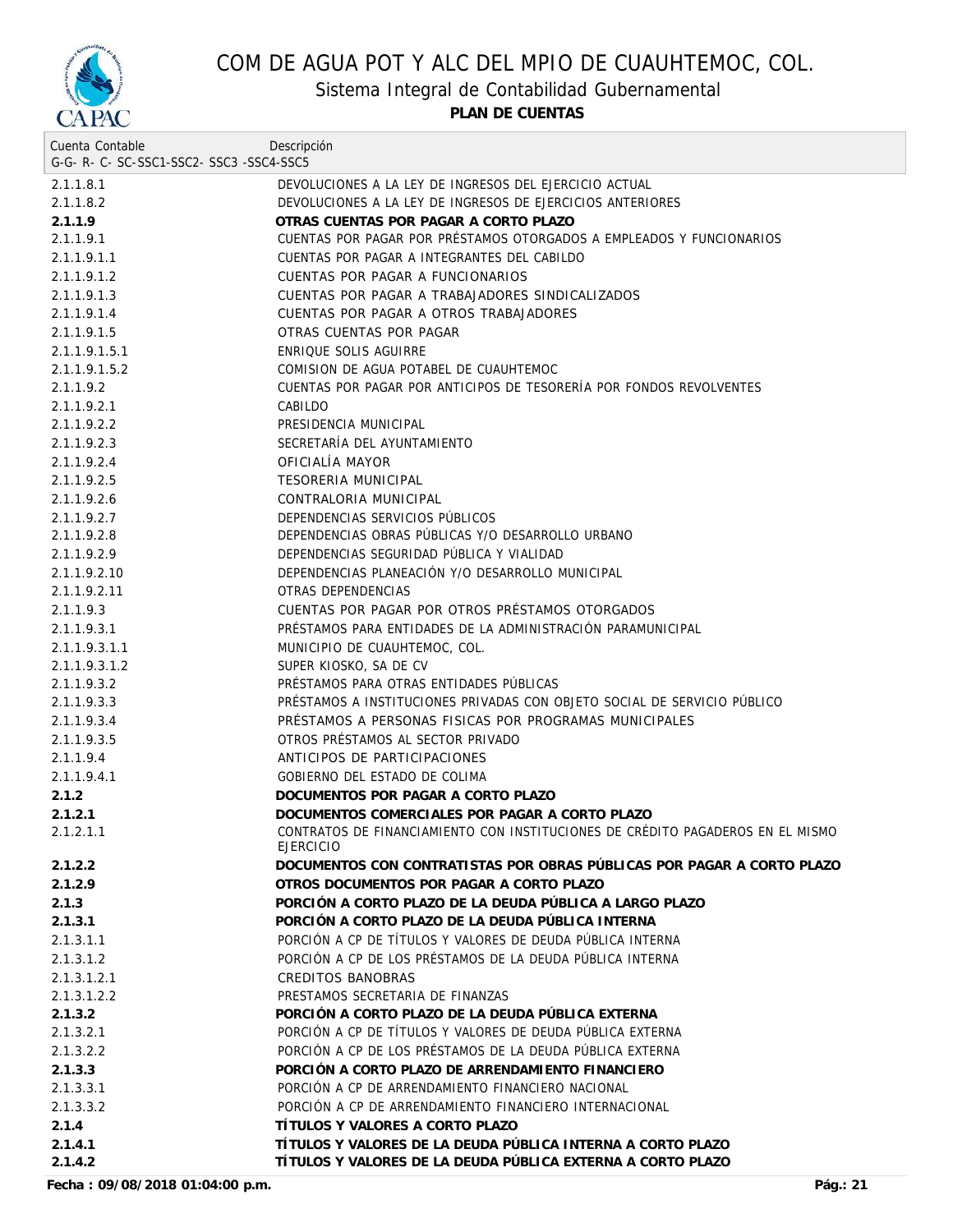

Sistema Integral de Contabilidad Gubernamental

**PLAN DE CUENTAS**

| Cuenta Contable                     | Descripción                                                                                        |
|-------------------------------------|----------------------------------------------------------------------------------------------------|
| G-G-R-C-SC-SSC1-SSC2-SSC3-SSC4-SSC5 |                                                                                                    |
| 2.1.1.8.1                           | DEVOLUCIONES A LA LEY DE INGRESOS DEL EJERCICIO ACTUAL                                             |
| 2.1.1.8.2                           | DEVOLUCIONES A LA LEY DE INGRESOS DE EJERCICIOS ANTERIORES                                         |
| 2.1.1.9                             | OTRAS CUENTAS POR PAGAR A CORTO PLAZO                                                              |
| 2.1.1.9.1                           | CUENTAS POR PAGAR POR PRÉSTAMOS OTORGADOS A EMPLEADOS Y FUNCIONARIOS                               |
| 2.1.1.9.1.1                         | CUENTAS POR PAGAR A INTEGRANTES DEL CABILDO                                                        |
| 2.1.1.9.1.2                         | CUENTAS POR PAGAR A FUNCIONARIOS                                                                   |
| 2.1.1.9.1.3                         | CUENTAS POR PAGAR A TRABAJADORES SINDICALIZADOS                                                    |
| 2.1.1.9.1.4                         | CUENTAS POR PAGAR A OTROS TRABAJADORES                                                             |
| 2.1.1.9.1.5                         | OTRAS CUENTAS POR PAGAR                                                                            |
| 2.1.1.9.1.5.1                       | ENRIOUE SOLIS AGUIRRE                                                                              |
| 2.1.1.9.1.5.2                       | COMISION DE AGUA POTABEL DE CUAUHTEMOC                                                             |
| 2.1.1.9.2                           | CUENTAS POR PAGAR POR ANTICIPOS DE TESORERÍA POR FONDOS REVOLVENTES                                |
| 2.1.1.9.2.1                         | CABILDO                                                                                            |
| 2.1.1.9.2.2                         | PRESIDENCIA MUNICIPAL                                                                              |
| 2.1.1.9.2.3                         | SECRETARÍA DEL AYUNTAMIENTO                                                                        |
| 2.1.1.9.2.4                         | OFICIALÍA MAYOR                                                                                    |
| 2.1.1.9.2.5                         | <b>TESORERIA MUNICIPAL</b>                                                                         |
| 2.1.1.9.2.6                         | CONTRALORIA MUNICIPAL                                                                              |
| 2.1.1.9.2.7                         | DEPENDENCIAS SERVICIOS PÚBLICOS                                                                    |
| 2.1.1.9.2.8                         | DEPENDENCIAS OBRAS PÚBLICAS Y/O DESARROLLO URBANO                                                  |
| 2.1.1.9.2.9                         | DEPENDENCIAS SEGURIDAD PUBLICA Y VIALIDAD                                                          |
| 2.1.1.9.2.10                        | DEPENDENCIAS PLANEACIÓN Y/O DESARROLLO MUNICIPAL                                                   |
| 2.1.1.9.2.11                        | OTRAS DEPENDENCIAS                                                                                 |
| 2.1.1.9.3                           | CUENTAS POR PAGAR POR OTROS PRÉSTAMOS OTORGADOS                                                    |
| 2.1.1.9.3.1                         | PRÉSTAMOS PARA ENTIDADES DE LA ADMINISTRACIÓN PARAMUNICIPAL                                        |
| 2.1.1.9.3.1.1                       | MUNICIPIO DE CUAUHTEMOC, COL.                                                                      |
| 2.1.1.9.3.1.2                       | SUPER KIOSKO, SA DE CV                                                                             |
| 2.1.1.9.3.2                         | PRÉSTAMOS PARA OTRAS ENTIDADES PÚBLICAS                                                            |
| 2.1.1.9.3.3                         | PRÉSTAMOS A INSTITUCIONES PRIVADAS CON OBJETO SOCIAL DE SERVICIO PÚBLICO                           |
| 2.1.1.9.3.4                         | PRÉSTAMOS A PERSONAS FISICAS POR PROGRAMAS MUNICIPALES                                             |
| 2.1.1.9.3.5                         | OTROS PRÉSTAMOS AL SECTOR PRIVADO                                                                  |
| 2.1.1.9.4                           | ANTICIPOS DE PARTICIPACIONES                                                                       |
| 2.1.1.9.4.1                         | GOBIERNO DEL ESTADO DE COLIMA                                                                      |
| 2.1.2                               | DOCUMENTOS POR PAGAR A CORTO PLAZO                                                                 |
| 2.1.2.1                             | DOCUMENTOS COMERCIALES POR PAGAR A CORTO PLAZO                                                     |
| 2.1.2.1.1                           | CONTRATOS DE FINANCIAMIENTO CON INSTITUCIONES DE CRÉDITO PAGADEROS EN EL MISMO<br><b>EJERCICIO</b> |
| 2.1.2.2                             | DOCUMENTOS CON CONTRATISTAS POR OBRAS PÚBLICAS POR PAGAR A CORTO PLAZO                             |
| 2.1.2.9                             | OTROS DOCUMENTOS POR PAGAR A CORTO PLAZO                                                           |
| 2.1.3                               | PORCIÓN A CORTO PLAZO DE LA DEUDA PÚBLICA A LARGO PLAZO                                            |
| 2.1.3.1                             | PORCIÓN A CORTO PLAZO DE LA DEUDA PÚBLICA INTERNA                                                  |
| 2.1.3.1.1                           | PORCIÓN A CP DE TÍTULOS Y VALORES DE DEUDA PÚBLICA INTERNA                                         |
| 2.1.3.1.2                           | PORCIÓN A CP DE LOS PRÉSTAMOS DE LA DEUDA PÚBLICA INTERNA                                          |
| 2.1.3.1.2.1                         | <b>CREDITOS BANOBRAS</b>                                                                           |
| 2.1.3.1.2.2                         | PRESTAMOS SECRETARIA DE FINANZAS                                                                   |
| 2.1.3.2                             | PORCIÓN A CORTO PLAZO DE LA DEUDA PÚBLICA EXTERNA                                                  |
| 2.1.3.2.1                           | PORCIÓN A CP DE TÍTULOS Y VALORES DE DEUDA PÚBLICA EXTERNA                                         |
| 2.1.3.2.2                           | PORCIÓN A CP DE LOS PRÉSTAMOS DE LA DEUDA PÚBLICA EXTERNA                                          |
| 2.1.3.3                             | PORCIÓN A CORTO PLAZO DE ARRENDAMIENTO FINANCIERO                                                  |
| 2.1.3.3.1                           | PORCIÓN A CP DE ARRENDAMIENTO FINANCIERO NACIONAL                                                  |
| 2.1.3.3.2                           | PORCIÓN A CP DE ARRENDAMIENTO FINANCIERO INTERNACIONAL                                             |
| 2.1.4                               | TÍTULOS Y VALORES A CORTO PLAZO                                                                    |
| 2.1.4.1                             | TÍTULOS Y VALORES DE LA DEUDA PÚBLICA INTERNA A CORTO PLAZO                                        |
| 2.1.4.2                             | TÍTULOS Y VALORES DE LA DEUDA PÚBLICA EXTERNA A CORTO PLAZO                                        |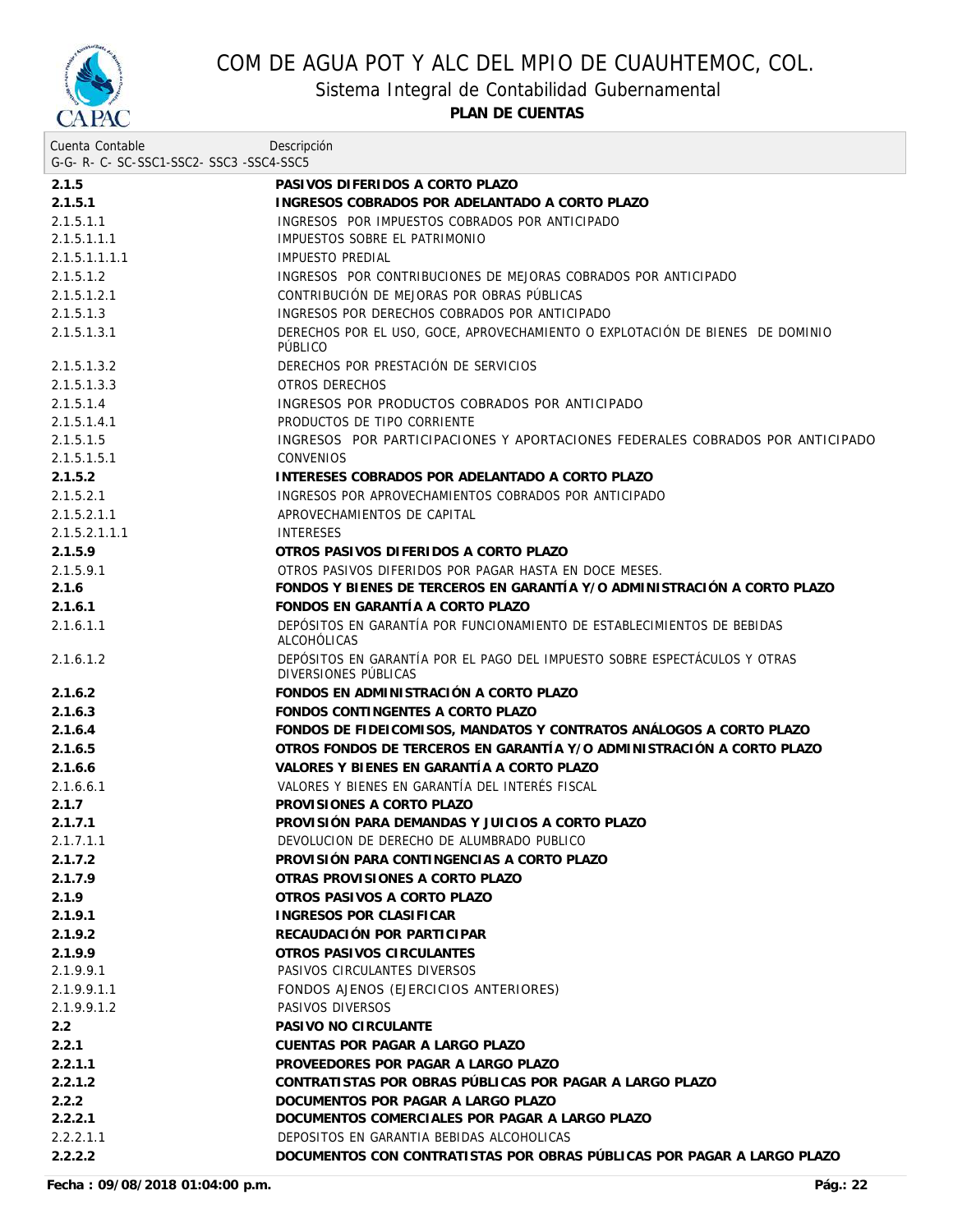

Sistema Integral de Contabilidad Gubernamental

| Cuenta Contable                     | Descripción                                                                                       |
|-------------------------------------|---------------------------------------------------------------------------------------------------|
| G-G-R-C-SC-SSC1-SSC2-SSC3-SSC4-SSC5 |                                                                                                   |
| 2.1.5                               | PASIVOS DIFERIDOS A CORTO PLAZO                                                                   |
| 2.1.5.1                             | INGRESOS COBRADOS POR ADELANTADO A CORTO PLAZO                                                    |
| 2.1.5.1.1                           | INGRESOS POR IMPUESTOS COBRADOS POR ANTICIPADO                                                    |
| 2.1.5.1.1.1                         | IMPUESTOS SOBRE EL PATRIMONIO                                                                     |
| 2.1.5.1.1.1.1                       | <b>IMPUESTO PREDIAL</b>                                                                           |
| 2.1.5.1.2                           | INGRESOS POR CONTRIBUCIONES DE MEJORAS COBRADOS POR ANTICIPADO                                    |
| 2.1.5.1.2.1                         | CONTRIBUCIÓN DE MEJORAS POR OBRAS PÚBLICAS                                                        |
| 2.1.5.1.3                           | INGRESOS POR DERECHOS COBRADOS POR ANTICIPADO                                                     |
| 2.1.5.1.3.1                         | DERECHOS POR EL USO, GOCE, APROVECHAMIENTO O EXPLOTACIÓN DE BIENES DE DOMINIO<br>PÚBLICO          |
| 2.1.5.1.3.2                         | DERECHOS POR PRESTACIÓN DE SERVICIOS                                                              |
| 2.1.5.1.3.3                         | <b>OTROS DERECHOS</b>                                                                             |
| 2.1.5.1.4                           | INGRESOS POR PRODUCTOS COBRADOS POR ANTICIPADO                                                    |
| 2.1.5.1.4.1                         | PRODUCTOS DE TIPO CORRIENTE                                                                       |
| 2.1.5.1.5                           | INGRESOS POR PARTICIPACIONES Y APORTACIONES FEDERALES COBRADOS POR ANTICIPADO                     |
| 2.1.5.1.5.1                         | <b>CONVENIOS</b>                                                                                  |
| 2.1.5.2                             | INTERESES COBRADOS POR ADELANTADO A CORTO PLAZO                                                   |
| 2.1.5.2.1                           | INGRESOS POR APROVECHAMIENTOS COBRADOS POR ANTICIPADO                                             |
| 2.1.5.2.1.1                         | APROVECHAMIENTOS DE CAPITAL                                                                       |
| 2.1.5.2.1.1.1                       | <b>INTERESES</b>                                                                                  |
| 2.1.5.9                             | OTROS PASIVOS DIFERIDOS A CORTO PLAZO                                                             |
| 2.1.5.9.1                           | OTROS PASIVOS DIFERIDOS POR PAGAR HASTA EN DOCE MESES.                                            |
| 2.1.6                               | FONDOS Y BIENES DE TERCEROS EN GARANTÍA Y/O ADMINISTRACIÓN A CORTO PLAZO                          |
| 2.1.6.1                             | FONDOS EN GARANTÍA A CORTO PLAZO                                                                  |
| 2.1.6.1.1                           | DEPÓSITOS EN GARANTÍA POR FUNCIONAMIENTO DE ESTABLECIMIENTOS DE BEBIDAS<br>ALCOHOLICAS            |
| 2.1.6.1.2                           | DEPÓSITOS EN GARANTÍA POR EL PAGO DEL IMPUESTO SOBRE ESPECTÁCULOS Y OTRAS<br>DIVERSIONES PÚBLICAS |
| 2.1.6.2                             | FONDOS EN ADMINISTRACIÓN A CORTO PLAZO                                                            |
| 2.1.6.3                             | FONDOS CONTINGENTES A CORTO PLAZO                                                                 |
| 2.1.6.4                             | FONDOS DE FIDEICOMISOS, MANDATOS Y CONTRATOS ANÁLOGOS A CORTO PLAZO                               |
| 2.1.6.5                             | OTROS FONDOS DE TERCEROS EN GARANTÍA Y/O ADMINISTRACIÓN A CORTO PLAZO                             |
| 2.1.6.6                             | VALORES Y BIENES EN GARANTÍA A CORTO PLAZO                                                        |
| 2.1.6.6.1                           | VALORES Y BIENES EN GARANTÍA DEL INTERÉS FISCAL                                                   |
| 2.1.7                               | PROVISIONES A CORTO PLAZO                                                                         |
| 2.1.7.1                             | PROVISIÓN PARA DEMANDAS Y JUICIOS A CORTO PLAZO                                                   |
| 2.1.7.1.1                           | DEVOLUCION DE DERECHO DE ALUMBRADO PUBLICO                                                        |
| 2.1.7.2                             | PROVISIÓN PARA CONTINGENCIAS A CORTO PLAZO                                                        |
| 2.1.7.9                             | OTRAS PROVISIONES A CORTO PLAZO                                                                   |
| 2.1.9                               | OTROS PASIVOS A CORTO PLAZO                                                                       |
| 2.1.9.1                             | INGRESOS POR CLASIFICAR                                                                           |
| 2.1.9.2                             | RECAUDACIÓN POR PARTICIPAR                                                                        |
| 2.1.9.9                             | OTROS PASIVOS CIRCULANTES                                                                         |
| 2.1.9.9.1                           | PASIVOS CIRCULANTES DIVERSOS                                                                      |
|                                     | FONDOS AJENOS (EJERCICIOS ANTERIORES)                                                             |
| 2.1.9.9.1.1                         |                                                                                                   |
| 2.1.9.9.1.2                         | PASIVOS DIVERSOS                                                                                  |
| 2.2                                 | PASIVO NO CIRCULANTE                                                                              |
| 2.2.1                               | CUENTAS POR PAGAR A LARGO PLAZO                                                                   |
| 2.2.1.1                             | PROVEEDORES POR PAGAR A LARGO PLAZO                                                               |
| 2.2.1.2                             | CONTRATISTAS POR OBRAS PÚBLICAS POR PAGAR A LARGO PLAZO                                           |
| 2.2.2                               | DOCUMENTOS POR PAGAR A LARGO PLAZO                                                                |
| 2.2.2.1                             | DOCUMENTOS COMERCIALES POR PAGAR A LARGO PLAZO                                                    |
| 2.2.2.1.1                           | DEPOSITOS EN GARANTIA BEBIDAS ALCOHOLICAS                                                         |
| 2.2.2.2                             | DOCUMENTOS CON CONTRATISTAS POR OBRAS PÚBLICAS POR PAGAR A LARGO PLAZO                            |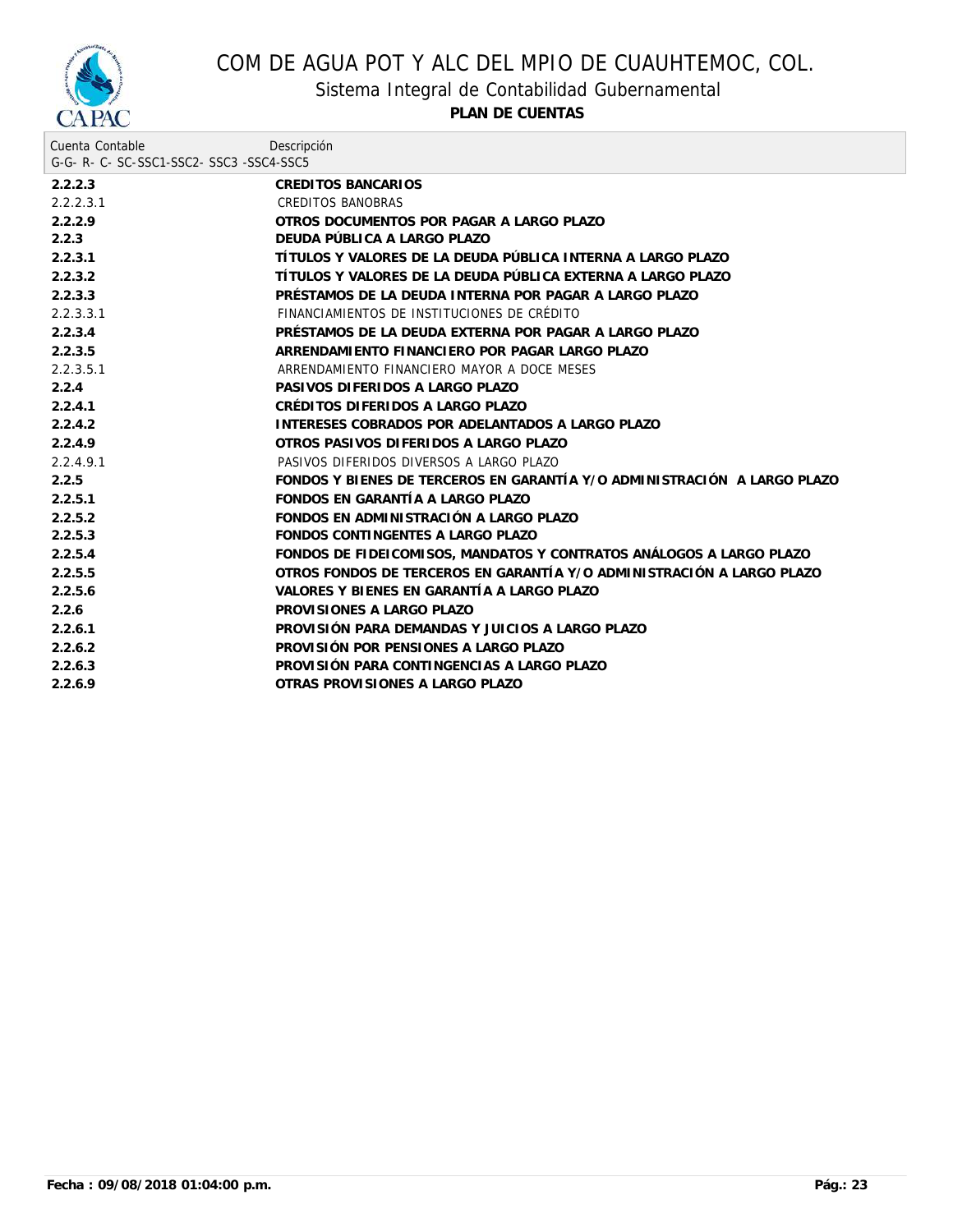

Sistema Integral de Contabilidad Gubernamental

| Cuenta Contable                          | Descripción                                                              |  |
|------------------------------------------|--------------------------------------------------------------------------|--|
| G-G- R- C- SC-SSC1-SSC2- SSC3 -SSC4-SSC5 |                                                                          |  |
| 2.2.2.3                                  | CREDITOS BANCARIOS                                                       |  |
| 2.2.2.3.1                                | <b>CREDITOS BANOBRAS</b>                                                 |  |
| 2.2.2.9                                  | OTROS DOCUMENTOS POR PAGAR A LARGO PLAZO                                 |  |
| 2.2.3                                    | DEUDA PÚBLICA A LARGO PLAZO                                              |  |
| 2.2.3.1                                  | TÍTULOS Y VALORES DE LA DEUDA PÚBLICA INTERNA A LARGO PLAZO              |  |
| 2.2.3.2                                  | TÍTULOS Y VALORES DE LA DEUDA PÚBLICA EXTERNA A LARGO PLAZO              |  |
| 2.2.3.3                                  | PRÉSTAMOS DE LA DEUDA INTERNA POR PAGAR A LARGO PLAZO                    |  |
| 2.2.3.3.1                                | FINANCIAMIENTOS DE INSTITUCIONES DE CRÉDITO                              |  |
| 2.2.3.4                                  | PRÉSTAMOS DE LA DEUDA EXTERNA POR PAGAR A LARGO PLAZO                    |  |
| 2.2.3.5                                  | ARRENDAMIENTO FINANCIERO POR PAGAR LARGO PLAZO                           |  |
| 2.2.3.5.1                                | ARRENDAMIENTO FINANCIERO MAYOR A DOCE MESES                              |  |
| 2.2.4                                    | PASIVOS DIFERIDOS A LARGO PLAZO                                          |  |
| 2.2.4.1                                  | CRÉDITOS DIFERIDOS A LARGO PLAZO                                         |  |
| 2.2.4.2                                  | INTERESES COBRADOS POR ADELANTADOS A LARGO PLAZO                         |  |
| 2.2.4.9                                  | OTROS PASIVOS DIFERIDOS A LARGO PLAZO                                    |  |
| 2.2.4.9.1                                | PASIVOS DIFERIDOS DIVERSOS A LARGO PLAZO                                 |  |
| 2.2.5                                    | FONDOS Y BIENES DE TERCEROS EN GARANTÍA Y/O ADMINISTRACIÓN A LARGO PLAZO |  |
| 2.2.5.1                                  | FONDOS EN GARANTÍA A LARGO PLAZO                                         |  |
| 2.2.5.2                                  | FONDOS EN ADMINISTRACIÓN A LARGO PLAZO                                   |  |
| 2.2.5.3                                  | FONDOS CONTINGENTES A LARGO PLAZO                                        |  |
| 2.2.5.4                                  | FONDOS DE FIDEICOMISOS, MANDATOS Y CONTRATOS ANÁLOGOS A LARGO PLAZO      |  |
| 2.2.5.5                                  | OTROS FONDOS DE TERCEROS EN GARANTÍA Y/O ADMINISTRACIÓN A LARGO PLAZO    |  |
| 2.2.5.6                                  | VALORES Y BIENES EN GARANTÍA A LARGO PLAZO                               |  |
| 2.2.6                                    | PROVISIONES A LARGO PLAZO                                                |  |
| 2.2.6.1                                  | PROVISIÓN PARA DEMANDAS Y JUICIOS A LARGO PLAZO                          |  |
| 2.2.6.2                                  | PROVISIÓN POR PENSIONES A LARGO PLAZO                                    |  |
| 2.2.6.3                                  | PROVISIÓN PARA CONTINGENCIAS A LARGO PLAZO                               |  |
| 2.2.6.9                                  | OTRAS PROVISIONES A LARGO PLAZO                                          |  |
|                                          |                                                                          |  |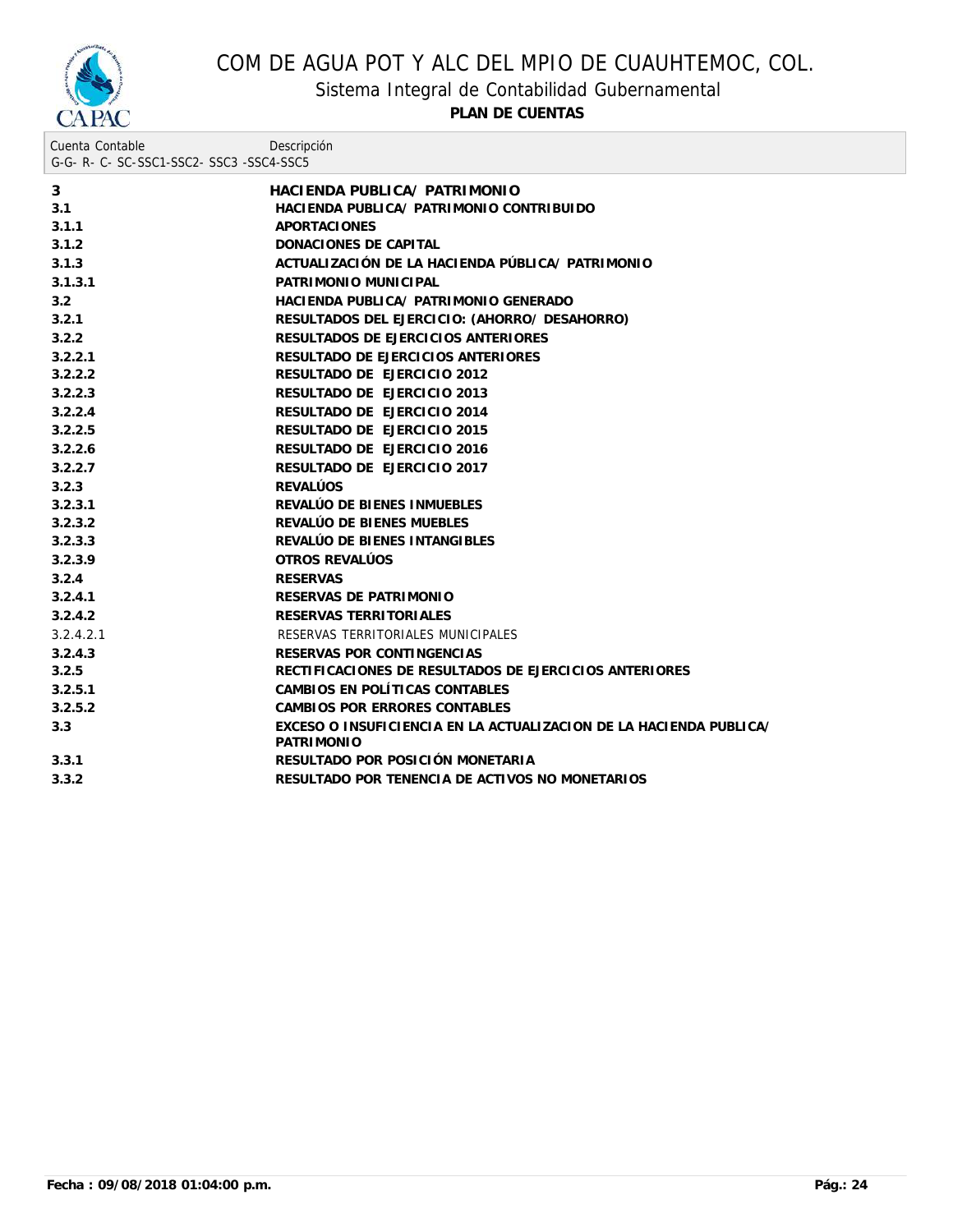

Sistema Integral de Contabilidad Gubernamental

| Cuenta Contable<br>G-G- R- C- SC-SSC1-SSC2- SSC3 -SSC4-SSC5 | Descripción                                                                             |
|-------------------------------------------------------------|-----------------------------------------------------------------------------------------|
| 3                                                           | HACIENDA PUBLICA/ PATRIMONIO                                                            |
| 3.1                                                         | HACIENDA PUBLICA/ PATRIMONIO CONTRIBUIDO                                                |
| 3.1.1                                                       | <b>APORTACIONES</b>                                                                     |
| 3.1.2                                                       | DONACIONES DE CAPITAL                                                                   |
| 3.1.3                                                       | ACTUALIZACIÓN DE LA HACIENDA PÚBLICA/ PATRIMONIO                                        |
| 3.1.3.1                                                     | PATRIMONIO MUNICIPAL                                                                    |
| 3.2                                                         | HACIENDA PUBLICA/ PATRIMONIO GENERADO                                                   |
| 3.2.1                                                       | RESULTADOS DEL EJERCICIO: (AHORRO/ DESAHORRO)                                           |
| 3.2.2                                                       | RESULTADOS DE EJERCICIOS ANTERIORES                                                     |
| 3.2.2.1                                                     | RESULTADO DE EJERCICIOS ANTERIORES                                                      |
| 3.2.2.2                                                     | RESULTADO DE EJERCICIO 2012                                                             |
| 3.2.2.3                                                     | RESULTADO DE EJERCICIO 2013                                                             |
| 3.2.2.4                                                     | RESULTADO DE EJERCICIO 2014                                                             |
| 3.2.2.5                                                     | RESULTADO DE EJERCICIO 2015                                                             |
| 3.2.2.6                                                     | RESULTADO DE EJERCICIO 2016                                                             |
| 3.2.2.7                                                     | RESULTADO DE EJERCICIO 2017                                                             |
| 3.2.3                                                       | <b>REVALÚOS</b>                                                                         |
| 3.2.3.1                                                     | REVALÚO DE BIENES INMUEBLES                                                             |
| 3.2.3.2                                                     | REVALÚO DE BIENES MUEBLES                                                               |
| 3.2.3.3                                                     | REVALÚO DE BIENES INTANGIBLES                                                           |
| 3.2.3.9                                                     | OTROS REVALÚOS                                                                          |
| 3.2.4                                                       | <b>RESERVAS</b>                                                                         |
| 3.2.4.1                                                     | RESERVAS DE PATRIMONIO                                                                  |
| 3.2.4.2                                                     | RESERVAS TERRITORIALES                                                                  |
| 3.2.4.2.1                                                   | RESERVAS TERRITORIALES MUNICIPALES                                                      |
| 3.2.4.3                                                     | RESERVAS POR CONTINGENCIAS                                                              |
| 3.2.5                                                       | RECTIFICACIONES DE RESULTADOS DE EJERCICIOS ANTERIORES                                  |
| 3.2.5.1                                                     | CAMBIOS EN POLÍTICAS CONTABLES                                                          |
| 3.2.5.2                                                     | CAMBIOS POR ERRORES CONTABLES                                                           |
| 3.3                                                         | EXCESO O INSUFICIENCIA EN LA ACTUALIZACION DE LA HACIENDA PUBLICA/<br><b>PATRIMONIO</b> |
| 3.3.1                                                       | RESULTADO POR POSICIÓN MONETARIA                                                        |
| 3.3.2                                                       | RESULTADO POR TENENCIA DE ACTIVOS NO MONETARIOS                                         |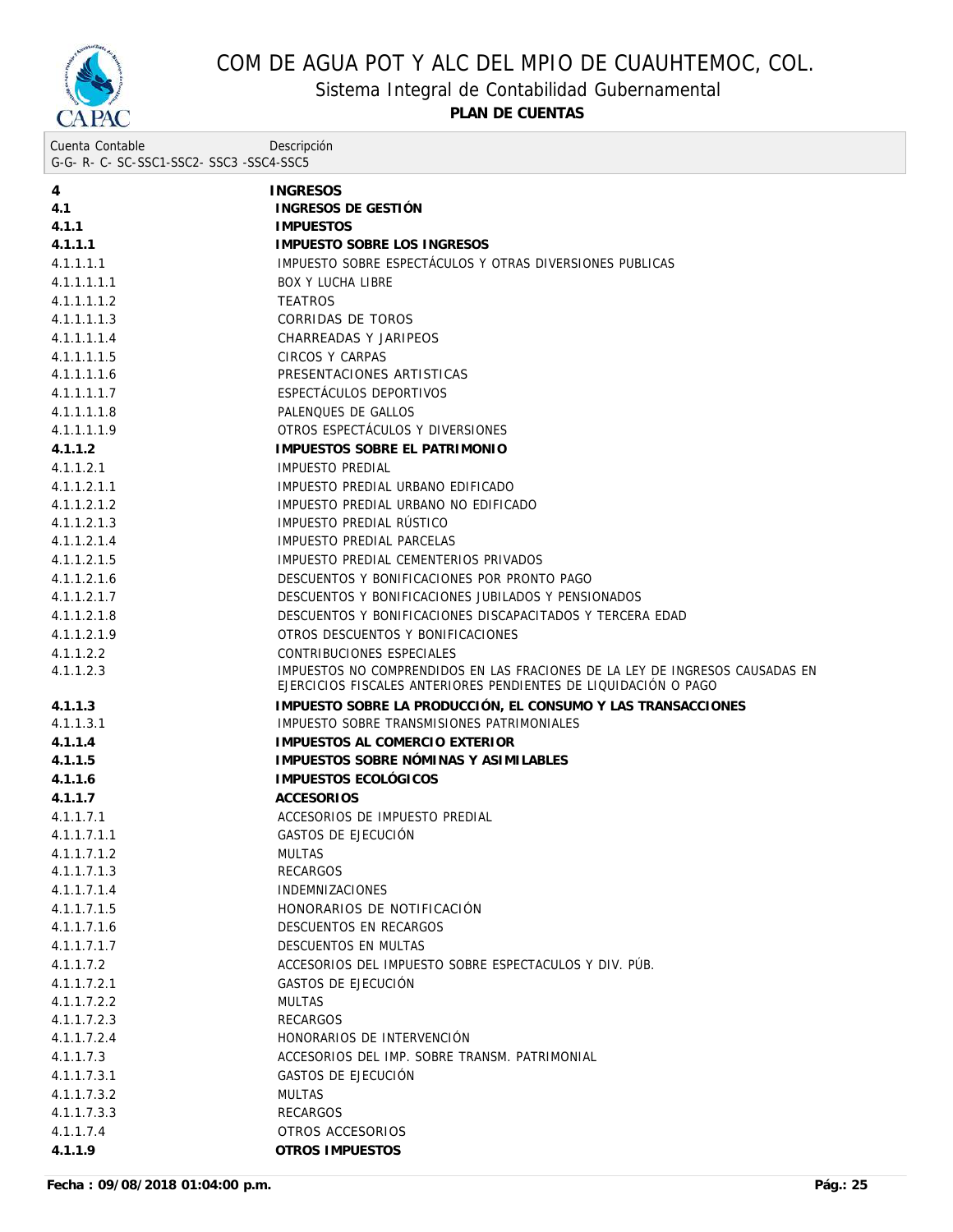

Sistema Integral de Contabilidad Gubernamental

| Cuenta Contable                     | Descripción |
|-------------------------------------|-------------|
| G-G-R-C-SC-SSC1-SSC2-SSC3-SSC4-SSC5 |             |
|                                     |             |

|                            | <b>INGRESOS</b>                                                              |
|----------------------------|------------------------------------------------------------------------------|
| 4<br>4.1                   | INGRESOS DE GESTIÓN                                                          |
| 4.1.1                      | <b>IMPUESTOS</b>                                                             |
| 4.1.1.1                    | IMPUESTO SOBRE LOS INGRESOS                                                  |
| 4.1.1.1.1                  | IMPUESTO SOBRE ESPECTÁCULOS Y OTRAS DIVERSIONES PUBLICAS                     |
| 4.1.1.1.1.1                | <b>BOX Y LUCHA LIBRE</b>                                                     |
| 4.1.1.1.1.2                | <b>TEATROS</b>                                                               |
| 4.1.1.1.1.3                | CORRIDAS DE TOROS                                                            |
|                            |                                                                              |
| 4.1.1.1.1.4                | CHARREADAS Y JARIPEOS<br>CIRCOS Y CARPAS                                     |
| 4.1.1.1.1.5<br>4.1.1.1.1.6 | PRESENTACIONES ARTISTICAS                                                    |
| 4.1.1.1.1.7                | ESPECTACULOS DEPORTIVOS                                                      |
| 4.1.1.1.1.8                | PALENQUES DE GALLOS                                                          |
| 4.1.1.1.1.9                | OTROS ESPECTÁCULOS Y DIVERSIONES                                             |
| 4.1.1.2                    | IMPUESTOS SOBRE EL PATRIMONIO                                                |
|                            |                                                                              |
| 4.1.1.2.1                  | IMPUESTO PREDIAL                                                             |
| 4.1.1.2.1.1                | IMPUESTO PREDIAL URBANO EDIFICADO                                            |
| 4.1.1.2.1.2<br>4.1.1.2.1.3 | IMPUESTO PREDIAL URBANO NO EDIFICADO<br>IMPUESTO PREDIAL RÚSTICO             |
|                            | IMPUESTO PREDIAL PARCELAS                                                    |
| 4.1.1.2.1.4                | IMPUESTO PREDIAL CEMENTERIOS PRIVADOS                                        |
| 4.1.1.2.1.5                | DESCUENTOS Y BONIFICACIONES POR PRONTO PAGO                                  |
| 4.1.1.2.1.6                | DESCUENTOS Y BONIFICACIONES JUBILADOS Y PENSIONADOS                          |
| 4.1.1.2.1.7                | DESCUENTOS Y BONIFICACIONES DISCAPACITADOS Y TERCERA EDAD                    |
| 4.1.1.2.1.8<br>4.1.1.2.1.9 | OTROS DESCUENTOS Y BONIFICACIONES                                            |
| 4.1.1.2.2                  | CONTRIBUCIONES ESPECIALES                                                    |
| 4.1.1.2.3                  | IMPUESTOS NO COMPRENDIDOS EN LAS FRACIONES DE LA LEY DE INGRESOS CAUSADAS EN |
|                            | EJERCICIOS FISCALES ANTERIORES PENDIENTES DE LIQUIDACIÓN O PAGO              |
| 4.1.1.3                    | IMPUESTO SOBRE LA PRODUCCIÓN, EL CONSUMO Y LAS TRANSACCIONES                 |
| 4.1.1.3.1                  | IMPUESTO SOBRE TRANSMISIONES PATRIMONIALES                                   |
| 4.1.1.4                    | IMPUESTOS AL COMERCIO EXTERIOR                                               |
| 4.1.1.5                    | IMPUESTOS SOBRE NÓMINAS Y ASIMILABLES                                        |
| 4.1.1.6                    | IMPUESTOS ECOLÓGICOS                                                         |
| 4.1.1.7                    | <b>ACCESORIOS</b>                                                            |
| 4.1.1.7.1                  | ACCESORIOS DE IMPUESTO PREDIAL                                               |
| 4.1.1.7.1.1                | GASTOS DE EJECUCIÓN                                                          |
| 4.1.1.7.1.2                | <b>MULTAS</b>                                                                |
| 4.1.1.7.1.3                | <b>RECARGOS</b>                                                              |
| 4.1.1.7.1.4                | <b>INDEMNIZACIONES</b>                                                       |
| 4.1.1.7.1.5                | HONORARIOS DE NOTIFICACIÓN                                                   |
| 4.1.1.7.1.6                | DESCUENTOS EN RECARGOS                                                       |
| 4.1.1.7.1.7                | <b>DESCUENTOS EN MULTAS</b>                                                  |
| 4.1.1.7.2                  | ACCESORIOS DEL IMPUESTO SOBRE ESPECTACULOS Y DIV. PUB.                       |
| 4.1.1.7.2.1                | GASTOS DE EJECUCIÓN                                                          |
| 4.1.1.7.2.2                | <b>MULTAS</b>                                                                |
| 4.1.1.7.2.3                | <b>RECARGOS</b>                                                              |
| 4.1.1.7.2.4                | HONORARIOS DE INTERVENCIÓN                                                   |
| 4.1.1.7.3                  | ACCESORIOS DEL IMP. SOBRE TRANSM. PATRIMONIAL                                |
| 4.1.1.7.3.1                | GASTOS DE EJECUCIÓN                                                          |
| 4.1.1.7.3.2                | <b>MULTAS</b>                                                                |
| 4.1.1.7.3.3                | <b>RECARGOS</b>                                                              |
| 4.1.1.7.4                  | OTROS ACCESORIOS                                                             |
| 4.1.1.9                    | OTROS IMPUESTOS                                                              |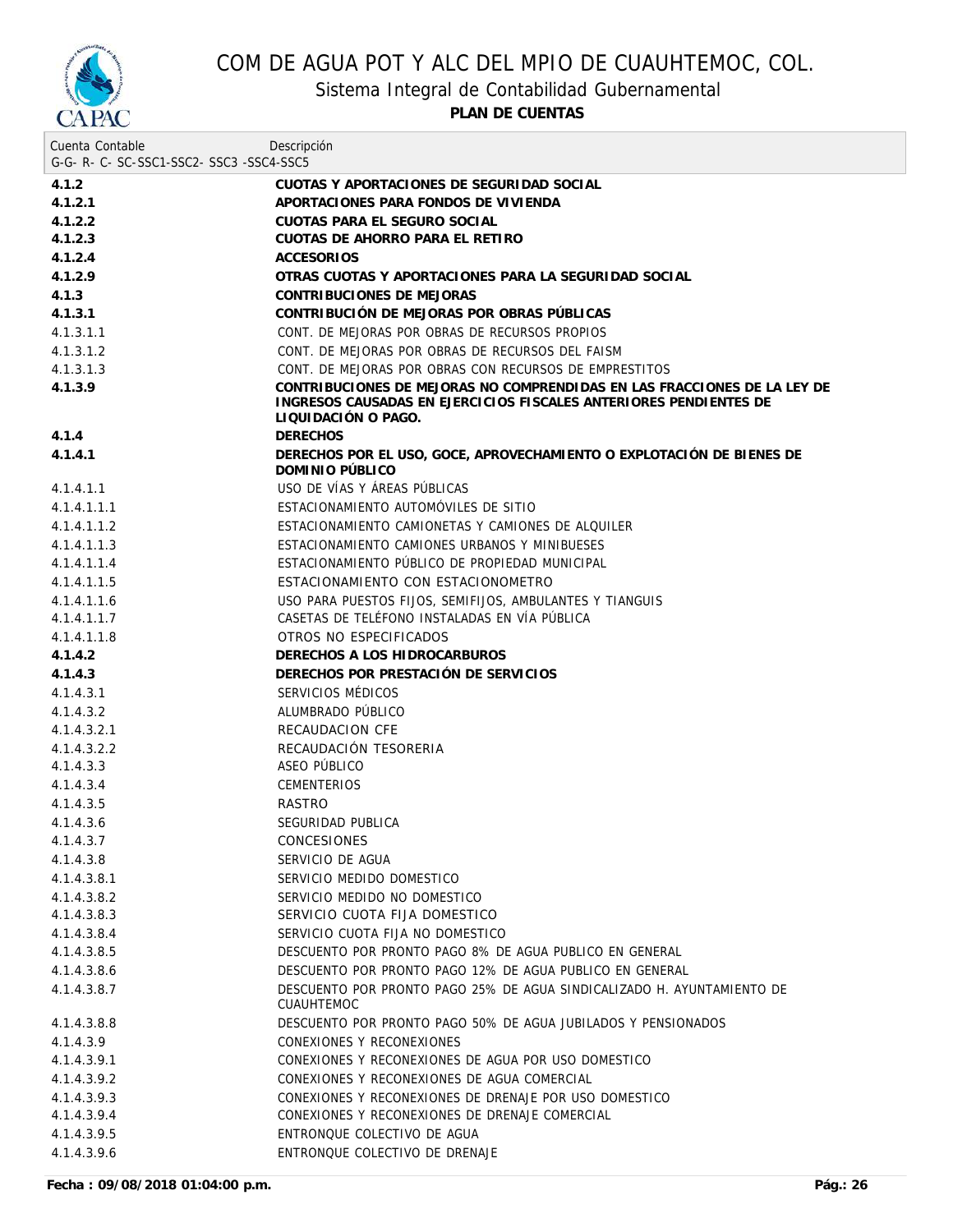

Sistema Integral de Contabilidad Gubernamental

| Cuenta Contable                     | Descripción                                                                                                                                                          |
|-------------------------------------|----------------------------------------------------------------------------------------------------------------------------------------------------------------------|
| G-G-R-C-SC-SSC1-SSC2-SSC3-SSC4-SSC5 |                                                                                                                                                                      |
| 4.1.2                               | CUOTAS Y APORTACIONES DE SEGURIDAD SOCIAL                                                                                                                            |
| 4.1.2.1                             | APORTACIONES PARA FONDOS DE VIVIENDA                                                                                                                                 |
| 4.1.2.2                             | CUOTAS PARA EL SEGURO SOCIAL                                                                                                                                         |
| 4.1.2.3                             | CUOTAS DE AHORRO PARA EL RETIRO                                                                                                                                      |
| 4.1.2.4                             | <b>ACCESORIOS</b>                                                                                                                                                    |
| 4.1.2.9                             | OTRAS CUOTAS Y APORTACIONES PARA LA SEGURIDAD SOCIAL                                                                                                                 |
| 4.1.3                               | CONTRIBUCIONES DE MEJORAS                                                                                                                                            |
| 4.1.3.1                             | CONTRIBUCIÓN DE MEJORAS POR OBRAS PÚBLICAS                                                                                                                           |
| 4.1.3.1.1                           | CONT. DE MEJORAS POR OBRAS DE RECURSOS PROPIOS                                                                                                                       |
| 4.1.3.1.2                           | CONT. DE MEJORAS POR OBRAS DE RECURSOS DEL FAISM                                                                                                                     |
| 4.1.3.1.3                           | CONT. DE MEJORAS POR OBRAS CON RECURSOS DE EMPRESTITOS                                                                                                               |
| 4.1.3.9                             | CONTRIBUCIONES DE MEJORAS NO COMPRENDIDAS EN LAS FRACCIONES DE LA LEY DE<br>INGRESOS CAUSADAS EN EJERCICIOS FISCALES ANTERIORES PENDIENTES DE<br>LIQUIDACIÓN O PAGO. |
| 4.1.4                               | <b>DERECHOS</b>                                                                                                                                                      |
| 4.1.4.1                             | DERECHOS POR EL USO, GOCE, APROVECHAMIENTO O EXPLOTACIÓN DE BIENES DE<br>DOMINIO PÚBLICO                                                                             |
| 4.1.4.1.1                           | USO DE VÍAS Y ÁREAS PÚBLICAS                                                                                                                                         |
| 4.1.4.1.1.1                         | ESTACIONAMIENTO AUTOMÓVILES DE SITIO                                                                                                                                 |
| 4.1.4.1.1.2                         | ESTACIONAMIENTO CAMIONETAS Y CAMIONES DE ALQUILER                                                                                                                    |
| 4.1.4.1.1.3                         | ESTACIONAMIENTO CAMIONES URBANOS Y MINIBUESES                                                                                                                        |
| 4.1.4.1.1.4                         | ESTACIONAMIENTO PÚBLICO DE PROPIEDAD MUNICIPAL                                                                                                                       |
| 4.1.4.1.1.5                         | ESTACIONAMIENTO CON ESTACIONOMETRO                                                                                                                                   |
| 4.1.4.1.1.6                         | USO PARA PUESTOS FIJOS, SEMIFIJOS, AMBULANTES Y TIANGUIS                                                                                                             |
| 4.1.4.1.1.7                         | CASETAS DE TELÉFONO INSTALADAS EN VÍA PÚBLICA                                                                                                                        |
| 4.1.4.1.1.8                         | OTROS NO ESPECIFICADOS                                                                                                                                               |
| 4.1.4.2                             | DERECHOS A LOS HIDROCARBUROS                                                                                                                                         |
| 4.1.4.3                             | DERECHOS POR PRESTACIÓN DE SERVICIOS                                                                                                                                 |
| 4.1.4.3.1                           | SERVICIOS MÉDICOS                                                                                                                                                    |
| 4.1.4.3.2                           | ALUMBRADO PÚBLICO                                                                                                                                                    |
| 4.1.4.3.2.1                         | <b>RECAUDACION CFE</b>                                                                                                                                               |
| 4.1.4.3.2.2                         | RECAUDACIÓN TESORERIA                                                                                                                                                |
| 4.1.4.3.3                           | ASEO PÚBLICO                                                                                                                                                         |
| 4.1.4.3.4                           | <b>CEMENTERIOS</b>                                                                                                                                                   |
| 4.1.4.3.5                           | <b>RASTRO</b>                                                                                                                                                        |
| 4.1.4.3.6                           | SEGURIDAD PUBLICA                                                                                                                                                    |
| 4.1.4.3.7                           | CONCESIONES                                                                                                                                                          |
| 4.1.4.3.8                           | SERVICIO DE AGUA                                                                                                                                                     |
| 4.1.4.3.8.1                         | SERVICIO MEDIDO DOMESTICO                                                                                                                                            |
| 4.1.4.3.8.2                         | SERVICIO MEDIDO NO DOMESTICO                                                                                                                                         |
| 4.1.4.3.8.3                         | SERVICIO CUOTA FIJA DOMESTICO                                                                                                                                        |
| 4.1.4.3.8.4                         | SERVICIO CUOTA FIJA NO DOMESTICO                                                                                                                                     |
| 4.1.4.3.8.5                         | DESCUENTO POR PRONTO PAGO 8% DE AGUA PUBLICO EN GENERAL                                                                                                              |
| 4.1.4.3.8.6                         | DESCUENTO POR PRONTO PAGO 12% DE AGUA PUBLICO EN GENERAL                                                                                                             |
| 4.1.4.3.8.7                         | DESCUENTO POR PRONTO PAGO 25% DE AGUA SINDICALIZADO H. AYUNTAMIENTO DE<br><b>CUAUHTEMOC</b>                                                                          |
| 4.1.4.3.8.8                         | DESCUENTO POR PRONTO PAGO 50% DE AGUA JUBILADOS Y PENSIONADOS                                                                                                        |
| 4.1.4.3.9                           | CONEXIONES Y RECONEXIONES                                                                                                                                            |
| 4.1.4.3.9.1                         | CONEXIONES Y RECONEXIONES DE AGUA POR USO DOMESTICO                                                                                                                  |
| 4.1.4.3.9.2                         | CONEXIONES Y RECONEXIONES DE AGUA COMERCIAL                                                                                                                          |
| 4.1.4.3.9.3                         | CONEXIONES Y RECONEXIONES DE DRENAJE POR USO DOMESTICO                                                                                                               |
| 4.1.4.3.9.4                         | CONEXIONES Y RECONEXIONES DE DRENAJE COMERCIAL                                                                                                                       |
| 4.1.4.3.9.5                         | ENTRONQUE COLECTIVO DE AGUA                                                                                                                                          |
| 4.1.4.3.9.6                         | ENTRONQUE COLECTIVO DE DRENAJE                                                                                                                                       |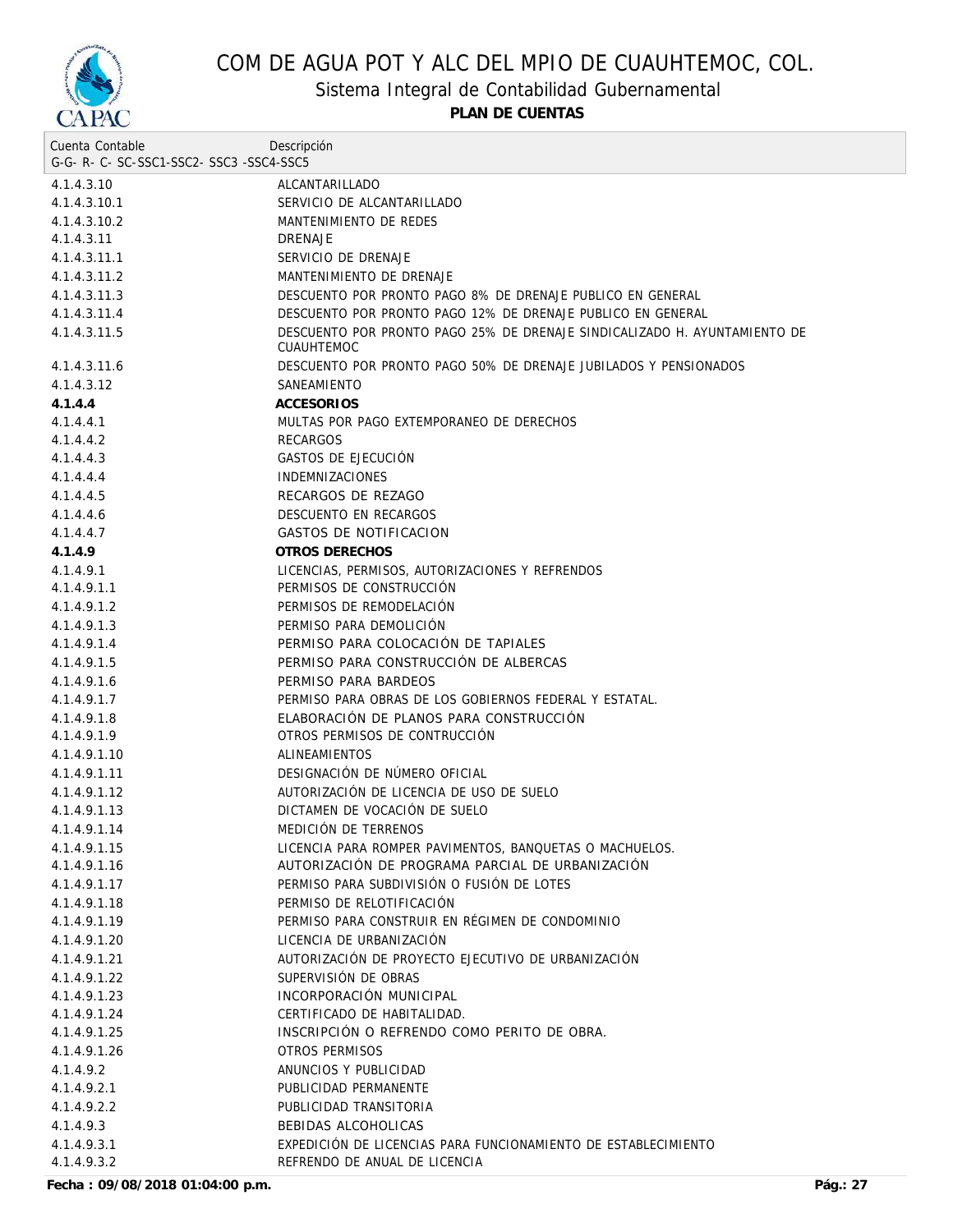

Sistema Integral de Contabilidad Gubernamental

| Cuenta Contable                     | Descripción                                                                                    |
|-------------------------------------|------------------------------------------------------------------------------------------------|
| G-G-R-C-SC-SSC1-SSC2-SSC3-SSC4-SSC5 |                                                                                                |
| 4.1.4.3.10                          | ALCANTARILLADO                                                                                 |
| 4.1.4.3.10.1                        | SERVICIO DE ALCANTARILLADO                                                                     |
| 4.1.4.3.10.2                        | MANTENIMIENTO DE REDES                                                                         |
| 4.1.4.3.11                          | <b>DRENAJE</b>                                                                                 |
| 4.1.4.3.11.1                        | SERVICIO DE DRENAJE                                                                            |
| 4.1.4.3.11.2                        | MANTENIMIENTO DE DRENAJE                                                                       |
| 4.1.4.3.11.3                        | DESCUENTO POR PRONTO PAGO 8% DE DRENAJE PUBLICO EN GENERAL                                     |
| 4.1.4.3.11.4                        | DESCUENTO POR PRONTO PAGO 12% DE DRENAJE PUBLICO EN GENERAL                                    |
| 4.1.4.3.11.5                        | DESCUENTO POR PRONTO PAGO 25% DE DRENAJE SINDICALIZADO H. AYUNTAMIENTO DE<br><b>CUAUHTEMOC</b> |
| 4.1.4.3.11.6                        | DESCUENTO POR PRONTO PAGO 50% DE DRENAJE JUBILADOS Y PENSIONADOS                               |
| 4.1.4.3.12                          | SANEAMIENTO                                                                                    |
| 4.1.4.4                             | <b>ACCESORIOS</b>                                                                              |
| 4.1.4.4.1                           | MULTAS POR PAGO EXTEMPORANEO DE DERECHOS                                                       |
| 4.1.4.4.2                           | <b>RECARGOS</b>                                                                                |
| 4.1.4.4.3                           | GASTOS DE EJECUCIÓN                                                                            |
| 4.1.4.4.4                           | <b>INDEMNIZACIONES</b>                                                                         |
| 4.1.4.4.5                           | RECARGOS DE REZAGO                                                                             |
| 4.1.4.4.6                           | DESCUENTO EN RECARGOS                                                                          |
| 4.1.4.4.7                           | <b>GASTOS DE NOTIFICACION</b>                                                                  |
| 4.1.4.9                             | OTROS DERECHOS                                                                                 |
| 4.1.4.9.1                           | LICENCIAS, PERMISOS, AUTORIZACIONES Y REFRENDOS                                                |
| 4.1.4.9.1.1                         | PERMISOS DE CONSTRUCCIÓN                                                                       |
| 4.1.4.9.1.2                         | PERMISOS DE REMODELACIÓN                                                                       |
| 4.1.4.9.1.3                         | PERMISO PARA DEMOLICIÓN                                                                        |
| 4.1.4.9.1.4                         | PERMISO PARA COLOCACIÓN DE TAPIALES                                                            |
| 4.1.4.9.1.5                         | PERMISO PARA CONSTRUCCIÓN DE ALBERCAS                                                          |
| 4.1.4.9.1.6                         | PERMISO PARA BARDEOS                                                                           |
| 4.1.4.9.1.7                         | PERMISO PARA OBRAS DE LOS GOBIERNOS FEDERAL Y ESTATAL.                                         |
| 4.1.4.9.1.8                         | ELABORACIÓN DE PLANOS PARA CONSTRUCCIÓN                                                        |
| 4.1.4.9.1.9                         | OTROS PERMISOS DE CONTRUCCIÓN                                                                  |
| 4.1.4.9.1.10                        | <b>ALINEAMIENTOS</b>                                                                           |
| 4.1.4.9.1.11                        | DESIGNACIÓN DE NÚMERO OFICIAL                                                                  |
| 4.1.4.9.1.12                        | AUTORIZACIÓN DE LICENCIA DE USO DE SUELO                                                       |
| 4.1.4.9.1.13                        | DICTAMEN DE VOCACIÓN DE SUELO                                                                  |
| 4.1.4.9.1.14                        | MEDICIÓN DE TERRENOS                                                                           |
| 4.1.4.9.1.15                        | LICENCIA PARA ROMPER PAVIMENTOS, BANQUETAS O MACHUELOS.                                        |
| 4.1.4.9.1.16                        | AUTORIZACIÓN DE PROGRAMA PARCIAL DE URBANIZACIÓN                                               |
| 4.1.4.9.1.17                        | PERMISO PARA SUBDIVISIÓN O FUSIÓN DE LOTES                                                     |
|                                     | PERMISO DE RELOTIFICACIÓN                                                                      |
| 4.1.4.9.1.18                        |                                                                                                |
| 4.1.4.9.1.19                        | PERMISO PARA CONSTRUIR EN RÉGIMEN DE CONDOMINIO                                                |
| 4.1.4.9.1.20                        | LICENCIA DE URBANIZACIÓN                                                                       |
| 4.1.4.9.1.21                        | AUTORIZACIÓN DE PROYECTO EJECUTIVO DE URBANIZACIÓN                                             |
| 4.1.4.9.1.22                        | SUPERVISIÓN DE OBRAS                                                                           |
| 4.1.4.9.1.23                        | INCORPORACIÓN MUNICIPAL                                                                        |
| 4.1.4.9.1.24                        | CERTIFICADO DE HABITALIDAD.                                                                    |
| 4.1.4.9.1.25                        | INSCRIPCIÓN O REFRENDO COMO PERITO DE OBRA.                                                    |
| 4.1.4.9.1.26                        | OTROS PERMISOS                                                                                 |
| 4.1.4.9.2                           | ANUNCIOS Y PUBLICIDAD                                                                          |
| 4.1.4.9.2.1                         | PUBLICIDAD PERMANENTE                                                                          |
| 4.1.4.9.2.2                         | PUBLICIDAD TRANSITORIA                                                                         |
| 4.1.4.9.3                           | BEBIDAS ALCOHOLICAS                                                                            |
| 4.1.4.9.3.1                         | EXPEDICIÓN DE LICENCIAS PARA FUNCIONAMIENTO DE ESTABLECIMIENTO                                 |
| 4.1.4.9.3.2                         | REFRENDO DE ANUAL DE LICENCIA                                                                  |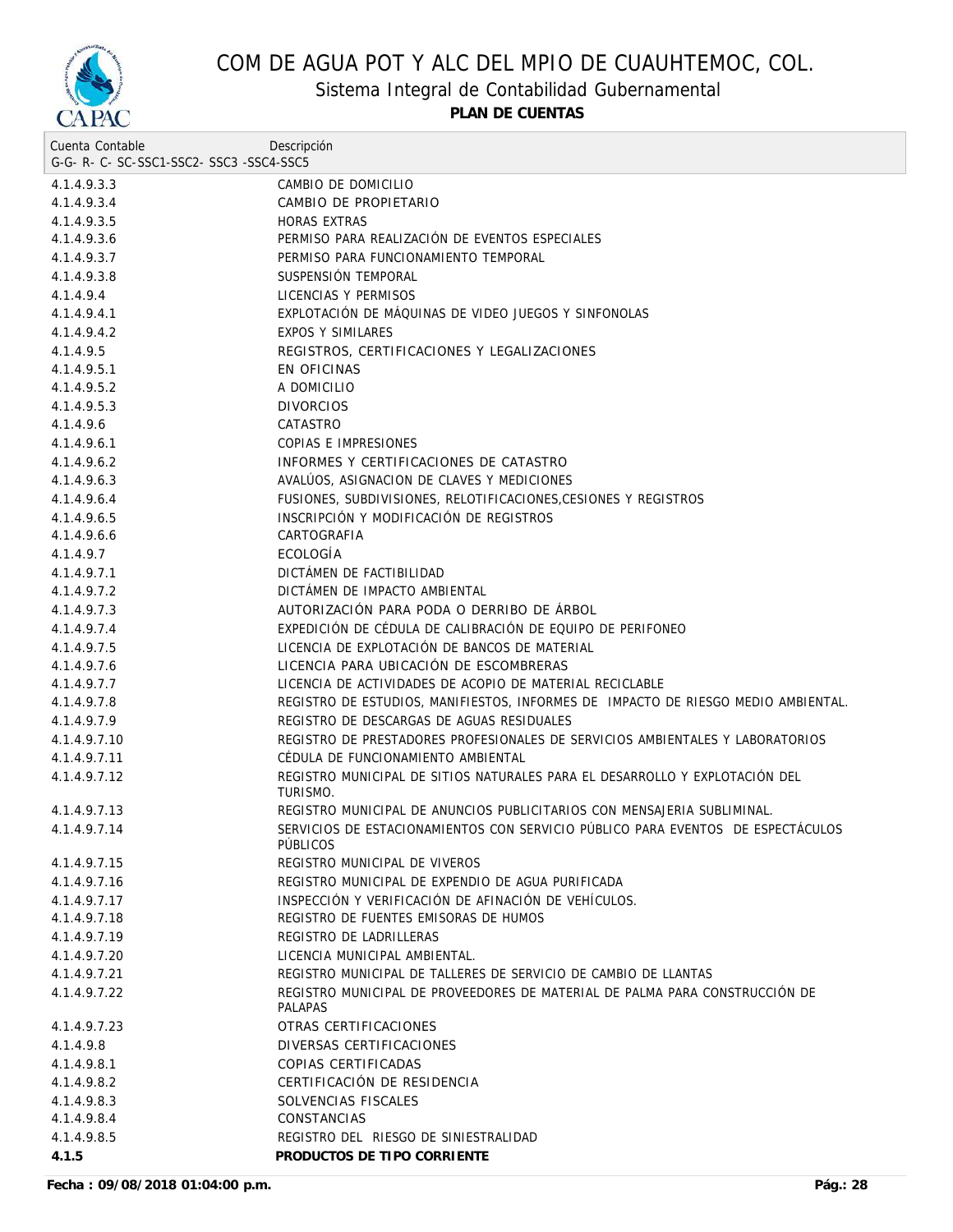

Sistema Integral de Contabilidad Gubernamental

| Cuenta Contable                     | Descripción                                                                                   |
|-------------------------------------|-----------------------------------------------------------------------------------------------|
| G-G-R-C-SC-SSC1-SSC2-SSC3-SSC4-SSC5 |                                                                                               |
| 4.1.4.9.3.3                         | CAMBIO DE DOMICILIO                                                                           |
| 4.1.4.9.3.4                         | CAMBIO DE PROPIETARIO                                                                         |
| 4.1.4.9.3.5                         | <b>HORAS EXTRAS</b>                                                                           |
| 4.1.4.9.3.6                         | PERMISO PARA REALIZACIÓN DE EVENTOS ESPECIALES                                                |
| 4.1.4.9.3.7                         | PERMISO PARA FUNCIONAMIENTO TEMPORAL                                                          |
| 4.1.4.9.3.8                         | SUSPENSIÓN TEMPORAL                                                                           |
| 4.1.4.9.4                           | LICENCIAS Y PERMISOS                                                                          |
| 4.1.4.9.4.1                         | EXPLOTACIÓN DE MÁQUINAS DE VIDEO JUEGOS Y SINFONOLAS                                          |
| 4.1.4.9.4.2                         | <b>EXPOS Y SIMILARES</b>                                                                      |
| 4.1.4.9.5                           | REGISTROS, CERTIFICACIONES Y LEGALIZACIONES                                                   |
| 4.1.4.9.5.1                         | EN OFICINAS                                                                                   |
| 4.1.4.9.5.2                         | A DOMICILIO                                                                                   |
| 4.1.4.9.5.3                         | <b>DIVORCIOS</b>                                                                              |
| 4.1.4.9.6                           | CATASTRO                                                                                      |
| 4.1.4.9.6.1                         | COPIAS E IMPRESIONES                                                                          |
| 4.1.4.9.6.2                         | INFORMES Y CERTIFICACIONES DE CATASTRO                                                        |
| 4.1.4.9.6.3                         | AVALÚOS, ASIGNACION DE CLAVES Y MEDICIONES                                                    |
| 4.1.4.9.6.4                         | FUSIONES, SUBDIVISIONES, RELOTIFICACIONES.CESIONES Y REGISTROS                                |
| 4.1.4.9.6.5                         | INSCRIPCIÓN Y MODIFICACIÓN DE REGISTROS                                                       |
| 4.1.4.9.6.6                         | CARTOGRAFIA                                                                                   |
| 4.1.4.9.7                           | ECOLOGÍA                                                                                      |
| 4.1.4.9.7.1                         | DICTÁMEN DE FACTIBILIDAD                                                                      |
| 4.1.4.9.7.2                         | DICTAMEN DE IMPACTO AMBIENTAL                                                                 |
| 4.1.4.9.7.3                         | AUTORIZACIÓN PARA PODA O DERRIBO DE ÁRBOL                                                     |
| 4.1.4.9.7.4                         | EXPEDICIÓN DE CÉDULA DE CALIBRACIÓN DE EQUIPO DE PERIFONEO                                    |
| 4.1.4.9.7.5                         | LICENCIA DE EXPLOTACIÓN DE BANCOS DE MATERIAL                                                 |
| 4.1.4.9.7.6                         | LICENCIA PARA UBICACIÓN DE ESCOMBRERAS                                                        |
| 4.1.4.9.7.7                         | LICENCIA DE ACTIVIDADES DE ACOPIO DE MATERIAL RECICLABLE                                      |
| 4.1.4.9.7.8                         | REGISTRO DE ESTUDIOS, MANIFIESTOS, INFORMES DE IMPACTO DE RIESGO MEDIO AMBIENTAL.             |
| 4.1.4.9.7.9                         | REGISTRO DE DESCARGAS DE AGUAS RESIDUALES                                                     |
| 4.1.4.9.7.10                        | REGISTRO DE PRESTADORES PROFESIONALES DE SERVICIOS AMBIENTALES Y LABORATORIOS                 |
| 4.1.4.9.7.11                        | CÉDULA DE FUNCIONAMIENTO AMBIENTAL                                                            |
| 4.1.4.9.7.12                        | REGISTRO MUNICIPAL DE SITIOS NATURALES PARA EL DESARROLLO Y EXPLOTACIÓN DEL<br>TURISMO.       |
| 4.1.4.9.7.13                        | REGISTRO MUNICIPAL DE ANUNCIOS PUBLICITARIOS CON MENSAJERIA SUBLIMINAL.                       |
| 4.1.4.9.7.14                        | SERVICIOS DE ESTACIONAMIENTOS CON SERVICIO PÚBLICO PARA EVENTOS DE ESPECTÁCULOS               |
|                                     | PÜBLICOS                                                                                      |
| 4.1.4.9.7.15                        | REGISTRO MUNICIPAL DE VIVEROS                                                                 |
| 4.1.4.9.7.16                        | REGISTRO MUNICIPAL DE EXPENDIO DE AGUA PURIFICADA                                             |
| 4.1.4.9.7.17                        | INSPECCIÓN Y VERIFICACIÓN DE AFINACIÓN DE VEHÍCULOS.                                          |
| 4.1.4.9.7.18                        | REGISTRO DE FUENTES EMISORAS DE HUMOS                                                         |
| 4.1.4.9.7.19                        | REGISTRO DE LADRILLERAS                                                                       |
| 4.1.4.9.7.20                        | LICENCIA MUNICIPAL AMBIENTAL.                                                                 |
| 4.1.4.9.7.21                        | REGISTRO MUNICIPAL DE TALLERES DE SERVICIO DE CAMBIO DE LLANTAS                               |
| 4.1.4.9.7.22                        | REGISTRO MUNICIPAL DE PROVEEDORES DE MATERIAL DE PALMA PARA CONSTRUCCIÓN DE<br><b>PALAPAS</b> |
| 4.1.4.9.7.23                        | OTRAS CERTIFICACIONES                                                                         |
| 4.1.4.9.8                           | DIVERSAS CERTIFICACIONES                                                                      |
| 4.1.4.9.8.1                         | <b>COPIAS CERTIFICADAS</b>                                                                    |
| 4.1.4.9.8.2                         | CERTIFICACIÓN DE RESIDENCIA                                                                   |
| 4.1.4.9.8.3                         | SOLVENCIAS FISCALES                                                                           |
| 4.1.4.9.8.4                         | CONSTANCIAS                                                                                   |
| 4.1.4.9.8.5                         | REGISTRO DEL RIESGO DE SINIESTRALIDAD                                                         |
| 4.1.5                               | PRODUCTOS DE TIPO CORRIENTE                                                                   |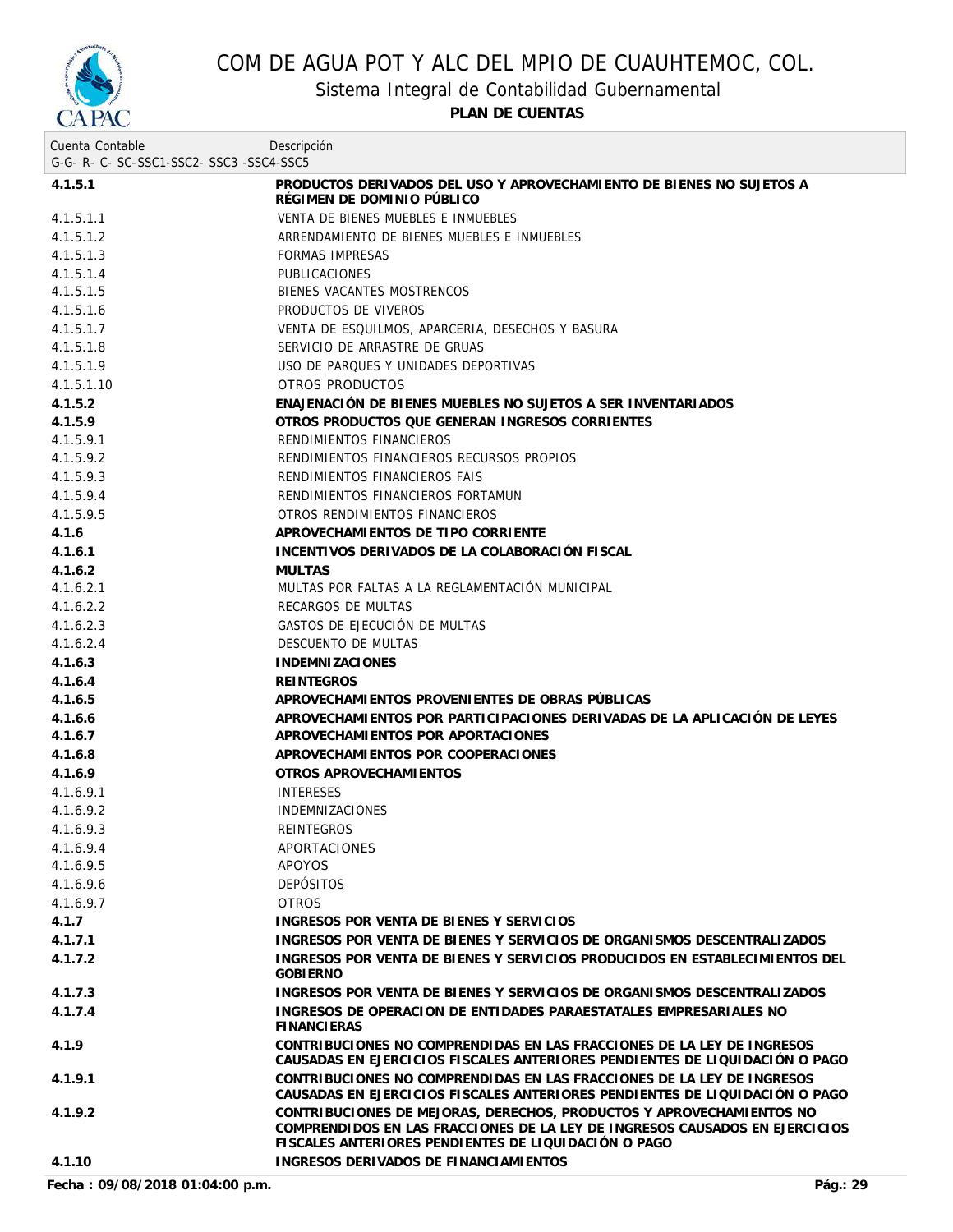

Sistema Integral de Contabilidad Gubernamental

**PLAN DE CUENTAS**

| Cuenta Contable                     | Descripción                                                                                                                                                                                                 |
|-------------------------------------|-------------------------------------------------------------------------------------------------------------------------------------------------------------------------------------------------------------|
| G-G-R-C-SC-SSC1-SSC2-SSC3-SSC4-SSC5 |                                                                                                                                                                                                             |
| 4.1.5.1                             | PRODUCTOS DERIVADOS DEL USO Y APROVECHAMIENTO DE BIENES NO SUJETOS A<br>RÉGIMEN DE DOMINIO PÚBLICO                                                                                                          |
| 4.1.5.1.1                           | VENTA DE BIENES MUEBLES E INMUEBLES                                                                                                                                                                         |
| 4.1.5.1.2                           | ARRENDAMIENTO DE BIENES MUEBLES E INMUEBLES                                                                                                                                                                 |
| 4.1.5.1.3                           | <b>FORMAS IMPRESAS</b>                                                                                                                                                                                      |
| 4.1.5.1.4                           | <b>PUBLICACIONES</b>                                                                                                                                                                                        |
| 4.1.5.1.5                           | BIENES VACANTES MOSTRENCOS                                                                                                                                                                                  |
| 4.1.5.1.6                           | PRODUCTOS DE VIVEROS                                                                                                                                                                                        |
| 4.1.5.1.7                           | VENTA DE ESQUILMOS, APARCERIA, DESECHOS Y BASURA                                                                                                                                                            |
| 4.1.5.1.8                           | SERVICIO DE ARRASTRE DE GRUAS                                                                                                                                                                               |
| 4.1.5.1.9                           | USO DE PARQUES Y UNIDADES DEPORTIVAS                                                                                                                                                                        |
| 4.1.5.1.10                          | OTROS PRODUCTOS                                                                                                                                                                                             |
| 4.1.5.2                             | ENAJENACIÓN DE BIENES MUEBLES NO SUJETOS A SER INVENTARIADOS                                                                                                                                                |
| 4.1.5.9                             | OTROS PRODUCTOS QUE GENERAN INGRESOS CORRIENTES                                                                                                                                                             |
| 4.1.5.9.1                           | RENDIMIENTOS FINANCIEROS                                                                                                                                                                                    |
| 4.1.5.9.2                           | RENDIMIENTOS FINANCIEROS RECURSOS PROPIOS                                                                                                                                                                   |
| 4.1.5.9.3                           | RENDIMIENTOS FINANCIEROS FAIS                                                                                                                                                                               |
| 4.1.5.9.4                           | RENDIMIENTOS FINANCIEROS FORTAMUN                                                                                                                                                                           |
| 4.1.5.9.5                           | OTROS RENDIMIENTOS FINANCIEROS                                                                                                                                                                              |
| 4.1.6                               | APROVECHAMIENTOS DE TIPO CORRIENTE                                                                                                                                                                          |
| 4.1.6.1                             | INCENTIVOS DERIVADOS DE LA COLABORACIÓN FISCAL                                                                                                                                                              |
| 4.1.6.2                             | <b>MULTAS</b>                                                                                                                                                                                               |
| 4.1.6.2.1                           | MULTAS POR FALTAS A LA REGLAMENTACIÓN MUNICIPAL                                                                                                                                                             |
| 4.1.6.2.2                           | RECARGOS DE MULTAS                                                                                                                                                                                          |
| 4.1.6.2.3                           | GASTOS DE EJECUCIÓN DE MULTAS                                                                                                                                                                               |
| 4.1.6.2.4                           | DESCUENTO DE MULTAS                                                                                                                                                                                         |
| 4.1.6.3                             | <b>INDEMNIZACIONES</b>                                                                                                                                                                                      |
| 4.1.6.4                             | REINTEGROS                                                                                                                                                                                                  |
| 4.1.6.5                             | APROVECHAMIENTOS PROVENIENTES DE OBRAS PÚBLICAS                                                                                                                                                             |
| 4.1.6.6                             | APROVECHAMIENTOS POR PARTICIPACIONES DERIVADAS DE LA APLICACIÓN DE LEYES                                                                                                                                    |
| 4.1.6.7                             | APROVECHAMIENTOS POR APORTACIONES                                                                                                                                                                           |
| 4.1.6.8                             | APROVECHAMIENTOS POR COOPERACIONES                                                                                                                                                                          |
| 4.1.6.9                             | OTROS APROVECHAMIENTOS                                                                                                                                                                                      |
| 4.1.6.9.1                           | <b>INTERESES</b>                                                                                                                                                                                            |
| 4.1.6.9.2                           | <b>INDEMNIZACIONES</b>                                                                                                                                                                                      |
| 4.1.6.9.3                           | REINTEGROS                                                                                                                                                                                                  |
| 4.1.6.9.4                           | <b>APORTACIONES</b>                                                                                                                                                                                         |
| 4.1.6.9.5                           | <b>APOYOS</b>                                                                                                                                                                                               |
| 4.1.6.9.6                           | <b>DEPÓSITOS</b>                                                                                                                                                                                            |
| 4.1.6.9.7                           | <b>OTROS</b>                                                                                                                                                                                                |
| 4.1.7                               | INGRESOS POR VENTA DE BIENES Y SERVICIOS                                                                                                                                                                    |
| 4.1.7.1                             | INGRESOS POR VENTA DE BIENES Y SERVICIOS DE ORGANISMOS DESCENTRALIZADOS                                                                                                                                     |
| 4.1.7.2                             | INGRESOS POR VENTA DE BIENES Y SERVICIOS PRODUCIDOS EN ESTABLECIMIENTOS DEL<br><b>GOBIERNO</b>                                                                                                              |
| 4.1.7.3                             | INGRESOS POR VENTA DE BIENES Y SERVICIOS DE ORGANISMOS DESCENTRALIZADOS                                                                                                                                     |
| 4.1.7.4                             | INGRESOS DE OPERACION DE ENTIDADES PARAESTATALES EMPRESARIALES NO<br><b>FINANCIERAS</b>                                                                                                                     |
| 4.1.9                               | CONTRIBUCIONES NO COMPRENDIDAS EN LAS FRACCIONES DE LA LEY DE INGRESOS<br>CAUSADAS EN EJERCICIOS FISCALES ANTERIORES PENDIENTES DE LIQUIDACIÓN O PAGO                                                       |
| 4.1.9.1                             | CONTRIBUCIONES NO COMPRENDIDAS EN LAS FRACCIONES DE LA LEY DE INGRESOS<br>CAUSADAS EN EJERCICIOS FISCALES ANTERIORES PENDIENTES DE LIQUIDACIÓN O PAGO                                                       |
| 4.1.9.2                             | CONTRIBUCIONES DE MEJORAS, DERECHOS, PRODUCTOS Y APROVECHAMIENTOS NO<br>COMPRENDIDOS EN LAS FRACCIONES DE LA LEY DE INGRESOS CAUSADOS EN EJERCICIOS<br>FISCALES ANTERIORES PENDIENTES DE LIQUIDACIÓN O PAGO |
| 4.1.10                              | INGRESOS DERIVADOS DE FINANCIAMIENTOS                                                                                                                                                                       |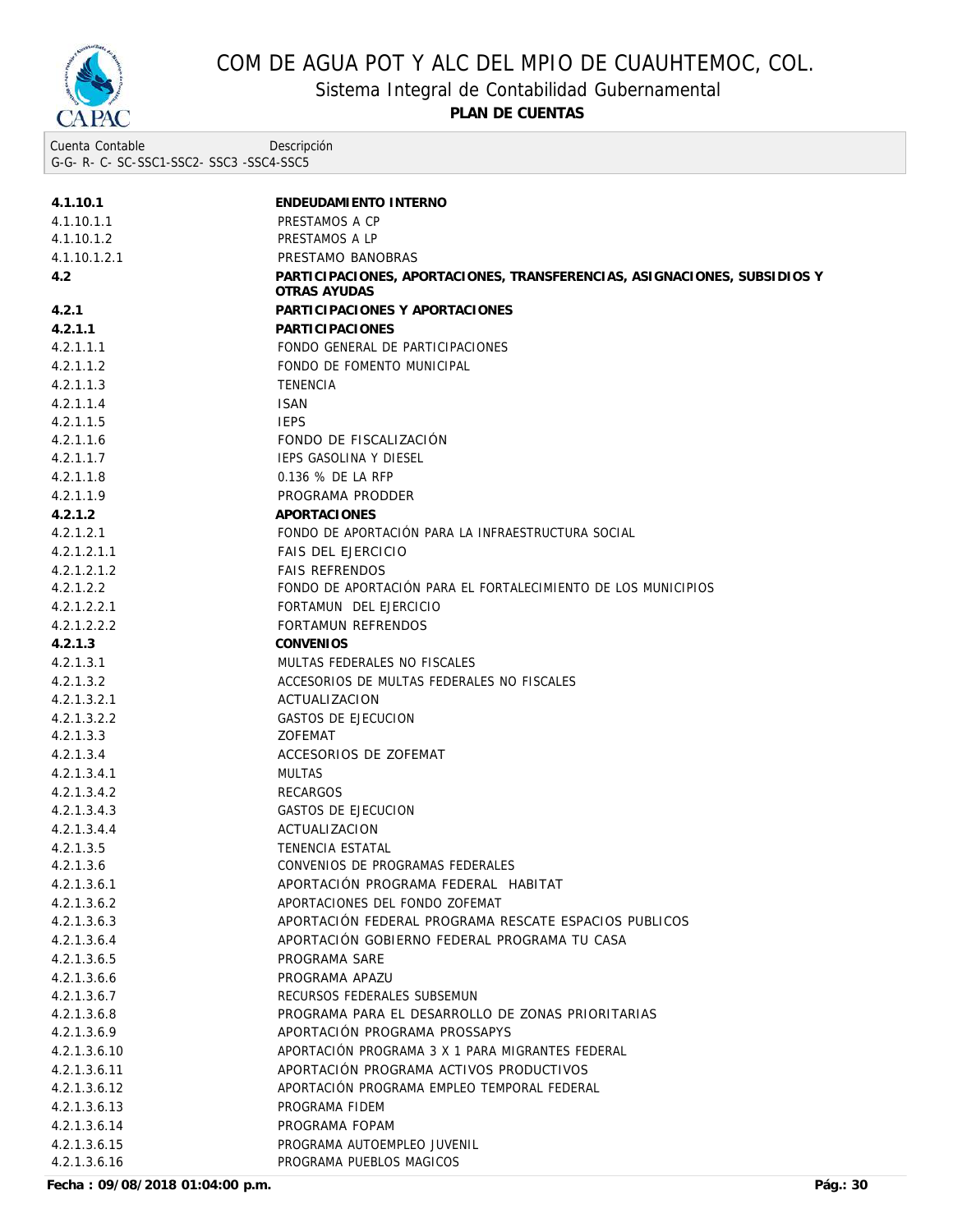

Sistema Integral de Contabilidad Gubernamental

**PLAN DE CUENTAS**

Cuenta Contable G-G- R- C- SC-SSC1-SSC2- SSC3 -SSC4-SSC5 Descripción

| 4.1.10.1     | ENDEUDAMIENTO INTERNO                                                                    |
|--------------|------------------------------------------------------------------------------------------|
| 4.1.10.1.1   | PRESTAMOS A CP                                                                           |
| 4.1.10.1.2   | PRESTAMOS A LP                                                                           |
| 4.1.10.1.2.1 | PRESTAMO BANOBRAS                                                                        |
| 4.2          | PARTICIPACIONES, APORTACIONES, TRANSFERENCIAS, ASIGNACIONES, SUBSIDIOS Y<br>OTRAS AYUDAS |
| 4.2.1        | PARTICIPACIONES Y APORTACIONES                                                           |
| 4.2.1.1      | <b>PARTICIPACIONES</b>                                                                   |
| 4.2.1.1.1    | FONDO GENERAL DE PARTICIPACIONES                                                         |
| 4.2.1.1.2    | FONDO DE FOMENTO MUNICIPAL                                                               |
| 4.2.1.1.3    | <b>TENENCIA</b>                                                                          |
| 4.2.1.1.4    | <b>ISAN</b>                                                                              |
| 4.2.1.1.5    | <b>IEPS</b>                                                                              |
| 4.2.1.1.6    | FONDO DE FISCALIZACIÓN                                                                   |
| 4.2.1.1.7    | <b>IEPS GASOLINA Y DIESEL</b>                                                            |
| 4.2.1.1.8    | 0.136 % DE LA RFP                                                                        |
| 4.2.1.1.9    | PROGRAMA PRODDER                                                                         |
| 4.2.1.2      | APORTACIONES                                                                             |
| 4.2.1.2.1    | FONDO DE APORTACIÓN PARA LA INFRAESTRUCTURA SOCIAL                                       |
| 4.2.1.2.1.1  | <b>FAIS DEL EJERCICIO</b>                                                                |
| 4.2.1.2.1.2  | <b>FAIS REFRENDOS</b>                                                                    |
| 4.2.1.2.2    | FONDO DE APORTACIÓN PARA EL FORTALECIMIENTO DE LOS MUNICIPIOS                            |
| 4.2.1.2.2.1  | FORTAMUN DEL EJERCICIO                                                                   |
| 4.2.1.2.2.2  | <b>FORTAMUN REFRENDOS</b>                                                                |
| 4.2.1.3      | CONVENIOS                                                                                |
| 4.2.1.3.1    | MULTAS FEDERALES NO FISCALES                                                             |
| 4.2.1.3.2    | ACCESORIOS DE MULTAS FEDERALES NO FISCALES                                               |
| 4.2.1.3.2.1  | ACTUALIZACION                                                                            |
| 4.2.1.3.2.2  | <b>GASTOS DE EJECUCION</b>                                                               |
| 4.2.1.3.3    | <b>ZOFEMAT</b>                                                                           |
| 4.2.1.3.4    | ACCESORIOS DE ZOFEMAT                                                                    |
| 4.2.1.3.4.1  | <b>MULTAS</b>                                                                            |
| 4.2.1.3.4.2  | <b>RECARGOS</b>                                                                          |
| 4.2.1.3.4.3  | GASTOS DE EJECUCION                                                                      |
| 4.2.1.3.4.4  | ACTUALIZACION                                                                            |
| 4.2.1.3.5    | TENENCIA ESTATAL                                                                         |
| 4.2.1.3.6    | CONVENIOS DE PROGRAMAS FEDERALES                                                         |
| 4.2.1.3.6.1  | APORTACIÓN PROGRAMA FEDERAL HABITAT                                                      |
| 4.2.1.3.6.2  | APORTACIONES DEL FONDO ZOFEMAT                                                           |
| 4.2.1.3.6.3  | APORTACIÓN FEDERAL PROGRAMA RESCATE ESPACIOS PUBLICOS                                    |
| 4.2.1.3.6.4  | APORTACIÓN GOBIERNO FEDERAL PROGRAMA TU CASA                                             |
| 4.2.1.3.6.5  | PROGRAMA SARE                                                                            |
| 4.2.1.3.6.6  | PROGRAMA APAZU                                                                           |
| 4.2.1.3.6.7  | RECURSOS FEDERALES SUBSEMUN                                                              |
| 4.2.1.3.6.8  | PROGRAMA PARA EL DESARROLLO DE ZONAS PRIORITARIAS                                        |
| 4.2.1.3.6.9  | APORTACIÓN PROGRAMA PROSSAPYS                                                            |
| 4.2.1.3.6.10 | APORTACIÓN PROGRAMA 3 X 1 PARA MIGRANTES FEDERAL                                         |
| 4.2.1.3.6.11 | APORTACIÓN PROGRAMA ACTIVOS PRODUCTIVOS                                                  |
| 4.2.1.3.6.12 | APORTACIÓN PROGRAMA EMPLEO TEMPORAL FEDERAL                                              |
|              | PROGRAMA FIDEM                                                                           |
| 4.2.1.3.6.13 |                                                                                          |
| 4.2.1.3.6.14 | PROGRAMA FOPAM                                                                           |
| 4.2.1.3.6.15 | PROGRAMA AUTOEMPLEO JUVENIL<br>PROGRAMA PUEBLOS MAGICOS                                  |
| 4.2.1.3.6.16 |                                                                                          |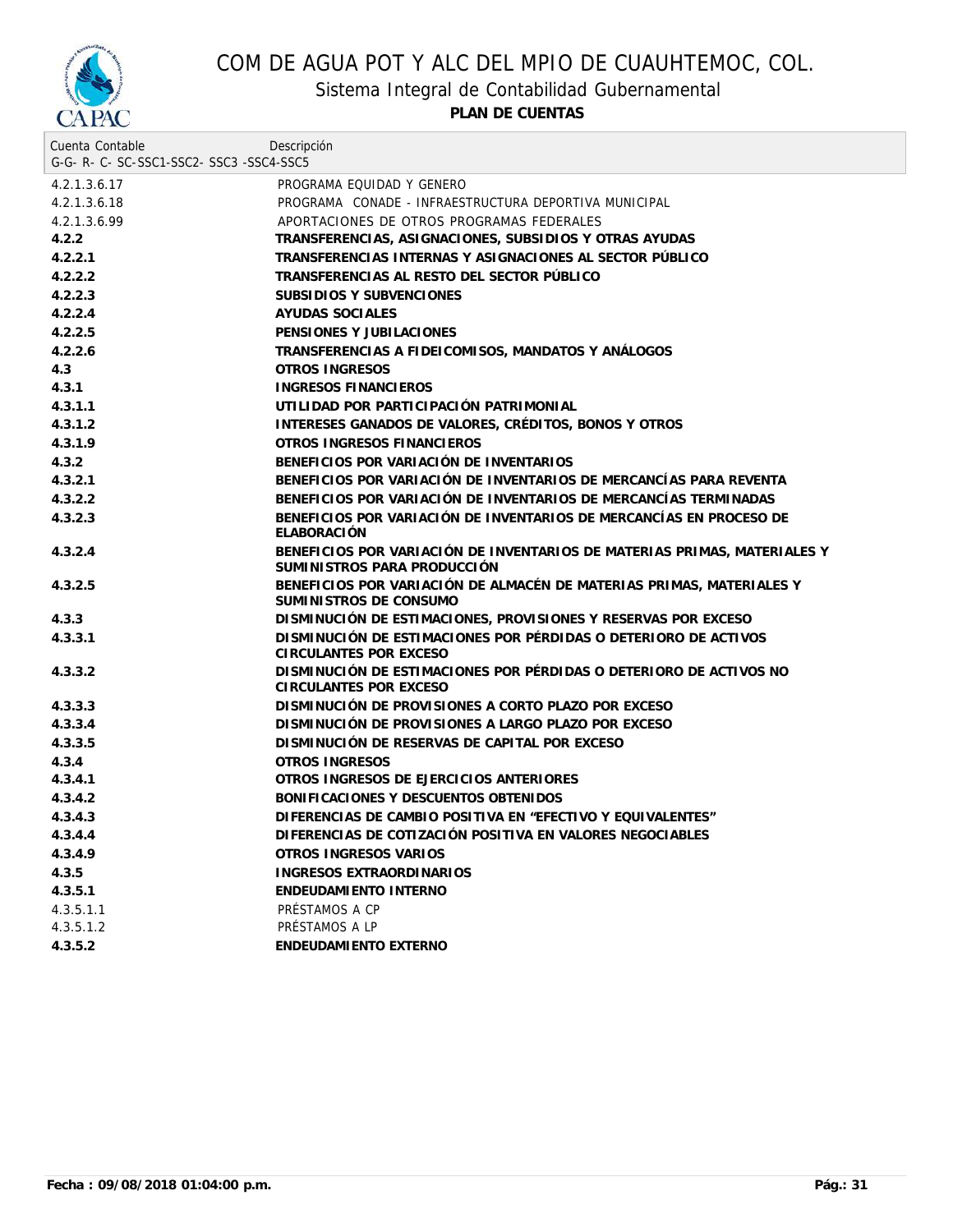

Sistema Integral de Contabilidad Gubernamental

| Cuenta Contable<br>G-G-R-C-SC-SSC1-SSC2-SSC3-SSC4-SSC5 | Descripción                                                                                             |
|--------------------------------------------------------|---------------------------------------------------------------------------------------------------------|
| 4.2.1.3.6.17                                           | PROGRAMA EQUIDAD Y GENERO                                                                               |
| 4.2.1.3.6.18                                           | PROGRAMA CONADE - INFRAESTRUCTURA DEPORTIVA MUNICIPAL                                                   |
|                                                        | APORTACIONES DE OTROS PROGRAMAS FEDERALES                                                               |
| 4.2.1.3.6.99<br>4.2.2                                  | TRANSFERENCIAS, ASIGNACIONES, SUBSIDIOS Y OTRAS AYUDAS                                                  |
| 4.2.2.1                                                | TRANSFERENCIAS INTERNAS Y ASIGNACIONES AL SECTOR PÚBLICO                                                |
| 4.2.2.2                                                | TRANSFERENCIAS AL RESTO DEL SECTOR PÚBLICO                                                              |
| 4.2.2.3                                                | SUBSIDIOS Y SUBVENCIONES                                                                                |
| 4.2.2.4                                                | AYUDAS SOCIALES                                                                                         |
| 4.2.2.5                                                | PENSIONES Y JUBILACIONES                                                                                |
| 4.2.2.6                                                | TRANSFERENCIAS A FIDEICOMISOS, MANDATOS Y ANÁLOGOS                                                      |
| 4.3                                                    | OTROS INGRESOS                                                                                          |
| 4.3.1                                                  | <b>INGRESOS FINANCIEROS</b>                                                                             |
| 4.3.1.1                                                | UTILIDAD POR PARTICIPACIÓN PATRIMONIAL                                                                  |
| 4.3.1.2                                                | INTERESES GANADOS DE VALORES, CRÉDITOS, BONOS Y OTROS                                                   |
| 4.3.1.9                                                | OTROS INGRESOS FINANCIEROS                                                                              |
| 4.3.2                                                  | BENEFICIOS POR VARIACIÓN DE INVENTARIOS                                                                 |
| 4.3.2.1                                                | BENEFICIOS POR VARIACIÓN DE INVENTARIOS DE MERCANCÍAS PARA REVENTA                                      |
| 4.3.2.2                                                | BENEFICIOS POR VARIACIÓN DE INVENTARIOS DE MERCANCÍAS TERMINADAS                                        |
|                                                        |                                                                                                         |
| 4.3.2.3                                                | BENEFICIOS POR VARIACIÓN DE INVENTARIOS DE MERCANCÍAS EN PROCESO DE<br><b>ELABORACIÓN</b>               |
| 4.3.2.4                                                | BENEFICIOS POR VARIACIÓN DE INVENTARIOS DE MATERIAS PRIMAS, MATERIALES Y<br>SUMINISTROS PARA PRODUCCIÓN |
| 4.3.2.5                                                | BENEFICIOS POR VARIACIÓN DE ALMACÉN DE MATERIAS PRIMAS, MATERIALES Y<br>SUMINISTROS DE CONSUMO          |
| 4.3.3                                                  | DISMINUCIÓN DE ESTIMACIONES, PROVISIONES Y RESERVAS POR EXCESO                                          |
| 4.3.3.1                                                | DISMINUCIÓN DE ESTIMACIONES POR PÉRDIDAS O DETERIORO DE ACTIVOS<br>CIRCULANTES POR EXCESO               |
| 4.3.3.2                                                | DISMINUCIÓN DE ESTIMACIONES POR PÉRDIDAS O DETERIORO DE ACTIVOS NO<br>CIRCULANTES POR EXCESO            |
| 4.3.3.3                                                | DISMINUCIÓN DE PROVISIONES A CORTO PLAZO POR EXCESO                                                     |
| 4.3.3.4                                                | DISMINUCIÓN DE PROVISIONES A LARGO PLAZO POR EXCESO                                                     |
| 4.3.3.5                                                | DISMINUCIÓN DE RESERVAS DE CAPITAL POR EXCESO                                                           |
| 4.3.4                                                  | OTROS INGRESOS                                                                                          |
| 4.3.4.1                                                | OTROS INGRESOS DE EJERCICIOS ANTERIORES                                                                 |
| 4.3.4.2                                                | BONIFICACIONES Y DESCUENTOS OBTENIDOS                                                                   |
| 4.3.4.3                                                | DIFERENCIAS DE CAMBIO POSITIVA EN "EFECTIVO Y EQUIVALENTES"                                             |
| 4.3.4.4                                                | DIFERENCIAS DE COTIZACIÓN POSITIVA EN VALORES NEGOCIABLES                                               |
| 4.3.4.9                                                | OTROS INGRESOS VARIOS                                                                                   |
| 4.3.5                                                  | INGRESOS EXTRAORDINARIOS                                                                                |
| 4.3.5.1                                                | ENDEUDAMIENTO INTERNO                                                                                   |
| 4.3.5.1.1                                              | PRÉSTAMOS A CP                                                                                          |
| 4.3.5.1.2                                              | PRÉSTAMOS A LP                                                                                          |
| 4.3.5.2                                                | ENDEUDAMIENTO EXTERNO                                                                                   |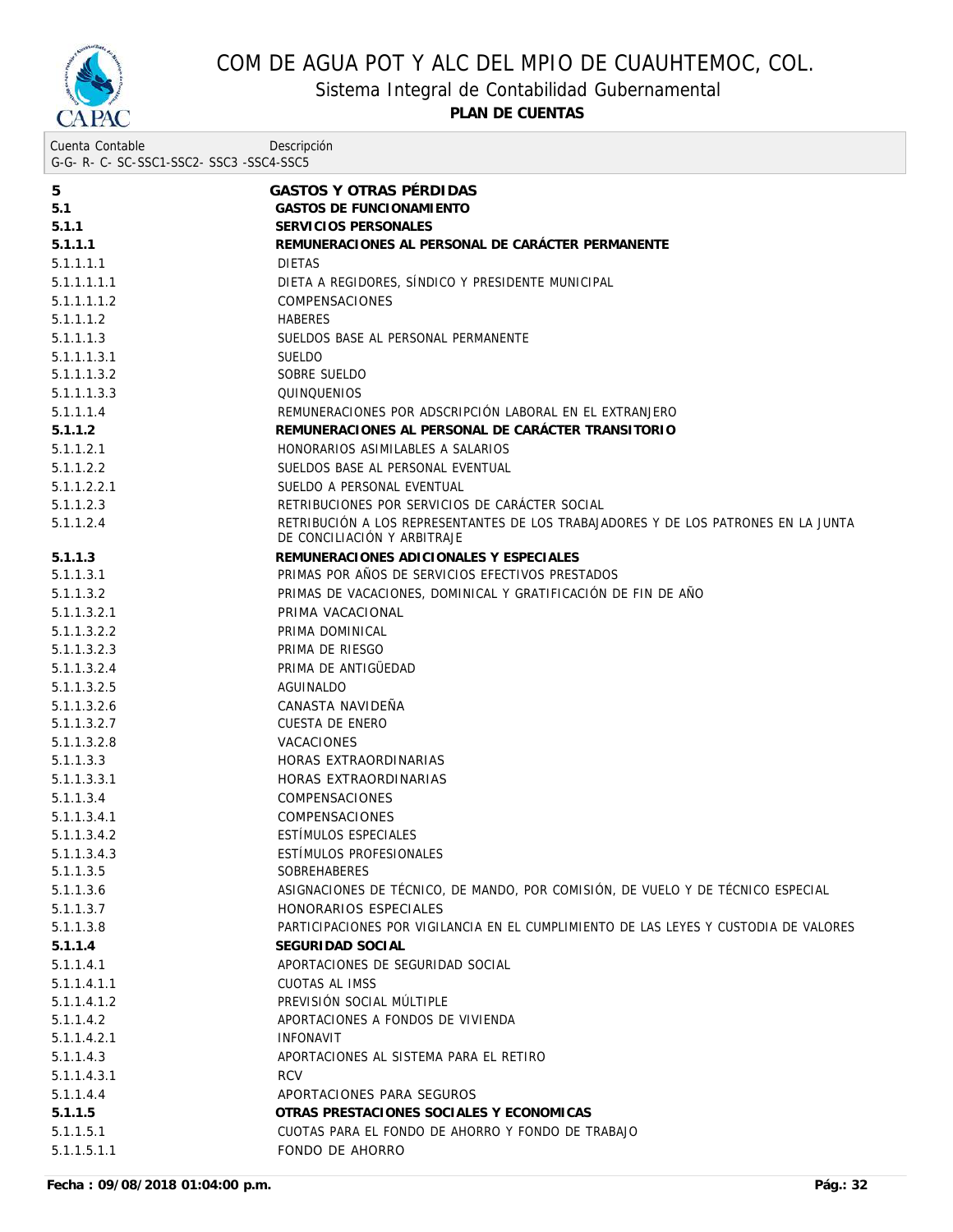

Sistema Integral de Contabilidad Gubernamental

**PLAN DE CUENTAS**

| Cuenta Contable<br>G-G-R-C-SC-SSC1-SSC2-SSC3-SSC4-SSC5 | Descripción                                                                                                       |
|--------------------------------------------------------|-------------------------------------------------------------------------------------------------------------------|
|                                                        |                                                                                                                   |
| 5                                                      | <b>GASTOS Y OTRAS PÉRDIDAS</b>                                                                                    |
| 5.1                                                    | <b>GASTOS DE FUNCIONAMIENTO</b>                                                                                   |
| 5.1.1                                                  | SERVICIOS PERSONALES                                                                                              |
| 5.1.1.1                                                | REMUNERACIONES AL PERSONAL DE CARÁCTER PERMANENTE                                                                 |
| 5.1.1.1.1                                              | <b>DIETAS</b>                                                                                                     |
| 5.1.1.1.1.1                                            | DIETA A REGIDORES, SÍNDICO Y PRESIDENTE MUNICIPAL                                                                 |
| 5.1.1.1.1.2                                            | <b>COMPENSACIONES</b>                                                                                             |
| 5.1.1.1.2                                              | <b>HABERES</b>                                                                                                    |
| 5.1.1.1.3                                              | SUELDOS BASE AL PERSONAL PERMANENTE                                                                               |
| 5.1.1.1.3.1                                            | <b>SUELDO</b>                                                                                                     |
| 5.1.1.1.3.2                                            | SOBRE SUELDO                                                                                                      |
| 5.1.1.1.3.3                                            | QUINQUENIOS                                                                                                       |
| 5.1.1.1.4                                              | REMUNERACIONES POR ADSCRIPCIÓN LABORAL EN EL EXTRANJERO                                                           |
| 5.1.1.2                                                | REMUNERACIONES AL PERSONAL DE CARÁCTER TRANSITORIO                                                                |
| 5.1.1.2.1                                              | HONORARIOS ASIMILABLES A SALARIOS                                                                                 |
| 5.1.1.2.2                                              | SUELDOS BASE AL PERSONAL EVENTUAL                                                                                 |
| 5.1.1.2.2.1                                            | SUELDO A PERSONAL EVENTUAL                                                                                        |
| 5.1.1.2.3                                              | RETRIBUCIONES POR SERVICIOS DE CARÁCTER SOCIAL                                                                    |
| 5.1.1.2.4                                              | RETRIBUCIÓN A LOS REPRESENTANTES DE LOS TRABAJADORES Y DE LOS PATRONES EN LA JUNTA<br>DE CONCILIACIÓN Y ARBITRAJE |
| 5.1.1.3                                                | REMUNERACIONES ADICIONALES Y ESPECIALES                                                                           |
| 5.1.1.3.1                                              | PRIMAS POR AÑOS DE SERVICIOS EFECTIVOS PRESTADOS                                                                  |
| 5.1.1.3.2                                              | PRIMAS DE VACACIONES, DOMINICAL Y GRATIFICACIÓN DE FIN DE AÑO                                                     |
| 5.1.1.3.2.1                                            | PRIMA VACACIONAL                                                                                                  |
| 5.1.1.3.2.2                                            | PRIMA DOMINICAL                                                                                                   |
| 5.1.1.3.2.3                                            | PRIMA DE RIESGO                                                                                                   |
| 5.1.1.3.2.4                                            | PRIMA DE ANTIGÜEDAD                                                                                               |
| 5.1.1.3.2.5                                            | AGUINALDO                                                                                                         |
| 5.1.1.3.2.6                                            | CANASTA NAVIDEÑA                                                                                                  |
| 5.1.1.3.2.7                                            | <b>CUESTA DE ENERO</b>                                                                                            |
| 5.1.1.3.2.8                                            | <b>VACACIONES</b>                                                                                                 |
| 5.1.1.3.3                                              | HORAS EXTRAORDINARIAS                                                                                             |
| 5.1.1.3.3.1                                            | HORAS EXTRAORDINARIAS                                                                                             |
| 5.1.1.3.4                                              | COMPENSACIONES                                                                                                    |
| 5.1.1.3.4.1                                            | <b>COMPENSACIONES</b>                                                                                             |
| 5.1.1.3.4.2                                            | ESTÍMULOS ESPECIALES                                                                                              |
| 5.1.1.3.4.3                                            | ESTÍMULOS PROFESIONALES                                                                                           |
| 5.1.1.3.5                                              | <b>SOBREHABERES</b>                                                                                               |
| 5.1.1.3.6                                              | ASIGNACIONES DE TÉCNICO, DE MANDO, POR COMISIÓN, DE VUELO Y DE TÉCNICO ESPECIAL                                   |
| 5.1.1.3.7                                              | HONORARIOS ESPECIALES                                                                                             |
| 5.1.1.3.8                                              | PARTICIPACIONES POR VIGILANCIA EN EL CUMPLIMIENTO DE LAS LEYES Y CUSTODIA DE VALORES                              |
| 5.1.1.4                                                | SEGURIDAD SOCIAL                                                                                                  |
| 5.1.1.4.1                                              | APORTACIONES DE SEGURIDAD SOCIAL                                                                                  |
| 5.1.1.4.1.1                                            | <b>CUOTAS AL IMSS</b>                                                                                             |
| 5.1.1.4.1.2                                            | PREVISIÓN SOCIAL MÚLTIPLE                                                                                         |
| 5.1.1.4.2                                              | APORTACIONES A FONDOS DE VIVIENDA                                                                                 |
| 5.1.1.4.2.1                                            | <b>INFONAVIT</b>                                                                                                  |
| 5.1.1.4.3                                              | APORTACIONES AL SISTEMA PARA EL RETIRO                                                                            |
| 5.1.1.4.3.1                                            | <b>RCV</b>                                                                                                        |
| 5.1.1.4.4                                              | APORTACIONES PARA SEGUROS                                                                                         |
| 5.1.1.5                                                | OTRAS PRESTACIONES SOCIALES Y ECONOMICAS                                                                          |
| 5.1.1.5.1                                              | CUOTAS PARA EL FONDO DE AHORRO Y FONDO DE TRABAJO                                                                 |

5.1.1.5.1.1 FONDO DE AHORRO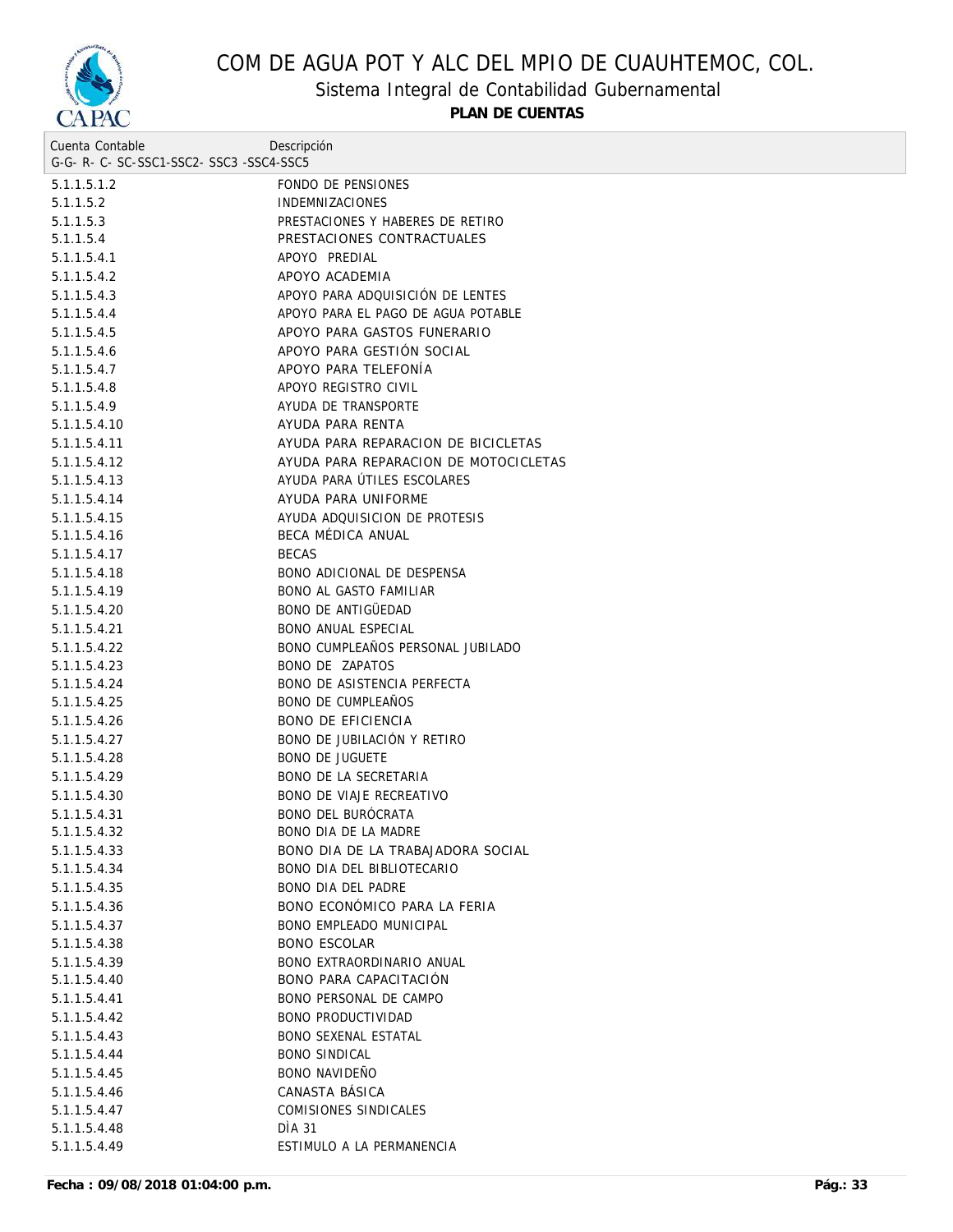

Sistema Integral de Contabilidad Gubernamental

| Cuenta Contable                     | Descripción                           |
|-------------------------------------|---------------------------------------|
| G-G-R-C-SC-SSC1-SSC2-SSC3-SSC4-SSC5 |                                       |
| 5.1.1.5.1.2                         | FONDO DE PENSIONES                    |
| 5.1.1.5.2                           | <b>INDEMNIZACIONES</b>                |
| 5.1.1.5.3                           | PRESTACIONES Y HABERES DE RETIRO      |
| 5.1.1.5.4                           | PRESTACIONES CONTRACTUALES            |
| 5.1.1.5.4.1                         | APOYO PREDIAL                         |
| 5.1.1.5.4.2                         | APOYO ACADEMIA                        |
| 5.1.1.5.4.3                         | APOYO PARA ADQUISICIÓN DE LENTES      |
| 5.1.1.5.4.4                         | APOYO PARA EL PAGO DE AGUA POTABLE    |
| 5.1.1.5.4.5                         | APOYO PARA GASTOS FUNERARIO           |
| 5.1.1.5.4.6                         | APOYO PARA GESTIÓN SOCIAL             |
| 5.1.1.5.4.7                         | APOYO PARA TELEFONÍA                  |
| 5.1.1.5.4.8                         | APOYO REGISTRO CIVIL                  |
| 5.1.1.5.4.9                         | AYUDA DE TRANSPORTE                   |
| 5.1.1.5.4.10                        | AYUDA PARA RENTA                      |
| 5.1.1.5.4.11                        | AYUDA PARA REPARACION DE BICICLETAS   |
| 5.1.1.5.4.12                        | AYUDA PARA REPARACION DE MOTOCICLETAS |
| 5.1.1.5.4.13                        | AYUDA PARA ÚTILES ESCOLARES           |
| 5.1.1.5.4.14                        | AYUDA PARA UNIFORME                   |
| 5.1.1.5.4.15                        | AYUDA ADQUISICION DE PROTESIS         |
| 5.1.1.5.4.16                        | BECA MÉDICA ANUAL                     |
| 5.1.1.5.4.17                        | <b>BECAS</b>                          |
| 5.1.1.5.4.18                        | BONO ADICIONAL DE DESPENSA            |
| 5.1.1.5.4.19                        | <b>BONO AL GASTO FAMILIAR</b>         |
| 5.1.1.5.4.20                        | <b>BONO DE ANTIGÜEDAD</b>             |
| 5.1.1.5.4.21                        | <b>BONO ANUAL ESPECIAL</b>            |
| 5.1.1.5.4.22                        | BONO CUMPLEAÑOS PERSONAL JUBILADO     |
| 5.1.1.5.4.23                        | BONO DE ZAPATOS                       |
| 5.1.1.5.4.24                        | <b>BONO DE ASISTENCIA PERFECTA</b>    |
| 5.1.1.5.4.25                        | <b>BONO DE CUMPLEANOS</b>             |
| 5.1.1.5.4.26                        | <b>BONO DE EFICIENCIA</b>             |
| 5.1.1.5.4.27                        | BONO DE JUBILACIÓN Y RETIRO           |
| 5.1.1.5.4.28                        | <b>BONO DE JUGUETE</b>                |
| 5.1.1.5.4.29                        | BONO DE LA SECRETARIA                 |
| 5.1.1.5.4.30                        | <b>BONO DE VIAJE RECREATIVO</b>       |
| 5.1.1.5.4.31                        | <b>BONO DEL BURÓCRATA</b>             |
| 5.1.1.5.4.32                        | BONO DIA DE LA MADRE                  |
| 5.1.1.5.4.33                        | BONO DIA DE LA TRABAJADORA SOCIAL     |
| 5.1.1.5.4.34                        | BONO DIA DEL BIBLIOTECARIO            |
| 5.1.1.5.4.35                        | BONO DIA DEL PADRE                    |
| 5.1.1.5.4.36                        | BONO ECONÓMICO PARA LA FERIA          |
| 5.1.1.5.4.37                        | BONO EMPLEADO MUNICIPAL               |
| 5.1.1.5.4.38                        | <b>BONO ESCOLAR</b>                   |
| 5.1.1.5.4.39                        | BONO EXTRAORDINARIO ANUAL             |
| 5.1.1.5.4.40                        | BONO PARA CAPACITACIÓN                |
| 5.1.1.5.4.41                        | BONO PERSONAL DE CAMPO                |
| 5.1.1.5.4.42                        | <b>BONO PRODUCTIVIDAD</b>             |
| 5.1.1.5.4.43                        | BONO SEXENAL ESTATAL                  |
| 5.1.1.5.4.44                        | <b>BONO SINDICAL</b>                  |
| 5.1.1.5.4.45                        | BONO NAVIDEÑO                         |
| 5.1.1.5.4.46                        | CANASTA BÁSICA                        |
| 5.1.1.5.4.47                        | COMISIONES SINDICALES                 |
| 5.1.1.5.4.48                        | DÌA 31                                |
| 5.1.1.5.4.49                        | ESTIMULO A LA PERMANENCIA             |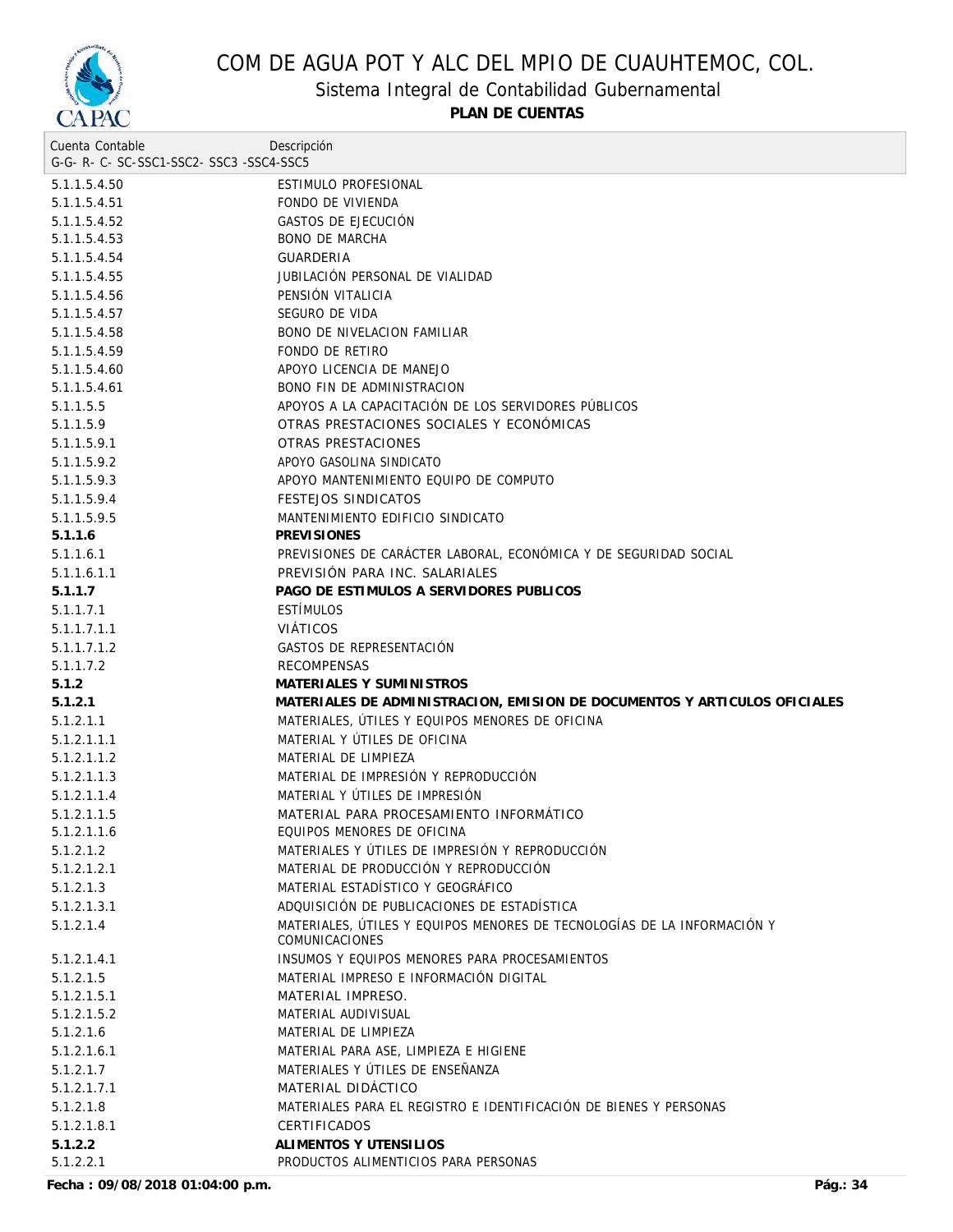

Sistema Integral de Contabilidad Gubernamental

**PLAN DE CUENTAS**

| Cuenta Contable                          | Descripción                                                               |
|------------------------------------------|---------------------------------------------------------------------------|
| G-G- R- C- SC-SSC1-SSC2- SSC3 -SSC4-SSC5 |                                                                           |
| 5.1.1.5.4.50                             | ESTIMULO PROFESIONAL                                                      |
| 5.1.1.5.4.51                             | FONDO DE VIVIENDA                                                         |
| 5.1.1.5.4.52                             | GASTOS DE EJECUCIÓN                                                       |
| 5.1.1.5.4.53                             | <b>BONO DE MARCHA</b>                                                     |
| 5.1.1.5.4.54                             | <b>GUARDERIA</b>                                                          |
| 5.1.1.5.4.55                             | JUBILACIÓN PERSONAL DE VIALIDAD                                           |
| 5.1.1.5.4.56                             | PENSIÓN VITALICIA                                                         |
| 5.1.1.5.4.57                             | SEGURO DE VIDA                                                            |
| 5.1.1.5.4.58                             | <b>BONO DE NIVELACION FAMILIAR</b>                                        |
| 5.1.1.5.4.59                             | FONDO DE RETIRO                                                           |
| 5.1.1.5.4.60                             | APOYO LICENCIA DE MANEJO                                                  |
| 5.1.1.5.4.61                             | BONO FIN DE ADMINISTRACION                                                |
| 5.1.1.5.5                                | APOYOS A LA CAPACITACIÓN DE LOS SERVIDORES PÚBLICOS                       |
| 5.1.1.5.9                                | OTRAS PRESTACIONES SOCIALES Y ECONÓMICAS                                  |
| 5.1.1.5.9.1                              | OTRAS PRESTACIONES                                                        |
| 5.1.1.5.9.2                              | APOYO GASOLINA SINDICATO                                                  |
| 5.1.1.5.9.3                              | APOYO MANTENIMIENTO EQUIPO DE COMPUTO                                     |
| 5.1.1.5.9.4                              | <b>FESTEJOS SINDICATOS</b>                                                |
| 5.1.1.5.9.5                              | MANTENIMIENTO EDIFICIO SINDICATO                                          |
| 5.1.1.6                                  | <b>PREVISIONES</b>                                                        |
| 5.1.1.6.1                                | PREVISIONES DE CARÁCTER LABORAL, ECONÓMICA Y DE SEGURIDAD SOCIAL          |
| 5.1.1.6.1.1                              | PREVISIÓN PARA INC. SALARIALES                                            |
| 5.1.1.7                                  | PAGO DE ESTIMULOS A SERVIDORES PUBLICOS                                   |
| 5.1.1.7.1                                | <b>ESTÍMULOS</b>                                                          |
| 5.1.1.7.1.1                              | <b>VIÁTICOS</b>                                                           |
| 5.1.1.7.1.2                              | GASTOS DE REPRESENTACIÓN                                                  |
| 5.1.1.7.2                                | <b>RECOMPENSAS</b>                                                        |
| 5.1.2                                    | MATERIALES Y SUMINISTROS                                                  |
| 5.1.2.1                                  | MATERIALES DE ADMINISTRACION, EMISION DE DOCUMENTOS Y ARTICULOS OFICIALES |
| 5.1.2.1.1                                | MATERIALES, UTILES Y EQUIPOS MENORES DE OFICINA                           |
| 5.1.2.1.1.1                              | MATERIAL Y ÚTILES DE OFICINA                                              |
| 5.1.2.1.1.2                              | MATERIAL DE LIMPIEZA                                                      |
| 5.1.2.1.1.3                              | MATERIAL DE IMPRESIÓN Y REPRODUCCIÓN                                      |
| 5.1.2.1.1.4                              | MATERIAL Y UTILES DE IMPRESION                                            |
| 5.1.2.1.1.5                              | MATERIAL PARA PROCESAMIENTO INFORMÁTICO                                   |
| 5.1.2.1.1.6                              | EQUIPOS MENORES DE OFICINA                                                |
| 5.1.2.1.2                                | MATERIALES Y ÚTILES DE IMPRESIÓN Y REPRODUCCIÓN                           |
| 5.1.2.1.2.1                              | MATERIAL DE PRODUCCIÓN Y REPRODUCCIÓN                                     |
| 5.1.2.1.3                                | MATERIAL ESTADÍSTICO Y GEOGRÁFICO                                         |
| 5.1.2.1.3.1                              | ADQUISICIÓN DE PUBLICACIONES DE ESTADÍSTICA                               |
| 5.1.2.1.4                                | MATERIALES, ÚTILES Y EQUIPOS MENORES DE TECNOLOGÍAS DE LA INFORMACIÓN Y   |
|                                          | <b>COMUNICACIONES</b>                                                     |
| 5.1.2.1.4.1                              | INSUMOS Y EQUIPOS MENORES PARA PROCESAMIENTOS                             |
| 5.1.2.1.5                                | MATERIAL IMPRESO E INFORMACIÓN DIGITAL                                    |
| 5.1.2.1.5.1                              | MATERIAL IMPRESO.                                                         |
| 5.1.2.1.5.2                              | MATERIAL AUDIVISUAL                                                       |
| 5.1.2.1.6                                | MATERIAL DE LIMPIEZA                                                      |
| 5.1.2.1.6.1                              | MATERIAL PARA ASE, LIMPIEZA E HIGIENE                                     |
| 5.1.2.1.7                                | MATERIALES Y ÚTILES DE ENSEÑANZA                                          |
| 5.1.2.1.7.1                              | MATERIAL DIDÁCTICO                                                        |
|                                          | MATERIALES PARA EL REGISTRO E IDENTIFICACIÓN DE BIENES Y PERSONAS         |
| 5.1.2.1.8                                |                                                                           |
| 5.1.2.1.8.1                              | <b>CERTIFICADOS</b>                                                       |
| 5.1.2.2                                  | ALIMENTOS Y UTENSILIOS<br>PRODUCTOS ALIMENTICIOS PARA PERSONAS            |
| 5.1.2.2.1                                |                                                                           |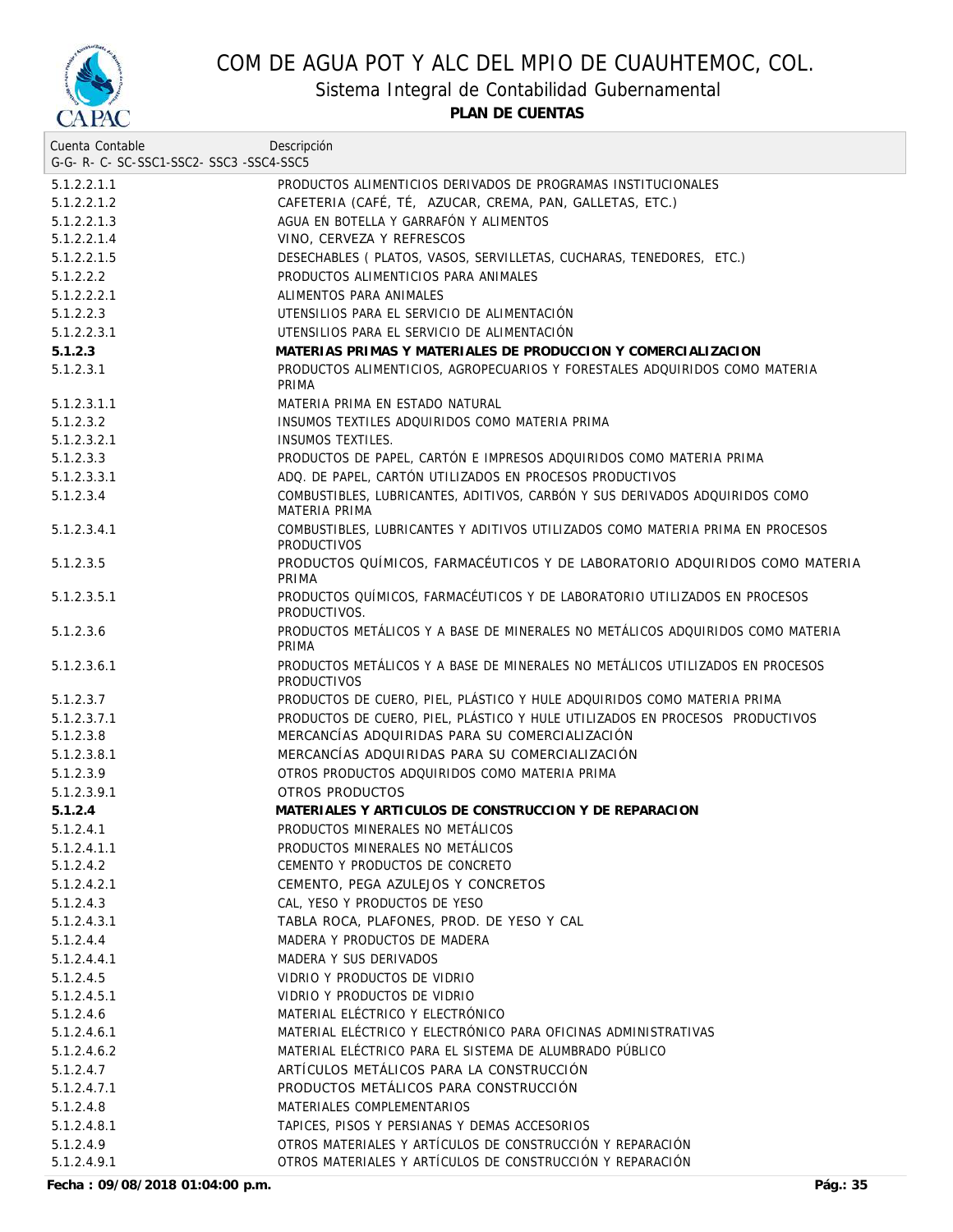

Sistema Integral de Contabilidad Gubernamental

**PLAN DE CUENTAS**

| Cuenta Contable<br>G-G-R-C-SC-SSC1-SSC2-SSC3-SSC4-SSC5 | Descripción                                                                                                            |
|--------------------------------------------------------|------------------------------------------------------------------------------------------------------------------------|
| 5.1.2.2.1.1                                            | PRODUCTOS ALIMENTICIOS DERIVADOS DE PROGRAMAS INSTITUCIONALES                                                          |
| 5.1.2.2.1.2                                            | CAFETERIA (CAFÉ, TÉ, AZUCAR, CREMA, PAN, GALLETAS, ETC.)                                                               |
| 5.1.2.2.1.3                                            | AGUA EN BOTELLA Y GARRAFÓN Y ALIMENTOS                                                                                 |
| 5.1.2.2.1.4                                            | VINO, CERVEZA Y REFRESCOS                                                                                              |
| 5.1.2.2.1.5                                            | DESECHABLES ( PLATOS, VASOS, SERVILLETAS, CUCHARAS, TENEDORES, ETC.)                                                   |
| 5.1.2.2.2                                              | PRODUCTOS ALIMENTICIOS PARA ANIMALES                                                                                   |
| 5.1.2.2.2.1                                            | ALIMENTOS PARA ANIMALES                                                                                                |
| 5.1.2.2.3                                              | UTENSILIOS PARA EL SERVICIO DE ALIMENTACIÓN                                                                            |
| 5.1.2.2.3.1                                            | UTENSILIOS PARA EL SERVICIO DE ALIMENTACIÓN                                                                            |
| 5.1.2.3                                                | MATERIAS PRIMAS Y MATERIALES DE PRODUCCION Y COMERCIALIZACION                                                          |
| 5.1.2.3.1                                              | PRODUCTOS ALIMENTICIOS, AGROPECUARIOS Y FORESTALES ADQUIRIDOS COMO MATERIA<br>PRIMA                                    |
| 5.1.2.3.1.1                                            | MATERIA PRIMA EN ESTADO NATURAL                                                                                        |
| 5.1.2.3.2                                              | INSUMOS TEXTILES ADQUIRIDOS COMO MATERIA PRIMA                                                                         |
| 5.1.2.3.2.1                                            | <b>INSUMOS TEXTILES.</b>                                                                                               |
| 5.1.2.3.3                                              | PRODUCTOS DE PAPEL, CARTÓN E IMPRESOS ADQUIRIDOS COMO MATERIA PRIMA                                                    |
| 5.1.2.3.3.1                                            | ADQ. DE PAPEL, CARTÓN UTILIZADOS EN PROCESOS PRODUCTIVOS                                                               |
| 5.1.2.3.4                                              | COMBUSTIBLES, LUBRICANTES, ADITIVOS, CARBÓN Y SUS DERIVADOS ADQUIRIDOS COMO<br>MATERIA PRIMA                           |
| 5.1.2.3.4.1                                            | COMBUSTIBLES, LUBRICANTES Y ADITIVOS UTILIZADOS COMO MATERIA PRIMA EN PROCESOS<br><b>PRODUCTIVOS</b>                   |
| 5.1.2.3.5                                              | PRODUCTOS QUÍMICOS, FARMACÉUTICOS Y DE LABORATORIO ADQUIRIDOS COMO MATERIA<br>PRIMA                                    |
| 5.1.2.3.5.1                                            | PRODUCTOS QUÍMICOS, FARMACÉUTICOS Y DE LABORATORIO UTILIZADOS EN PROCESOS<br>PRODUCTIVOS.                              |
| 5.1.2.3.6                                              | PRODUCTOS METÁLICOS Y A BASE DE MINERALES NO METÁLICOS ADQUIRIDOS COMO MATERIA<br>PRIMA                                |
| 5.1.2.3.6.1                                            | PRODUCTOS METÁLICOS Y A BASE DE MINERALES NO METÁLICOS UTILIZADOS EN PROCESOS.<br><b>PRODUCTIVOS</b>                   |
| 5.1.2.3.7                                              | PRODUCTOS DE CUERO, PIEL, PLÁSTICO Y HULE ADQUIRIDOS COMO MATERIA PRIMA                                                |
| 5.1.2.3.7.1                                            | PRODUCTOS DE CUERO, PIEL, PLÁSTICO Y HULE UTILIZADOS EN PROCESOS PRODUCTIVOS                                           |
| 5.1.2.3.8                                              | MERCANCÍAS ADQUIRIDAS PARA SU COMERCIALIZACIÓN                                                                         |
| 5.1.2.3.8.1                                            | MERCANCÍAS ADQUIRIDAS PARA SU COMERCIALIZACIÓN                                                                         |
| 5.1.2.3.9                                              | OTROS PRODUCTOS ADQUIRIDOS COMO MATERIA PRIMA                                                                          |
| 5.1.2.3.9.1                                            | OTROS PRODUCTOS                                                                                                        |
| 5.1.2.4                                                | MATERIALES Y ARTICULOS DE CONSTRUCCION Y DE REPARACION                                                                 |
| 5.1.2.4.1                                              | PRODUCTOS MINERALES NO METÁLICOS                                                                                       |
| 5.1.2.4.1.1                                            | PRODUCTOS MINERALES NO METÁLICOS                                                                                       |
| 5.1.2.4.2                                              | CEMENTO Y PRODUCTOS DE CONCRETO                                                                                        |
| 5.1.2.4.2.1                                            | CEMENTO, PEGA AZULEJOS Y CONCRETOS                                                                                     |
| 5.1.2.4.3                                              | CAL, YESO Y PRODUCTOS DE YESO                                                                                          |
| 5.1.2.4.3.1                                            | TABLA ROCA, PLAFONES, PROD. DE YESO Y CAL                                                                              |
| 5.1.2.4.4                                              | MADERA Y PRODUCTOS DE MADERA                                                                                           |
| 5.1.2.4.4.1                                            | MADERA Y SUS DERIVADOS                                                                                                 |
| 5.1.2.4.5                                              | VIDRIO Y PRODUCTOS DE VIDRIO                                                                                           |
| 5.1.2.4.5.1                                            | VIDRIO Y PRODUCTOS DE VIDRIO                                                                                           |
| 5.1.2.4.6                                              | MATERIAL ELÉCTRICO Y ELECTRÓNICO                                                                                       |
| 5.1.2.4.6.1                                            | MATERIAL ELÉCTRICO Y ELECTRÓNICO PARA OFICINAS ADMINISTRATIVAS                                                         |
| 5.1.2.4.6.2                                            | MATERIAL ELÉCTRICO PARA EL SISTEMA DE ALUMBRADO PÚBLICO                                                                |
| 5.1.2.4.7                                              | ARTÍCULOS METÁLICOS PARA LA CONSTRUCCIÓN                                                                               |
| 5.1.2.4.7.1                                            | PRODUCTOS METÁLICOS PARA CONSTRUCCIÓN                                                                                  |
| 5.1.2.4.8                                              | MATERIALES COMPLEMENTARIOS                                                                                             |
| 5.1.2.4.8.1                                            | TAPICES, PISOS Y PERSIANAS Y DEMAS ACCESORIOS                                                                          |
| 5.1.2.4.9<br>5.1.2.4.9.1                               | OTROS MATERIALES Y ARTÍCULOS DE CONSTRUCCIÓN Y REPARACIÓN<br>OTROS MATERIALES Y ARTÍCULOS DE CONSTRUCCIÓN Y REPARACIÓN |
|                                                        |                                                                                                                        |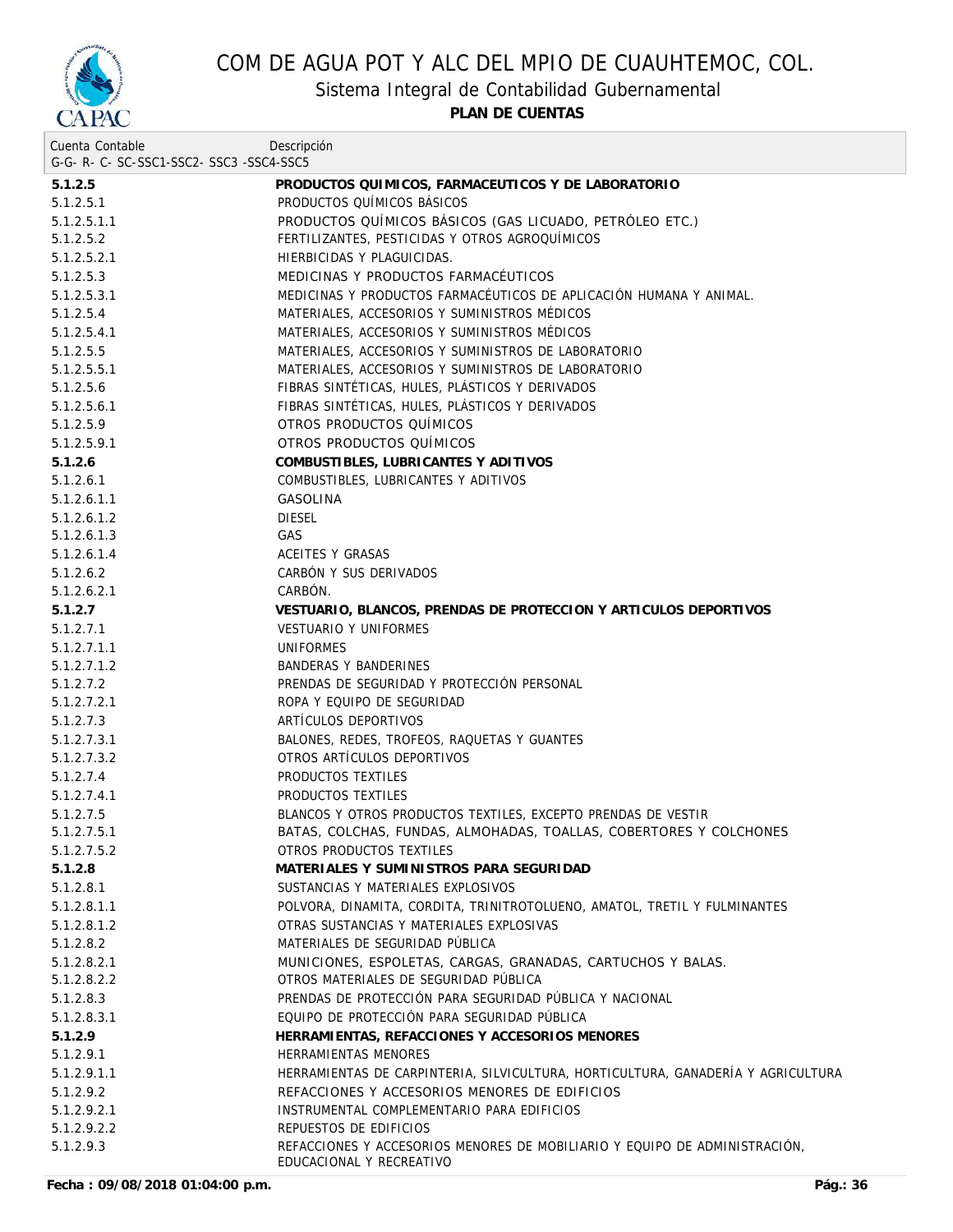

Sistema Integral de Contabilidad Gubernamental

| Cuenta Contable                     | Descripción                                                                                            |
|-------------------------------------|--------------------------------------------------------------------------------------------------------|
| G-G-R-C-SC-SSC1-SSC2-SSC3-SSC4-SSC5 |                                                                                                        |
| 5.1.2.5                             | PRODUCTOS QUIMICOS, FARMACEUTICOS Y DE LABORATORIO                                                     |
| 5.1.2.5.1                           | PRODUCTOS QUÍMICOS BÁSICOS                                                                             |
| 5.1.2.5.1.1                         | PRODUCTOS QUÍMICOS BÁSICOS (GAS LICUADO, PETRÓLEO ETC.)                                                |
| 5.1.2.5.2                           | FERTILIZANTES, PESTICIDAS Y OTROS AGROQUÍMICOS                                                         |
| 5.1.2.5.2.1                         | HIERBICIDAS Y PLAGUICIDAS.                                                                             |
| 5.1.2.5.3                           | MEDICINAS Y PRODUCTOS FARMACÉUTICOS                                                                    |
| 5.1.2.5.3.1                         | MEDICINAS Y PRODUCTOS FARMACÉUTICOS DE APLICACIÓN HUMANA Y ANIMAL.                                     |
| 5.1.2.5.4                           | MATERIALES, ACCESORIOS Y SUMINISTROS MÉDICOS                                                           |
| 5.1.2.5.4.1                         | MATERIALES, ACCESORIOS Y SUMINISTROS MÉDICOS                                                           |
| 5.1.2.5.5                           | MATERIALES, ACCESORIOS Y SUMINISTROS DE LABORATORIO                                                    |
| 5.1.2.5.5.1                         | MATERIALES, ACCESORIOS Y SUMINISTROS DE LABORATORIO                                                    |
| 5.1.2.5.6                           | FIBRAS SINTÉTICAS, HULES, PLÁSTICOS Y DERIVADOS                                                        |
| 5.1.2.5.6.1                         | FIBRAS SINTÉTICAS, HULES, PLÁSTICOS Y DERIVADOS                                                        |
| 5.1.2.5.9                           | OTROS PRODUCTOS QUÍMICOS                                                                               |
| 5.1.2.5.9.1                         | OTROS PRODUCTOS QUÍMICOS                                                                               |
| 5.1.2.6                             | COMBUSTIBLES, LUBRICANTES Y ADITIVOS                                                                   |
| 5.1.2.6.1                           | COMBUSTIBLES, LUBRICANTES Y ADITIVOS                                                                   |
| 5.1.2.6.1.1                         | GASOLINA                                                                                               |
| 5.1.2.6.1.2                         | <b>DIESEL</b>                                                                                          |
| 5.1.2.6.1.3                         | GAS                                                                                                    |
| 5.1.2.6.1.4                         | ACEITES Y GRASAS                                                                                       |
| 5.1.2.6.2                           | CARBÓN Y SUS DERIVADOS                                                                                 |
| 5.1.2.6.2.1                         | CARBON.                                                                                                |
| 5.1.2.7                             | VESTUARIO, BLANCOS, PRENDAS DE PROTECCION Y ARTICULOS DEPORTIVOS                                       |
| 5.1.2.7.1                           | <b>VESTUARIO Y UNIFORMES</b>                                                                           |
| 5.1.2.7.1.1                         | UNIFORMES                                                                                              |
| 5.1.2.7.1.2                         | BANDERAS Y BANDERINES                                                                                  |
| 5.1.2.7.2                           | PRENDAS DE SEGURIDAD Y PROTECCIÓN PERSONAL                                                             |
| 5.1.2.7.2.1                         | ROPA Y EQUIPO DE SEGURIDAD                                                                             |
| 5.1.2.7.3                           | ARTÍCULOS DEPORTIVOS                                                                                   |
| 5.1.2.7.3.1                         | BALONES, REDES, TROFEOS, RAQUETAS Y GUANTES                                                            |
| 5.1.2.7.3.2                         | OTROS ARTÍCULOS DEPORTIVOS                                                                             |
| 5.1.2.7.4                           | PRODUCTOS TEXTILES                                                                                     |
| 5.1.2.7.4.1                         | PRODUCTOS TEXTILES                                                                                     |
| 5.1.2.7.5                           | BLANCOS Y OTROS PRODUCTOS TEXTILES, EXCEPTO PRENDAS DE VESTIR                                          |
| 5.1.2.7.5.1                         | BATAS, COLCHAS, FUNDAS, ALMOHADAS, TOALLAS, COBERTORES Y COLCHONES                                     |
| 5.1.2.7.5.2                         | OTROS PRODUCTOS TEXTILES                                                                               |
| 5.1.2.8                             | MATERIALES Y SUMINISTROS PARA SEGURIDAD                                                                |
| 5.1.2.8.1                           | SUSTANCIAS Y MATERIALES EXPLOSIVOS                                                                     |
| 5.1.2.8.1.1                         | POLVORA, DINAMITA, CORDITA, TRINITROTOLUENO, AMATOL, TRETIL Y FULMINANTES                              |
| 5.1.2.8.1.2                         | OTRAS SUSTANCIAS Y MATERIALES EXPLOSIVAS                                                               |
| 5.1.2.8.2                           | MATERIALES DE SEGURIDAD PÚBLICA                                                                        |
| 5.1.2.8.2.1                         | MUNICIONES, ESPOLETAS, CARGAS, GRANADAS, CARTUCHOS Y BALAS.                                            |
| 5.1.2.8.2.2                         | OTROS MATERIALES DE SEGURIDAD PÚBLICA                                                                  |
| 5.1.2.8.3                           | PRENDAS DE PROTECCIÓN PARA SEGURIDAD PÚBLICA Y NACIONAL                                                |
| 5.1.2.8.3.1                         | EQUIPO DE PROTECCIÓN PARA SEGURIDAD PÚBLICA                                                            |
| 5.1.2.9                             | HERRAMIENTAS, REFACCIONES Y ACCESORIOS MENORES                                                         |
| 5.1.2.9.1                           | HERRAMIENTAS MENORES                                                                                   |
| 5.1.2.9.1.1                         | HERRAMIENTAS DE CARPINTERIA, SILVICULTURA, HORTICULTURA, GANADERÍA Y AGRICULTURA                       |
| 5.1.2.9.2                           | REFACCIONES Y ACCESORIOS MENORES DE EDIFICIOS                                                          |
| 5.1.2.9.2.1                         | INSTRUMENTAL COMPLEMENTARIO PARA EDIFICIOS                                                             |
| 5.1.2.9.2.2                         | REPUESTOS DE EDIFICIOS                                                                                 |
| 5.1.2.9.3                           | REFACCIONES Y ACCESORIOS MENORES DE MOBILIARIO Y EQUIPO DE ADMINISTRACIÓN,<br>EDUCACIONAL Y RECREATIVO |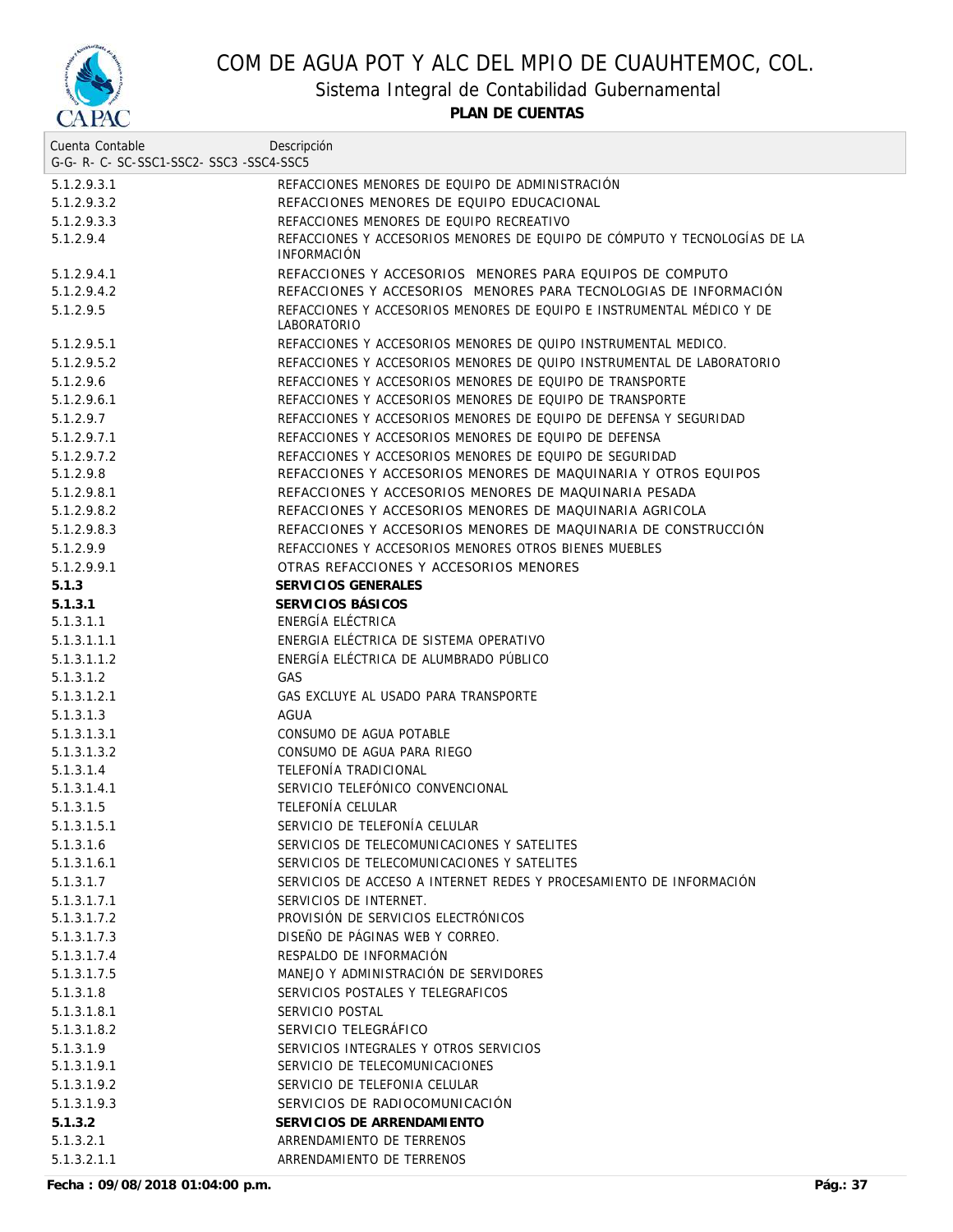

Sistema Integral de Contabilidad Gubernamental

**PLAN DE CUENTAS**

| Cuenta Contable                     | Descripción                                                                                     |
|-------------------------------------|-------------------------------------------------------------------------------------------------|
| G-G-R-C-SC-SSC1-SSC2-SSC3-SSC4-SSC5 |                                                                                                 |
| 5.1.2.9.3.1                         | REFACCIONES MENORES DE EQUIPO DE ADMINISTRACIÓN                                                 |
| 5.1.2.9.3.2                         | REFACCIONES MENORES DE EQUIPO EDUCACIONAL                                                       |
| 5.1.2.9.3.3                         | REFACCIONES MENORES DE EQUIPO RECREATIVO                                                        |
| 5.1.2.9.4                           | REFACCIONES Y ACCESORIOS MENORES DE EQUIPO DE CÓMPUTO Y TECNOLOGÍAS DE LA<br><b>INFORMACION</b> |
| 5.1.2.9.4.1                         | REFACCIONES Y ACCESORIOS MENORES PARA EQUIPOS DE COMPUTO                                        |
| 5.1.2.9.4.2                         | REFACCIONES Y ACCESORIOS MENORES PARA TECNOLOGIAS DE INFORMACIÓN                                |
| 5.1.2.9.5                           | REFACCIONES Y ACCESORIOS MENORES DE EQUIPO E INSTRUMENTAL MÉDICO Y DE<br><b>LABORATORIO</b>     |
| 5.1.2.9.5.1                         | REFACCIONES Y ACCESORIOS MENORES DE QUIPO INSTRUMENTAL MEDICO.                                  |
| 5.1.2.9.5.2                         | REFACCIONES Y ACCESORIOS MENORES DE QUIPO INSTRUMENTAL DE LABORATORIO                           |
| 5.1.2.9.6                           | REFACCIONES Y ACCESORIOS MENORES DE EQUIPO DE TRANSPORTE                                        |
| 5.1.2.9.6.1                         | REFACCIONES Y ACCESORIOS MENORES DE EQUIPO DE TRANSPORTE                                        |
| 5.1.2.9.7                           | REFACCIONES Y ACCESORIOS MENORES DE EQUIPO DE DEFENSA Y SEGURIDAD                               |
| 5.1.2.9.7.1                         | REFACCIONES Y ACCESORIOS MENORES DE EQUIPO DE DEFENSA                                           |
| 5.1.2.9.7.2                         | REFACCIONES Y ACCESORIOS MENORES DE EQUIPO DE SEGURIDAD                                         |
| 5.1.2.9.8                           | REFACCIONES Y ACCESORIOS MENORES DE MAQUINARIA Y OTROS EQUIPOS                                  |
| 5.1.2.9.8.1                         | REFACCIONES Y ACCESORIOS MENORES DE MAQUINARIA PESADA                                           |
| 5.1.2.9.8.2                         | REFACCIONES Y ACCESORIOS MENORES DE MAQUINARIA AGRICOLA                                         |
| 5.1.2.9.8.3                         | REFACCIONES Y ACCESORIOS MENORES DE MAQUINARIA DE CONSTRUCCIÓN                                  |
| 5.1.2.9.9                           | REFACCIONES Y ACCESORIOS MENORES OTROS BIENES MUEBLES                                           |
| 5.1.2.9.9.1                         | OTRAS REFACCIONES Y ACCESORIOS MENORES                                                          |
| 5.1.3                               | SERVICIOS GENERALES                                                                             |
| 5.1.3.1                             | SERVICIOS BÁSICOS                                                                               |
| 5.1.3.1.1                           | ENERGÍA ELÉCTRICA                                                                               |
| 5.1.3.1.1.1                         | ENERGIA ELÉCTRICA DE SISTEMA OPERATIVO                                                          |
| 5.1.3.1.1.2                         | ENERGÍA ELÉCTRICA DE ALUMBRADO PÚBLICO                                                          |
| 5.1.3.1.2                           | <b>GAS</b>                                                                                      |
| 5.1.3.1.2.1                         | GAS EXCLUYE AL USADO PARA TRANSPORTE                                                            |
| 5.1.3.1.3                           | <b>AGUA</b>                                                                                     |
| 5.1.3.1.3.1                         | CONSUMO DE AGUA POTABLE                                                                         |
| 5.1.3.1.3.2                         | CONSUMO DE AGUA PARA RIEGO                                                                      |
| 5.1.3.1.4                           | TELEFONÍA TRADICIONAL                                                                           |
| 5.1.3.1.4.1                         | SERVICIO TELEFÓNICO CONVENCIONAL                                                                |
| 5.1.3.1.5                           | TELEFONÍA CELULAR                                                                               |
| 5.1.3.1.5.1                         | SERVICIO DE TELEFONÍA CELULAR                                                                   |
| 5.1.3.1.6                           | SERVICIOS DE TELECOMUNICACIONES Y SATELITES                                                     |
| 5.1.3.1.6.1                         | SERVICIOS DE TELECOMUNICACIONES Y SATELITES                                                     |
| 5.1.3.1.7                           | SERVICIOS DE ACCESO A INTERNET REDES Y PROCESAMIENTO DE INFORMACIÓN                             |
| 5.1.3.1.7.1                         | SERVICIOS DE INTERNET.                                                                          |
| 5.1.3.1.7.2                         | PROVISIÓN DE SERVICIOS ELECTRÓNICOS                                                             |
| 5.1.3.1.7.3                         | DISEÑO DE PÁGINAS WEB Y CORREO.                                                                 |
| 5.1.3.1.7.4                         | RESPALDO DE INFORMACIÓN                                                                         |
| 5.1.3.1.7.5                         | MANEJO Y ADMINISTRACIÓN DE SERVIDORES                                                           |
| 5.1.3.1.8                           | SERVICIOS POSTALES Y TELEGRAFICOS                                                               |
| 5.1.3.1.8.1                         | SERVICIO POSTAL                                                                                 |
| 5.1.3.1.8.2                         | SERVICIO TELEGRÁFICO                                                                            |
| 5.1.3.1.9                           | SERVICIOS INTEGRALES Y OTROS SERVICIOS                                                          |
| 5.1.3.1.9.1                         | SERVICIO DE TELECOMUNICACIONES                                                                  |
| 5.1.3.1.9.2                         | SERVICIO DE TELEFONIA CELULAR                                                                   |
| 5.1.3.1.9.3                         | SERVICIOS DE RADIOCOMUNICACIÓN                                                                  |
| 5.1.3.2                             | SERVICIOS DE ARRENDAMIENTO                                                                      |
|                                     |                                                                                                 |
| 5.1.3.2.1                           | ARRENDAMIENTO DE TERRENOS                                                                       |
| 5.1.3.2.1.1                         | ARRENDAMIENTO DE TERRENOS                                                                       |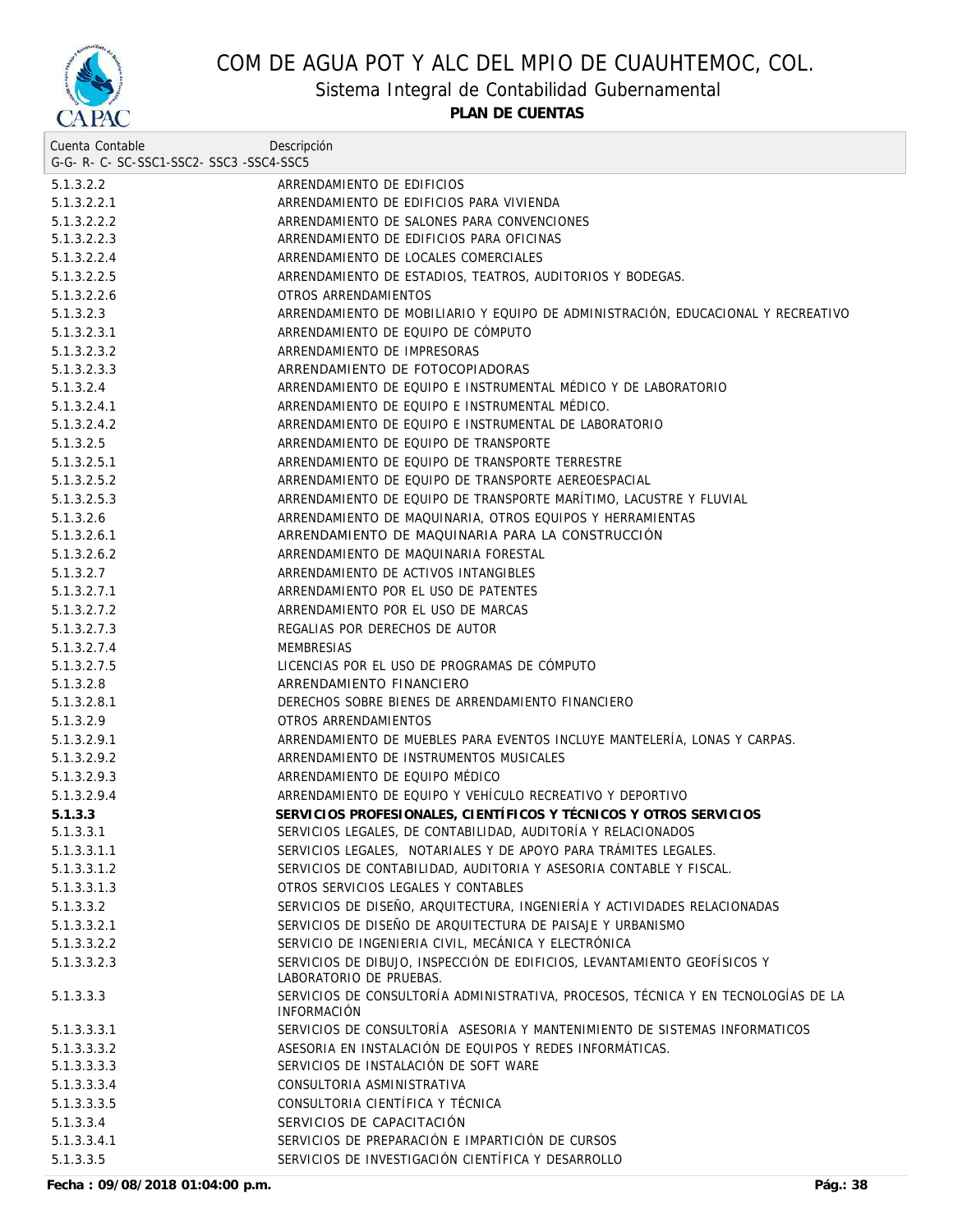

Sistema Integral de Contabilidad Gubernamental

**PLAN DE CUENTAS**

| Cuenta Contable                     | Descripción                                                                                             |
|-------------------------------------|---------------------------------------------------------------------------------------------------------|
| G-G-R-C-SC-SSC1-SSC2-SSC3-SSC4-SSC5 |                                                                                                         |
| 5.1.3.2.2                           | ARRENDAMIENTO DE EDIFICIOS                                                                              |
| 5.1.3.2.2.1                         | ARRENDAMIENTO DE EDIFICIOS PARA VIVIENDA                                                                |
| 5.1.3.2.2.2                         | ARRENDAMIENTO DE SALONES PARA CONVENCIONES                                                              |
| 5.1.3.2.2.3                         | ARRENDAMIENTO DE EDIFICIOS PARA OFICINAS                                                                |
| 5.1.3.2.2.4                         | ARRENDAMIENTO DE LOCALES COMERCIALES                                                                    |
| 5.1.3.2.2.5                         | ARRENDAMIENTO DE ESTADIOS, TEATROS, AUDITORIOS Y BODEGAS.                                               |
| 5.1.3.2.2.6                         | OTROS ARRENDAMIENTOS                                                                                    |
| 5.1.3.2.3                           | ARRENDAMIENTO DE MOBILIARIO Y EQUIPO DE ADMINISTRACIÓN, EDUCACIONAL Y RECREATIVO                        |
| 5.1.3.2.3.1                         | ARRENDAMIENTO DE EQUIPO DE CÓMPUTO                                                                      |
| 5.1.3.2.3.2                         | ARRENDAMIENTO DE IMPRESORAS                                                                             |
| 5.1.3.2.3.3                         | ARRENDAMIENTO DE FOTOCOPIADORAS                                                                         |
| 5.1.3.2.4                           | ARRENDAMIENTO DE EQUIPO E INSTRUMENTAL MÉDICO Y DE LABORATORIO                                          |
| 5.1.3.2.4.1                         | ARRENDAMIENTO DE EQUIPO E INSTRUMENTAL MÉDICO.                                                          |
| 5.1.3.2.4.2                         | ARRENDAMIENTO DE EQUIPO E INSTRUMENTAL DE LABORATORIO                                                   |
| 5.1.3.2.5                           | ARRENDAMIENTO DE EQUIPO DE TRANSPORTE                                                                   |
| 5.1.3.2.5.1                         | ARRENDAMIENTO DE EQUIPO DE TRANSPORTE TERRESTRE                                                         |
| 5.1.3.2.5.2                         | ARRENDAMIENTO DE EOUIPO DE TRANSPORTE AEREOESPACIAL                                                     |
| 5.1.3.2.5.3                         | ARRENDAMIENTO DE EQUIPO DE TRANSPORTE MARÍTIMO, LACUSTRE Y FLUVIAL                                      |
| 5.1.3.2.6                           | ARRENDAMIENTO DE MAQUINARIA, OTROS EQUIPOS Y HERRAMIENTAS                                               |
| 5.1.3.2.6.1                         | ARRENDAMIENTO DE MAQUINARIA PARA LA CONSTRUCCIÓN                                                        |
| 5.1.3.2.6.2                         | ARRENDAMIENTO DE MAQUINARIA FORESTAL                                                                    |
| 5.1.3.2.7                           | ARRENDAMIENTO DE ACTIVOS INTANGIBLES                                                                    |
| 5.1.3.2.7.1                         | ARRENDAMIENTO POR EL USO DE PATENTES                                                                    |
| 5.1.3.2.7.2                         | ARRENDAMIENTO POR EL USO DE MARCAS                                                                      |
| 5.1.3.2.7.3                         | REGALIAS POR DERECHOS DE AUTOR                                                                          |
| 5.1.3.2.7.4                         | <b>MEMBRESIAS</b>                                                                                       |
| 5.1.3.2.7.5                         | LICENCIAS POR EL USO DE PROGRAMAS DE COMPUTO                                                            |
| 5.1.3.2.8                           | ARRENDAMIENTO FINANCIERO                                                                                |
| 5.1.3.2.8.1                         | DERECHOS SOBRE BIENES DE ARRENDAMIENTO FINANCIERO                                                       |
| 5.1.3.2.9                           | OTROS ARRENDAMIENTOS                                                                                    |
| 5.1.3.2.9.1                         | ARRENDAMIENTO DE MUEBLES PARA EVENTOS INCLUYE MANTELERÍA, LONAS Y CARPAS.                               |
| 5.1.3.2.9.2                         | ARRENDAMIENTO DE INSTRUMENTOS MUSICALES                                                                 |
| 5.1.3.2.9.3                         | ARRENDAMIENTO DE EOUIPO MÉDICO                                                                          |
| 5.1.3.2.9.4                         | ARRENDAMIENTO DE EQUIPO Y VEHÍCULO RECREATIVO Y DEPORTIVO                                               |
| 5.1.3.3                             | SERVICIOS PROFESIONALES, CIENTÍFICOS Y TÉCNICOS Y OTROS SERVICIOS                                       |
| 5.1.3.3.1                           | SERVICIOS LEGALES, DE CONTABILIDAD, AUDITORÍA Y RELACIONADOS                                            |
| 5.1.3.3.1.1                         | SERVICIOS LEGALES, NOTARIALES Y DE APOYO PARA TRÁMITES LEGALES.                                         |
| 5.1.3.3.1.2                         | SERVICIOS DE CONTABILIDAD, AUDITORIA Y ASESORIA CONTABLE Y FISCAL.                                      |
| 5.1.3.3.1.3                         | OTROS SERVICIOS LEGALES Y CONTABLES                                                                     |
| 5.1.3.3.2                           | SERVICIOS DE DISEÑO, ARQUITECTURA, INGENIERÍA Y ACTIVIDADES RELACIONADAS                                |
| 5.1.3.3.2.1                         | SERVICIOS DE DISEÑO DE ARQUITECTURA DE PAISAJE Y URBANISMO                                              |
| 5.1.3.3.2.2                         | SERVICIO DE INGENIERIA CIVIL, MECÁNICA Y ELECTRÓNICA                                                    |
| 5.1.3.3.2.3                         | SERVICIOS DE DIBUJO, INSPECCIÓN DE EDIFICIOS, LEVANTAMIENTO GEOFÍSICOS Y<br>LABORATORIO DE PRUEBAS.     |
| 5.1.3.3.3                           | SERVICIOS DE CONSULTORÍA ADMINISTRATIVA, PROCESOS, TÉCNICA Y EN TECNOLOGÍAS DE LA<br><b>INFORMACIÓN</b> |
| 5.1.3.3.3.1                         | SERVICIOS DE CONSULTORÍA ASESORIA Y MANTENIMIENTO DE SISTEMAS INFORMATICOS                              |
| 5.1.3.3.3.2                         | ASESORIA EN INSTALACIÓN DE EQUIPOS Y REDES INFORMÁTICAS.                                                |
| 5.1.3.3.3.3                         | SERVICIOS DE INSTALACIÓN DE SOFT WARE                                                                   |
| 5.1.3.3.3.4                         | CONSULTORIA ASMINISTRATIVA                                                                              |
| 5.1.3.3.3.5                         | CONSULTORIA CIENTÍFICA Y TÉCNICA                                                                        |
| 5.1.3.3.4                           | SERVICIOS DE CAPACITACIÓN                                                                               |
| 5.1.3.3.4.1                         | SERVICIOS DE PREPARACIÓN E IMPARTICIÓN DE CURSOS                                                        |
| 5.1.3.3.5                           | SERVICIOS DE INVESTIGACIÓN CIENTÍFICA Y DESARROLLO                                                      |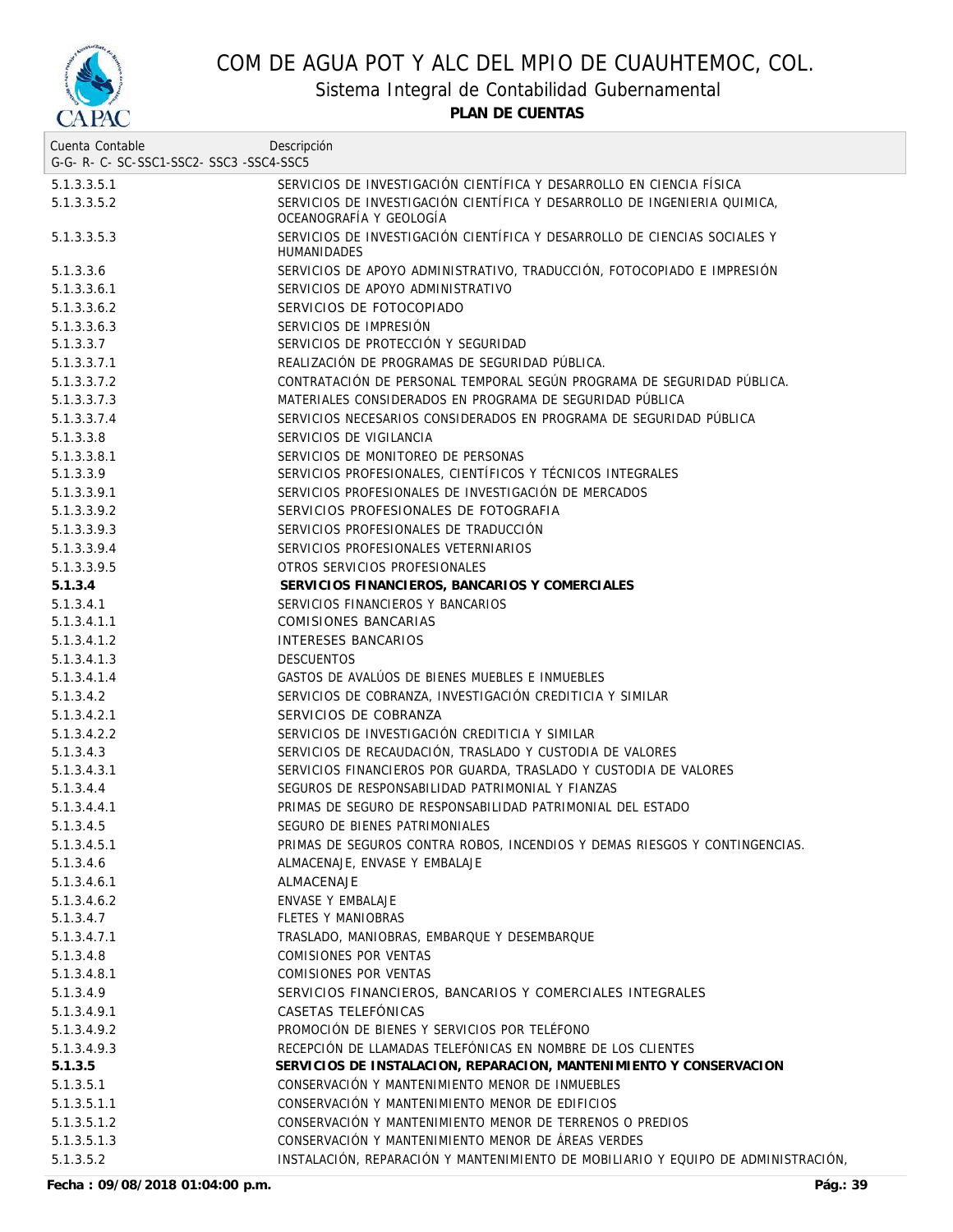

Sistema Integral de Contabilidad Gubernamental

**PLAN DE CUENTAS**

| Cuenta Contable                          | Descripción                                                                                          |
|------------------------------------------|------------------------------------------------------------------------------------------------------|
| G-G- R- C- SC-SSC1-SSC2- SSC3 -SSC4-SSC5 |                                                                                                      |
| 5.1.3.3.5.1                              | SERVICIOS DE INVESTIGACIÓN CIENTÍFICA Y DESARROLLO EN CIENCIA FÍSICA                                 |
| 5.1.3.3.5.2                              | SERVICIOS DE INVESTIGACIÓN CIENTÍFICA Y DESARROLLO DE INGENIERIA QUIMICA,<br>OCEANOGRAFIA Y GEOLOGIA |
| 5.1.3.3.5.3                              | SERVICIOS DE INVESTIGACIÓN CIENTÍFICA Y DESARROLLO DE CIENCIAS SOCIALES Y<br>HUMANIDADES             |
| 5.1.3.3.6                                | SERVICIOS DE APOYO ADMINISTRATIVO, TRADUCCIÓN, FOTOCOPIADO E IMPRESIÓN                               |
| 5.1.3.3.6.1                              | SERVICIOS DE APOYO ADMINISTRATIVO                                                                    |
| 5.1.3.3.6.2                              | SERVICIOS DE FOTOCOPIADO                                                                             |
| 5.1.3.3.6.3                              | SERVICIOS DE IMPRESIÓN                                                                               |
| 5.1.3.3.7                                | SERVICIOS DE PROTECCIÓN Y SEGURIDAD                                                                  |
| 5.1.3.3.7.1                              | REALIZACIÓN DE PROGRAMAS DE SEGURIDAD PÚBLICA.                                                       |
| 5.1.3.3.7.2                              | CONTRATACIÓN DE PERSONAL TEMPORAL SEGÚN PROGRAMA DE SEGURIDAD PÚBLICA.                               |
| 5.1.3.3.7.3                              | MATERIALES CONSIDERADOS EN PROGRAMA DE SEGURIDAD PÚBLICA                                             |
| 5.1.3.3.7.4                              | SERVICIOS NECESARIOS CONSIDERADOS EN PROGRAMA DE SEGURIDAD PÚBLICA                                   |
| 5.1.3.3.8                                | SERVICIOS DE VIGILANCIA                                                                              |
| 5.1.3.3.8.1                              | SERVICIOS DE MONITOREO DE PERSONAS                                                                   |
| 5.1.3.3.9                                | SERVICIOS PROFESIONALES, CIENTÍFICOS Y TÉCNICOS INTEGRALES                                           |
| 5.1.3.3.9.1                              | SERVICIOS PROFESIONALES DE INVESTIGACIÓN DE MERCADOS                                                 |
| 5.1.3.3.9.2                              | SERVICIOS PROFESIONALES DE FOTOGRAFIA                                                                |
| 5.1.3.3.9.3                              | SERVICIOS PROFESIONALES DE TRADUCCIÓN                                                                |
| 5.1.3.3.9.4                              | SERVICIOS PROFESIONALES VETERNIARIOS                                                                 |
| 5.1.3.3.9.5                              | OTROS SERVICIOS PROFESIONALES                                                                        |
| 5.1.3.4                                  | SERVICIOS FINANCIEROS, BANCARIOS Y COMERCIALES                                                       |
| 5.1.3.4.1                                | SERVICIOS FINANCIEROS Y BANCARIOS                                                                    |
| 5.1.3.4.1.1                              | <b>COMISIONES BANCARIAS</b>                                                                          |
| 5.1.3.4.1.2                              | <b>INTERESES BANCARIOS</b>                                                                           |
| 5.1.3.4.1.3                              | <b>DESCUENTOS</b>                                                                                    |
| 5.1.3.4.1.4                              | GASTOS DE AVALÚOS DE BIENES MUEBLES E INMUEBLES                                                      |
| 5.1.3.4.2                                | SERVICIOS DE COBRANZA, INVESTIGACIÓN CREDITICIA Y SIMILAR                                            |
| 5.1.3.4.2.1                              | SERVICIOS DE COBRANZA                                                                                |
| 5.1.3.4.2.2                              | SERVICIOS DE INVESTIGACIÓN CREDITICIA Y SIMILAR                                                      |
| 5.1.3.4.3                                | SERVICIOS DE RECAUDACIÓN, TRASLADO Y CUSTODIA DE VALORES                                             |
| 5.1.3.4.3.1                              | SERVICIOS FINANCIEROS POR GUARDA, TRASLADO Y CUSTODIA DE VALORES                                     |
| 5.1.3.4.4                                | SEGUROS DE RESPONSABILIDAD PATRIMONIAL Y FIANZAS                                                     |
| 5.1.3.4.4.1                              | PRIMAS DE SEGURO DE RESPONSABILIDAD PATRIMONIAL DEL ESTADO                                           |
| 5.1.3.4.5                                | SEGURO DE BIENES PATRIMONIALES                                                                       |
| 5.1.3.4.5.1                              | PRIMAS DE SEGUROS CONTRA ROBOS, INCENDIOS Y DEMAS RIESGOS Y CONTINGENCIAS.                           |
| 5.1.3.4.6                                | ALMACENAJE, ENVASE Y EMBALAJE                                                                        |
| 5.1.3.4.6.1                              | <b>ALMACENAJE</b>                                                                                    |
| 5.1.3.4.6.2                              | ENVASE Y EMBALAJE                                                                                    |
| 5.1.3.4.7                                | FLETES Y MANIOBRAS                                                                                   |
| 5.1.3.4.7.1                              | TRASLADO, MANIOBRAS, EMBARQUE Y DESEMBARQUE                                                          |
| 5.1.3.4.8                                | COMISIONES POR VENTAS                                                                                |
| 5.1.3.4.8.1                              | COMISIONES POR VENTAS                                                                                |
| 5.1.3.4.9                                | SERVICIOS FINANCIEROS, BANCARIOS Y COMERCIALES INTEGRALES                                            |
| 5.1.3.4.9.1                              | CASETAS TELEFÓNICAS                                                                                  |
| 5.1.3.4.9.2                              | PROMOCIÓN DE BIENES Y SERVICIOS POR TELÉFONO                                                         |
| 5.1.3.4.9.3                              | RECEPCIÓN DE LLAMADAS TELEFÓNICAS EN NOMBRE DE LOS CLIENTES                                          |
| 5.1.3.5                                  | SERVICIOS DE INSTALACION, REPARACION, MANTENIMIENTO Y CONSERVACION                                   |
| 5.1.3.5.1                                | CONSERVACIÓN Y MANTENIMIENTO MENOR DE INMUEBLES                                                      |
| 5.1.3.5.1.1                              | CONSERVACIÓN Y MANTENIMIENTO MENOR DE EDIFICIOS                                                      |
| 5.1.3.5.1.2                              | CONSERVACIÓN Y MANTENIMIENTO MENOR DE TERRENOS O PREDIOS                                             |
| 5.1.3.5.1.3                              | CONSERVACIÓN Y MANTENIMIENTO MENOR DE ÁREAS VERDES                                                   |
| 5.1.3.5.2                                | INSTALACIÓN, REPARACIÓN Y MANTENIMIENTO DE MOBILIARIO Y EQUIPO DE ADMINISTRACIÓN,                    |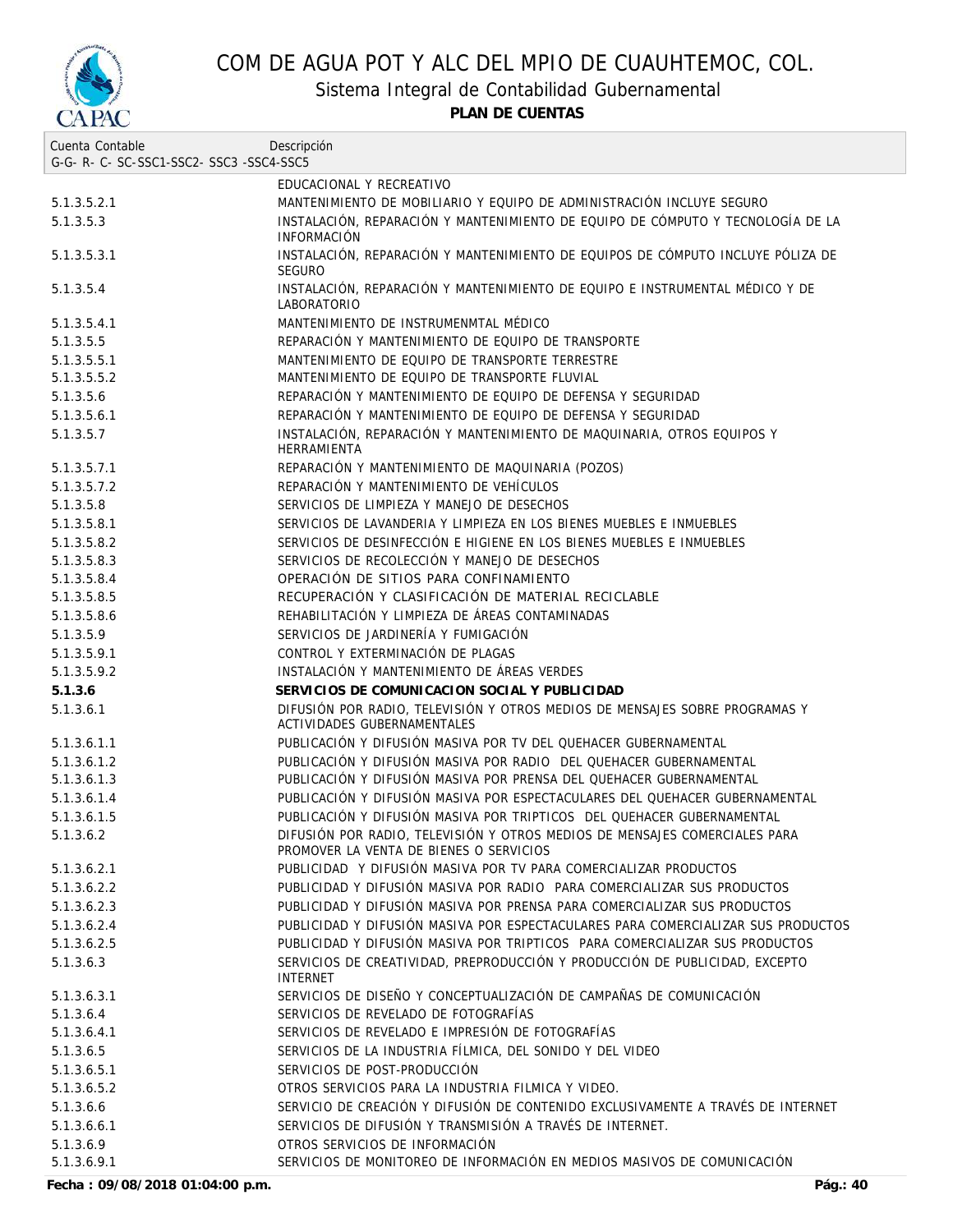

Sistema Integral de Contabilidad Gubernamental

**PLAN DE CUENTAS**

| Cuenta Contable                     | Descripción                                                                                                           |
|-------------------------------------|-----------------------------------------------------------------------------------------------------------------------|
| G-G-R-C-SC-SSC1-SSC2-SSC3-SSC4-SSC5 |                                                                                                                       |
|                                     | EDUCACIONAL Y RECREATIVO                                                                                              |
| 5.1.3.5.2.1                         | MANTENIMIENTO DE MOBILIARIO Y EQUIPO DE ADMINISTRACIÓN INCLUYE SEGURO                                                 |
| 5.1.3.5.3                           | INSTALACIÓN, REPARACIÓN Y MANTENIMIENTO DE EQUIPO DE CÓMPUTO Y TECNOLOGÍA DE LA<br><b>INFORMACIÓN</b>                 |
| 5.1.3.5.3.1                         | INSTALACIÓN, REPARACIÓN Y MANTENIMIENTO DE EQUIPOS DE CÓMPUTO INCLUYE PÓLIZA DE<br><b>SEGURO</b>                      |
| 5.1.3.5.4                           | INSTALACIÓN, REPARACIÓN Y MANTENIMIENTO DE EQUIPO E INSTRUMENTAL MÉDICO Y DE<br>LABORATORIO                           |
| 5.1.3.5.4.1                         | MANTENIMIENTO DE INSTRUMENMTAL MÉDICO                                                                                 |
| 5.1.3.5.5                           | REPARACIÓN Y MANTENIMIENTO DE EOUIPO DE TRANSPORTE                                                                    |
| 5.1.3.5.5.1                         | MANTENIMIENTO DE EOUIPO DE TRANSPORTE TERRESTRE                                                                       |
| 5.1.3.5.5.2                         | MANTENIMIENTO DE EQUIPO DE TRANSPORTE FLUVIAL                                                                         |
| 5.1.3.5.6                           | REPARACIÓN Y MANTENIMIENTO DE EQUIPO DE DEFENSA Y SEGURIDAD                                                           |
| 5.1.3.5.6.1                         | REPARACIÓN Y MANTENIMIENTO DE EQUIPO DE DEFENSA Y SEGURIDAD                                                           |
| 5.1.3.5.7                           | INSTALACIÓN, REPARACIÓN Y MANTENIMIENTO DE MAQUINARIA, OTROS EQUIPOS Y<br>HERRAMIENTA                                 |
| 5.1.3.5.7.1                         | REPARACIÓN Y MANTENIMIENTO DE MAQUINARIA (POZOS)                                                                      |
| 5.1.3.5.7.2                         | REPARACIÓN Y MANTENIMIENTO DE VEHÍCULOS                                                                               |
| 5.1.3.5.8                           | SERVICIOS DE LIMPIEZA Y MANEJO DE DESECHOS                                                                            |
| 5.1.3.5.8.1                         | SERVICIOS DE LAVANDERIA Y LIMPIEZA EN LOS BIENES MUEBLES E INMUEBLES                                                  |
| 5.1.3.5.8.2                         | SERVICIOS DE DESINFECCIÓN E HIGIENE EN LOS BIENES MUEBLES E INMUEBLES                                                 |
| 5.1.3.5.8.3                         | SERVICIOS DE RECOLECCIÓN Y MANEJO DE DESECHOS                                                                         |
| 5.1.3.5.8.4                         | OPERACIÓN DE SITIOS PARA CONFINAMIENTO                                                                                |
| 5.1.3.5.8.5                         | RECUPERACIÓN Y CLASIFICACIÓN DE MATERIAL RECICLABLE                                                                   |
| 5.1.3.5.8.6                         | REHABILITACIÓN Y LIMPIEZA DE ÁREAS CONTAMINADAS                                                                       |
| 5.1.3.5.9                           | SERVICIOS DE JARDINERÍA Y FUMIGACIÓN                                                                                  |
| 5.1.3.5.9.1                         | CONTROL Y EXTERMINACIÓN DE PLAGAS                                                                                     |
| 5.1.3.5.9.2                         | INSTALACIÓN Y MANTENIMIENTO DE ÁREAS VERDES                                                                           |
| 5.1.3.6                             | SERVICIOS DE COMUNICACION SOCIAL Y PUBLICIDAD                                                                         |
| 5.1.3.6.1                           | DIFUSIÓN POR RADIO, TELEVISIÓN Y OTROS MEDIOS DE MENSAJES SOBRE PROGRAMAS Y<br><b>ACTIVIDADES GUBERNAMENTALES</b>     |
| 5.1.3.6.1.1                         | PUBLICACIÓN Y DIFUSIÓN MASIVA POR TV DEL QUEHACER GUBERNAMENTAL                                                       |
| 5.1.3.6.1.2                         | PUBLICACIÓN Y DIFUSIÓN MASIVA POR RADIO DEL OUEHACER GUBERNAMENTAL                                                    |
| 5.1.3.6.1.3                         | PUBLICACIÓN Y DIFUSIÓN MASIVA POR PRENSA DEL QUEHACER GUBERNAMENTAL                                                   |
| 5.1.3.6.1.4                         | PUBLICACIÓN Y DIFUSIÓN MASIVA POR ESPECTACULARES DEL QUEHACER GUBERNAMENTAL                                           |
| 5.1.3.6.1.5                         | PUBLICACIÓN Y DIFUSIÓN MASIVA POR TRIPTICOS DEL QUEHACER GUBERNAMENTAL                                                |
| 5.1.3.6.2                           | DIFUSIÓN POR RADIO, TELEVISIÓN Y OTROS MEDIOS DE MENSAJES COMERCIALES PARA<br>PROMOVER LA VENTA DE BIENES O SERVICIOS |
| 5.1.3.6.2.1                         | PUBLICIDAD Y DIFUSIÓN MASIVA POR TV PARA COMERCIALIZAR PRODUCTOS                                                      |
| 5.1.3.6.2.2                         | PUBLICIDAD Y DIFUSIÓN MASIVA POR RADIO PARA COMERCIALIZAR SUS PRODUCTOS                                               |
| 5.1.3.6.2.3                         | PUBLICIDAD Y DIFUSIÓN MASIVA POR PRENSA PARA COMERCIALIZAR SUS PRODUCTOS                                              |
| 5.1.3.6.2.4                         | PUBLICIDAD Y DIFUSIÓN MASIVA POR ESPECTACULARES PARA COMERCIALIZAR SUS PRODUCTOS                                      |
| 5.1.3.6.2.5                         | PUBLICIDAD Y DIFUSIÓN MASIVA POR TRIPTICOS PARA COMERCIALIZAR SUS PRODUCTOS                                           |
| 5.1.3.6.3                           | SERVICIOS DE CREATIVIDAD, PREPRODUCCIÓN Y PRODUCCIÓN DE PUBLICIDAD, EXCEPTO<br><b>INTERNET</b>                        |
| 5.1.3.6.3.1                         | SERVICIOS DE DISEÑO Y CONCEPTUALIZACIÓN DE CAMPAÑAS DE COMUNICACIÓN                                                   |
| 5.1.3.6.4                           | SERVICIOS DE REVELADO DE FOTOGRAFÍAS                                                                                  |
| 5.1.3.6.4.1                         | SERVICIOS DE REVELADO E IMPRESIÓN DE FOTOGRAFÍAS                                                                      |
| 5.1.3.6.5                           | SERVICIOS DE LA INDUSTRIA FÍLMICA, DEL SONIDO Y DEL VIDEO                                                             |
| 5.1.3.6.5.1                         | SERVICIOS DE POST-PRODUCCIÓN                                                                                          |
| 5.1.3.6.5.2                         | OTROS SERVICIOS PARA LA INDUSTRIA FILMICA Y VIDEO.                                                                    |
| 5.1.3.6.6                           | SERVICIO DE CREACIÓN Y DIFUSIÓN DE CONTENIDO EXCLUSIVAMENTE A TRAVÉS DE INTERNET                                      |
| 5.1.3.6.6.1                         | SERVICIOS DE DIFUSIÓN Y TRANSMISIÓN A TRAVÉS DE INTERNET.                                                             |
| 5.1.3.6.9                           | OTROS SERVICIOS DE INFORMACIÓN                                                                                        |
| 5.1.3.6.9.1                         | SERVICIOS DE MONITOREO DE INFORMACIÓN EN MEDIOS MASIVOS DE COMUNICACIÓN                                               |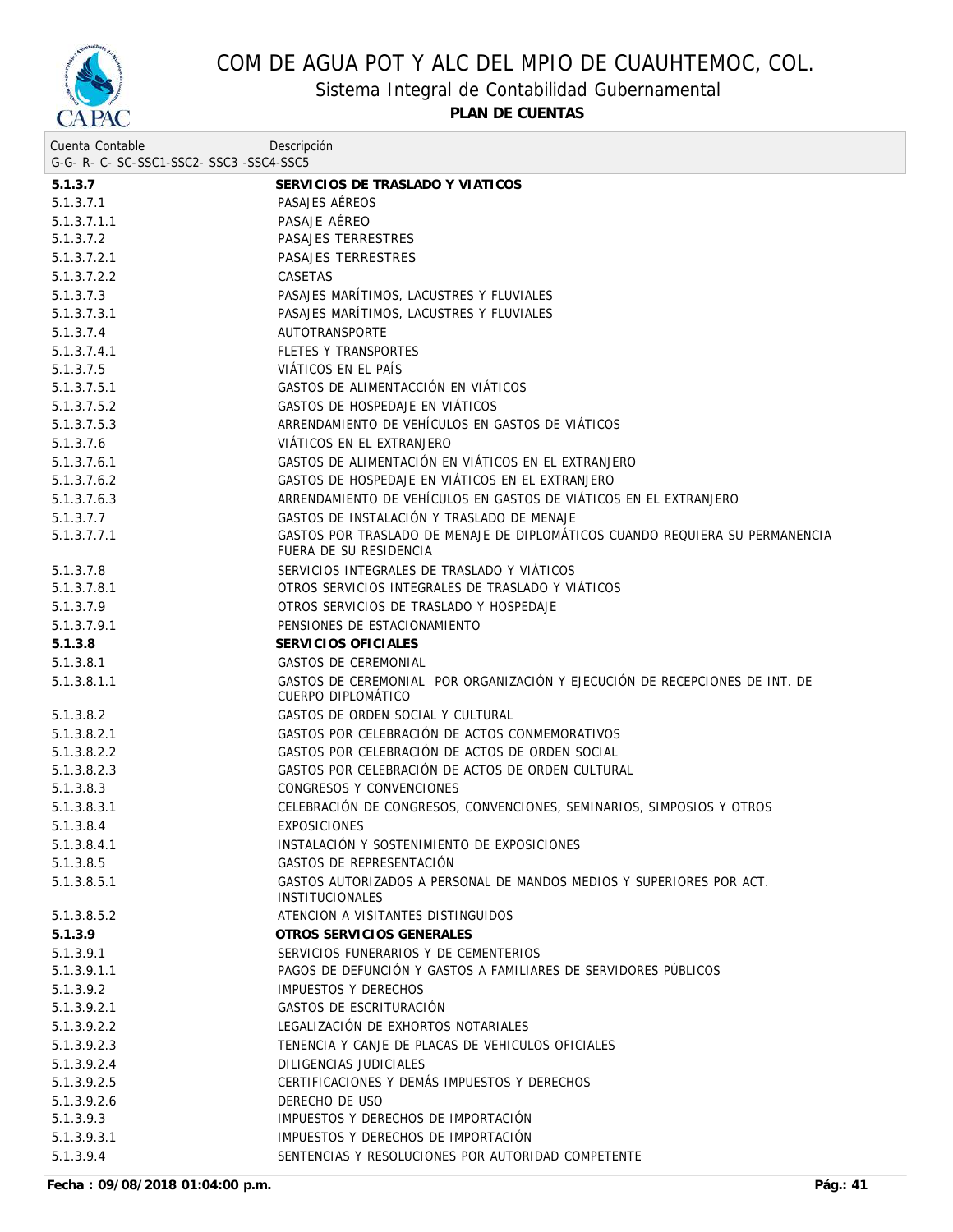

Sistema Integral de Contabilidad Gubernamental

**PLAN DE CUENTAS**

| Cuenta Contable                          | Descripción                                                                                       |
|------------------------------------------|---------------------------------------------------------------------------------------------------|
| G-G- R- C- SC-SSC1-SSC2- SSC3 -SSC4-SSC5 |                                                                                                   |
| 5.1.3.7                                  | SERVICIOS DE TRASLADO Y VIATICOS                                                                  |
| 5.1.3.7.1                                | PASAJES AÉREOS                                                                                    |
| 5.1.3.7.1.1                              | PASAJE AÉREO                                                                                      |
| 5.1.3.7.2                                | PASAJES TERRESTRES                                                                                |
| 5.1.3.7.2.1                              | PASAJES TERRESTRES                                                                                |
| 5.1.3.7.2.2                              | <b>CASETAS</b>                                                                                    |
| 5.1.3.7.3                                | PASAJES MARÍTIMOS, LACUSTRES Y FLUVIALES                                                          |
| 5.1.3.7.3.1                              | PASAJES MARÍTIMOS, LACUSTRES Y FLUVIALES                                                          |
| 5.1.3.7.4                                | <b>AUTOTRANSPORTE</b>                                                                             |
| 5.1.3.7.4.1                              | <b>FLETES Y TRANSPORTES</b>                                                                       |
| 5.1.3.7.5                                | VIÁTICOS EN EL PAÍS                                                                               |
| 5.1.3.7.5.1                              | GASTOS DE ALIMENTACCIÓN EN VIÁTICOS                                                               |
| 5.1.3.7.5.2                              | GASTOS DE HOSPEDAJE EN VIÁTICOS                                                                   |
| 5.1.3.7.5.3                              | ARRENDAMIENTO DE VEHÍCULOS EN GASTOS DE VIÁTICOS                                                  |
| 5.1.3.7.6                                | VIÁTICOS EN EL EXTRANJERO                                                                         |
| 5.1.3.7.6.1                              | GASTOS DE ALIMENTACIÓN EN VIÁTICOS EN EL EXTRANJERO                                               |
| 5.1.3.7.6.2                              | GASTOS DE HOSPEDAJE EN VIÁTICOS EN EL EXTRANJERO                                                  |
| 5.1.3.7.6.3                              | ARRENDAMIENTO DE VEHÍCULOS EN GASTOS DE VIÁTICOS EN EL EXTRANJERO                                 |
| 5.1.3.7.7                                | GASTOS DE INSTALACIÓN Y TRASLADO DE MENAJE                                                        |
| 5.1.3.7.7.1                              | GASTOS POR TRASLADO DE MENAJE DE DIPLOMÁTICOS CUANDO REQUIERA SU PERMANENCIA                      |
|                                          | FUERA DE SU RESIDENCIA                                                                            |
| 5.1.3.7.8                                | SERVICIOS INTEGRALES DE TRASLADO Y VIÁTICOS                                                       |
| 5.1.3.7.8.1                              | OTROS SERVICIOS INTEGRALES DE TRASLADO Y VIÁTICOS                                                 |
| 5.1.3.7.9                                | OTROS SERVICIOS DE TRASLADO Y HOSPEDAJE                                                           |
| 5.1.3.7.9.1                              | PENSIONES DE ESTACIONAMIENTO                                                                      |
| 5.1.3.8                                  | SERVICIOS OFICIALES                                                                               |
| 5.1.3.8.1                                | <b>GASTOS DE CEREMONIAL</b>                                                                       |
| 5.1.3.8.1.1                              | GASTOS DE CEREMONIAL POR ORGANIZACIÓN Y EJECUCIÓN DE RECEPCIONES DE INT. DE<br>CUERPO DIPLOMATICO |
| 5.1.3.8.2                                | GASTOS DE ORDEN SOCIAL Y CULTURAL                                                                 |
| 5.1.3.8.2.1                              | GASTOS POR CELEBRACIÓN DE ACTOS CONMEMORATIVOS                                                    |
| 5.1.3.8.2.2                              | GASTOS POR CELEBRACIÓN DE ACTOS DE ORDEN SOCIAL                                                   |
| 5.1.3.8.2.3                              | GASTOS POR CELEBRACIÓN DE ACTOS DE ORDEN CULTURAL                                                 |
| 5.1.3.8.3                                | CONGRESOS Y CONVENCIONES                                                                          |
| 5.1.3.8.3.1                              | CELEBRACIÓN DE CONGRESOS, CONVENCIONES, SEMINARIOS, SIMPOSIOS Y OTROS                             |
| 5.1.3.8.4                                | <b>EXPOSICIONES</b>                                                                               |
| 5.1.3.8.4.1                              | INSTALACIÓN Y SOSTENIMIENTO DE EXPOSICIONES                                                       |
| 5.1.3.8.5                                | GASTOS DE REPRESENTACIÓN                                                                          |
| 5.1.3.8.5.1                              | GASTOS AUTORIZADOS A PERSONAL DE MANDOS MEDIOS Y SUPERIORES POR ACT.<br><b>INSTITUCIONALES</b>    |
| 5.1.3.8.5.2                              | ATENCION A VISITANTES DISTINGUIDOS                                                                |
| 5.1.3.9                                  | OTROS SERVICIOS GENERALES                                                                         |
| 5.1.3.9.1                                | SERVICIOS FUNERARIOS Y DE CEMENTERIOS                                                             |
| 5.1.3.9.1.1                              | PAGOS DE DEFUNCIÓN Y GASTOS A FAMILIARES DE SERVIDORES PÚBLICOS                                   |
| 5.1.3.9.2                                | IMPUESTOS Y DERECHOS                                                                              |
| 5.1.3.9.2.1                              | GASTOS DE ESCRITURACIÓN                                                                           |
| 5.1.3.9.2.2                              | LEGALIZACIÓN DE EXHORTOS NOTARIALES                                                               |
| 5.1.3.9.2.3                              | TENENCIA Y CANJE DE PLACAS DE VEHICULOS OFICIALES                                                 |
| 5.1.3.9.2.4                              | DILIGENCIAS JUDICIALES                                                                            |
| 5.1.3.9.2.5                              | CERTIFICACIONES Y DEMÁS IMPUESTOS Y DERECHOS                                                      |
| 5.1.3.9.2.6                              | DERECHO DE USO                                                                                    |
| 5.1.3.9.3                                | IMPUESTOS Y DERECHOS DE IMPORTACIÓN                                                               |
| 5.1.3.9.3.1                              | IMPUESTOS Y DERECHOS DE IMPORTACIÓN                                                               |
| 5.1.3.9.4                                | SENTENCIAS Y RESOLUCIONES POR AUTORIDAD COMPETENTE                                                |
|                                          |                                                                                                   |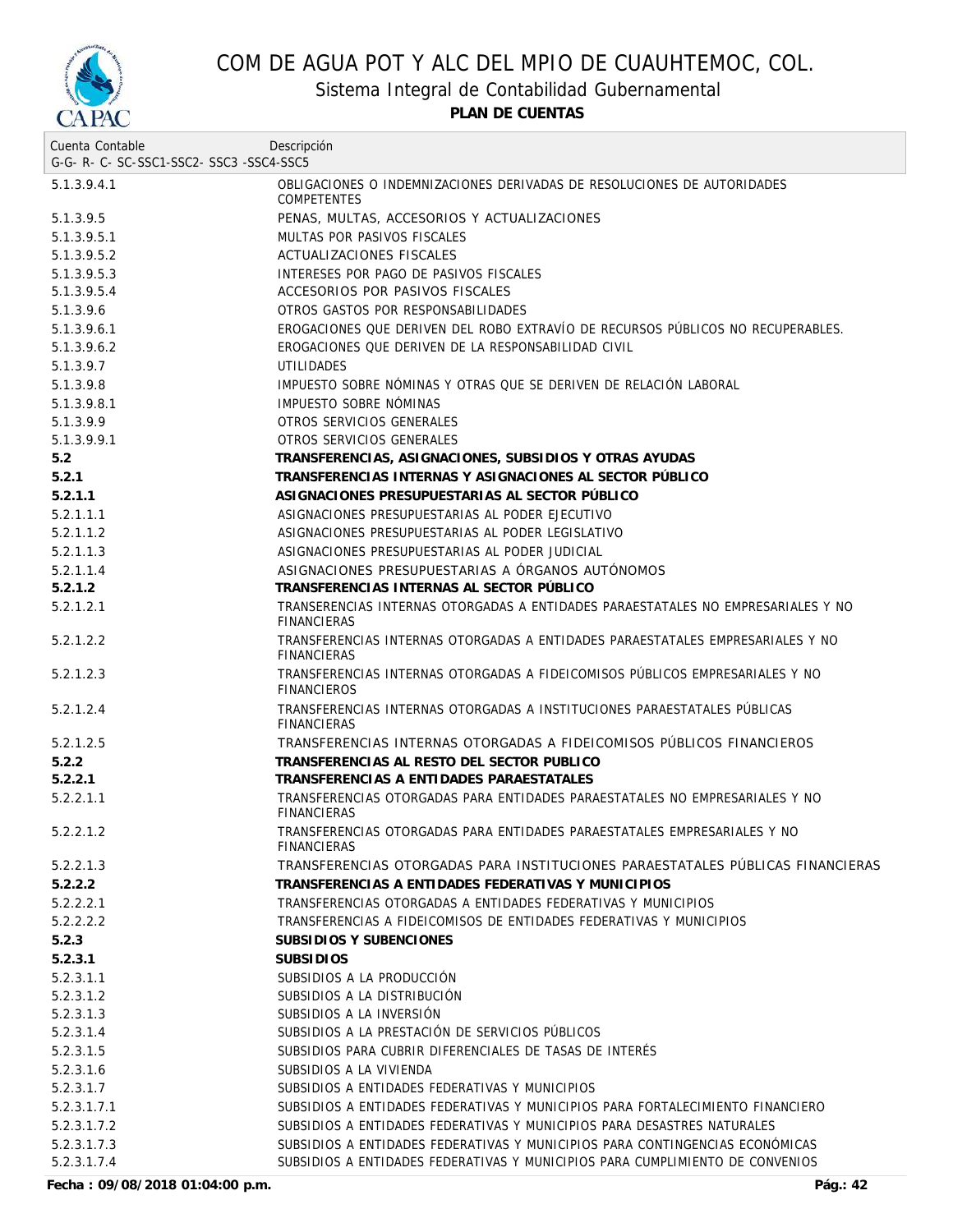

Sistema Integral de Contabilidad Gubernamental

**PLAN DE CUENTAS**

| Cuenta Contable                     | Descripción                                                                                            |
|-------------------------------------|--------------------------------------------------------------------------------------------------------|
| G-G-R-C-SC-SSC1-SSC2-SSC3-SSC4-SSC5 |                                                                                                        |
| 5.1.3.9.4.1                         | OBLIGACIONES O INDEMNIZACIONES DERIVADAS DE RESOLUCIONES DE AUTORIDADES<br><b>COMPETENTES</b>          |
| 5.1.3.9.5                           | PENAS, MULTAS, ACCESORIOS Y ACTUALIZACIONES                                                            |
| 5.1.3.9.5.1                         | MULTAS POR PASIVOS FISCALES                                                                            |
| 5.1.3.9.5.2                         | ACTUALIZACIONES FISCALES                                                                               |
| 5.1.3.9.5.3                         | INTERESES POR PAGO DE PASIVOS FISCALES                                                                 |
| 5.1.3.9.5.4                         | ACCESORIOS POR PASIVOS FISCALES                                                                        |
| 5.1.3.9.6                           | OTROS GASTOS POR RESPONSABILIDADES                                                                     |
| 5.1.3.9.6.1                         | EROGACIONES QUE DERIVEN DEL ROBO EXTRAVÍO DE RECURSOS PÚBLICOS NO RECUPERABLES.                        |
| 5.1.3.9.6.2                         | EROGACIONES QUE DERIVEN DE LA RESPONSABILIDAD CIVIL                                                    |
| 5.1.3.9.7                           | <b>UTILIDADES</b>                                                                                      |
| 5.1.3.9.8                           | IMPUESTO SOBRE NOMINAS Y OTRAS QUE SE DERIVEN DE RELACIÓN LABORAL                                      |
| 5.1.3.9.8.1                         | IMPUESTO SOBRE NÓMINAS                                                                                 |
| 5.1.3.9.9                           | OTROS SERVICIOS GENERALES                                                                              |
| 5.1.3.9.9.1                         | OTROS SERVICIOS GENERALES                                                                              |
| 5.2                                 | TRANSFERENCIAS, ASIGNACIONES, SUBSIDIOS Y OTRAS AYUDAS                                                 |
| 5.2.1                               | TRANSFERENCIAS INTERNAS Y ASIGNACIONES AL SECTOR PUBLICO                                               |
| 5.2.1.1                             | ASIGNACIONES PRESUPUESTARIAS AL SECTOR PÚBLICO                                                         |
| 5.2.1.1.1                           | ASIGNACIONES PRESUPUESTARIAS AL PODER EJECUTIVO                                                        |
| 5.2.1.1.2                           | ASIGNACIONES PRESUPUESTARIAS AL PODER LEGISLATIVO                                                      |
| 5.2.1.1.3                           | ASIGNACIONES PRESUPUESTARIAS AL PODER JUDICIAL                                                         |
| 5.2.1.1.4                           | ASIGNACIONES PRESUPUESTARIAS A ÓRGANOS AUTÓNOMOS                                                       |
| 5.2.1.2                             | TRANSFERENCIAS INTERNAS AL SECTOR PÚBLICO                                                              |
| 5.2.1.2.1                           | TRANSERENCIAS INTERNAS OTORGADAS A ENTIDADES PARAESTATALES NO EMPRESARIALES Y NO<br><b>FINANCIERAS</b> |
| 5.2.1.2.2                           | TRANSFERENCIAS INTERNAS OTORGADAS A ENTIDADES PARAESTATALES EMPRESARIALES Y NO<br>FINANCIERAS          |
| 5.2.1.2.3                           | TRANSFERENCIAS INTERNAS OTORGADAS A FIDEICOMISOS PÚBLICOS EMPRESARIALES Y NO<br><b>FINANCIEROS</b>     |
| 5.2.1.2.4                           | TRANSFERENCIAS INTERNAS OTORGADAS A INSTITUCIONES PARAESTATALES PÚBLICAS<br><b>FINANCIERAS</b>         |
| 5.2.1.2.5                           | TRANSFERENCIAS INTERNAS OTORGADAS A FIDEICOMISOS PÚBLICOS FINANCIEROS                                  |
| 5.2.2                               | TRANSFERENCIAS AL RESTO DEL SECTOR PUBLICO                                                             |
| 5.2.2.1                             | TRANSFERENCIAS A ENTIDADES PARAESTATALES                                                               |
| 5.2.2.1.1                           | TRANSFERENCIAS OTORGADAS PARA ENTIDADES PARAESTATALES NO EMPRESARIALES Y NO<br><b>FINANCIERAS</b>      |
| 5.2.2.1.2                           | TRANSFERENCIAS OTORGADAS PARA ENTIDADES PARAESTATALES EMPRESARIALES Y NO<br><b>FINANCIERAS</b>         |
| 5.2.2.1.3                           | TRANSFERENCIAS OTORGADAS PARA INSTITUCIONES PARAESTATALES PÚBLICAS FINANCIERAS                         |
| 5.2.2.2                             | TRANSFERENCIAS A ENTIDADES FEDERATIVAS Y MUNICIPIOS                                                    |
| 5.2.2.2.1                           | TRANSFERENCIAS OTORGADAS A ENTIDADES FEDERATIVAS Y MUNICIPIOS                                          |
| 5.2.2.2.2                           | TRANSFERENCIAS A FIDEICOMISOS DE ENTIDADES FEDERATIVAS Y MUNICIPIOS                                    |
| 5.2.3                               | SUBSIDIOS Y SUBENCIONES                                                                                |
| 5.2.3.1                             | <b>SUBSIDIOS</b>                                                                                       |
| 5.2.3.1.1                           | SUBSIDIOS A LA PRODUCCIÓN                                                                              |
| 5.2.3.1.2                           | SUBSIDIOS A LA DISTRIBUCIÓN                                                                            |
| 5.2.3.1.3                           | SUBSIDIOS A LA INVERSIÓN                                                                               |
| 5.2.3.1.4                           | SUBSIDIOS A LA PRESTACIÓN DE SERVICIOS PÚBLICOS                                                        |
| 5.2.3.1.5                           | SUBSIDIOS PARA CUBRIR DIFERENCIALES DE TASAS DE INTERÉS                                                |
| 5.2.3.1.6                           | SUBSIDIOS A LA VIVIENDA                                                                                |
| 5.2.3.1.7                           | SUBSIDIOS A ENTIDADES FEDERATIVAS Y MUNICIPIOS                                                         |
| 5.2.3.1.7.1                         | SUBSIDIOS A ENTIDADES FEDERATIVAS Y MUNICIPIOS PARA FORTALECIMIENTO FINANCIERO                         |
| 5.2.3.1.7.2                         | SUBSIDIOS A ENTIDADES FEDERATIVAS Y MUNICIPIOS PARA DESASTRES NATURALES                                |
| 5.2.3.1.7.3                         | SUBSIDIOS A ENTIDADES FEDERATIVAS Y MUNICIPIOS PARA CONTINGENCIAS ECONÓMICAS                           |
| 5.2.3.1.7.4                         | SUBSIDIOS A ENTIDADES FEDERATIVAS Y MUNICIPIOS PARA CUMPLIMIENTO DE CONVENIOS                          |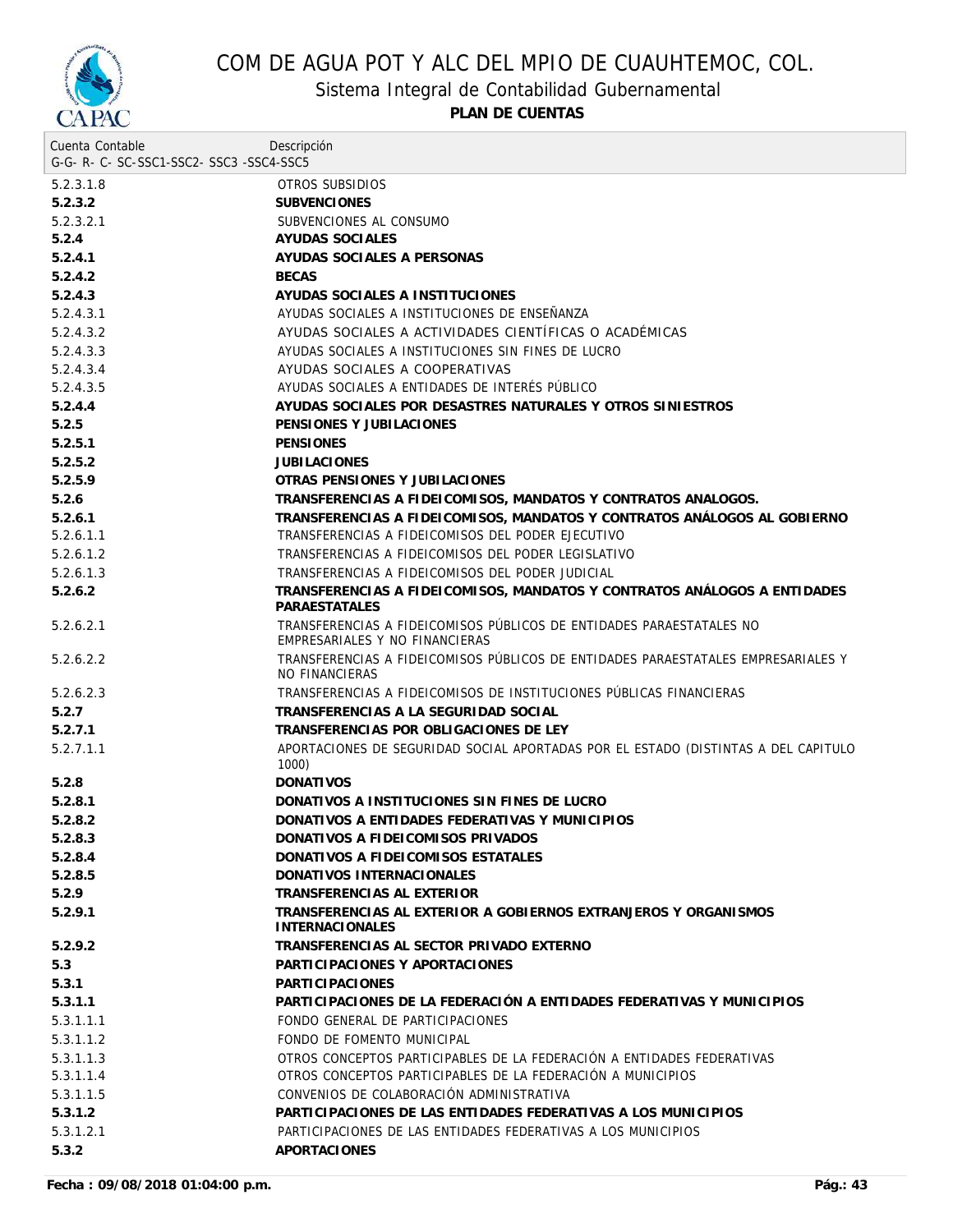

Sistema Integral de Contabilidad Gubernamental

| Cuenta Contable<br>G-G- R- C- SC-SSC1-SSC2- SSC3 -SSC4-SSC5 | Descripción                                                                                            |
|-------------------------------------------------------------|--------------------------------------------------------------------------------------------------------|
| 5.2.3.1.8                                                   | OTROS SUBSIDIOS                                                                                        |
| 5.2.3.2                                                     | <b>SUBVENCIONES</b>                                                                                    |
| 5.2.3.2.1                                                   | SUBVENCIONES AL CONSUMO                                                                                |
| 5.2.4                                                       | AYUDAS SOCIALES                                                                                        |
| 5.2.4.1                                                     | AYUDAS SOCIALES A PERSONAS                                                                             |
| 5.2.4.2                                                     | <b>BECAS</b>                                                                                           |
| 5.2.4.3                                                     | AYUDAS SOCIALES A INSTITUCIONES                                                                        |
| 5.2.4.3.1                                                   | AYUDAS SOCIALES A INSTITUCIONES DE ENSEÑANZA                                                           |
| 5.2.4.3.2                                                   | AYUDAS SOCIALES A ACTIVIDADES CIENTÍFICAS O ACADÉMICAS                                                 |
| 5.2.4.3.3                                                   | AYUDAS SOCIALES A INSTITUCIONES SIN FINES DE LUCRO                                                     |
| 5.2.4.3.4                                                   | AYUDAS SOCIALES A COOPERATIVAS                                                                         |
| 5.2.4.3.5                                                   | AYUDAS SOCIALES A ENTIDADES DE INTERÉS PÚBLICO                                                         |
| 5.2.4.4                                                     | AYUDAS SOCIALES POR DESASTRES NATURALES Y OTROS SINIESTROS                                             |
| 5.2.5                                                       | PENSIONES Y JUBILACIONES                                                                               |
| 5.2.5.1                                                     | <b>PENSIONES</b>                                                                                       |
| 5.2.5.2                                                     | <b>JUBILACIONES</b>                                                                                    |
| 5.2.5.9                                                     | OTRAS PENSIONES Y JUBILACIONES                                                                         |
| 5.2.6                                                       | TRANSFERENCIAS A FIDEICOMISOS, MANDATOS Y CONTRATOS ANALOGOS.                                          |
| 5.2.6.1                                                     | TRANSFERENCIAS A FIDEICOMISOS, MANDATOS Y CONTRATOS ANÁLOGOS AL GOBIERNO                               |
| 5.2.6.1.1                                                   | TRANSFERENCIAS A FIDEICOMISOS DEL PODER EJECUTIVO                                                      |
| 5.2.6.1.2                                                   | TRANSFERENCIAS A FIDEICOMISOS DEL PODER LEGISLATIVO                                                    |
| 5.2.6.1.3                                                   | TRANSFERENCIAS A FIDEICOMISOS DEL PODER JUDICIAL                                                       |
| 5.2.6.2                                                     | TRANSFERENCIAS A FIDEICOMISOS, MANDATOS Y CONTRATOS ANÁLOGOS A ENTIDADES<br>PARAESTATALES              |
| 5.2.6.2.1                                                   | TRANSFERENCIAS A FIDEICOMISOS PÚBLICOS DE ENTIDADES PARAESTATALES NO<br>EMPRESARIALES Y NO FINANCIERAS |
| 5.2.6.2.2                                                   | TRANSFERENCIAS A FIDEICOMISOS PÚBLICOS DE ENTIDADES PARAESTATALES EMPRESARIALES Y<br>NO FINANCIERAS    |
| 5.2.6.2.3                                                   | TRANSFERENCIAS A FIDEICOMISOS DE INSTITUCIONES PUBLICAS FINANCIERAS                                    |
| 5.2.7                                                       | TRANSFERENCIAS A LA SEGURIDAD SOCIAL                                                                   |
| 5.2.7.1                                                     | TRANSFERENCIAS POR OBLIGACIONES DE LEY                                                                 |
| 5.2.7.1.1                                                   | APORTACIONES DE SEGURIDAD SOCIAL APORTADAS POR EL ESTADO (DISTINTAS A DEL CAPITULO<br>1000)            |
| 5.2.8                                                       | <b>DONATIVOS</b>                                                                                       |
| 5.2.8.1                                                     | DONATIVOS A INSTITUCIONES SIN FINES DE LUCRO                                                           |
| 5.2.8.2                                                     | DONATIVOS A ENTIDADES FEDERATIVAS Y MUNICIPIOS                                                         |
| 5.2.8.3                                                     | DONATIVOS A FIDEICOMISOS PRIVADOS                                                                      |
| 5.2.8.4                                                     | DONATIVOS A FIDEICOMISOS ESTATALES                                                                     |
| 5.2.8.5                                                     | DONATIVOS INTERNACIONALES                                                                              |
| 5.2.9                                                       | TRANSFERENCIAS AL EXTERIOR                                                                             |
| 5.2.9.1                                                     | TRANSFERENCIAS AL EXTERIOR A GOBIERNOS EXTRANJEROS Y ORGANISMOS<br><b>INTERNACIONALES</b>              |
| 5.2.9.2                                                     | TRANSFERENCIAS AL SECTOR PRIVADO EXTERNO                                                               |
| 5.3                                                         | PARTICIPACIONES Y APORTACIONES                                                                         |
| 5.3.1                                                       | <b>PARTICIPACIONES</b>                                                                                 |
| 5.3.1.1                                                     | PARTICIPACIONES DE LA FEDERACIÓN A ENTIDADES FEDERATIVAS Y MUNICIPIOS                                  |
| 5.3.1.1.1                                                   | FONDO GENERAL DE PARTICIPACIONES                                                                       |
| 5.3.1.1.2                                                   | FONDO DE FOMENTO MUNICIPAL                                                                             |
| 5.3.1.1.3                                                   | OTROS CONCEPTOS PARTICIPABLES DE LA FEDERACIÓN A ENTIDADES FEDERATIVAS                                 |
| 5.3.1.1.4                                                   | OTROS CONCEPTOS PARTICIPABLES DE LA FEDERACIÓN A MUNICIPIOS                                            |
| 5.3.1.1.5                                                   | CONVENIOS DE COLABORACIÓN ADMINISTRATIVA                                                               |
| 5.3.1.2                                                     | PARTICIPACIONES DE LAS ENTIDADES FEDERATIVAS A LOS MUNICIPIOS                                          |
| 5.3.1.2.1                                                   | PARTICIPACIONES DE LAS ENTIDADES FEDERATIVAS A LOS MUNICIPIOS                                          |
| 5.3.2                                                       | APORTACIONES                                                                                           |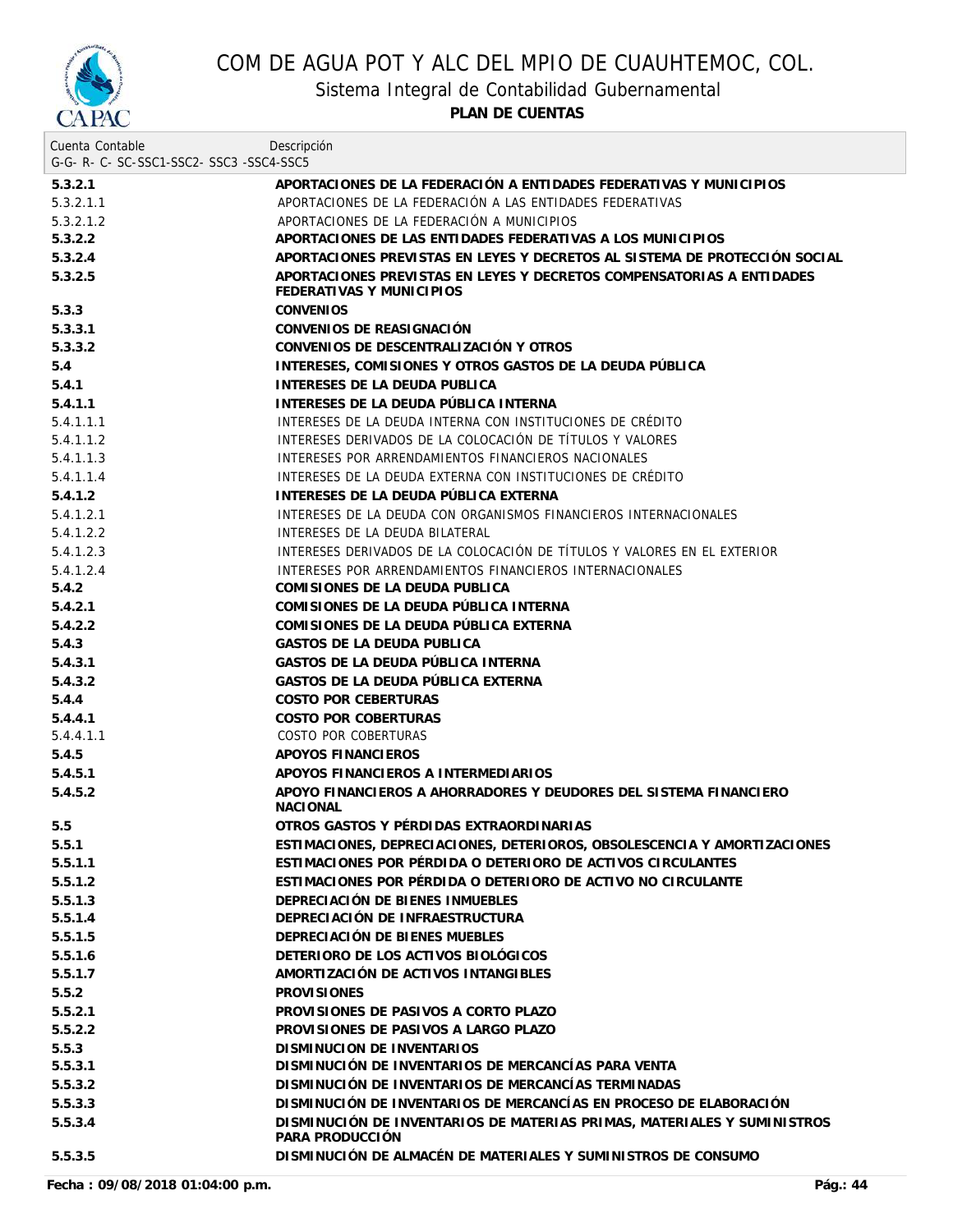

Sistema Integral de Contabilidad Gubernamental

| Cuenta Contable                     | Descripción                                                                                       |
|-------------------------------------|---------------------------------------------------------------------------------------------------|
| G-G-R-C-SC-SSC1-SSC2-SSC3-SSC4-SSC5 |                                                                                                   |
| 5.3.2.1                             | APORTACIONES DE LA FEDERACIÓN A ENTIDADES FEDERATIVAS Y MUNICIPIOS                                |
| 5.3.2.1.1                           | APORTACIONES DE LA FEDERACIÓN A LAS ENTIDADES FEDERATIVAS                                         |
| 5.3.2.1.2                           | APORTACIONES DE LA FEDERACIÓN A MUNICIPIOS                                                        |
| 5.3.2.2                             | APORTACIONES DE LAS ENTIDADES FEDERATIVAS A LOS MUNICIPIOS                                        |
| 5.3.2.4                             | APORTACIONES PREVISTAS EN LEYES Y DECRETOS AL SISTEMA DE PROTECCIÓN SOCIAL                        |
| 5.3.2.5                             | APORTACIONES PREVISTAS EN LEYES Y DECRETOS COMPENSATORIAS A ENTIDADES<br>FEDERATIVAS Y MUNICIPIOS |
| 5.3.3                               | <b>CONVENIOS</b>                                                                                  |
| 5.3.3.1                             | CONVENIOS DE REASIGNACIÓN                                                                         |
| 5.3.3.2                             | CONVENIOS DE DESCENTRALIZACIÓN Y OTROS                                                            |
| 5.4                                 | INTERESES, COMISIONES Y OTROS GASTOS DE LA DEUDA PÚBLICA                                          |
| 5.4.1                               | INTERESES DE LA DEUDA PUBLICA                                                                     |
| 5.4.1.1                             | INTERESES DE LA DEUDA PÚBLICA INTERNA                                                             |
| 5.4.1.1.1                           | INTERESES DE LA DEUDA INTERNA CON INSTITUCIONES DE CRÉDITO                                        |
| 5.4.1.1.2                           | INTERESES DERIVADOS DE LA COLOCACIÓN DE TÍTULOS Y VALORES                                         |
| 5.4.1.1.3                           | INTERESES POR ARRENDAMIENTOS FINANCIEROS NACIONALES                                               |
| 5.4.1.1.4                           | INTERESES DE LA DEUDA EXTERNA CON INSTITUCIONES DE CRÉDITO                                        |
| 5.4.1.2                             | INTERESES DE LA DEUDA PÚBLICA EXTERNA                                                             |
| 5.4.1.2.1                           | INTERESES DE LA DEUDA CON ORGANISMOS FINANCIEROS INTERNACIONALES                                  |
| 5.4.1.2.2                           | INTERESES DE LA DEUDA BILATERAL                                                                   |
| 5.4.1.2.3                           | INTERESES DERIVADOS DE LA COLOCACIÓN DE TÍTULOS Y VALORES EN EL EXTERIOR                          |
| 5.4.1.2.4                           | INTERESES POR ARRENDAMIENTOS FINANCIEROS INTERNACIONALES                                          |
| 5.4.2                               | COMISIONES DE LA DEUDA PUBLICA                                                                    |
| 5.4.2.1                             | COMISIONES DE LA DEUDA PÚBLICA INTERNA                                                            |
| 5.4.2.2                             | COMISIONES DE LA DEUDA PÚBLICA EXTERNA                                                            |
| 5.4.3                               | GASTOS DE LA DEUDA PUBLICA                                                                        |
| 5.4.3.1                             | GASTOS DE LA DEUDA PÚBLICA INTERNA                                                                |
| 5.4.3.2                             | GASTOS DE LA DEUDA PÚBLICA EXTERNA                                                                |
| 5.4.4                               | COSTO POR CEBERTURAS                                                                              |
| 5.4.4.1                             | COSTO POR COBERTURAS                                                                              |
| 5.4.4.1.1                           | COSTO POR COBERTURAS                                                                              |
| 5.4.5                               | APOYOS FINANCIEROS                                                                                |
| 5.4.5.1                             | APOYOS FINANCIEROS A INTERMEDIARIOS                                                               |
| 5.4.5.2                             | APOYO FINANCIEROS A AHORRADORES Y DEUDORES DEL SISTEMA FINANCIERO<br><b>NACIONAL</b>              |
| 5.5                                 | OTROS GASTOS Y PÉRDIDAS EXTRAORDINARIAS                                                           |
| 5.5.1                               | ESTIMACIONES, DEPRECIACIONES, DETERIOROS, OBSOLESCENCIA Y AMORTIZACIONES                          |
| 5.5.1.1                             | ESTIMACIONES POR PÉRDIDA O DETERIORO DE ACTIVOS CIRCULANTES                                       |
| 5.5.1.2                             | ESTIMACIONES POR PÉRDIDA O DETERIORO DE ACTIVO NO CIRCULANTE                                      |
| 5.5.1.3                             | DEPRECIACIÓN DE BIENES INMUEBLES                                                                  |
| 5.5.1.4                             | DEPRECIACIÓN DE INFRAESTRUCTURA                                                                   |
| 5.5.1.5                             | DEPRECIACIÓN DE BIENES MUEBLES                                                                    |
| 5.5.1.6                             | DETERIORO DE LOS ACTIVOS BIOLÓGICOS                                                               |
| 5.5.1.7                             | AMORTIZACIÓN DE ACTIVOS INTANGIBLES                                                               |
| 5.5.2                               | <b>PROVISIONES</b>                                                                                |
| 5.5.2.1                             | PROVISIONES DE PASIVOS A CORTO PLAZO                                                              |
| 5.5.2.2                             | PROVISIONES DE PASIVOS A LARGO PLAZO                                                              |
| 5.5.3                               | DISMINUCION DE INVENTARIOS                                                                        |
| 5.5.3.1                             | DISMINUCIÓN DE INVENTARIOS DE MERCANCÍAS PARA VENTA                                               |
| 5.5.3.2                             | DISMINUCIÓN DE INVENTARIOS DE MERCANCÍAS TERMINADAS                                               |
| 5.5.3.3                             | DISMINUCIÓN DE INVENTARIOS DE MERCANCÍAS EN PROCESO DE ELABORACIÓN                                |
| 5.5.3.4                             | DISMINUCIÓN DE INVENTARIOS DE MATERIAS PRIMAS, MATERIALES Y SUMINISTROS<br>PARA PRODUCCIÓN        |
| 5.5.3.5                             | DISMINUCIÓN DE ALMACÉN DE MATERIALES Y SUMINISTROS DE CONSUMO                                     |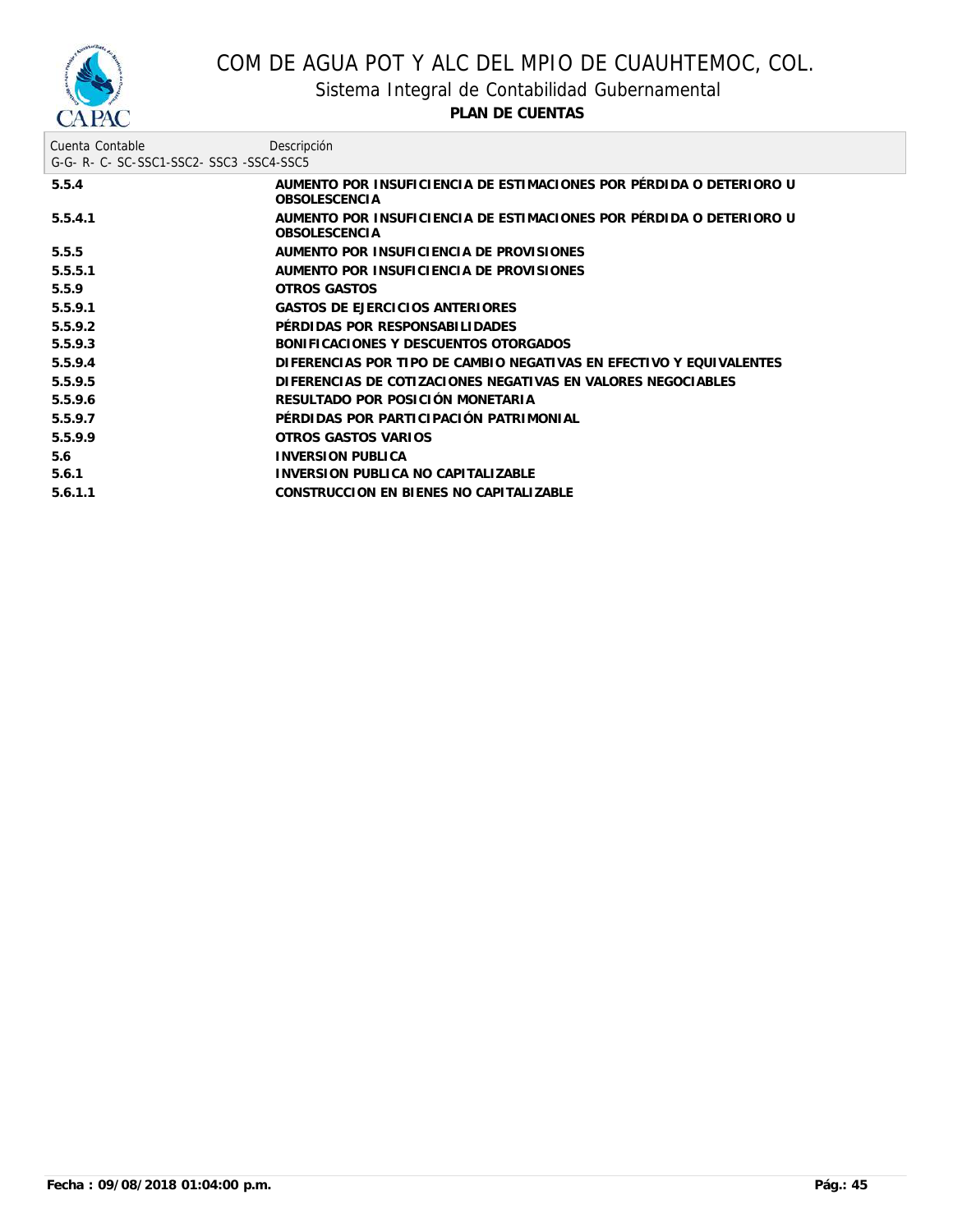

Sistema Integral de Contabilidad Gubernamental

| Cuenta Contable<br>G-G-R-C-SC-SSC1-SSC2-SSC3-SSC4-SSC5 | Descripción                                                                                 |
|--------------------------------------------------------|---------------------------------------------------------------------------------------------|
| 5.5.4                                                  | AUMENTO POR INSUFICIENCIA DE ESTIMACIONES POR PÉRDIDA O DETERIORO U<br><b>OBSOLESCENCIA</b> |
| 5.5.4.1                                                | AUMENTO POR INSUFICIENCIA DE ESTIMACIONES POR PÉRDIDA O DETERIORO U<br><b>OBSOLESCENCIA</b> |
| 5.5.5                                                  | AUMENTO POR INSUFICIENCIA DE PROVISIONES                                                    |
| 5.5.5.1                                                | AUMENTO POR INSUFICIENCIA DE PROVISIONES                                                    |
| 5.5.9                                                  | OTROS GASTOS                                                                                |
| 5.5.9.1                                                | <b>GASTOS DE EJERCICIOS ANTERIORES</b>                                                      |
| 5.5.9.2                                                | PÉRDIDAS POR RESPONSABILIDADES                                                              |
| 5.5.9.3                                                | BONIFICACIONES Y DESCUENTOS OTORGADOS                                                       |
| 5.5.9.4                                                | DIFERENCIAS POR TIPO DE CAMBIO NEGATIVAS EN EFECTIVO Y EQUIVALENTES                         |
| 5.5.9.5                                                | DIFERENCIAS DE COTIZACIONES NEGATIVAS EN VALORES NEGOCIABLES                                |
| 5.5.9.6                                                | RESULTADO POR POSICIÓN MONETARIA                                                            |
| 5.5.9.7                                                | PÉRDIDAS POR PARTICIPACIÓN PATRIMONIAL                                                      |
| 5.5.9.9                                                | OTROS GASTOS VARIOS                                                                         |
| 5.6                                                    | <b>INVERSION PUBLICA</b>                                                                    |
| 5.6.1                                                  | INVERSION PUBLICA NO CAPITALIZABLE                                                          |
| 5.6.1.1                                                | CONSTRUCCION EN BIENES NO CAPITALIZABLE                                                     |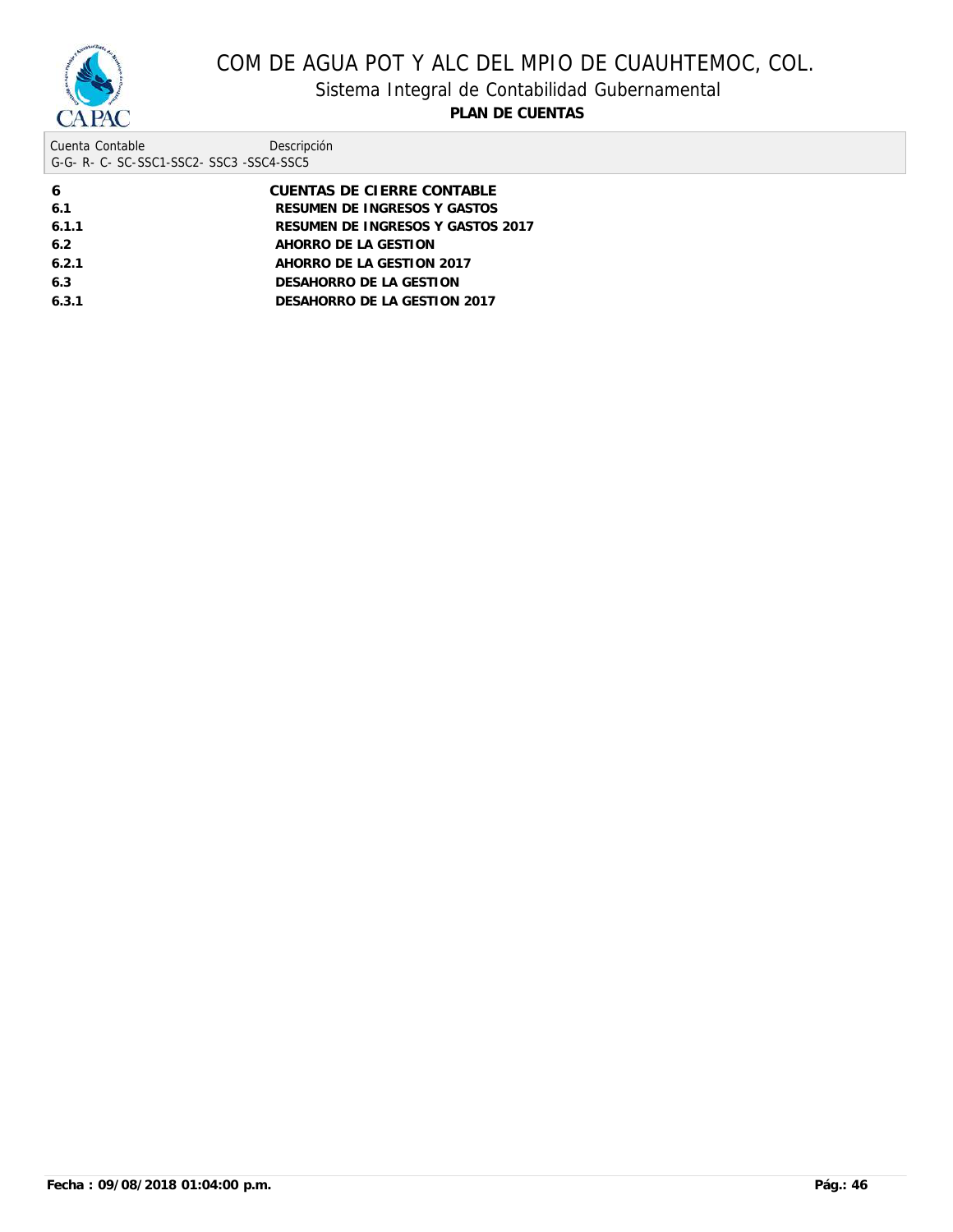

## Sistema Integral de Contabilidad Gubernamental

| Cuenta Contable                     | Descripción |
|-------------------------------------|-------------|
| G-G-R-C-SC-SSC1-SSC2-SSC3-SSC4-SSC5 |             |

| 6     | CUENTAS DE CIERRE CONTABLE        |
|-------|-----------------------------------|
| 6.1   | RESUMEN DE INGRESOS Y GASTOS      |
| 6.1.1 | RESUMEN DE INGRESOS Y GASTOS 2017 |
| 6.2   | AHORRO DE LA GESTION              |
| 6.2.1 | AHORRO DE LA GESTION 2017         |
| 6.3   | DESAHORRO DE LA GESTION           |
| 6.3.1 | DESAHORRO DE LA GESTION 2017      |
|       |                                   |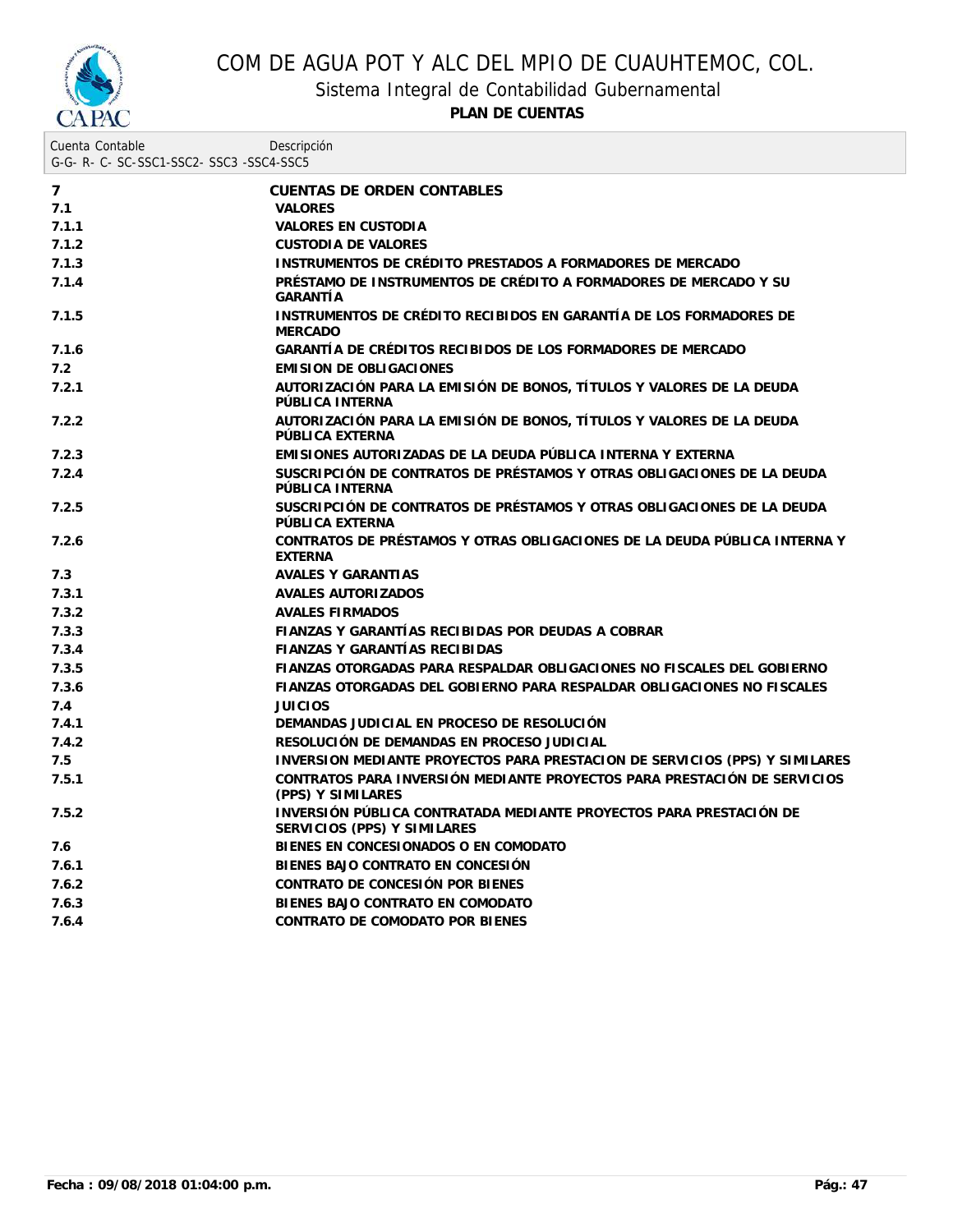

Sistema Integral de Contabilidad Gubernamental

| Cuenta Contable<br>G-G- R- C- SC-SSC1-SSC2- SSC3 -SSC4-SSC5 | Descripción                                                                                       |
|-------------------------------------------------------------|---------------------------------------------------------------------------------------------------|
| $\overline{7}$                                              | CUENTAS DE ORDEN CONTABLES                                                                        |
| 7.1                                                         | <b>VALORES</b>                                                                                    |
| 7.1.1                                                       | VALORES EN CUSTODIA                                                                               |
| 7.1.2                                                       | <b>CUSTODIA DE VALORES</b>                                                                        |
| 7.1.3                                                       | INSTRUMENTOS DE CRÉDITO PRESTADOS A FORMADORES DE MERCADO                                         |
| 7.1.4                                                       | PRÉSTAMO DE INSTRUMENTOS DE CRÉDITO A FORMADORES DE MERCADO Y SU<br>GARANTÍA                      |
| 7.1.5                                                       | INSTRUMENTOS DE CRÉDITO RECIBIDOS EN GARANTÍA DE LOS FORMADORES DE<br><b>MERCADO</b>              |
| 7.1.6                                                       | GARANTÍA DE CRÉDITOS RECIBIDOS DE LOS FORMADORES DE MERCADO                                       |
| 7.2                                                         | <b>EMISION DE OBLIGACIONES</b>                                                                    |
| 7.2.1                                                       | AUTORIZACIÓN PARA LA EMISIÓN DE BONOS, TÍTULOS Y VALORES DE LA DEUDA<br>PÚBLICA INTERNA           |
| 7.2.2                                                       | AUTORIZACIÓN PARA LA EMISIÓN DE BONOS, TÍTULOS Y VALORES DE LA DEUDA<br>PÚBLICA EXTERNA           |
| 7.2.3                                                       | EMISIONES AUTORIZADAS DE LA DEUDA PÚBLICA INTERNA Y EXTERNA                                       |
| 7.2.4                                                       | SUSCRIPCIÓN DE CONTRATOS DE PRÉSTAMOS Y OTRAS OBLIGACIONES DE LA DEUDA<br>PÚBLICA INTERNA         |
| 7.2.5                                                       | SUSCRIPCIÓN DE CONTRATOS DE PRÉSTAMOS Y OTRAS OBLIGACIONES DE LA DEUDA<br>PÚBLICA EXTERNA         |
| 7.2.6                                                       | CONTRATOS DE PRÉSTAMOS Y OTRAS OBLIGACIONES DE LA DEUDA PÚBLICA INTERNA Y<br><b>EXTERNA</b>       |
| 7.3                                                         | AVALES Y GARANTIAS                                                                                |
| 7.3.1                                                       | AVALES AUTORIZADOS                                                                                |
| 7.3.2                                                       | <b>AVALES FIRMADOS</b>                                                                            |
| 7.3.3                                                       | FIANZAS Y GARANTÍAS RECIBIDAS POR DEUDAS A COBRAR                                                 |
| 7.3.4                                                       | FIANZAS Y GARANTÍAS RECIBIDAS                                                                     |
| 7.3.5                                                       | FIANZAS OTORGADAS PARA RESPALDAR OBLIGACIONES NO FISCALES DEL GOBIERNO                            |
| 7.3.6                                                       | FIANZAS OTORGADAS DEL GOBIERNO PARA RESPALDAR OBLIGACIONES NO FISCALES                            |
| 7.4                                                         | <b>JUICIOS</b>                                                                                    |
| 7.4.1                                                       | DEMANDAS JUDICIAL EN PROCESO DE RESOLUCIÓN                                                        |
| 7.4.2                                                       | RESOLUCIÓN DE DEMANDAS EN PROCESO JUDICIAL                                                        |
| 7.5                                                         | INVERSION MEDIANTE PROYECTOS PARA PRESTACION DE SERVICIOS (PPS) Y SIMILARES                       |
| 7.5.1                                                       | CONTRATOS PARA INVERSIÓN MEDIANTE PROYECTOS PARA PRESTACIÓN DE SERVICIOS<br>(PPS) Y SIMILARES     |
| 7.5.2                                                       | INVERSIÓN PÚBLICA CONTRATADA MEDIANTE PROYECTOS PARA PRESTACIÓN DE<br>SERVICIOS (PPS) Y SIMILARES |
| 7.6                                                         | BIENES EN CONCESIONADOS O EN COMODATO                                                             |
| 7.6.1                                                       | BIENES BAJO CONTRATO EN CONCESIÓN                                                                 |
| 7.6.2                                                       | CONTRATO DE CONCESIÓN POR BIENES                                                                  |
| 7.6.3                                                       | BIENES BAJO CONTRATO EN COMODATO                                                                  |
| 7.6.4                                                       | CONTRATO DE COMODATO POR BIENES                                                                   |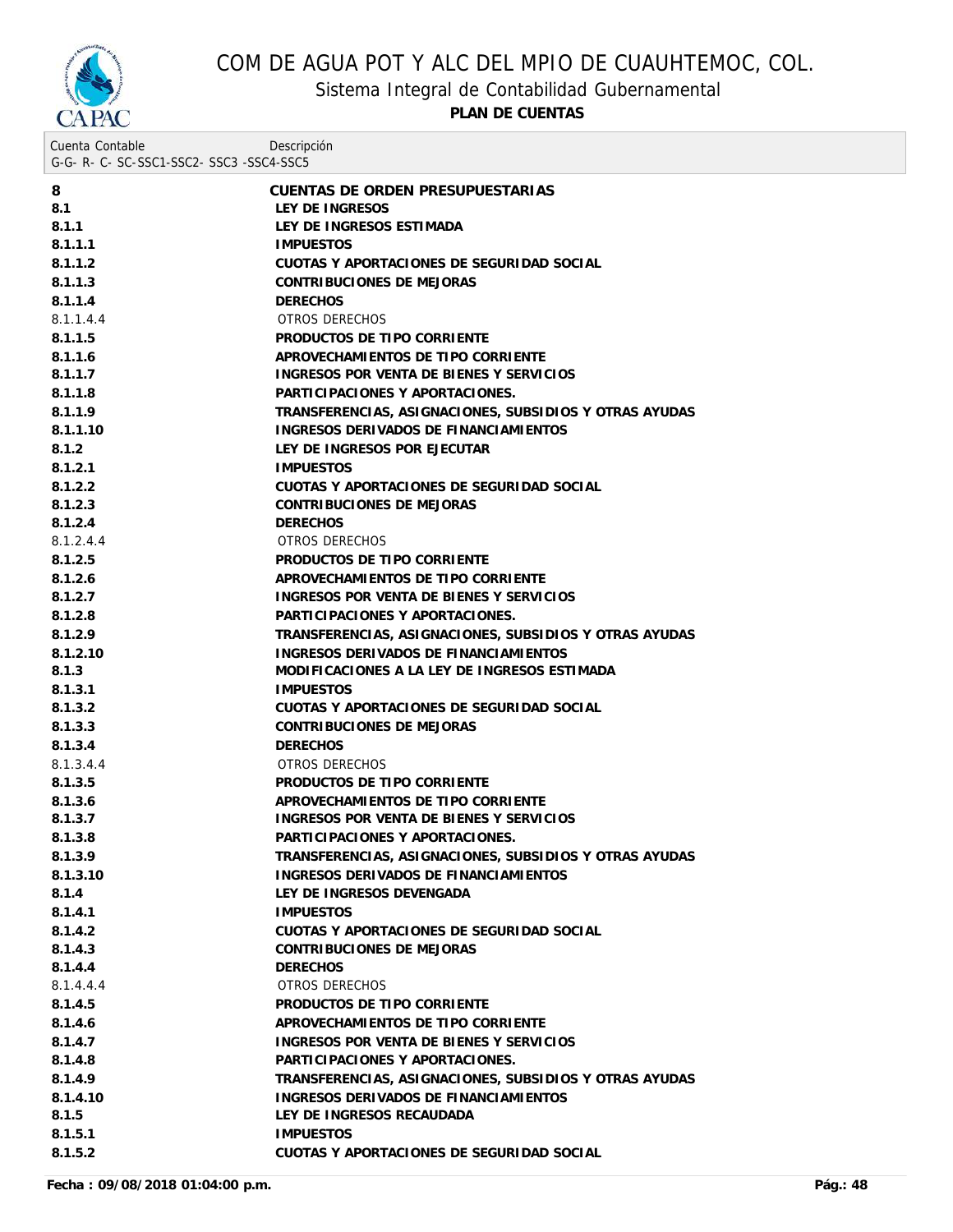

Sistema Integral de Contabilidad Gubernamental

| Cuenta Contable<br>G-G-R-C-SC-SSC1-SSC2-SSC3-SSC4-SSC5 | Descripción                                            |
|--------------------------------------------------------|--------------------------------------------------------|
| 8                                                      | CUENTAS DE ORDEN PRESUPUESTARIAS                       |
| 8.1                                                    | LEY DE INGRESOS                                        |
| 8.1.1                                                  | LEY DE INGRESOS ESTIMADA                               |
| 8.1.1.1                                                | <b>IMPUESTOS</b>                                       |
| 8.1.1.2                                                | CUOTAS Y APORTACIONES DE SEGURIDAD SOCIAL              |
| 8.1.1.3                                                | CONTRIBUCIONES DE MEJORAS                              |
| 8.1.1.4                                                | <b>DERECHOS</b>                                        |
| 8.1.1.4.4                                              | OTROS DERECHOS                                         |
| 8.1.1.5                                                | PRODUCTOS DE TIPO CORRIENTE                            |
| 8.1.1.6                                                | APROVECHAMIENTOS DE TIPO CORRIENTE                     |
| 8.1.1.7                                                | INGRESOS POR VENTA DE BIENES Y SERVICIOS               |
| 8.1.1.8                                                | PARTICIPACIONES Y APORTACIONES.                        |
| 8.1.1.9                                                | TRANSFERENCIAS, ASIGNACIONES, SUBSIDIOS Y OTRAS AYUDAS |
| 8.1.1.10                                               | INGRESOS DERIVADOS DE FINANCIAMIENTOS                  |
| 8.1.2                                                  | LEY DE INGRESOS POR EJECUTAR                           |
| 8.1.2.1                                                | <b>IMPUESTOS</b>                                       |
| 8.1.2.2                                                | CUOTAS Y APORTACIONES DE SEGURIDAD SOCIAL              |
| 8.1.2.3                                                | CONTRIBUCIONES DE MEJORAS                              |
| 8.1.2.4                                                | <b>DERECHOS</b>                                        |
| 8.1.2.4.4                                              | OTROS DERECHOS                                         |
| 8.1.2.5                                                | PRODUCTOS DE TIPO CORRIENTE                            |
| 8.1.2.6                                                | APROVECHAMIENTOS DE TIPO CORRIENTE                     |
| 8.1.2.7                                                | INGRESOS POR VENTA DE BIENES Y SERVICIOS               |
| 8.1.2.8                                                | PARTICIPACIONES Y APORTACIONES.                        |
| 8.1.2.9                                                | TRANSFERENCIAS, ASIGNACIONES, SUBSIDIOS Y OTRAS AYUDAS |
| 8.1.2.10                                               | INGRESOS DERIVADOS DE FINANCIAMIENTOS                  |
| 8.1.3                                                  | MODIFICACIONES A LA LEY DE INGRESOS ESTIMADA           |
| 8.1.3.1                                                | <b>IMPUESTOS</b>                                       |
| 8.1.3.2                                                | CUOTAS Y APORTACIONES DE SEGURIDAD SOCIAL              |
| 8.1.3.3                                                | CONTRIBUCIONES DE MEJORAS                              |
| 8.1.3.4                                                | <b>DERECHOS</b>                                        |
| 8.1.3.4.4                                              | OTROS DERECHOS                                         |
| 8.1.3.5                                                | PRODUCTOS DE TIPO CORRIENTE                            |
| 8.1.3.6                                                | APROVECHAMIENTOS DE TIPO CORRIENTE                     |
| 8.1.3.7                                                | INGRESOS POR VENTA DE BIENES Y SERVICIOS               |
| 8.1.3.8                                                | PARTICIPACIONES Y APORTACIONES.                        |
| 8.1.3.9                                                | TRANSFERENCIAS, ASIGNACIONES, SUBSIDIOS Y OTRAS AYUDAS |
| 8.1.3.10                                               | INGRESOS DERIVADOS DE FINANCIAMIENTOS                  |
| 8.1.4                                                  | LEY DE INGRESOS DEVENGADA                              |
| 8.1.4.1                                                | <b>IMPUESTOS</b>                                       |
| 8.1.4.2                                                | CUOTAS Y APORTACIONES DE SEGURIDAD SOCIAL              |
| 8.1.4.3                                                | CONTRIBUCIONES DE MEJORAS                              |
| 8.1.4.4                                                | <b>DERECHOS</b>                                        |
| 8.1.4.4.4                                              | OTROS DERECHOS                                         |
| 8.1.4.5                                                | PRODUCTOS DE TIPO CORRIENTE                            |
| 8.1.4.6                                                | APROVECHAMIENTOS DE TIPO CORRIENTE                     |
| 8.1.4.7                                                | INGRESOS POR VENTA DE BIENES Y SERVICIOS               |
| 8.1.4.8                                                | PARTICIPACIONES Y APORTACIONES.                        |
| 8.1.4.9                                                | TRANSFERENCIAS, ASIGNACIONES, SUBSIDIOS Y OTRAS AYUDAS |
| 8.1.4.10                                               | INGRESOS DERIVADOS DE FINANCIAMIENTOS                  |
| 8.1.5                                                  | LEY DE INGRESOS RECAUDADA                              |
| 8.1.5.1                                                | <b>IMPUESTOS</b>                                       |
| 8.1.5.2                                                | CUOTAS Y APORTACIONES DE SEGURIDAD SOCIAL              |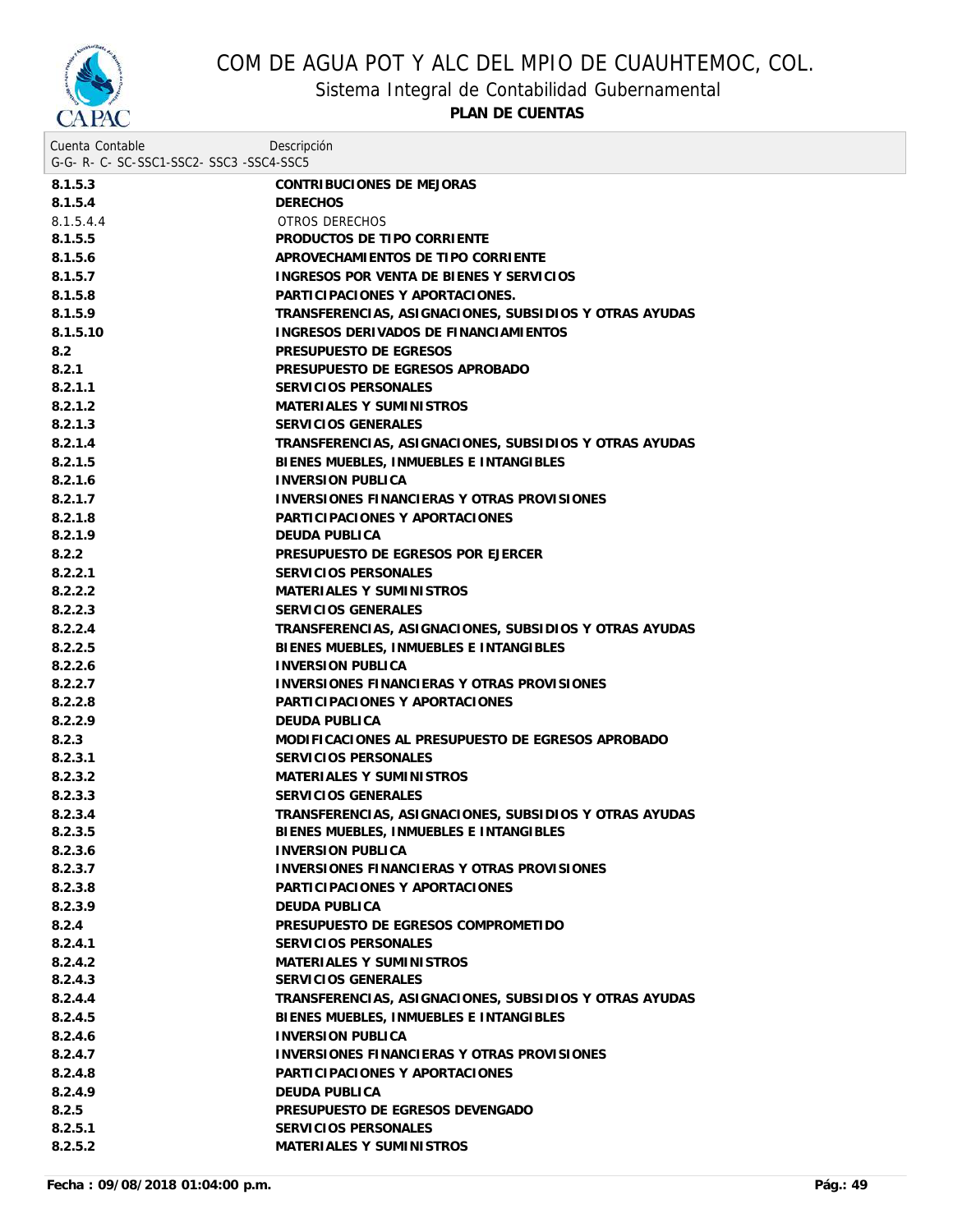

Sistema Integral de Contabilidad Gubernamental

| Cuenta Contable                     | Descripción                                            |
|-------------------------------------|--------------------------------------------------------|
| G-G-R-C-SC-SSC1-SSC2-SSC3-SSC4-SSC5 |                                                        |
| 8.1.5.3                             | CONTRIBUCIONES DE MEJORAS                              |
| 8.1.5.4                             | <b>DERECHOS</b>                                        |
| 8.1.5.4.4                           | OTROS DERECHOS                                         |
| 8.1.5.5                             | PRODUCTOS DE TIPO CORRIENTE                            |
| 8.1.5.6                             | APROVECHAMIENTOS DE TIPO CORRIENTE                     |
| 8.1.5.7                             | INGRESOS POR VENTA DE BIENES Y SERVICIOS               |
| 8.1.5.8                             | PARTICIPACIONES Y APORTACIONES.                        |
| 8.1.5.9                             | TRANSFERENCIAS, ASIGNACIONES, SUBSIDIOS Y OTRAS AYUDAS |
| 8.1.5.10                            | INGRESOS DERIVADOS DE FINANCIAMIENTOS                  |
| 8.2                                 | PRESUPUESTO DE EGRESOS                                 |
| 8.2.1                               | PRESUPUESTO DE EGRESOS APROBADO                        |
| 8.2.1.1                             | SERVICIOS PERSONALES                                   |
| 8.2.1.2                             | MATERIALES Y SUMINISTROS                               |
| 8.2.1.3                             | SERVICIOS GENERALES                                    |
| 8.2.1.4                             | TRANSFERENCIAS, ASIGNACIONES, SUBSIDIOS Y OTRAS AYUDAS |
| 8.2.1.5                             | BIENES MUEBLES, INMUEBLES E INTANGIBLES                |
| 8.2.1.6                             | <b>INVERSION PUBLICA</b>                               |
| 8.2.1.7                             | <b>INVERSIONES FINANCIERAS Y OTRAS PROVISIONES</b>     |
| 8.2.1.8                             | PARTICIPACIONES Y APORTACIONES                         |
| 8.2.1.9                             | DEUDA PUBLICA                                          |
| 8.2.2                               | PRESUPUESTO DE EGRESOS POR EJERCER                     |
| 8.2.2.1                             | SERVICIOS PERSONALES                                   |
| 8.2.2.2                             | MATERIALES Y SUMINISTROS                               |
| 8.2.2.3                             | SERVICIOS GENERALES                                    |
| 8.2.2.4                             | TRANSFERENCIAS, ASIGNACIONES, SUBSIDIOS Y OTRAS AYUDAS |
| 8.2.2.5                             | BIENES MUEBLES, INMUEBLES E INTANGIBLES                |
| 8.2.2.6                             | <b>INVERSION PUBLICA</b>                               |
| 8.2.2.7                             | INVERSIONES FINANCIERAS Y OTRAS PROVISIONES            |
| 8.2.2.8                             | PARTICIPACIONES Y APORTACIONES                         |
| 8.2.2.9                             | DEUDA PUBLICA                                          |
| 8.2.3                               | MODIFICACIONES AL PRESUPUESTO DE EGRESOS APROBADO      |
| 8.2.3.1                             | SERVICIOS PERSONALES                                   |
| 8.2.3.2                             | MATERIALES Y SUMINISTROS                               |
| 8.2.3.3                             | SERVICIOS GENERALES                                    |
| 8.2.3.4                             | TRANSFERENCIAS, ASIGNACIONES, SUBSIDIOS Y OTRAS AYUDAS |
| 8.2.3.5                             | BIENES MUEBLES, INMUEBLES E INTANGIBLES                |
| 8.2.3.6                             | <b>INVERSION PUBLICA</b>                               |
| 8.2.3.7                             | <b>INVERSIONES FINANCIERAS Y OTRAS PROVISIONES</b>     |
| 8.2.3.8                             | PARTICIPACIONES Y APORTACIONES                         |
| 8.2.3.9                             | DEUDA PUBLICA                                          |
| 8.2.4                               | PRESUPUESTO DE EGRESOS COMPROMETIDO                    |
| 8.2.4.1                             | SERVICIOS PERSONALES                                   |
| 8.2.4.2                             | MATERIALES Y SUMINISTROS                               |
| 8.2.4.3                             | SERVICIOS GENERALES                                    |
| 8.2.4.4                             | TRANSFERENCIAS, ASIGNACIONES, SUBSIDIOS Y OTRAS AYUDAS |
| 8.2.4.5                             | BIENES MUEBLES, INMUEBLES E INTANGIBLES                |
| 8.2.4.6                             | <b>INVERSION PUBLICA</b>                               |
| 8.2.4.7                             | INVERSIONES FINANCIERAS Y OTRAS PROVISIONES            |
| 8.2.4.8                             | PARTICIPACIONES Y APORTACIONES                         |
| 8.2.4.9                             | DEUDA PUBLICA                                          |
| 8.2.5                               | PRESUPUESTO DE EGRESOS DEVENGADO                       |
| 8.2.5.1                             | SERVICIOS PERSONALES                                   |
| 8.2.5.2                             | MATERIALES Y SUMINISTROS                               |
|                                     |                                                        |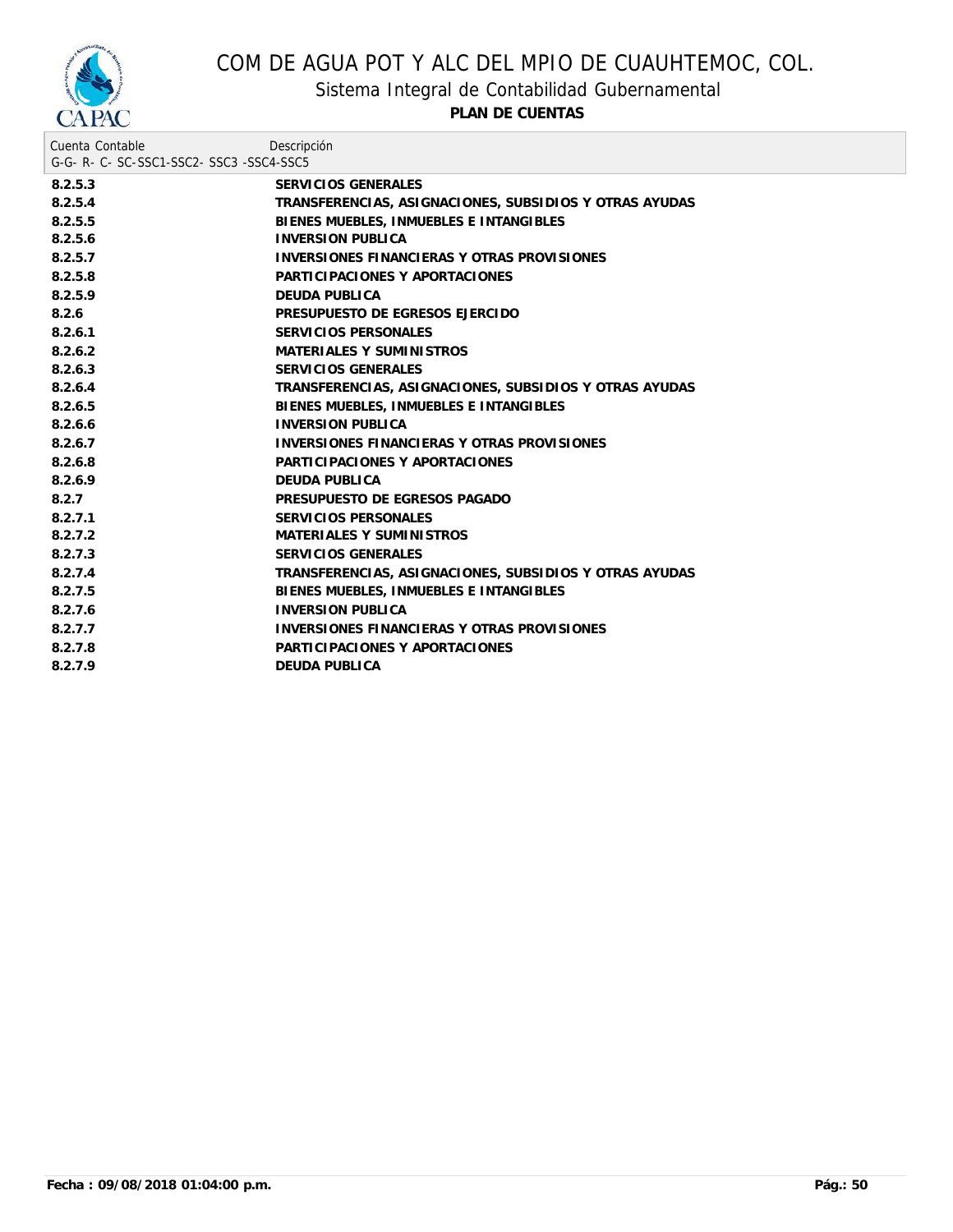

Sistema Integral de Contabilidad Gubernamental

| Cuenta Contable                     | Descripción                                            |  |  |  |
|-------------------------------------|--------------------------------------------------------|--|--|--|
| G-G-R-C-SC-SSC1-SSC2-SSC3-SSC4-SSC5 |                                                        |  |  |  |
| 8.2.5.3                             | SERVICIOS GENERALES                                    |  |  |  |
| 8.2.5.4                             | TRANSFERENCIAS, ASIGNACIONES, SUBSIDIOS Y OTRAS AYUDAS |  |  |  |
| 8.2.5.5                             | BIENES MUEBLES, INMUEBLES E INTANGIBLES                |  |  |  |
| 8.2.5.6                             | <b>INVERSION PUBLICA</b>                               |  |  |  |
| 8.2.5.7                             | INVERSIONES FINANCIERAS Y OTRAS PROVISIONES            |  |  |  |
| 8.2.5.8                             | PARTICIPACIONES Y APORTACIONES                         |  |  |  |
| 8.2.5.9                             | DEUDA PUBLICA                                          |  |  |  |
| 8.2.6                               | PRESUPUESTO DE EGRESOS EJERCIDO                        |  |  |  |
| 8.2.6.1                             | SERVICIOS PERSONALES                                   |  |  |  |
| 8.2.6.2                             | MATERIALES Y SUMINISTROS                               |  |  |  |
| 8.2.6.3                             | SERVICIOS GENERALES                                    |  |  |  |
| 8.2.6.4                             | TRANSFERENCIAS, ASIGNACIONES, SUBSIDIOS Y OTRAS AYUDAS |  |  |  |
| 8.2.6.5                             | BIENES MUEBLES, INMUEBLES E INTANGIBLES                |  |  |  |
| 8.2.6.6                             | <b>INVERSION PUBLICA</b>                               |  |  |  |
| 8.2.6.7                             | INVERSIONES FINANCIERAS Y OTRAS PROVISIONES            |  |  |  |
| 8.2.6.8                             | PARTICIPACIONES Y APORTACIONES                         |  |  |  |
| 8.2.6.9                             | DEUDA PUBLICA                                          |  |  |  |
| 8.2.7                               | PRESUPUESTO DE EGRESOS PAGADO                          |  |  |  |
| 8.2.7.1                             | SERVICIOS PERSONALES                                   |  |  |  |
| 8.2.7.2                             | MATERIALES Y SUMINISTROS                               |  |  |  |
| 8.2.7.3                             | SERVICIOS GENERALES                                    |  |  |  |
| 8.2.7.4                             | TRANSFERENCIAS, ASIGNACIONES, SUBSIDIOS Y OTRAS AYUDAS |  |  |  |
| 8.2.7.5                             | BIENES MUEBLES, INMUEBLES E INTANGIBLES                |  |  |  |
| 8.2.7.6                             | <b>INVERSION PUBLICA</b>                               |  |  |  |
| 8.2.7.7                             | INVERSIONES FINANCIERAS Y OTRAS PROVISIONES            |  |  |  |
| 8.2.7.8                             | PARTICIPACIONES Y APORTACIONES                         |  |  |  |
| 8.2.7.9                             | DEUDA PUBLICA                                          |  |  |  |